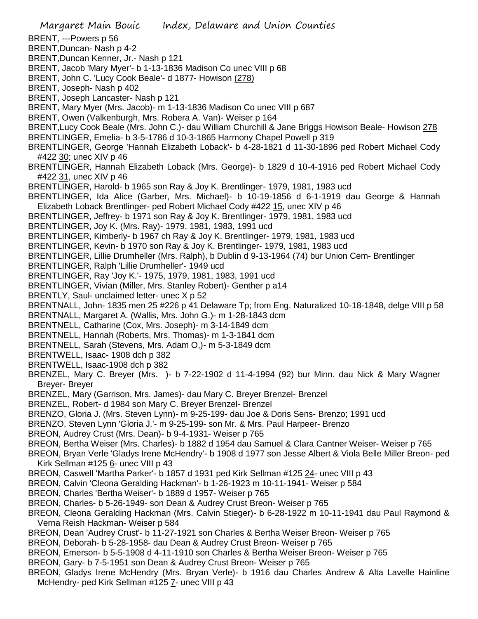Margaret Main Bouic Index, Delaware and Union Counties BRENT, ---Powers p 56 BRENT,Duncan- Nash p 4-2 BRENT,Duncan Kenner, Jr.- Nash p 121 BRENT, Jacob 'Mary Myer'- b 1-13-1836 Madison Co unec VIII p 68 BRENT, John C. 'Lucy Cook Beale'- d 1877- Howison (278) BRENT, Joseph- Nash p 402 BRENT, Joseph Lancaster- Nash p 121 BRENT, Mary Myer (Mrs. Jacob)- m 1-13-1836 Madison Co unec VIII p 687 BRENT, Owen (Valkenburgh, Mrs. Robera A. Van)- Weiser p 164 BRENT,Lucy Cook Beale (Mrs. John C.)- dau William Churchill & Jane Briggs Howison Beale- Howison 278 BRENTLINGER, Emelia- b 3-5-1786 d 10-3-1865 Harmony Chapel Powell p 319 BRENTLINGER, George 'Hannah Elizabeth Loback'- b 4-28-1821 d 11-30-1896 ped Robert Michael Cody #422 30; unec XIV p 46 BRENTLINGER, Hannah Elizabeth Loback (Mrs. George)- b 1829 d 10-4-1916 ped Robert Michael Cody #422 31, unec XIV p 46 BRENTLINGER, Harold- b 1965 son Ray & Joy K. Brentlinger- 1979, 1981, 1983 ucd BRENTLINGER, Ida Alice (Garber, Mrs. Michael)- b 10-19-1856 d 6-1-1919 dau George & Hannah Elizabeth Loback Brentlinger- ped Robert Michael Cody #422 15, unec XIV p 46 BRENTLINGER, Jeffrey- b 1971 son Ray & Joy K. Brentlinger- 1979, 1981, 1983 ucd BRENTLINGER, Joy K. (Mrs. Ray)- 1979, 1981, 1983, 1991 ucd BRENTLINGER, Kimberly- b 1967 ch Ray & Joy K. Brentlinger- 1979, 1981, 1983 ucd BRENTLINGER, Kevin- b 1970 son Ray & Joy K. Brentlinger- 1979, 1981, 1983 ucd BRENTLINGER, Lillie Drumheller (Mrs. Ralph), b Dublin d 9-13-1964 (74) bur Union Cem- Brentlinger BRENTLINGER, Ralph 'Lillie Drumheller'- 1949 ucd BRENTLINGER, Ray 'Joy K.'- 1975, 1979, 1981, 1983, 1991 ucd BRENTLINGER, Vivian (Miller, Mrs. Stanley Robert)- Genther p a14 BRENTLY, Saul- unclaimed letter- unec X p 52 BRENTNALL, John- 1835 men 25 #226 p 41 Delaware Tp; from Eng. Naturalized 10-18-1848, delge VIII p 58 BRENTNALL, Margaret A. (Wallis, Mrs. John G.)- m 1-28-1843 dcm BRENTNELL, Catharine (Cox, Mrs. Joseph)- m 3-14-1849 dcm BRENTNELL, Hannah (Roberts, Mrs. Thomas)- m 1-3-1841 dcm BRENTNELL, Sarah (Stevens, Mrs. Adam O,)- m 5-3-1849 dcm BRENTWELL, Isaac- 1908 dch p 382 BRENTWELL, Isaac-1908 dch p 382 BRENZEL, Mary C. Breyer (Mrs. )- b 7-22-1902 d 11-4-1994 (92) bur Minn. dau Nick & Mary Wagner Breyer- Breyer BRENZEL, Mary (Garrison, Mrs. James)- dau Mary C. Breyer Brenzel- Brenzel BRENZEL, Robert- d 1984 son Mary C. Breyer Brenzel- Brenzel BRENZO, Gloria J. (Mrs. Steven Lynn)- m 9-25-199- dau Joe & Doris Sens- Brenzo; 1991 ucd BRENZO, Steven Lynn 'Gloria J.'- m 9-25-199- son Mr. & Mrs. Paul Harpeer- Brenzo BREON, Audrey Crust (Mrs. Dean)- b 9-4-1931- Weiser p 765 BREON, Bertha Weiser (Mrs. Charles)- b 1882 d 1954 dau Samuel & Clara Cantner Weiser- Weiser p 765 BREON, Bryan Verle 'Gladys Irene McHendry'- b 1908 d 1977 son Jesse Albert & Viola Belle Miller Breon- ped Kirk Sellman #125 6- unec VIII p 43 BREON, Caswell 'Martha Parker'- b 1857 d 1931 ped Kirk Sellman #125 24- unec VIII p 43 BREON, Calvin 'Cleona Geralding Hackman'- b 1-26-1923 m 10-11-1941- Weiser p 584 BREON, Charles 'Bertha Weiser'- b 1889 d 1957- Weiser p 765 BREON, Charles- b 5-26-1949- son Dean & Audrey Crust Breon- Weiser p 765 BREON, Cleona Geralding Hackman (Mrs. Calvin Stieger)- b 6-28-1922 m 10-11-1941 dau Paul Raymond & Verna Reish Hackman- Weiser p 584 BREON, Dean 'Audrey Crust'- b 11-27-1921 son Charles & Bertha Weiser Breon- Weiser p 765 BREON, Deborah- b 5-28-1958- dau Dean & Audrey Crust Breon- Weiser p 765 BREON, Emerson- b 5-5-1908 d 4-11-1910 son Charles & Bertha Weiser Breon- Weiser p 765 BREON, Gary- b 7-5-1951 son Dean & Audrey Crust Breon- Weiser p 765 BREON, Gladys Irene McHendry (Mrs. Bryan Verle)- b 1916 dau Charles Andrew & Alta Lavelle Hainline McHendry- ped Kirk Sellman #125 7- unec VIII p 43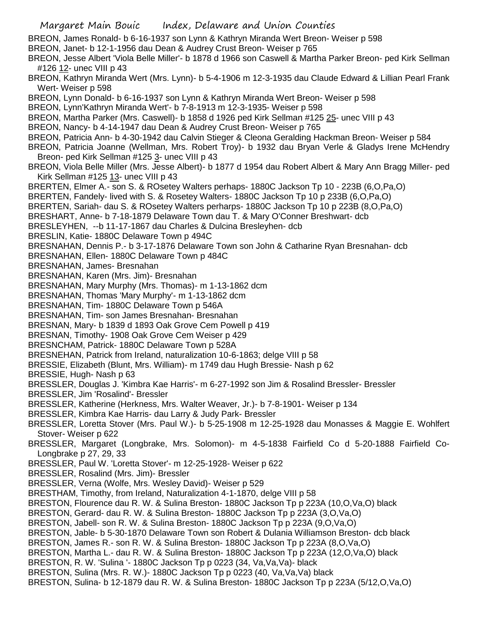BREON, James Ronald- b 6-16-1937 son Lynn & Kathryn Miranda Wert Breon- Weiser p 598

- BREON, Janet- b 12-1-1956 dau Dean & Audrey Crust Breon- Weiser p 765
- BREON, Jesse Albert 'Viola Belle Miller'- b 1878 d 1966 son Caswell & Martha Parker Breon- ped Kirk Sellman #126 12- unec VIII p 43
- BREON, Kathryn Miranda Wert (Mrs. Lynn)- b 5-4-1906 m 12-3-1935 dau Claude Edward & Lillian Pearl Frank Wert- Weiser p 598
- BREON, Lynn Donald- b 6-16-1937 son Lynn & Kathryn Miranda Wert Breon- Weiser p 598
- BREON, Lynn'Kathryn Miranda Wert'- b 7-8-1913 m 12-3-1935- Weiser p 598
- BREON, Martha Parker (Mrs. Caswell)- b 1858 d 1926 ped Kirk Sellman #125 25- unec VIII p 43
- BREON, Nancy- b 4-14-1947 dau Dean & Audrey Crust Breon- Weiser p 765
- BREON, Patricia Ann- b 4-30-1942 dau Calvin Stieger & Cleona Geralding Hackman Breon- Weiser p 584
- BREON, Patricia Joanne (Wellman, Mrs. Robert Troy)- b 1932 dau Bryan Verle & Gladys Irene McHendry Breon- ped Kirk Sellman #125 3- unec VIII p 43
- BREON, Viola Belle Miller (Mrs. Jesse Albert)- b 1877 d 1954 dau Robert Albert & Mary Ann Bragg Miller- ped Kirk Sellman #125 13- unec VIII p 43
- BRERTEN, Elmer A.- son S. & ROsetey Walters perhaps- 1880C Jackson Tp 10 223B (6,O,Pa,O)
- BRERTEN, Fandely- lived with S. & Rosetey Walters- 1880C Jackson Tp 10 p 233B (6,O,Pa,O)
- BRERTEN, Sariah- dau S. & ROsetey Walters perharps- 1880C Jackson Tp 10 p 223B (8,O,Pa,O)
- BRESHART, Anne- b 7-18-1879 Delaware Town dau T. & Mary O'Conner Breshwart- dcb
- BRESLEYHEN, --b 11-17-1867 dau Charles & Dulcina Bresleyhen- dcb
- BRESLIN, Katie- 1880C Delaware Town p 494C
- BRESNAHAN, Dennis P.- b 3-17-1876 Delaware Town son John & Catharine Ryan Bresnahan- dcb
- BRESNAHAN, Ellen- 1880C Delaware Town p 484C
- BRESNAHAN, James- Bresnahan
- BRESNAHAN, Karen (Mrs. Jim)- Bresnahan
- BRESNAHAN, Mary Murphy (Mrs. Thomas)- m 1-13-1862 dcm
- BRESNAHAN, Thomas 'Mary Murphy'- m 1-13-1862 dcm
- BRESNAHAN, Tim- 1880C Delaware Town p 546A
- BRESNAHAN, Tim- son James Bresnahan- Bresnahan
- BRESNAN, Mary- b 1839 d 1893 Oak Grove Cem Powell p 419
- BRESNAN, Timothy- 1908 Oak Grove Cem Weiser p 429
- BRESNCHAM, Patrick- 1880C Delaware Town p 528A
- BRESNEHAN, Patrick from Ireland, naturalization 10-6-1863; delge VIII p 58
- BRESSIE, Elizabeth (Blunt, Mrs. William)- m 1749 dau Hugh Bressie- Nash p 62
- BRESSIE, Hugh- Nash p 63
- BRESSLER, Douglas J. 'Kimbra Kae Harris'- m 6-27-1992 son Jim & Rosalind Bressler- Bressler
- BRESSLER, Jim 'Rosalind'- Bressler
- BRESSLER, Katherine (Herkness, Mrs. Walter Weaver, Jr.)- b 7-8-1901- Weiser p 134
- BRESSLER, Kimbra Kae Harris- dau Larry & Judy Park- Bressler
- BRESSLER, Loretta Stover (Mrs. Paul W.)- b 5-25-1908 m 12-25-1928 dau Monasses & Maggie E. Wohlfert Stover- Weiser p 622
- BRESSLER, Margaret (Longbrake, Mrs. Solomon)- m 4-5-1838 Fairfield Co d 5-20-1888 Fairfield Co-Longbrake p 27, 29, 33
- BRESSLER, Paul W. 'Loretta Stover'- m 12-25-1928- Weiser p 622
- BRESSLER, Rosalind (Mrs. Jim)- Bressler
- BRESSLER, Verna (Wolfe, Mrs. Wesley David)- Weiser p 529
- BRESTHAM, Timothy, from Ireland, Naturalization 4-1-1870, delge VIII p 58
- BRESTON, Flourence dau R. W. & Sulina Breston- 1880C Jackson Tp p 223A (10,O,Va,O) black
- BRESTON, Gerard- dau R. W. & Sulina Breston- 1880C Jackson Tp p 223A (3,O,Va,O)
- BRESTON, Jabell- son R. W. & Sulina Breston- 1880C Jackson Tp p 223A (9,O,Va,O)
- BRESTON, Jable- b 5-30-1870 Delaware Town son Robert & Dulania Williamson Breston- dcb black
- BRESTON, James R.- son R. W. & Sulina Breston- 1880C Jackson Tp p 223A (8,O,Va,O)
- BRESTON, Martha L.- dau R. W. & Sulina Breston- 1880C Jackson Tp p 223A (12,O,Va,O) black
- BRESTON, R. W. 'Sulina '- 1880C Jackson Tp p 0223 (34, Va,Va,Va)- black
- BRESTON, Sulina (Mrs. R. W.)- 1880C Jackson Tp p 0223 (40, Va,Va,Va) black
- BRESTON, Sulina- b 12-1879 dau R. W. & Sulina Breston- 1880C Jackson Tp p 223A (5/12,O,Va,O)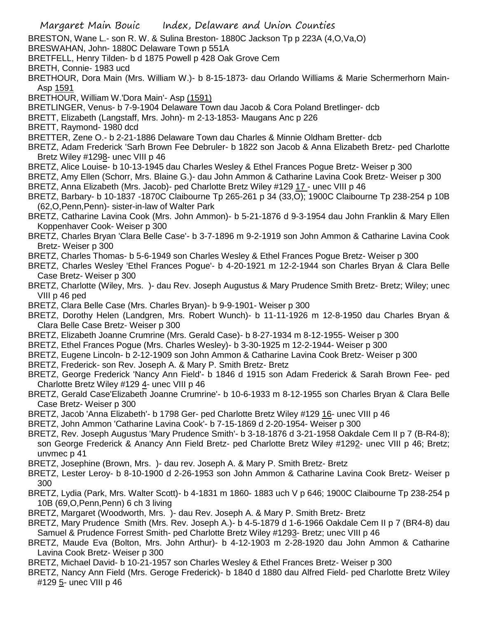BRESTON, Wane L.- son R. W. & Sulina Breston- 1880C Jackson Tp p 223A (4,O,Va,O)

BRESWAHAN, John- 1880C Delaware Town p 551A

- BRETFELL, Henry Tilden- b d 1875 Powell p 428 Oak Grove Cem
- BRETH, Connie- 1983 ucd
- BRETHOUR, Dora Main (Mrs. William W.)- b 8-15-1873- dau Orlando Williams & Marie Schermerhorn Main-Asp 1591
- BRETHOUR, William W.'Dora Main'- Asp (1591)
- BRETLINGER, Venus- b 7-9-1904 Delaware Town dau Jacob & Cora Poland Bretlinger- dcb
- BRETT, Elizabeth (Langstaff, Mrs. John)- m 2-13-1853- Maugans Anc p 226
- BRETT, Raymond- 1980 dcd

BRETTER, Zene O.- b 2-21-1886 Delaware Town dau Charles & Minnie Oldham Bretter- dcb

- BRETZ, Adam Frederick 'Sarh Brown Fee Debruler- b 1822 son Jacob & Anna Elizabeth Bretz- ped Charlotte Bretz Wiley #1298- unec VIII p 46
- BRETZ, Alice Louise- b 10-13-1945 dau Charles Wesley & Ethel Frances Pogue Bretz- Weiser p 300
- BRETZ, Amy Ellen (Schorr, Mrs. Blaine G.)- dau John Ammon & Catharine Lavina Cook Bretz- Weiser p 300
- BRETZ, Anna Elizabeth (Mrs. Jacob)- ped Charlotte Bretz Wiley #129 17 unec VIII p 46
- BRETZ, Barbary- b 10-1837 -1870C Claibourne Tp 265-261 p 34 (33,O); 1900C Claibourne Tp 238-254 p 10B (62,O,Penn,Penn)- sister-in-law of Walter Park
- BRETZ, Catharine Lavina Cook (Mrs. John Ammon)- b 5-21-1876 d 9-3-1954 dau John Franklin & Mary Ellen Koppenhaver Cook- Weiser p 300
- BRETZ, Charles Bryan 'Clara Belle Case'- b 3-7-1896 m 9-2-1919 son John Ammon & Catharine Lavina Cook Bretz- Weiser p 300
- BRETZ, Charles Thomas- b 5-6-1949 son Charles Wesley & Ethel Frances Pogue Bretz- Weiser p 300
- BRETZ, Charles Wesley 'Ethel Frances Pogue'- b 4-20-1921 m 12-2-1944 son Charles Bryan & Clara Belle Case Bretz- Weiser p 300
- BRETZ, Charlotte (Wiley, Mrs. )- dau Rev. Joseph Augustus & Mary Prudence Smith Bretz- Bretz; Wiley; unec VIII p 46 ped
- BRETZ, Clara Belle Case (Mrs. Charles Bryan)- b 9-9-1901- Weiser p 300
- BRETZ, Dorothy Helen (Landgren, Mrs. Robert Wunch)- b 11-11-1926 m 12-8-1950 dau Charles Bryan & Clara Belle Case Bretz- Weiser p 300
- BRETZ, Elizabeth Joanne Crumrine (Mrs. Gerald Case)- b 8-27-1934 m 8-12-1955- Weiser p 300
- BRETZ, Ethel Frances Pogue (Mrs. Charles Wesley)- b 3-30-1925 m 12-2-1944- Weiser p 300
- BRETZ, Eugene Lincoln- b 2-12-1909 son John Ammon & Catharine Lavina Cook Bretz- Weiser p 300
- BRETZ, Frederick- son Rev. Joseph A. & Mary P. Smith Bretz- Bretz
- BRETZ, George Frederick 'Nancy Ann Field'- b 1846 d 1915 son Adam Frederick & Sarah Brown Fee- ped Charlotte Bretz Wiley #129 4- unec VIII p 46
- BRETZ, Gerald Case'Elizabeth Joanne Crumrine'- b 10-6-1933 m 8-12-1955 son Charles Bryan & Clara Belle Case Bretz- Weiser p 300
- BRETZ, Jacob 'Anna Elizabeth'- b 1798 Ger- ped Charlotte Bretz Wiley #129 16- unec VIII p 46
- BRETZ, John Ammon 'Catharine Lavina Cook'- b 7-15-1869 d 2-20-1954- Weiser p 300
- BRETZ, Rev. Joseph Augustus 'Mary Prudence Smith'- b 3-18-1876 d 3-21-1958 Oakdale Cem II p 7 (B-R4-8); son George Frederick & Anancy Ann Field Bretz- ped Charlotte Bretz Wiley #1292- unec VIII p 46; Bretz; unvmec p 41
- BRETZ, Josephine (Brown, Mrs. )- dau rev. Joseph A. & Mary P. Smith Bretz- Bretz
- BRETZ, Lester Leroy- b 8-10-1900 d 2-26-1953 son John Ammon & Catharine Lavina Cook Bretz- Weiser p 300
- BRETZ, Lydia (Park, Mrs. Walter Scott)- b 4-1831 m 1860- 1883 uch V p 646; 1900C Claibourne Tp 238-254 p 10B (69,O,Penn,Penn) 6 ch 3 living
- BRETZ, Margaret (Woodworth, Mrs. )- dau Rev. Joseph A. & Mary P. Smith Bretz- Bretz
- BRETZ, Mary Prudence Smith (Mrs. Rev. Joseph A.)- b 4-5-1879 d 1-6-1966 Oakdale Cem II p 7 (BR4-8) dau Samuel & Prudence Forrest Smith- ped Charlotte Bretz Wiley #1293- Bretz; unec VIII p 46
- BRETZ, Maude Eva (Bolton, Mrs. John Arthur)- b 4-12-1903 m 2-28-1920 dau John Ammon & Catharine Lavina Cook Bretz- Weiser p 300
- BRETZ, Michael David- b 10-21-1957 son Charles Wesley & Ethel Frances Bretz- Weiser p 300
- BRETZ, Nancy Ann Field (Mrs. Geroge Frederick)- b 1840 d 1880 dau Alfred Field- ped Charlotte Bretz Wiley #129 5- unec VIII p 46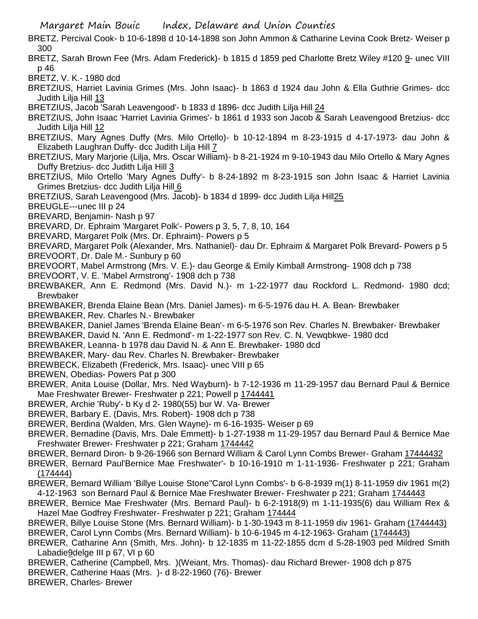BRETZ, Percival Cook- b 10-6-1898 d 10-14-1898 son John Ammon & Catharine Levina Cook Bretz- Weiser p 300

- BRETZ, Sarah Brown Fee (Mrs. Adam Frederick)- b 1815 d 1859 ped Charlotte Bretz Wiley #120 9- unec VIII p 46
- BRETZ, V. K.- 1980 dcd
- BRETZIUS, Harriet Lavinia Grimes (Mrs. John Isaac)- b 1863 d 1924 dau John & Ella Guthrie Grimes- dcc Judith Lilja Hill 13
- BRETZIUS, Jacob 'Sarah Leavengood'- b 1833 d 1896- dcc Judith Lilja Hill 24
- BRETZIUS, John Isaac 'Harriet Lavinia Grimes'- b 1861 d 1933 son Jacob & Sarah Leavengood Bretzius- dcc Judith Lilja Hill 12
- BRETZIUS, Mary Agnes Duffy (Mrs. Milo Ortello)- b 10-12-1894 m 8-23-1915 d 4-17-1973- dau John & Elizabeth Laughran Duffy- dcc Judith Lilja Hill 7
- BRETZIUS, Mary Marjorie (Lilja, Mrs. Oscar William)- b 8-21-1924 m 9-10-1943 dau Milo Ortello & Mary Agnes Duffy Bretzius- dcc Judith Lilja Hill 3
- BRETZIUS, Milo Ortello 'Mary Agnes Duffy'- b 8-24-1892 m 8-23-1915 son John Isaac & Harriet Lavinia Grimes Bretzius- dcc Judith Lilja Hill 6
- BRETZIUS, Sarah Leavengood (Mrs. Jacob)- b 1834 d 1899- dcc Judith Lilja Hill25
- BREUGLE---unec III p 24
- BREVARD, Benjamin- Nash p 97
- BREVARD, Dr. Ephraim 'Margaret Polk'- Powers p 3, 5, 7, 8, 10, 164
- BREVARD, Margaret Polk (Mrs. Dr. Ephraim)- Powers p 5
- BREVARD, Margaret Polk (Alexander, Mrs. Nathaniel)- dau Dr. Ephraim & Margaret Polk Brevard- Powers p 5
- BREVOORT, Dr. Dale M.- Sunbury p 60
- BREVOORT, Mabel Armstrong (Mrs. V. E.)- dau George & Emily Kimball Armstrong- 1908 dch p 738
- BREVOORT, V. E. 'Mabel Armstrong'- 1908 dch p 738
- BREWBAKER, Ann E. Redmond (Mrs. David N.)- m 1-22-1977 dau Rockford L. Redmond- 1980 dcd; Brewbaker
- BREWBAKER, Brenda Elaine Bean (Mrs. Daniel James)- m 6-5-1976 dau H. A. Bean- Brewbaker
- BREWBAKER, Rev. Charles N.- Brewbaker
- BREWBAKER, Daniel James 'Brenda Elaine Bean'- m 6-5-1976 son Rev. Charles N. Brewbaker- Brewbaker
- BREWBAKER, David N. 'Ann E. Redmond'- m 1-22-1977 son Rev. C. N. Vewqbkwe- 1980 dcd
- BREWBAKER, Leanna- b 1978 dau David N. & Ann E. Brewbaker- 1980 dcd
- BREWBAKER, Mary- dau Rev. Charles N. Brewbaker- Brewbaker
- BREWBECK, Elizabeth (Frederick, Mrs. Isaac)- unec VIII p 65
- BREWEN, Obedias- Powers Pat p 300
- BREWER, Anita Louise (Dollar, Mrs. Ned Wayburn)- b 7-12-1936 m 11-29-1957 dau Bernard Paul & Bernice Mae Freshwater Brewer- Freshwater p 221; Powell p 1744441
- BREWER, Archie 'Ruby'- b Ky d 2- 1980(55) bur W. Va- Brewer
- BREWER, Barbary E. (Davis, Mrs. Robert)- 1908 dch p 738
- BREWER, Berdina (Walden, Mrs. Glen Wayne)- m 6-16-1935- Weiser p 69
- BREWER, Bernadine (Davis, Mrs. Dale Emmett)- b 1-27-1938 m 11-29-1957 dau Bernard Paul & Bernice Mae Freshwater Brewer- Freshwater p 221; Graham 1744442
- BREWER, Bernard Diron- b 9-26-1966 son Bernard William & Carol Lynn Combs Brewer- Graham 17444432
- BREWER, Bernard Paul'Bernice Mae Freshwater'- b 10-16-1910 m 1-11-1936- Freshwater p 221; Graham  $(174444)$
- BREWER, Bernard William 'Billye Louise Stone''Carol Lynn Combs'- b 6-8-1939 m(1) 8-11-1959 div 1961 m(2) 4-12-1963 son Bernard Paul & Bernice Mae Freshwater Brewer- Freshwater p 221; Graham 1744443
- BREWER, Bernice Mae Freshwater (Mrs. Bernard Paul)- b 6-2-1918(9) m 1-11-1935(6) dau William Rex & Hazel Mae Godfrey Freshwater- Freshwater p 221; Graham 174444
- BREWER, Billye Louise Stone (Mrs. Bernard William)- b 1-30-1943 m 8-11-1959 div 1961- Graham (1744443) BREWER, Carol Lynn Combs (Mrs. Bernard William)- b 10-6-1945 m 4-12-1963- Graham (1744443)
- BREWER, Catharine Ann (Smith, Mrs. John)- b 12-1835 m 11-22-1855 dcm d 5-28-1903 ped Mildred Smith Labadie9delge III p 67, VI p 60
- BREWER, Catherine (Campbell, Mrs. )(Weiant, Mrs. Thomas)- dau Richard Brewer- 1908 dch p 875
- BREWER, Catherine Haas (Mrs. )- d 8-22-1960 (76)- Brewer
- BREWER, Charles- Brewer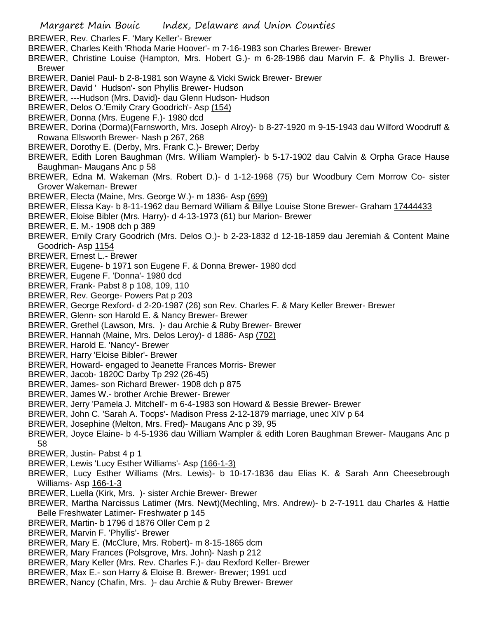BREWER, Rev. Charles F. 'Mary Keller'- Brewer

- BREWER, Charles Keith 'Rhoda Marie Hoover'- m 7-16-1983 son Charles Brewer- Brewer
- BREWER, Christine Louise (Hampton, Mrs. Hobert G.)- m 6-28-1986 dau Marvin F. & Phyllis J. Brewer-Brewer
- BREWER, Daniel Paul- b 2-8-1981 son Wayne & Vicki Swick Brewer- Brewer
- BREWER, David ' Hudson'- son Phyllis Brewer- Hudson
- BREWER, ---Hudson (Mrs. David)- dau Glenn Hudson- Hudson
- BREWER, Delos O.'Emily Crary Goodrich'- Asp (154)
- BREWER, Donna (Mrs. Eugene F.)- 1980 dcd
- BREWER, Dorina (Dorma)(Farnsworth, Mrs. Joseph Alroy)- b 8-27-1920 m 9-15-1943 dau Wilford Woodruff & Rowana Ellsworth Brewer- Nash p 267, 268
- BREWER, Dorothy E. (Derby, Mrs. Frank C.)- Brewer; Derby
- BREWER, Edith Loren Baughman (Mrs. William Wampler)- b 5-17-1902 dau Calvin & Orpha Grace Hause Baughman- Maugans Anc p 58
- BREWER, Edna M. Wakeman (Mrs. Robert D.)- d 1-12-1968 (75) bur Woodbury Cem Morrow Co- sister Grover Wakeman- Brewer
- BREWER, Electa (Maine, Mrs. George W.)- m 1836- Asp (699)
- BREWER, Elissa Kay- b 8-11-1962 dau Bernard William & Billye Louise Stone Brewer- Graham 17444433
- BREWER, Eloise Bibler (Mrs. Harry)- d 4-13-1973 (61) bur Marion- Brewer
- BREWER, E. M.- 1908 dch p 389
- BREWER, Emily Crary Goodrich (Mrs. Delos O.)- b 2-23-1832 d 12-18-1859 dau Jeremiah & Content Maine Goodrich- Asp 1154
- BREWER, Ernest L.- Brewer
- BREWER, Eugene- b 1971 son Eugene F. & Donna Brewer- 1980 dcd
- BREWER, Eugene F. 'Donna'- 1980 dcd
- BREWER, Frank- Pabst 8 p 108, 109, 110
- BREWER, Rev. George- Powers Pat p 203
- BREWER, George Rexford- d 2-20-1987 (26) son Rev. Charles F. & Mary Keller Brewer- Brewer
- BREWER, Glenn- son Harold E. & Nancy Brewer- Brewer
- BREWER, Grethel (Lawson, Mrs. )- dau Archie & Ruby Brewer- Brewer
- BREWER, Hannah (Maine, Mrs. Delos Leroy)- d 1886- Asp (702)
- BREWER, Harold E. 'Nancy'- Brewer
- BREWER, Harry 'Eloise Bibler'- Brewer
- BREWER, Howard- engaged to Jeanette Frances Morris- Brewer
- BREWER, Jacob- 1820C Darby Tp 292 (26-45)
- BREWER, James- son Richard Brewer- 1908 dch p 875
- BREWER, James W.- brother Archie Brewer- Brewer
- BREWER, Jerry 'Pamela J. Mitchell'- m 6-4-1983 son Howard & Bessie Brewer- Brewer
- BREWER, John C. 'Sarah A. Toops'- Madison Press 2-12-1879 marriage, unec XIV p 64
- BREWER, Josephine (Melton, Mrs. Fred)- Maugans Anc p 39, 95
- BREWER, Joyce Elaine- b 4-5-1936 dau William Wampler & edith Loren Baughman Brewer- Maugans Anc p 58
- BREWER, Justin- Pabst 4 p 1
- BREWER, Lewis 'Lucy Esther Williams'- Asp (166-1-3)
- BREWER, Lucy Esther Williams (Mrs. Lewis)- b 10-17-1836 dau Elias K. & Sarah Ann Cheesebrough Williams- Asp 166-1-3
- BREWER, Luella (Kirk, Mrs. )- sister Archie Brewer- Brewer
- BREWER, Martha Narcissus Latimer (Mrs. Newt)(Mechling, Mrs. Andrew)- b 2-7-1911 dau Charles & Hattie Belle Freshwater Latimer- Freshwater p 145
- BREWER, Martin- b 1796 d 1876 Oller Cem p 2
- BREWER, Marvin F. 'Phyllis'- Brewer
- BREWER, Mary E. (McClure, Mrs. Robert)- m 8-15-1865 dcm
- BREWER, Mary Frances (Polsgrove, Mrs. John)- Nash p 212
- BREWER, Mary Keller (Mrs. Rev. Charles F.)- dau Rexford Keller- Brewer
- BREWER, Max E.- son Harry & Eloise B. Brewer- Brewer; 1991 ucd
- BREWER, Nancy (Chafin, Mrs. )- dau Archie & Ruby Brewer- Brewer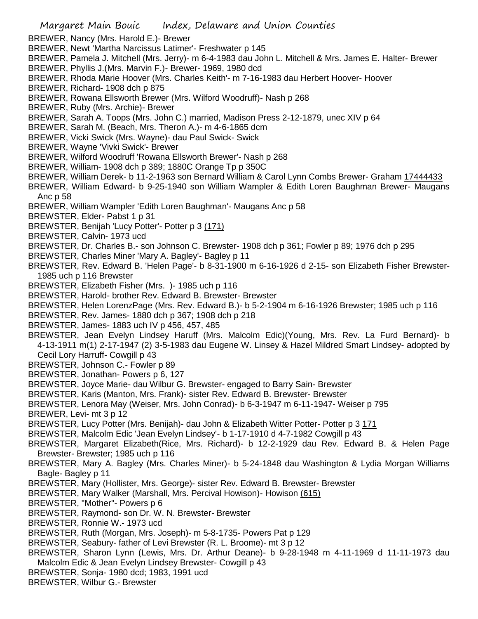- BREWER, Nancy (Mrs. Harold E.)- Brewer
- BREWER, Newt 'Martha Narcissus Latimer'- Freshwater p 145
- BREWER, Pamela J. Mitchell (Mrs. Jerry)- m 6-4-1983 dau John L. Mitchell & Mrs. James E. Halter- Brewer
- BREWER, Phyllis J.(Mrs. Marvin F.)- Brewer- 1969, 1980 dcd
- BREWER, Rhoda Marie Hoover (Mrs. Charles Keith'- m 7-16-1983 dau Herbert Hoover- Hoover
- BREWER, Richard- 1908 dch p 875
- BREWER, Rowana Ellsworth Brewer (Mrs. Wilford Woodruff)- Nash p 268
- BREWER, Ruby (Mrs. Archie)- Brewer
- BREWER, Sarah A. Toops (Mrs. John C.) married, Madison Press 2-12-1879, unec XIV p 64
- BREWER, Sarah M. (Beach, Mrs. Theron A.)- m 4-6-1865 dcm
- BREWER, Vicki Swick (Mrs. Wayne)- dau Paul Swick- Swick
- BREWER, Wayne 'Vivki Swick'- Brewer
- BREWER, Wilford Woodruff 'Rowana Ellsworth Brewer'- Nash p 268
- BREWER, William- 1908 dch p 389; 1880C Orange Tp p 350C
- BREWER, William Derek- b 11-2-1963 son Bernard William & Carol Lynn Combs Brewer- Graham 17444433
- BREWER, William Edward- b 9-25-1940 son William Wampler & Edith Loren Baughman Brewer- Maugans Anc p 58
- BREWER, William Wampler 'Edith Loren Baughman'- Maugans Anc p 58
- BREWSTER, Elder- Pabst 1 p 31
- BREWSTER, Benijah 'Lucy Potter'- Potter p 3 (171)
- BREWSTER, Calvin- 1973 ucd
- BREWSTER, Dr. Charles B.- son Johnson C. Brewster- 1908 dch p 361; Fowler p 89; 1976 dch p 295
- BREWSTER, Charles Miner 'Mary A. Bagley'- Bagley p 11
- BREWSTER, Rev. Edward B. 'Helen Page'- b 8-31-1900 m 6-16-1926 d 2-15- son Elizabeth Fisher Brewster-1985 uch p 116 Brewster
- BREWSTER, Elizabeth Fisher (Mrs. )- 1985 uch p 116
- BREWSTER, Harold- brother Rev. Edward B. Brewster- Brewster
- BREWSTER, Helen LorenzPage (Mrs. Rev. Edward B.)- b 5-2-1904 m 6-16-1926 Brewster; 1985 uch p 116
- BREWSTER, Rev. James- 1880 dch p 367; 1908 dch p 218
- BREWSTER, James- 1883 uch IV p 456, 457, 485
- BREWSTER, Jean Evelyn Lindsey Haruff (Mrs. Malcolm Edic)(Young, Mrs. Rev. La Furd Bernard)- b 4-13-1911 m(1) 2-17-1947 (2) 3-5-1983 dau Eugene W. Linsey & Hazel Mildred Smart Lindsey- adopted by Cecil Lory Harruff- Cowgill p 43
- BREWSTER, Johnson C.- Fowler p 89
- BREWSTER, Jonathan- Powers p 6, 127
- BREWSTER, Joyce Marie- dau Wilbur G. Brewster- engaged to Barry Sain- Brewster
- BREWSTER, Karis (Manton, Mrs. Frank)- sister Rev. Edward B. Brewster- Brewster
- BREWSTER, Lenora May (Weiser, Mrs. John Conrad)- b 6-3-1947 m 6-11-1947- Weiser p 795
- BREWER, Levi- mt 3 p 12
- BREWSTER, Lucy Potter (Mrs. Benijah)- dau John & Elizabeth Witter Potter- Potter p 3 171
- BREWSTER, Malcolm Edic 'Jean Evelyn Lindsey'- b 1-17-1910 d 4-7-1982 Cowgill p 43
- BREWSTER, Margaret Elizabeth(Rice, Mrs. Richard)- b 12-2-1929 dau Rev. Edward B. & Helen Page Brewster- Brewster; 1985 uch p 116
- BREWSTER, Mary A. Bagley (Mrs. Charles Miner)- b 5-24-1848 dau Washington & Lydia Morgan Williams Bagle- Bagley p 11
- BREWSTER, Mary (Hollister, Mrs. George)- sister Rev. Edward B. Brewster- Brewster
- BREWSTER, Mary Walker (Marshall, Mrs. Percival Howison)- Howison (615)
- BREWSTER, "Mother"- Powers p 6
- BREWSTER, Raymond- son Dr. W. N. Brewster- Brewster
- BREWSTER, Ronnie W.- 1973 ucd
- BREWSTER, Ruth (Morgan, Mrs. Joseph)- m 5-8-1735- Powers Pat p 129
- BREWSTER, Seabury- father of Levi Brewster (R. L. Broome)- mt 3 p 12
- BREWSTER, Sharon Lynn (Lewis, Mrs. Dr. Arthur Deane)- b 9-28-1948 m 4-11-1969 d 11-11-1973 dau Malcolm Edic & Jean Evelyn Lindsey Brewster- Cowgill p 43
- BREWSTER, Sonja- 1980 dcd; 1983, 1991 ucd
- BREWSTER, Wilbur G.- Brewster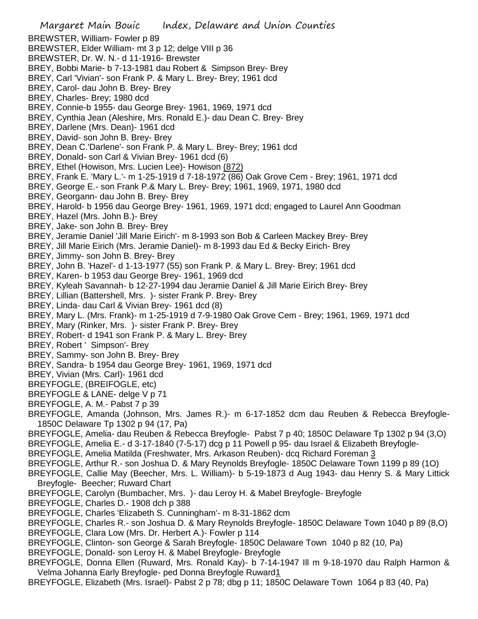- Margaret Main Bouic Index, Delaware and Union Counties BREWSTER, William- Fowler p 89 BREWSTER, Elder William- mt 3 p 12; delge VIII p 36 BREWSTER, Dr. W. N.- d 11-1916- Brewster BREY, Bobbi Marie- b 7-13-1981 dau Robert & Simpson Brey- Brey BREY, Carl 'Vivian'- son Frank P. & Mary L. Brey- Brey; 1961 dcd BREY, Carol- dau John B. Brey- Brey BREY, Charles- Brey; 1980 dcd BREY, Connie-b 1955- dau George Brey- 1961, 1969, 1971 dcd BREY, Cynthia Jean (Aleshire, Mrs. Ronald E.)- dau Dean C. Brey- Brey BREY, Darlene (Mrs. Dean)- 1961 dcd BREY, David- son John B. Brey- Brey BREY, Dean C.'Darlene'- son Frank P. & Mary L. Brey- Brey; 1961 dcd BREY, Donald- son Carl & Vivian Brey- 1961 dcd (6) BREY, Ethel (Howison, Mrs. Lucien Lee)- Howison (872) BREY, Frank E. 'Mary L.'- m 1-25-1919 d 7-18-1972 (86) Oak Grove Cem - Brey; 1961, 1971 dcd BREY, George E.- son Frank P.& Mary L. Brey- Brey; 1961, 1969, 1971, 1980 dcd BREY, Georgann- dau John B. Brey- Brey BREY, Harold- b 1956 dau George Brey- 1961, 1969, 1971 dcd; engaged to Laurel Ann Goodman BREY, Hazel (Mrs. John B.)- Brey BREY, Jake- son John B. Brey- Brey BREY, Jeramie Daniel 'Jill Marie Eirich'- m 8-1993 son Bob & Carleen Mackey Brey- Brey BREY, Jill Marie Eirich (Mrs. Jeramie Daniel)- m 8-1993 dau Ed & Becky Eirich- Brey BREY, Jimmy- son John B. Brey- Brey BREY, John B. 'Hazel'- d 1-13-1977 (55) son Frank P. & Mary L. Brey- Brey; 1961 dcd BREY, Karen- b 1953 dau George Brey- 1961, 1969 dcd BREY, Kyleah Savannah- b 12-27-1994 dau Jeramie Daniel & Jill Marie Eirich Brey- Brey BREY, Lillian (Battershell, Mrs. )- sister Frank P. Brey- Brey BREY, Linda- dau Carl & Vivian Brey- 1961 dcd (8) BREY, Mary L. (Mrs. Frank)- m 1-25-1919 d 7-9-1980 Oak Grove Cem - Brey; 1961, 1969, 1971 dcd BREY, Mary (Rinker, Mrs. )- sister Frank P. Brey- Brey BREY, Robert- d 1941 son Frank P. & Mary L. Brey- Brey BREY, Robert ' Simpson'- Brey BREY, Sammy- son John B. Brey- Brey BREY, Sandra- b 1954 dau George Brey- 1961, 1969, 1971 dcd BREY, Vivian (Mrs. Carl)- 1961 dcd BREYFOGLE, (BREIFOGLE, etc) BREYFOGLE & LANE- delge V p 71 BREYFOGLE, A. M.- Pabst 7 p 39 BREYFOGLE, Amanda (Johnson, Mrs. James R.)- m 6-17-1852 dcm dau Reuben & Rebecca Breyfogle-1850C Delaware Tp 1302 p 94 (17, Pa) BREYFOGLE, Amelia- dau Reuben & Rebecca Breyfogle- Pabst 7 p 40; 1850C Delaware Tp 1302 p 94 (3,O) BREYFOGLE, Amelia E.- d 3-17-1840 (7-5-17) dcg p 11 Powell p 95- dau Israel & Elizabeth Breyfogle-BREYFOGLE, Amelia Matilda (Freshwater, Mrs. Arkason Reuben)- dcq Richard Foreman 3 BREYFOGLE, Arthur R.- son Joshua D. & Mary Reynolds Breyfogle- 1850C Delaware Town 1199 p 89 (1O) BREYFOGLE, Callie May (Beecher, Mrs. L. William)- b 5-19-1873 d Aug 1943- dau Henry S. & Mary Littick Breyfogle- Beecher; Ruward Chart BREYFOGLE, Carolyn (Bumbacher, Mrs. )- dau Leroy H. & Mabel Breyfogle- Breyfogle BREYFOGLE, Charles D.- 1908 dch p 388 BREYFOGLE, Charles 'Elizabeth S. Cunningham'- m 8-31-1862 dcm BREYFOGLE, Charles R.- son Joshua D. & Mary Reynolds Breyfogle- 1850C Delaware Town 1040 p 89 (8,O) BREYFOGLE, Clara Low (Mrs. Dr. Herbert A.)- Fowler p 114 BREYFOGLE, Clinton- son George & Sarah Breyfogle- 1850C Delaware Town 1040 p 82 (10, Pa) BREYFOGLE, Donald- son Leroy H. & Mabel Breyfogle- Breyfogle
- BREYFOGLE, Donna Ellen (Ruward, Mrs. Ronald Kay)- b 7-14-1947 Ill m 9-18-1970 dau Ralph Harmon & Velma Johanna Early Breyfogle- ped Donna Breyfogle Ruward1
- BREYFOGLE, Elizabeth (Mrs. Israel)- Pabst 2 p 78; dbg p 11; 1850C Delaware Town 1064 p 83 (40, Pa)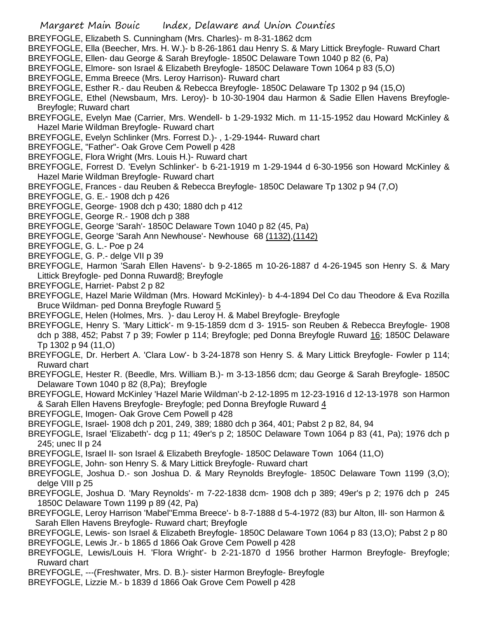- Margaret Main Bouic Index, Delaware and Union Counties BREYFOGLE, Elizabeth S. Cunningham (Mrs. Charles)- m 8-31-1862 dcm BREYFOGLE, Ella (Beecher, Mrs. H. W.)- b 8-26-1861 dau Henry S. & Mary Littick Breyfogle- Ruward Chart BREYFOGLE, Ellen- dau George & Sarah Breyfogle- 1850C Delaware Town 1040 p 82 (6, Pa) BREYFOGLE, Elmore- son Israel & Elizabeth Breyfogle- 1850C Delaware Town 1064 p 83 (5,O) BREYFOGLE, Emma Breece (Mrs. Leroy Harrison)- Ruward chart BREYFOGLE, Esther R.- dau Reuben & Rebecca Breyfogle- 1850C Delaware Tp 1302 p 94 (15,O) BREYFOGLE, Ethel (Newsbaum, Mrs. Leroy)- b 10-30-1904 dau Harmon & Sadie Ellen Havens Breyfogle-Breyfogle; Ruward chart BREYFOGLE, Evelyn Mae (Carrier, Mrs. Wendell- b 1-29-1932 Mich. m 11-15-1952 dau Howard McKinley & Hazel Marie Wildman Breyfogle- Ruward chart BREYFOGLE, Evelyn Schlinker (Mrs. Forrest D.)- , 1-29-1944- Ruward chart
	- BREYFOGLE, "Father"- Oak Grove Cem Powell p 428
	- BREYFOGLE, Flora Wright (Mrs. Louis H.)- Ruward chart
	- BREYFOGLE, Forrest D. 'Evelyn Schlinker'- b 6-21-1919 m 1-29-1944 d 6-30-1956 son Howard McKinley & Hazel Marie Wildman Breyfogle- Ruward chart
	- BREYFOGLE, Frances dau Reuben & Rebecca Breyfogle- 1850C Delaware Tp 1302 p 94 (7,O)
	- BREYFOGLE, G. E.- 1908 dch p 426
	- BREYFOGLE, George- 1908 dch p 430; 1880 dch p 412
	- BREYFOGLE, George R.- 1908 dch p 388
	- BREYFOGLE, George 'Sarah'- 1850C Delaware Town 1040 p 82 (45, Pa)
	- BREYFOGLE, George 'Sarah Ann Newhouse'- Newhouse 68 (1132),(1142)
	- BREYFOGLE, G. L.- Poe p 24
	- BREYFOGLE, G. P.- delge VII p 39
	- BREYFOGLE, Harmon 'Sarah Ellen Havens'- b 9-2-1865 m 10-26-1887 d 4-26-1945 son Henry S. & Mary Littick Breyfogle- ped Donna Ruward8; Breyfogle
	- BREYFOGLE, Harriet- Pabst 2 p 82
	- BREYFOGLE, Hazel Marie Wildman (Mrs. Howard McKinley)- b 4-4-1894 Del Co dau Theodore & Eva Rozilla Bruce Wildman- ped Donna Breyfogle Ruward 5
	- BREYFOGLE, Helen (Holmes, Mrs. )- dau Leroy H. & Mabel Breyfogle- Breyfogle
	- BREYFOGLE, Henry S. 'Mary Littick'- m 9-15-1859 dcm d 3- 1915- son Reuben & Rebecca Breyfogle- 1908 dch p 388, 452; Pabst 7 p 39; Fowler p 114; Breyfogle; ped Donna Breyfogle Ruward 16; 1850C Delaware Tp 1302 p 94 (11,O)
	- BREYFOGLE, Dr. Herbert A. 'Clara Low'- b 3-24-1878 son Henry S. & Mary Littick Breyfogle- Fowler p 114; Ruward chart
	- BREYFOGLE, Hester R. (Beedle, Mrs. William B.)- m 3-13-1856 dcm; dau George & Sarah Breyfogle- 1850C Delaware Town 1040 p 82 (8,Pa); Breyfogle
	- BREYFOGLE, Howard McKinley 'Hazel Marie Wildman'-b 2-12-1895 m 12-23-1916 d 12-13-1978 son Harmon & Sarah Ellen Havens Breyfogle- Breyfogle; ped Donna Breyfogle Ruward 4
	- BREYFOGLE, Imogen- Oak Grove Cem Powell p 428
	- BREYFOGLE, Israel- 1908 dch p 201, 249, 389; 1880 dch p 364, 401; Pabst 2 p 82, 84, 94
	- BREYFOGLE, Israel 'Elizabeth'- dcg p 11; 49er's p 2; 1850C Delaware Town 1064 p 83 (41, Pa); 1976 dch p 245; unec II p 24
	- BREYFOGLE, Israel II- son Israel & Elizabeth Breyfogle- 1850C Delaware Town 1064 (11,O)
	- BREYFOGLE, John- son Henry S. & Mary Littick Breyfogle- Ruward chart
	- BREYFOGLE, Joshua D.- son Joshua D. & Mary Reynolds Breyfogle- 1850C Delaware Town 1199 (3,O); delge VIII p 25
	- BREYFOGLE, Joshua D. 'Mary Reynolds'- m 7-22-1838 dcm- 1908 dch p 389; 49er's p 2; 1976 dch p 245 1850C Delaware Town 1199 p 89 (42, Pa)
	- BREYFOGLE, Leroy Harrison 'Mabel''Emma Breece'- b 8-7-1888 d 5-4-1972 (83) bur Alton, Ill- son Harmon & Sarah Ellen Havens Breyfogle- Ruward chart; Breyfogle
	- BREYFOGLE, Lewis- son Israel & Elizabeth Breyfogle- 1850C Delaware Town 1064 p 83 (13,O); Pabst 2 p 80 BREYFOGLE, Lewis Jr.- b 1865 d 1866 Oak Grove Cem Powell p 428
	- BREYFOGLE, Lewis/Louis H. 'Flora Wright'- b 2-21-1870 d 1956 brother Harmon Breyfogle- Breyfogle; Ruward chart
	- BREYFOGLE, ---(Freshwater, Mrs. D. B.)- sister Harmon Breyfogle- Breyfogle
	- BREYFOGLE, Lizzie M.- b 1839 d 1866 Oak Grove Cem Powell p 428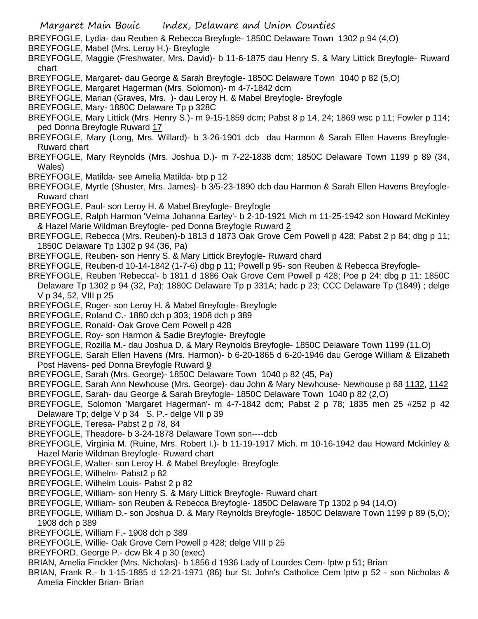- Margaret Main Bouic Index, Delaware and Union Counties
- BREYFOGLE, Lydia- dau Reuben & Rebecca Breyfogle- 1850C Delaware Town 1302 p 94 (4,O)
- BREYFOGLE, Mabel (Mrs. Leroy H.)- Breyfogle
- BREYFOGLE, Maggie (Freshwater, Mrs. David)- b 11-6-1875 dau Henry S. & Mary Littick Breyfogle- Ruward chart
- BREYFOGLE, Margaret- dau George & Sarah Breyfogle- 1850C Delaware Town 1040 p 82 (5,O)
- BREYFOGLE, Margaret Hagerman (Mrs. Solomon)- m 4-7-1842 dcm
- BREYFOGLE, Marian (Graves, Mrs. )- dau Leroy H. & Mabel Breyfogle- Breyfogle
- BREYFOGLE, Mary- 1880C Delaware Tp p 328C
- BREYFOGLE, Mary Littick (Mrs. Henry S.)- m 9-15-1859 dcm; Pabst 8 p 14, 24; 1869 wsc p 11; Fowler p 114; ped Donna Breyfogle Ruward 17
- BREYFOGLE, Mary (Long, Mrs. Willard)- b 3-26-1901 dcb dau Harmon & Sarah Ellen Havens Breyfogle-Ruward chart
- BREYFOGLE, Mary Reynolds (Mrs. Joshua D.)- m 7-22-1838 dcm; 1850C Delaware Town 1199 p 89 (34, Wales)
- BREYFOGLE, Matilda- see Amelia Matilda- btp p 12
- BREYFOGLE, Myrtle (Shuster, Mrs. James)- b 3/5-23-1890 dcb dau Harmon & Sarah Ellen Havens Breyfogle-Ruward chart
- BREYFOGLE, Paul- son Leroy H. & Mabel Breyfogle- Breyfogle
- BREYFOGLE, Ralph Harmon 'Velma Johanna Earley'- b 2-10-1921 Mich m 11-25-1942 son Howard McKinley & Hazel Marie Wildman Breyfogle- ped Donna Breyfogle Ruward 2
- BREYFOGLE, Rebecca (Mrs. Reuben)-b 1813 d 1873 Oak Grove Cem Powell p 428; Pabst 2 p 84; dbg p 11; 1850C Delaware Tp 1302 p 94 (36, Pa)
- BREYFOGLE, Reuben- son Henry S. & Mary Littick Breyfogle- Ruward chard
- BREYFOGLE, Reuben-d 10-14-1842 (1-7-6) dbg p 11; Powell p 95- son Reuben & Rebecca Breyfogle-
- BREYFOGLE, Reuben 'Rebecca'- b 1811 d 1886 Oak Grove Cem Powell p 428; Poe p 24; dbg p 11; 1850C
- Delaware Tp 1302 p 94 (32, Pa); 1880C Delaware Tp p 331A; hadc p 23; CCC Delaware Tp (1849) ; delge V p 34, 52, VIII p 25
- BREYFOGLE, Roger- son Leroy H. & Mabel Breyfogle- Breyfogle
- BREYFOGLE, Roland C.- 1880 dch p 303; 1908 dch p 389
- BREYFOGLE, Ronald- Oak Grove Cem Powell p 428
- BREYFOGLE, Roy- son Harmon & Sadie Breyfogle- Breyfogle
- BREYFOGLE, Rozilla M.- dau Joshua D. & Mary Reynolds Breyfogle- 1850C Delaware Town 1199 (11,O)
- BREYFOGLE, Sarah Ellen Havens (Mrs. Harmon)- b 6-20-1865 d 6-20-1946 dau Geroge William & Elizabeth Post Havens- ped Donna Breyfogle Ruward 9
- BREYFOGLE, Sarah (Mrs. George)- 1850C Delaware Town 1040 p 82 (45, Pa)
- BREYFOGLE, Sarah Ann Newhouse (Mrs. George)- dau John & Mary Newhouse- Newhouse p 68 1132, 1142
- BREYFOGLE, Sarah- dau George & Sarah Breyfogle- 1850C Delaware Town 1040 p 82 (2,O)
- BREYFOGLE, Solomon 'Margaret Hagerman'- m 4-7-1842 dcm; Pabst 2 p 78; 1835 men 25 #252 p 42 Delaware Tp; delge V p 34 S. P.- delge VII p 39
- BREYFOGLE, Teresa- Pabst 2 p 78, 84
- BREYFOGLE, Theadore- b 3-24-1878 Delaware Town son----dcb
- BREYFOGLE, Virginia M. (Ruine, Mrs. Robert I.)- b 11-19-1917 Mich. m 10-16-1942 dau Howard Mckinley & Hazel Marie Wildman Breyfogle- Ruward chart
- BREYFOGLE, Walter- son Leroy H. & Mabel Breyfogle- Breyfogle
- BREYFOGLE, Wilhelm- Pabst2 p 82
- BREYFOGLE, Wilhelm Louis- Pabst 2 p 82
- BREYFOGLE, William- son Henry S. & Mary Littick Breyfogle- Ruward chart
- BREYFOGLE, William- son Reuben & Rebecca Breyfogle- 1850C Delaware Tp 1302 p 94 (14,O)
- BREYFOGLE, William D.- son Joshua D. & Mary Reynolds Breyfogle- 1850C Delaware Town 1199 p 89 (5,O); 1908 dch p 389
- BREYFOGLE, William F.- 1908 dch p 389
- BREYFOGLE, Willie- Oak Grove Cem Powell p 428; delge VIII p 25
- BREYFORD, George P.- dcw Bk 4 p 30 (exec)
- BRIAN, Amelia Finckler (Mrs. Nicholas)- b 1856 d 1936 Lady of Lourdes Cem- lptw p 51; Brian
- BRIAN, Frank R.- b 1-15-1885 d 12-21-1971 (86) bur St. John's Catholice Cem lptw p 52 son Nicholas & Amelia Finckler Brian- Brian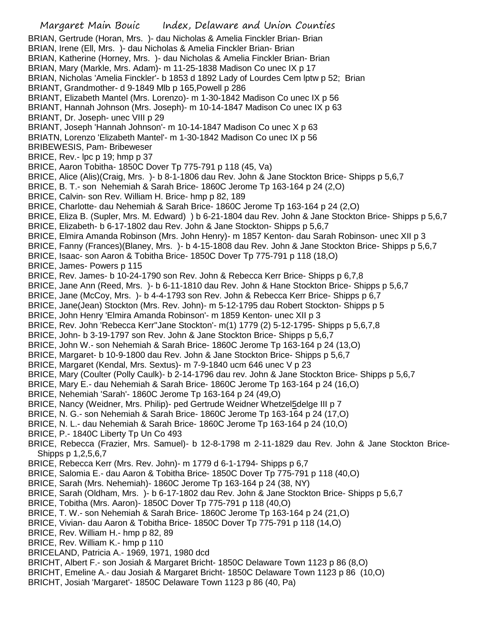- Margaret Main Bouic Index, Delaware and Union Counties BRIAN, Gertrude (Horan, Mrs. )- dau Nicholas & Amelia Finckler Brian- Brian BRIAN, Irene (Ell, Mrs. )- dau Nicholas & Amelia Finckler Brian- Brian BRIAN, Katherine (Horney, Mrs. )- dau Nicholas & Amelia Finckler Brian- Brian BRIAN, Mary (Markle, Mrs. Adam)- m 11-25-1838 Madison Co unec IX p 17 BRIAN, Nicholas 'Amelia Finckler'- b 1853 d 1892 Lady of Lourdes Cem lptw p 52; Brian BRIANT, Grandmother- d 9-1849 Mlb p 165,Powell p 286 BRIANT, Elizabeth Mantel (Mrs. Lorenzo)- m 1-30-1842 Madison Co unec IX p 56 BRIANT, Hannah Johnson (Mrs. Joseph)- m 10-14-1847 Madison Co unec IX p 63 BRIANT, Dr. Joseph- unec VIII p 29 BRIANT, Joseph 'Hannah Johnson'- m 10-14-1847 Madison Co unec X p 63 BRIATN, Lorenzo 'Elizabeth Mantel'- m 1-30-1842 Madison Co unec IX p 56 BRIBEWESIS, Pam- Bribeweser BRICE, Rev.- lpc p 19; hmp p 37 BRICE, Aaron Tobitha- 1850C Dover Tp 775-791 p 118 (45, Va) BRICE, Alice (Alis)(Craig, Mrs. )- b 8-1-1806 dau Rev. John & Jane Stockton Brice- Shipps p 5,6,7 BRICE, B. T.- son Nehemiah & Sarah Brice- 1860C Jerome Tp 163-164 p 24 (2,O) BRICE, Calvin- son Rev. William H. Brice- hmp p 82, 189 BRICE, Charlotte- dau Nehemiah & Sarah Brice- 1860C Jerome Tp 163-164 p 24 (2,O) BRICE, Eliza B. (Supler, Mrs. M. Edward) ) b 6-21-1804 dau Rev. John & Jane Stockton Brice- Shipps p 5,6,7 BRICE, Elizabeth- b 6-17-1802 dau Rev. John & Jane Stockton- Shipps p 5,6,7 BRICE, Elmira Amanda Robinson (Mrs. John Henry)- m 1857 Kenton- dau Sarah Robinson- unec XII p 3 BRICE, Fanny (Frances)(Blaney, Mrs. )- b 4-15-1808 dau Rev. John & Jane Stockton Brice- Shipps p 5,6,7 BRICE, Isaac- son Aaron & Tobitha Brice- 1850C Dover Tp 775-791 p 118 (18,O) BRICE, James- Powers p 115 BRICE, Rev. James- b 10-24-1790 son Rev. John & Rebecca Kerr Brice- Shipps p 6,7,8 BRICE, Jane Ann (Reed, Mrs. )- b 6-11-1810 dau Rev. John & Hane Stockton Brice- Shipps p 5,6,7 BRICE, Jane (McCoy, Mrs. )- b 4-4-1793 son Rev. John & Rebecca Kerr Brice- Shipps p 6,7 BRICE, Jane(Jean) Stockton (Mrs. Rev. John)- m 5-12-1795 dau Robert Stockton- Shipps p 5 BRICE, John Henry 'Elmira Amanda Robinson'- m 1859 Kenton- unec XII p 3 BRICE, Rev. John 'Rebecca Kerr''Jane Stockton'- m(1) 1779 (2) 5-12-1795- Shipps p 5,6,7,8 BRICE, John- b 3-19-1797 son Rev. John & Jane Stockton Brice- Shipps p 5,6,7 BRICE, John W.- son Nehemiah & Sarah Brice- 1860C Jerome Tp 163-164 p 24 (13,O) BRICE, Margaret- b 10-9-1800 dau Rev. John & Jane Stockton Brice- Shipps p 5,6,7 BRICE, Margaret (Kendal, Mrs. Sextus)- m 7-9-1840 ucm 646 unec V p 23 BRICE, Mary (Coulter (Polly Caulk)- b 2-14-1796 dau rev. John & Jane Stockton Brice- Shipps p 5,6,7 BRICE, Mary E.- dau Nehemiah & Sarah Brice- 1860C Jerome Tp 163-164 p 24 (16,O) BRICE, Nehemiah 'Sarah'- 1860C Jerome Tp 163-164 p 24 (49,O) BRICE, Nancy (Weidner, Mrs. Philip)- ped Gertrude Weidner Whetzel5delge III p 7 BRICE, N. G.- son Nehemiah & Sarah Brice- 1860C Jerome Tp 163-164 p 24 (17,O) BRICE, N. L.- dau Nehemiah & Sarah Brice- 1860C Jerome Tp 163-164 p 24 (10,O) BRICE, P.- 1840C Liberty Tp Un Co 493 BRICE, Rebecca (Frazier, Mrs. Samuel)- b 12-8-1798 m 2-11-1829 dau Rev. John & Jane Stockton Brice-Shipps p 1,2,5,6,7 BRICE, Rebecca Kerr (Mrs. Rev. John)- m 1779 d 6-1-1794- Shipps p 6,7 BRICE, Salomia E.- dau Aaron & Tobitha Brice- 1850C Dover Tp 775-791 p 118 (40,O) BRICE, Sarah (Mrs. Nehemiah)- 1860C Jerome Tp 163-164 p 24 (38, NY) BRICE, Sarah (Oldham, Mrs. )- b 6-17-1802 dau Rev. John & Jane Stockton Brice- Shipps p 5,6,7 BRICE, Tobitha (Mrs. Aaron)- 1850C Dover Tp 775-791 p 118 (40,O) BRICE, T. W.- son Nehemiah & Sarah Brice- 1860C Jerome Tp 163-164 p 24 (21,O) BRICE, Vivian- dau Aaron & Tobitha Brice- 1850C Dover Tp 775-791 p 118 (14,O) BRICE, Rev. William H.- hmp p 82, 89 BRICE, Rev. William K.- hmp p 110 BRICELAND, Patricia A.- 1969, 1971, 1980 dcd BRICHT, Albert F.- son Josiah & Margaret Bricht- 1850C Delaware Town 1123 p 86 (8,O) BRICHT, Emeline A.- dau Josiah & Margaret Bricht- 1850C Delaware Town 1123 p 86 (10,O)
- BRICHT, Josiah 'Margaret'- 1850C Delaware Town 1123 p 86 (40, Pa)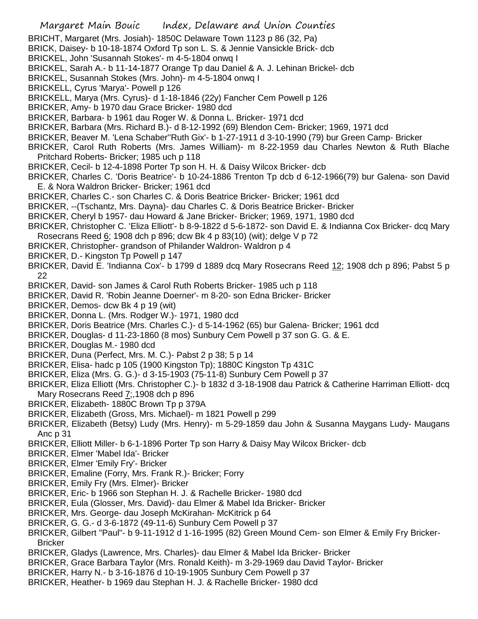- BRICHT, Margaret (Mrs. Josiah)- 1850C Delaware Town 1123 p 86 (32, Pa)
- BRICK, Daisey- b 10-18-1874 Oxford Tp son L. S. & Jennie Vansickle Brick- dcb
- BRICKEL, John 'Susannah Stokes'- m 4-5-1804 onwq I
- BRICKEL, Sarah A.- b 11-14-1877 Orange Tp dau Daniel & A. J. Lehinan Brickel- dcb
- BRICKEL, Susannah Stokes (Mrs. John)- m 4-5-1804 onwq I
- BRICKELL, Cyrus 'Marya'- Powell p 126
- BRICKELL, Marya (Mrs. Cyrus)- d 1-18-1846 (22y) Fancher Cem Powell p 126
- BRICKER, Amy- b 1970 dau Grace Bricker- 1980 dcd
- BRICKER, Barbara- b 1961 dau Roger W. & Donna L. Bricker- 1971 dcd
- BRICKER, Barbara (Mrs. Richard B.)- d 8-12-1992 (69) Blendon Cem- Bricker; 1969, 1971 dcd
- BRICKER, Beaver M. 'Lena Schaber''Ruth Gix'- b 1-27-1911 d 3-10-1990 (79) bur Green Camp- Bricker
- BRICKER, Carol Ruth Roberts (Mrs. James William)- m 8-22-1959 dau Charles Newton & Ruth Blache Pritchard Roberts- Bricker; 1985 uch p 118
- BRICKER, Cecil- b 12-4-1898 Porter Tp son H. H. & Daisy Wilcox Bricker- dcb
- BRICKER, Charles C. 'Doris Beatrice'- b 10-24-1886 Trenton Tp dcb d 6-12-1966(79) bur Galena- son David E. & Nora Waldron Bricker- Bricker; 1961 dcd
- BRICKER, Charles C.- son Charles C. & Doris Beatrice Bricker- Bricker; 1961 dcd
- BRICKER, --(Tschantz, Mrs. Dayna)- dau Charles C. & Doris Beatrice Bricker- Bricker
- BRICKER, Cheryl b 1957- dau Howard & Jane Bricker- Bricker; 1969, 1971, 1980 dcd
- BRICKER, Christopher C. 'Eliza Elliott'- b 8-9-1822 d 5-6-1872- son David E. & Indianna Cox Bricker- dcq Mary Rosecrans Reed 6; 1908 dch p 896; dcw Bk 4 p 83(10) (wit); delge V p 72
- BRICKER, Christopher- grandson of Philander Waldron- Waldron p 4
- BRICKER, D.- Kingston Tp Powell p 147
- BRICKER, David E. 'Indianna Cox'- b 1799 d 1889 dcq Mary Rosecrans Reed 12; 1908 dch p 896; Pabst 5 p 22
- BRICKER, David- son James & Carol Ruth Roberts Bricker- 1985 uch p 118
- BRICKER, David R. 'Robin Jeanne Doerner'- m 8-20- son Edna Bricker- Bricker
- BRICKER, Demos- dcw Bk 4 p 19 (wit)
- BRICKER, Donna L. (Mrs. Rodger W.)- 1971, 1980 dcd
- BRICKER, Doris Beatrice (Mrs. Charles C.)- d 5-14-1962 (65) bur Galena- Bricker; 1961 dcd
- BRICKER, Douglas- d 11-23-1860 (8 mos) Sunbury Cem Powell p 37 son G. G. & E.
- BRICKER, Douglas M.- 1980 dcd
- BRICKER, Duna (Perfect, Mrs. M. C.)- Pabst 2 p 38; 5 p 14
- BRICKER, Elisa- hadc p 105 (1900 Kingston Tp); 1880C Kingston Tp 431C
- BRICKER, Eliza (Mrs. G. G.)- d 3-15-1903 (75-11-8) Sunbury Cem Powell p 37
- BRICKER, Eliza Elliott (Mrs. Christopher C.)- b 1832 d 3-18-1908 dau Patrick & Catherine Harriman Elliott- dcq Mary Rosecrans Reed  $Z$ ; 1908 dch p 896
- BRICKER, Elizabeth- 1880C Brown Tp p 379A
- BRICKER, Elizabeth (Gross, Mrs. Michael)- m 1821 Powell p 299
- BRICKER, Elizabeth (Betsy) Ludy (Mrs. Henry)- m 5-29-1859 dau John & Susanna Maygans Ludy- Maugans Anc p 31
- BRICKER, Elliott Miller- b 6-1-1896 Porter Tp son Harry & Daisy May Wilcox Bricker- dcb
- BRICKER, Elmer 'Mabel Ida'- Bricker
- BRICKER, Elmer 'Emily Fry'- Bricker
- BRICKER, Emaline (Forry, Mrs. Frank R.)- Bricker; Forry
- BRICKER, Emily Fry (Mrs. Elmer)- Bricker
- BRICKER, Eric- b 1966 son Stephan H. J. & Rachelle Bricker- 1980 dcd
- BRICKER, Eula (Glosser, Mrs. David)- dau Elmer & Mabel Ida Bricker- Bricker
- BRICKER, Mrs. George- dau Joseph McKirahan- McKitrick p 64
- BRICKER, G. G.- d 3-6-1872 (49-11-6) Sunbury Cem Powell p 37
- BRICKER, Gilbert "Paul"- b 9-11-1912 d 1-16-1995 (82) Green Mound Cem- son Elmer & Emily Fry Bricker-**Bricker**
- BRICKER, Gladys (Lawrence, Mrs. Charles)- dau Elmer & Mabel Ida Bricker- Bricker
- BRICKER, Grace Barbara Taylor (Mrs. Ronald Keith)- m 3-29-1969 dau David Taylor- Bricker
- BRICKER, Harry N.- b 3-16-1876 d 10-19-1905 Sunbury Cem Powell p 37
- BRICKER, Heather- b 1969 dau Stephan H. J. & Rachelle Bricker- 1980 dcd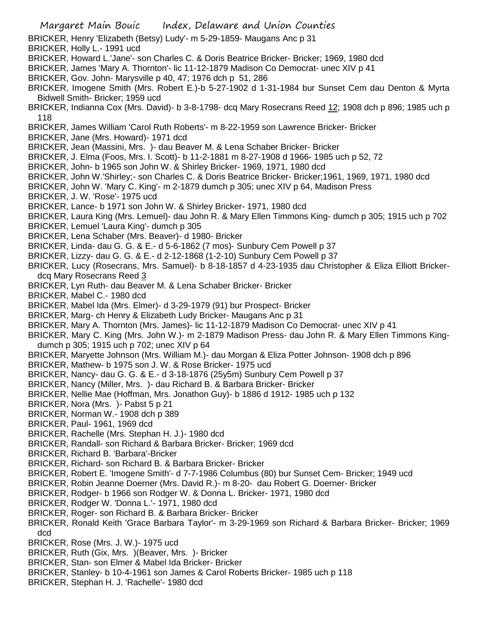- BRICKER, Henry 'Elizabeth (Betsy) Ludy'- m 5-29-1859- Maugans Anc p 31
- BRICKER, Holly L.- 1991 ucd
- BRICKER, Howard L.'Jane'- son Charles C. & Doris Beatrice Bricker- Bricker; 1969, 1980 dcd
- BRICKER, James 'Mary A. Thornton'- lic 11-12-1879 Madison Co Democrat- unec XIV p 41
- BRICKER, Gov. John- Marysville p 40, 47; 1976 dch p 51, 286
- BRICKER, Imogene Smith (Mrs. Robert E.)-b 5-27-1902 d 1-31-1984 bur Sunset Cem dau Denton & Myrta Bidwell Smith- Bricker; 1959 ucd
- BRICKER, Indianna Cox (Mrs. David)- b 3-8-1798- dcq Mary Rosecrans Reed 12; 1908 dch p 896; 1985 uch p 118
- BRICKER, James William 'Carol Ruth Roberts'- m 8-22-1959 son Lawrence Bricker- Bricker
- BRICKER, Jane (Mrs. Howard)- 1971 dcd
- BRICKER, Jean (Massini, Mrs. )- dau Beaver M. & Lena Schaber Bricker- Bricker
- BRICKER, J. Elma (Foos, Mrs. I. Scott)- b 11-2-1881 m 8-27-1908 d 1966- 1985 uch p 52, 72
- BRICKER, John- b 1965 son John W. & Shirley Bricker- 1969, 1971, 1980 dcd
- BRICKER, John W.'Shirley;- son Charles C. & Doris Beatrice Bricker- Bricker;1961, 1969, 1971, 1980 dcd
- BRICKER, John W. 'Mary C. King'- m 2-1879 dumch p 305; unec XIV p 64, Madison Press
- BRICKER, J. W. 'Rose'- 1975 ucd
- BRICKER, Lance- b 1971 son John W. & Shirley Bricker- 1971, 1980 dcd
- BRICKER, Laura King (Mrs. Lemuel)- dau John R. & Mary Ellen Timmons King- dumch p 305; 1915 uch p 702
- BRICKER, Lemuel 'Laura King'- dumch p 305
- BRICKER, Lena Schaber (Mrs. Beaver)- d 1980- Bricker
- BRICKER, Linda- dau G. G. & E.- d 5-6-1862 (7 mos)- Sunbury Cem Powell p 37
- BRICKER, Lizzy- dau G. G. & E.- d 2-12-1868 (1-2-10) Sunbury Cem Powell p 37
- BRICKER, Lucy (Rosecrans, Mrs. Samuel)- b 8-18-1857 d 4-23-1935 dau Christopher & Eliza Elliott Brickerdcq Mary Rosecrans Reed 3
- BRICKER, Lyn Ruth- dau Beaver M. & Lena Schaber Bricker- Bricker
- BRICKER, Mabel C.- 1980 dcd
- BRICKER, Mabel Ida (Mrs. Elmer)- d 3-29-1979 (91) bur Prospect- Bricker
- BRICKER, Marg- ch Henry & Elizabeth Ludy Bricker- Maugans Anc p 31
- BRICKER, Mary A. Thornton (Mrs. James)- lic 11-12-1879 Madison Co Democrat- unec XIV p 41
- BRICKER, Mary C. King (Mrs. John W.)- m 2-1879 Madison Press- dau John R. & Mary Ellen Timmons Kingdumch p 305; 1915 uch p 702; unec XIV p 64
- BRICKER, Maryette Johnson (Mrs. William M.)- dau Morgan & Eliza Potter Johnson- 1908 dch p 896
- BRICKER, Mathew- b 1975 son J. W. & Rose Bricker- 1975 ucd
- BRICKER, Nancy- dau G. G. & E.- d 3-18-1876 (25y5m) Sunbury Cem Powell p 37
- BRICKER, Nancy (Miller, Mrs. )- dau Richard B. & Barbara Bricker- Bricker
- BRICKER, Nellie Mae (Hoffman, Mrs. Jonathon Guy)- b 1886 d 1912- 1985 uch p 132
- BRICKER, Nora (Mrs. )- Pabst 5 p 21
- BRICKER, Norman W.- 1908 dch p 389
- BRICKER, Paul- 1961, 1969 dcd
- BRICKER, Rachelle (Mrs. Stephan H. J.)- 1980 dcd
- BRICKER, Randall- son Richard & Barbara Bricker- Bricker; 1969 dcd
- BRICKER, Richard B. 'Barbara'-Bricker
- BRICKER, Richard- son Richard B. & Barbara Bricker- Bricker
- BRICKER, Robert E. 'Imogene Smith'- d 7-7-1986 Columbus (80) bur Sunset Cem- Bricker; 1949 ucd
- BRICKER, Robin Jeanne Doerner (Mrs. David R.)- m 8-20- dau Robert G. Doerner- Bricker
- BRICKER, Rodger- b 1966 son Rodger W. & Donna L. Bricker- 1971, 1980 dcd
- BRICKER, Rodger W. 'Donna L.'- 1971, 1980 dcd
- BRICKER, Roger- son Richard B. & Barbara Bricker- Bricker
- BRICKER, Ronald Keith 'Grace Barbara Taylor'- m 3-29-1969 son Richard & Barbara Bricker- Bricker; 1969 dcd
- BRICKER, Rose (Mrs. J. W.)- 1975 ucd
- BRICKER, Ruth (Gix, Mrs. )(Beaver, Mrs. )- Bricker
- BRICKER, Stan- son Elmer & Mabel Ida Bricker- Bricker
- BRICKER, Stanley- b 10-4-1961 son James & Carol Roberts Bricker- 1985 uch p 118
- BRICKER, Stephan H. J. 'Rachelle'- 1980 dcd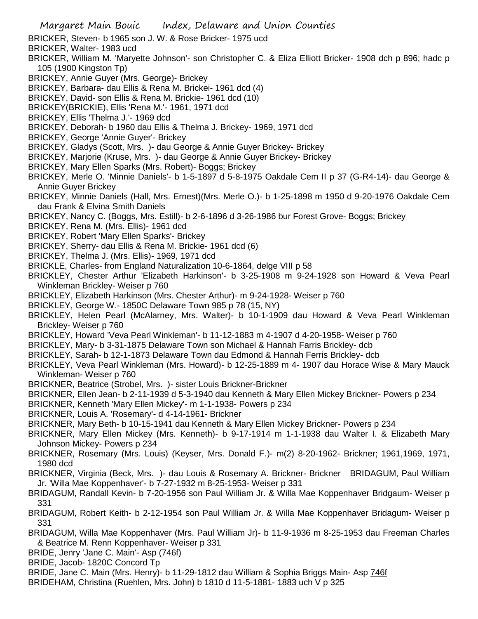- BRICKER, Steven- b 1965 son J. W. & Rose Bricker- 1975 ucd
- BRICKER, Walter- 1983 ucd
- BRICKER, William M. 'Maryette Johnson'- son Christopher C. & Eliza Elliott Bricker- 1908 dch p 896; hadc p 105 (1900 Kingston Tp)
- BRICKEY, Annie Guyer (Mrs. George)- Brickey
- BRICKEY, Barbara- dau Ellis & Rena M. Brickei- 1961 dcd (4)
- BRICKEY, David- son Ellis & Rena M. Brickie- 1961 dcd (10)
- BRICKEY(BRICKIE), Ellis 'Rena M.'- 1961, 1971 dcd
- BRICKEY, Ellis 'Thelma J.'- 1969 dcd
- BRICKEY, Deborah- b 1960 dau Ellis & Thelma J. Brickey- 1969, 1971 dcd
- BRICKEY, George 'Annie Guyer'- Brickey
- BRICKEY, Gladys (Scott, Mrs. )- dau George & Annie Guyer Brickey- Brickey
- BRICKEY, Marjorie (Kruse, Mrs. )- dau George & Annie Guyer Brickey- Brickey
- BRICKEY, Mary Ellen Sparks (Mrs. Robert)- Boggs; Brickey
- BRICKEY, Merle O. 'Minnie Daniels'- b 1-5-1897 d 5-8-1975 Oakdale Cem II p 37 (G-R4-14)- dau George & Annie Guyer Brickey
- BRICKEY, Minnie Daniels (Hall, Mrs. Ernest)(Mrs. Merle O.)- b 1-25-1898 m 1950 d 9-20-1976 Oakdale Cem dau Frank & Elvina Smith Daniels
- BRICKEY, Nancy C. (Boggs, Mrs. Estill)- b 2-6-1896 d 3-26-1986 bur Forest Grove- Boggs; Brickey
- BRICKEY, Rena M. (Mrs. Ellis)- 1961 dcd
- BRICKEY, Robert 'Mary Ellen Sparks'- Brickey
- BRICKEY, Sherry- dau Ellis & Rena M. Brickie- 1961 dcd (6)
- BRICKEY, Thelma J. (Mrs. Ellis)- 1969, 1971 dcd
- BRICKLE, Charles- from England Naturalization 10-6-1864, delge VIII p 58
- BRICKLEY, Chester Arthur 'Elizabeth Harkinson'- b 3-25-1908 m 9-24-1928 son Howard & Veva Pearl Winkleman Brickley- Weiser p 760
- BRICKLEY, Elizabeth Harkinson (Mrs. Chester Arthur)- m 9-24-1928- Weiser p 760
- BRICKLEY, George W.- 1850C Delaware Town 985 p 78 (15, NY)
- BRICKLEY, Helen Pearl (McAlarney, Mrs. Walter)- b 10-1-1909 dau Howard & Veva Pearl Winkleman Brickley- Weiser p 760
- BRICKLEY, Howard 'Veva Pearl Winkleman'- b 11-12-1883 m 4-1907 d 4-20-1958- Weiser p 760
- BRICKLEY, Mary- b 3-31-1875 Delaware Town son Michael & Hannah Farris Brickley- dcb
- BRICKLEY, Sarah- b 12-1-1873 Delaware Town dau Edmond & Hannah Ferris Brickley- dcb
- BRICKLEY, Veva Pearl Winkleman (Mrs. Howard)- b 12-25-1889 m 4- 1907 dau Horace Wise & Mary Mauck Winkleman- Weiser p 760
- BRICKNER, Beatrice (Strobel, Mrs. )- sister Louis Brickner-Brickner
- BRICKNER, Ellen Jean- b 2-11-1939 d 5-3-1940 dau Kenneth & Mary Ellen Mickey Brickner- Powers p 234
- BRICKNER, Kenneth 'Mary Ellen Mickey'- m 1-1-1938- Powers p 234
- BRICKNER, Louis A. 'Rosemary'- d 4-14-1961- Brickner
- BRICKNER, Mary Beth- b 10-15-1941 dau Kenneth & Mary Ellen Mickey Brickner- Powers p 234
- BRICKNER, Mary Ellen Mickey (Mrs. Kenneth)- b 9-17-1914 m 1-1-1938 dau Walter I. & Elizabeth Mary Johnson Mickey- Powers p 234
- BRICKNER, Rosemary (Mrs. Louis) (Keyser, Mrs. Donald F.)- m(2) 8-20-1962- Brickner; 1961,1969, 1971, 1980 dcd
- BRICKNER, Virginia (Beck, Mrs. )- dau Louis & Rosemary A. Brickner- Brickner BRIDAGUM, Paul William Jr. 'Willa Mae Koppenhaver'- b 7-27-1932 m 8-25-1953- Weiser p 331
- BRIDAGUM, Randall Kevin- b 7-20-1956 son Paul William Jr. & Willa Mae Koppenhaver Bridgaum- Weiser p 331
- BRIDAGUM, Robert Keith- b 2-12-1954 son Paul William Jr. & Willa Mae Koppenhaver Bridagum- Weiser p 331
- BRIDAGUM, Willa Mae Koppenhaver (Mrs. Paul William Jr)- b 11-9-1936 m 8-25-1953 dau Freeman Charles & Beatrice M. Renn Koppenhaver- Weiser p 331
- BRIDE, Jenry 'Jane C. Main'- Asp (746f)
- BRIDE, Jacob- 1820C Concord Tp
- BRIDE, Jane C. Main (Mrs. Henry)- b 11-29-1812 dau William & Sophia Briggs Main- Asp 746f
- BRIDEHAM, Christina (Ruehlen, Mrs. John) b 1810 d 11-5-1881- 1883 uch V p 325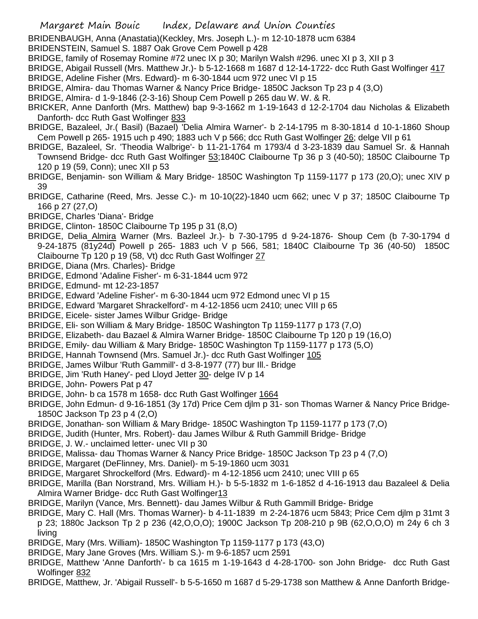BRIDENBAUGH, Anna (Anastatia)(Keckley, Mrs. Joseph L.)- m 12-10-1878 ucm 6384

BRIDENSTEIN, Samuel S. 1887 Oak Grove Cem Powell p 428

BRIDGE, family of Rosemay Romine #72 unec IX p 30; Marilyn Walsh #296. unec XI p 3, XII p 3

BRIDGE, Abigail Russell (Mrs. Matthew Jr.)- b 5-12-1668 m 1687 d 12-14-1722- dcc Ruth Gast Wolfinger 417 BRIDGE, Adeline Fisher (Mrs. Edward)- m 6-30-1844 ucm 972 unec VI p 15

BRIDGE, Almira- dau Thomas Warner & Nancy Price Bridge- 1850C Jackson Tp 23 p 4 (3,O)

BRIDGE, Almira- d 1-9-1846 (2-3-16) Shoup Cem Powell p 265 dau W. W. & R.

- BRICKER, Anne Danforth (Mrs. Matthew) bap 9-3-1662 m 1-19-1643 d 12-2-1704 dau Nicholas & Elizabeth Danforth- dcc Ruth Gast Wolfinger 833
- BRIDGE, Bazaleel, Jr.( Basil) (Bazael) 'Delia Almira Warner'- b 2-14-1795 m 8-30-1814 d 10-1-1860 Shoup Cem Powell p 265- 1915 uch p 490; 1883 uch V p 566; dcc Ruth Gast Wolfinger 26; delge VII p 61
- BRIDGE, Bazaleel, Sr. 'Theodia Walbrige'- b 11-21-1764 m 1793/4 d 3-23-1839 dau Samuel Sr. & Hannah Townsend Bridge- dcc Ruth Gast Wolfinger 53;1840C Claibourne Tp 36 p 3 (40-50); 1850C Claibourne Tp 120 p 19 (59, Conn); unec XII p 53
- BRIDGE, Benjamin- son William & Mary Bridge- 1850C Washington Tp 1159-1177 p 173 (20,O); unec XIV p 39
- BRIDGE, Catharine (Reed, Mrs. Jesse C.)- m 10-10(22)-1840 ucm 662; unec V p 37; 1850C Claibourne Tp 166 p 27 (27,O)
- BRIDGE, Charles 'Diana'- Bridge

BRIDGE, Clinton- 1850C Claibourne Tp 195 p 31 (8,O)

- BRIDGE, Delia Almira Warner (Mrs. Bazleel Jr.)- b 7-30-1795 d 9-24-1876- Shoup Cem (b 7-30-1794 d 9-24-1875 (81y24d) Powell p 265- 1883 uch V p 566, 581; 1840C Claibourne Tp 36 (40-50) 1850C Claibourne Tp 120 p 19 (58, Vt) dcc Ruth Gast Wolfinger 27
- BRIDGE, Diana (Mrs. Charles)- Bridge
- BRIDGE, Edmond 'Adaline Fisher'- m 6-31-1844 ucm 972
- BRIDGE, Edmund- mt 12-23-1857

BRIDGE, Edward 'Adeline Fisher'- m 6-30-1844 ucm 972 Edmond unec VI p 15

- BRIDGE, Edward 'Margaret Shrackelford'- m 4-12-1856 ucm 2410; unec VIII p 65
- BRIDGE, Eicele- sister James Wilbur Gridge- Bridge
- BRIDGE, Eli- son William & Mary Bridge- 1850C Washington Tp 1159-1177 p 173 (7,O)
- BRIDGE, Elizabeth- dau Bazael & Almira Warner Bridge- 1850C Claibourne Tp 120 p 19 (16,O)
- BRIDGE, Emily- dau William & Mary Bridge- 1850C Washington Tp 1159-1177 p 173 (5,O)
- BRIDGE, Hannah Townsend (Mrs. Samuel Jr.)- dcc Ruth Gast Wolfinger 105
- BRIDGE, James Wilbur 'Ruth Gammill'- d 3-8-1977 (77) bur Ill.- Bridge
- BRIDGE, Jim 'Ruth Haney'- ped Lloyd Jetter 30- delge IV p 14
- BRIDGE, John- Powers Pat p 47
- BRIDGE, John- b ca 1578 m 1658- dcc Ruth Gast Wolfinger 1664
- BRIDGE, John Edmun- d 9-16-1851 (3y 17d) Price Cem djlm p 31- son Thomas Warner & Nancy Price Bridge-1850C Jackson Tp 23 p 4 (2,O)
- BRIDGE, Jonathan- son William & Mary Bridge- 1850C Washington Tp 1159-1177 p 173 (7,O)
- BRIDGE, Judith (Hunter, Mrs. Robert)- dau James Wilbur & Ruth Gammill Bridge- Bridge
- BRIDGE, J. W.- unclaimed letter- unec VII p 30
- BRIDGE, Malissa- dau Thomas Warner & Nancy Price Bridge- 1850C Jackson Tp 23 p 4 (7,O)
- BRIDGE, Margaret (DeFlinney, Mrs. Daniel)- m 5-19-1860 ucm 3031
- BRIDGE, Margaret Shrockelford (Mrs. Edward)- m 4-12-1856 ucm 2410; unec VIII p 65
- BRIDGE, Marilla (Ban Norstrand, Mrs. William H.)- b 5-5-1832 m 1-6-1852 d 4-16-1913 dau Bazaleel & Delia Almira Warner Bridge- dcc Ruth Gast Wolfinger13
- BRIDGE, Marilyn (Vance, Mrs. Bennett)- dau James Wilbur & Ruth Gammill Bridge- Bridge
- BRIDGE, Mary C. Hall (Mrs. Thomas Warner)- b 4-11-1839 m 2-24-1876 ucm 5843; Price Cem djlm p 31mt 3
- p 23; 1880c Jackson Tp 2 p 236 (42,O,O,O); 1900C Jackson Tp 208-210 p 9B (62,O,O,O) m 24y 6 ch 3 living
- BRIDGE, Mary (Mrs. William)- 1850C Washington Tp 1159-1177 p 173 (43,O)
- BRIDGE, Mary Jane Groves (Mrs. William S.)- m 9-6-1857 ucm 2591
- BRIDGE, Matthew 'Anne Danforth'- b ca 1615 m 1-19-1643 d 4-28-1700- son John Bridge- dcc Ruth Gast Wolfinger 832
- BRIDGE, Matthew, Jr. 'Abigail Russell'- b 5-5-1650 m 1687 d 5-29-1738 son Matthew & Anne Danforth Bridge-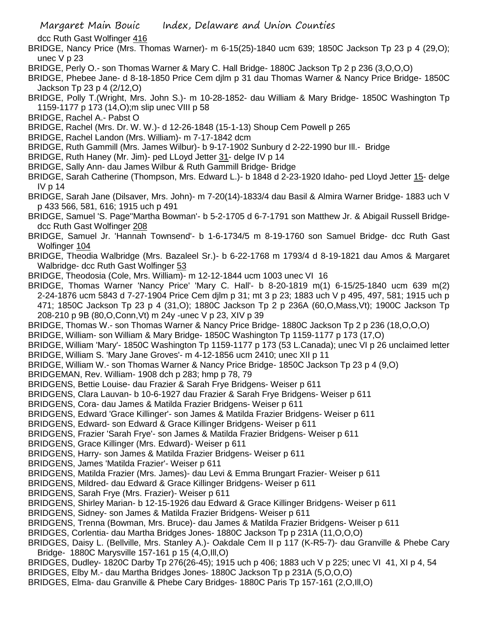dcc Ruth Gast Wolfinger 416

- BRIDGE, Nancy Price (Mrs. Thomas Warner)- m 6-15(25)-1840 ucm 639; 1850C Jackson Tp 23 p 4 (29,O); unec V p 23
- BRIDGE, Perly O.- son Thomas Warner & Mary C. Hall Bridge- 1880C Jackson Tp 2 p 236 (3,O,O,O)
- BRIDGE, Phebee Jane- d 8-18-1850 Price Cem djlm p 31 dau Thomas Warner & Nancy Price Bridge- 1850C Jackson Tp 23 p 4 (2/12,O)
- BRIDGE, Polly T.(Wright, Mrs. John S.)- m 10-28-1852- dau William & Mary Bridge- 1850C Washington Tp 1159-1177 p 173 (14,O);m slip unec VIII p 58
- BRIDGE, Rachel A.- Pabst O
- BRIDGE, Rachel (Mrs. Dr. W. W.)- d 12-26-1848 (15-1-13) Shoup Cem Powell p 265
- BRIDGE, Rachel Landon (Mrs. William)- m 7-17-1842 dcm
- BRIDGE, Ruth Gammill (Mrs. James Wilbur)- b 9-17-1902 Sunbury d 2-22-1990 bur Ill.- Bridge
- BRIDGE, Ruth Haney (Mr. Jim)- ped LLoyd Jetter 31- delge IV p 14
- BRIDGE, Sally Ann- dau James Wilbur & Ruth Gammill Bridge- Bridge
- BRIDGE, Sarah Catherine (Thompson, Mrs. Edward L.)- b 1848 d 2-23-1920 Idaho- ped Lloyd Jetter 15- delge IV p 14
- BRIDGE, Sarah Jane (Dilsaver, Mrs. John)- m 7-20(14)-1833/4 dau Basil & Almira Warner Bridge- 1883 uch V p 433 566, 581, 616; 1915 uch p 491
- BRIDGE, Samuel 'S. Page''Martha Bowman'- b 5-2-1705 d 6-7-1791 son Matthew Jr. & Abigail Russell Bridgedcc Ruth Gast Wolfinger 208
- BRIDGE, Samuel Jr. 'Hannah Townsend'- b 1-6-1734/5 m 8-19-1760 son Samuel Bridge- dcc Ruth Gast Wolfinger 104
- BRIDGE, Theodia Walbridge (Mrs. Bazaleel Sr.)- b 6-22-1768 m 1793/4 d 8-19-1821 dau Amos & Margaret Walbridge- dcc Ruth Gast Wolfinger 53
- BRIDGE, Theodosia (Cole, Mrs. William)- m 12-12-1844 ucm 1003 unec VI 16
- BRIDGE, Thomas Warner 'Nancy Price' 'Mary C. Hall'- b 8-20-1819 m(1) 6-15/25-1840 ucm 639 m(2) 2-24-1876 ucm 5843 d 7-27-1904 Price Cem djlm p 31; mt 3 p 23; 1883 uch V p 495, 497, 581; 1915 uch p 471; 1850C Jackson Tp 23 p 4 (31,O); 1880C Jackson Tp 2 p 236A (60,O,Mass,Vt); 1900C Jackson Tp 208-210 p 9B (80,O,Conn,Vt) m 24y -unec V p 23, XIV p 39
- BRIDGE, Thomas W.- son Thomas Warner & Nancy Price Bridge- 1880C Jackson Tp 2 p 236 (18,O,O,O)
- BRIDGE, William- son William & Mary Bridge- 1850C Washington Tp 1159-1177 p 173 (17,O)
- BRIDGE, William 'Mary'- 1850C Washington Tp 1159-1177 p 173 (53 L.Canada); unec VI p 26 unclaimed letter BRIDGE, William S. 'Mary Jane Groves'- m 4-12-1856 ucm 2410; unec XII p 11
- BRIDGE, William W.- son Thomas Warner & Nancy Price Bridge- 1850C Jackson Tp 23 p 4 (9,O)
- BRIDGEMAN, Rev. William- 1908 dch p 283; hmp p 78, 79
- BRIDGENS, Bettie Louise- dau Frazier & Sarah Frye Bridgens- Weiser p 611
- BRIDGENS, Clara Lauvan- b 10-6-1927 dau Frazier & Sarah Frye Bridgens- Weiser p 611
- BRIDGENS, Cora- dau James & Matilda Frazier Bridgens- Weiser p 611
- BRIDGENS, Edward 'Grace Killinger'- son James & Matilda Frazier Bridgens- Weiser p 611
- BRIDGENS, Edward- son Edward & Grace Killinger Bridgens- Weiser p 611
- BRIDGENS, Frazier 'Sarah Frye'- son James & Matilda Frazier Bridgens- Weiser p 611
- BRIDGENS, Grace Killinger (Mrs. Edward)- Weiser p 611
- BRIDGENS, Harry- son James & Matilda Frazier Bridgens- Weiser p 611
- BRIDGENS, James 'Matilda Frazier'- Weiser p 611
- BRIDGENS, Matilda Frazier (Mrs. James)- dau Levi & Emma Brungart Frazier- Weiser p 611
- BRIDGENS, Mildred- dau Edward & Grace Killinger Bridgens- Weiser p 611
- BRIDGENS, Sarah Frye (Mrs. Frazier)- Weiser p 611
- BRIDGENS, Shirley Marian- b 12-15-1926 dau Edward & Grace Killinger Bridgens- Weiser p 611
- BRIDGENS, Sidney- son James & Matilda Frazier Bridgens- Weiser p 611
- BRIDGENS, Trenna (Bowman, Mrs. Bruce)- dau James & Matilda Frazier Bridgens- Weiser p 611
- BRIDGES, Corlentia- dau Martha Bridges Jones- 1880C Jackson Tp p 231A (11,O,O,O)
- BRIDGES, Daisy L. (Bellville, Mrs. Stanley A.)- Oakdale Cem II p 117 (K-R5-7)- dau Granville & Phebe Cary Bridge- 1880C Marysville 157-161 p 15 (4,O,Ill,O)
- BRIDGES, Dudley- 1820C Darby Tp 276(26-45); 1915 uch p 406; 1883 uch V p 225; unec VI 41, XI p 4, 54
- BRIDGES, Elby M.- dau Martha Bridges Jones- 1880C Jackson Tp p 231A (5,O,O,O)
- BRIDGES, Elma- dau Granville & Phebe Cary Bridges- 1880C Paris Tp 157-161 (2,O,Ill,O)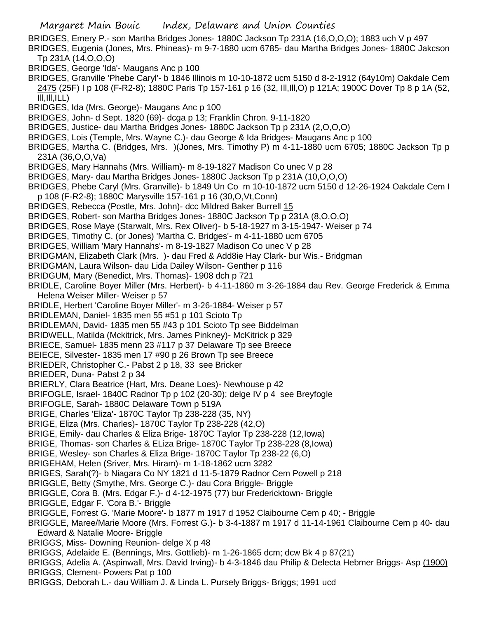- BRIDGES, Emery P.- son Martha Bridges Jones- 1880C Jackson Tp 231A (16,O,O,O); 1883 uch V p 497
- BRIDGES, Eugenia (Jones, Mrs. Phineas)- m 9-7-1880 ucm 6785- dau Martha Bridges Jones- 1880C Jakcson Tp 231A (14,O,O,O)
- BRIDGES, George 'Ida'- Maugans Anc p 100
- BRIDGES, Granville 'Phebe Caryl'- b 1846 Illinois m 10-10-1872 ucm 5150 d 8-2-1912 (64y10m) Oakdale Cem 2475 (25F) I p 108 (F-R2-8); 1880C Paris Tp 157-161 p 16 (32, Ill,Ill,O) p 121A; 1900C Dover Tp 8 p 1A (52,  $III, III, ILL)$
- BRIDGES, Ida (Mrs. George)- Maugans Anc p 100
- BRIDGES, John- d Sept. 1820 (69)- dcga p 13; Franklin Chron. 9-11-1820
- BRIDGES, Justice- dau Martha Bridges Jones- 1880C Jackson Tp p 231A (2,O,O,O)
- BRIDGES, Lois (Temple, Mrs. Wayne C.)- dau George & Ida Bridges- Maugans Anc p 100
- BRIDGES, Martha C. (Bridges, Mrs. )(Jones, Mrs. Timothy P) m 4-11-1880 ucm 6705; 1880C Jackson Tp p 231A (36,O,O,Va)
- BRIDGES, Mary Hannahs (Mrs. William)- m 8-19-1827 Madison Co unec V p 28
- BRIDGES, Mary- dau Martha Bridges Jones- 1880C Jackson Tp p 231A (10,O,O,O)
- BRIDGES, Phebe Caryl (Mrs. Granville)- b 1849 Un Co m 10-10-1872 ucm 5150 d 12-26-1924 Oakdale Cem I p 108 (F-R2-8); 1880C Marysville 157-161 p 16 (30,O,Vt,Conn)
- BRIDGES, Rebecca (Postle, Mrs. John)- dcc Mildred Baker Burrell 15
- BRIDGES, Robert- son Martha Bridges Jones- 1880C Jackson Tp p 231A (8,O,O,O)
- BRIDGES, Rose Maye (Starwalt, Mrs. Rex Oliver)- b 5-18-1927 m 3-15-1947- Weiser p 74
- BRIDGES, Timothy C. (or Jones) 'Martha C. Bridges'- m 4-11-1880 ucm 6705
- BRIDGES, William 'Mary Hannahs'- m 8-19-1827 Madison Co unec V p 28
- BRIDGMAN, Elizabeth Clark (Mrs. )- dau Fred & Add8ie Hay Clark- bur Wis.- Bridgman
- BRIDGMAN, Laura Wilson- dau Lida Dailey Wilson- Genther p 116
- BRIDGUM, Mary (Benedict, Mrs. Thomas)- 1908 dch p 721
- BRIDLE, Caroline Boyer Miller (Mrs. Herbert)- b 4-11-1860 m 3-26-1884 dau Rev. George Frederick & Emma Helena Weiser Miller- Weiser p 57
- BRIDLE, Herbert 'Caroline Boyer Miller'- m 3-26-1884- Weiser p 57
- BRIDLEMAN, Daniel- 1835 men 55 #51 p 101 Scioto Tp
- BRIDLEMAN, David- 1835 men 55 #43 p 101 Scioto Tp see Biddelman
- BRIDWELL, Matilda (Mckitrick, Mrs. James Pinkney)- McKitrick p 329
- BRIECE, Samuel- 1835 menn 23 #117 p 37 Delaware Tp see Breece
- BEIECE, Silvester- 1835 men 17 #90 p 26 Brown Tp see Breece
- BRIEDER, Christopher C.- Pabst 2 p 18, 33 see Bricker
- BRIEDER, Duna- Pabst 2 p 34
- BRIERLY, Clara Beatrice (Hart, Mrs. Deane Loes)- Newhouse p 42
- BRIFOGLE, Israel- 1840C Radnor Tp p 102 (20-30); delge IV p 4 see Breyfogle
- BRIFOGLE, Sarah- 1880C Delaware Town p 519A
- BRIGE, Charles 'Eliza'- 1870C Taylor Tp 238-228 (35, NY)
- BRIGE, Eliza (Mrs. Charles)- 1870C Taylor Tp 238-228 (42,O)
- BRIGE, Emily- dau Charles & Eliza Brige- 1870C Taylor Tp 238-228 (12,Iowa)
- BRIGE, Thomas- son Charles & ELiza Brige- 1870C Taylor Tp 238-228 (8,Iowa)
- BRIGE, Wesley- son Charles & Eliza Brige- 1870C Taylor Tp 238-22 (6,O)
- BRIGEHAM, Helen (Sriver, Mrs. Hiram)- m 1-18-1862 ucm 3282
- BRIGES, Sarah(?)- b Niagara Co NY 1821 d 11-5-1879 Radnor Cem Powell p 218
- BRIGGLE, Betty (Smythe, Mrs. George C.)- dau Cora Briggle- Briggle
- BRIGGLE, Cora B. (Mrs. Edgar F.)- d 4-12-1975 (77) bur Fredericktown- Briggle
- BRIGGLE, Edgar F. 'Cora B.'- Briggle
- BRIGGLE, Forrest G. 'Marie Moore'- b 1877 m 1917 d 1952 Claibourne Cem p 40; Briggle
- BRIGGLE, Maree/Marie Moore (Mrs. Forrest G.)- b 3-4-1887 m 1917 d 11-14-1961 Claibourne Cem p 40- dau Edward & Natalie Moore- Briggle
- BRIGGS, Miss- Downing Reunion- delge X p 48
- BRIGGS, Adelaide E. (Bennings, Mrs. Gottlieb)- m 1-26-1865 dcm; dcw Bk 4 p 87(21)
- BRIGGS, Adelia A. (Aspinwall, Mrs. David Irving)- b 4-3-1846 dau Philip & Delecta Hebmer Briggs- Asp (1900) BRIGGS, Clement- Powers Pat p 100
- BRIGGS, Deborah L.- dau William J. & Linda L. Pursely Briggs- Briggs; 1991 ucd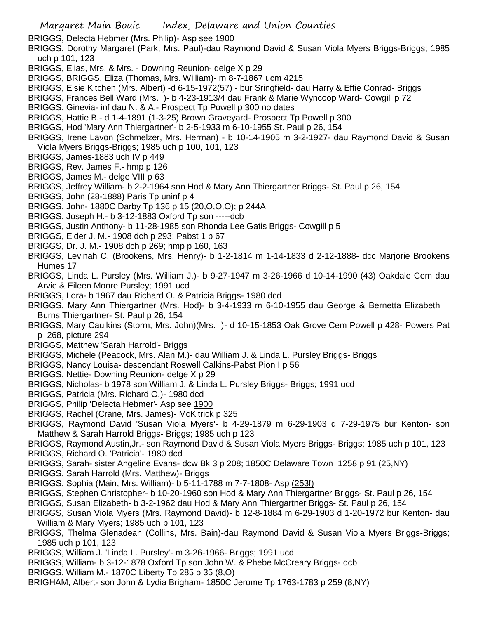BRIGGS, Delecta Hebmer (Mrs. Philip)- Asp see 1900

- BRIGGS, Dorothy Margaret (Park, Mrs. Paul)-dau Raymond David & Susan Viola Myers Briggs-Briggs; 1985 uch p 101, 123
- BRIGGS, Elias, Mrs. & Mrs. Downing Reunion- delge X p 29
- BRIGGS, BRIGGS, Eliza (Thomas, Mrs. William)- m 8-7-1867 ucm 4215
- BRIGGS, Elsie Kitchen (Mrs. Albert) -d 6-15-1972(57) bur Sringfield- dau Harry & Effie Conrad- Briggs
- BRIGGS, Frances Bell Ward (Mrs. )- b 4-23-1913/4 dau Frank & Marie Wyncoop Ward- Cowgill p 72
- BRIGGS, Ginevia- inf dau N. & A.- Prospect Tp Powell p 300 no dates
- BRIGGS, Hattie B.- d 1-4-1891 (1-3-25) Brown Graveyard- Prospect Tp Powell p 300
- BRIGGS, Hod 'Mary Ann Thiergartner'- b 2-5-1933 m 6-10-1955 St. Paul p 26, 154
- BRIGGS, Irene Lavon (Schmelzer, Mrs. Herman) b 10-14-1905 m 3-2-1927- dau Raymond David & Susan Viola Myers Briggs-Briggs; 1985 uch p 100, 101, 123
- BRIGGS, James-1883 uch IV p 449
- BRIGGS, Rev. James F.- hmp p 126
- BRIGGS, James M.- delge VIII p 63
- BRIGGS, Jeffrey William- b 2-2-1964 son Hod & Mary Ann Thiergartner Briggs- St. Paul p 26, 154
- BRIGGS, John (28-1888) Paris Tp uninf p 4
- BRIGGS, John- 1880C Darby Tp 136 p 15 (20,O,O,O); p 244A
- BRIGGS, Joseph H.- b 3-12-1883 Oxford Tp son -----dcb
- BRIGGS, Justin Anthony- b 11-28-1985 son Rhonda Lee Gatis Briggs- Cowgill p 5
- BRIGGS, Elder J. M.- 1908 dch p 293; Pabst 1 p 67
- BRIGGS, Dr. J. M.- 1908 dch p 269; hmp p 160, 163
- BRIGGS, Levinah C. (Brookens, Mrs. Henry)- b 1-2-1814 m 1-14-1833 d 2-12-1888- dcc Marjorie Brookens Humes 17
- BRIGGS, Linda L. Pursley (Mrs. William J.)- b 9-27-1947 m 3-26-1966 d 10-14-1990 (43) Oakdale Cem dau Arvie & Eileen Moore Pursley; 1991 ucd
- BRIGGS, Lora- b 1967 dau Richard O. & Patricia Briggs- 1980 dcd
- BRIGGS, Mary Ann Thiergartner (Mrs. Hod)- b 3-4-1933 m 6-10-1955 dau George & Bernetta Elizabeth Burns Thiergartner- St. Paul p 26, 154
- BRIGGS, Mary Caulkins (Storm, Mrs. John)(Mrs. )- d 10-15-1853 Oak Grove Cem Powell p 428- Powers Pat p 268, picture 294
- BRIGGS, Matthew 'Sarah Harrold'- Briggs
- BRIGGS, Michele (Peacock, Mrs. Alan M.)- dau William J. & Linda L. Pursley Briggs- Briggs
- BRIGGS, Nancy Louisa- descendant Roswell Calkins-Pabst Pion I p 56
- BRIGGS, Nettie- Downing Reunion- delge X p 29
- BRIGGS, Nicholas- b 1978 son William J. & Linda L. Pursley Briggs- Briggs; 1991 ucd
- BRIGGS, Patricia (Mrs. Richard O.)- 1980 dcd
- BRIGGS, Philip 'Delecta Hebmer'- Asp see 1900
- BRIGGS, Rachel (Crane, Mrs. James)- McKitrick p 325
- BRIGGS, Raymond David 'Susan Viola Myers'- b 4-29-1879 m 6-29-1903 d 7-29-1975 bur Kenton- son Matthew & Sarah Harrold Briggs- Briggs; 1985 uch p 123
- BRIGGS, Raymond Austin,Jr.- son Raymond David & Susan Viola Myers Briggs- Briggs; 1985 uch p 101, 123
- BRIGGS, Richard O. 'Patricia'- 1980 dcd
- BRIGGS, Sarah- sister Angeline Evans- dcw Bk 3 p 208; 1850C Delaware Town 1258 p 91 (25,NY)
- BRIGGS, Sarah Harrold (Mrs. Matthew)- Briggs
- BRIGGS, Sophia (Main, Mrs. William)- b 5-11-1788 m 7-7-1808- Asp (253f)
- BRIGGS, Stephen Christopher- b 10-20-1960 son Hod & Mary Ann Thiergartner Briggs- St. Paul p 26, 154
- BRIGGS, Susan Elizabeth- b 3-2-1962 dau Hod & Mary Ann Thiergartner Briggs- St. Paul p 26, 154
- BRIGGS, Susan Viola Myers (Mrs. Raymond David)- b 12-8-1884 m 6-29-1903 d 1-20-1972 bur Kenton- dau William & Mary Myers; 1985 uch p 101, 123
- BRIGGS, Thelma Glenadean (Collins, Mrs. Bain)-dau Raymond David & Susan Viola Myers Briggs-Briggs; 1985 uch p 101, 123
- BRIGGS, William J. 'Linda L. Pursley'- m 3-26-1966- Briggs; 1991 ucd
- BRIGGS, William- b 3-12-1878 Oxford Tp son John W. & Phebe McCreary Briggs- dcb
- BRIGGS, William M.- 1870C Liberty Tp 285 p 35 (8,O)
- BRIGHAM, Albert- son John & Lydia Brigham- 1850C Jerome Tp 1763-1783 p 259 (8,NY)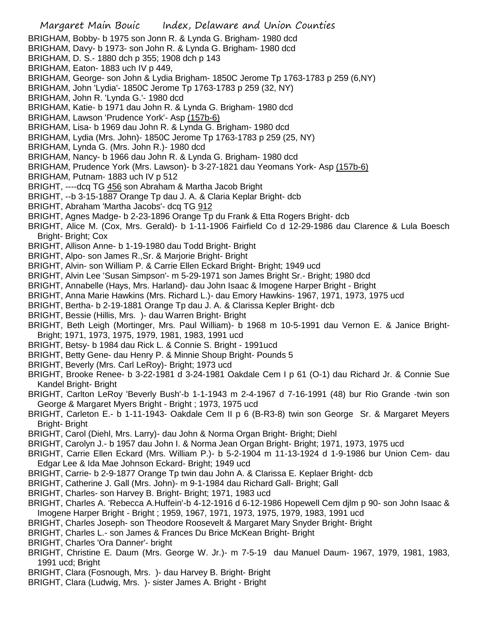- Margaret Main Bouic Index, Delaware and Union Counties BRIGHAM, Bobby- b 1975 son Jonn R. & Lynda G. Brigham- 1980 dcd BRIGHAM, Davy- b 1973- son John R. & Lynda G. Brigham- 1980 dcd BRIGHAM, D. S.- 1880 dch p 355; 1908 dch p 143 BRIGHAM, Eaton- 1883 uch IV p 449, BRIGHAM, George- son John & Lydia Brigham- 1850C Jerome Tp 1763-1783 p 259 (6,NY) BRIGHAM, John 'Lydia'- 1850C Jerome Tp 1763-1783 p 259 (32, NY) BRIGHAM, John R. 'Lynda G.'- 1980 dcd BRIGHAM, Katie- b 1971 dau John R. & Lynda G. Brigham- 1980 dcd BRIGHAM, Lawson 'Prudence York'- Asp (157b-6) BRIGHAM, Lisa- b 1969 dau John R. & Lynda G. Brigham- 1980 dcd BRIGHAM, Lydia (Mrs. John)- 1850C Jerome Tp 1763-1783 p 259 (25, NY) BRIGHAM, Lynda G. (Mrs. John R.)- 1980 dcd BRIGHAM, Nancy- b 1966 dau John R. & Lynda G. Brigham- 1980 dcd BRIGHAM, Prudence York (Mrs. Lawson)- b 3-27-1821 dau Yeomans York- Asp (157b-6) BRIGHAM, Putnam- 1883 uch IV p 512 BRIGHT, ----dcq TG 456 son Abraham & Martha Jacob Bright BRIGHT, --b 3-15-1887 Orange Tp dau J. A. & Claria Keplar Bright- dcb BRIGHT, Abraham 'Martha Jacobs'- dcq TG 912 BRIGHT, Agnes Madge- b 2-23-1896 Orange Tp du Frank & Etta Rogers Bright- dcb BRIGHT, Alice M. (Cox, Mrs. Gerald)- b 1-11-1906 Fairfield Co d 12-29-1986 dau Clarence & Lula Boesch Bright- Bright; Cox BRIGHT, Allison Anne- b 1-19-1980 dau Todd Bright- Bright BRIGHT, Alpo- son James R.,Sr. & Marjorie Bright- Bright BRIGHT, Alvin- son William P. & Carrie Ellen Eckard Bright- Bright; 1949 ucd BRIGHT, Alvin Lee 'Susan Simpson'- m 5-29-1971 son James Bright Sr.- Bright; 1980 dcd BRIGHT, Annabelle (Hays, Mrs. Harland)- dau John Isaac & Imogene Harper Bright - Bright BRIGHT, Anna Marie Hawkins (Mrs. Richard L.)- dau Emory Hawkins- 1967, 1971, 1973, 1975 ucd BRIGHT, Bertha- b 2-19-1881 Orange Tp dau J. A. & Clarissa Kepler Bright- dcb BRIGHT, Bessie (Hillis, Mrs. )- dau Warren Bright- Bright BRIGHT, Beth Leigh (Mortinger, Mrs. Paul William)- b 1968 m 10-5-1991 dau Vernon E. & Janice Bright-Bright; 1971, 1973, 1975, 1979, 1981, 1983, 1991 ucd BRIGHT, Betsy- b 1984 dau Rick L. & Connie S. Bright - 1991ucd BRIGHT, Betty Gene- dau Henry P. & Minnie Shoup Bright- Pounds 5 BRIGHT, Beverly (Mrs. Carl LeRoy)- Bright; 1973 ucd BRIGHT, Brooke Renee- b 3-22-1981 d 3-24-1981 Oakdale Cem I p 61 (O-1) dau Richard Jr. & Connie Sue Kandel Bright- Bright BRIGHT, Carlton LeRoy 'Beverly Bush'-b 1-1-1943 m 2-4-1967 d 7-16-1991 (48) bur Rio Grande -twin son George & Margaret Myers Bright - Bright ; 1973, 1975 ucd BRIGHT, Carleton E.- b 1-11-1943- Oakdale Cem II p 6 (B-R3-8) twin son George Sr. & Margaret Meyers Bright- Bright BRIGHT, Carol (Diehl, Mrs. Larry)- dau John & Norma Organ Bright- Bright; Diehl BRIGHT, Carolyn J.- b 1957 dau John I. & Norma Jean Organ Bright- Bright; 1971, 1973, 1975 ucd BRIGHT, Carrie Ellen Eckard (Mrs. William P.)- b 5-2-1904 m 11-13-1924 d 1-9-1986 bur Union Cem- dau Edgar Lee & Ida Mae Johnson Eckard- Bright; 1949 ucd
	- BRIGHT, Carrie- b 2-9-1877 Orange Tp twin dau John A. & Clarissa E. Keplaer Bright- dcb
	- BRIGHT, Catherine J. Gall (Mrs. John)- m 9-1-1984 dau Richard Gall- Bright; Gall
	- BRIGHT, Charles- son Harvey B. Bright- Bright; 1971, 1983 ucd
	- BRIGHT, Charles A. 'Rebecca A.Huffein'-b 4-12-1916 d 6-12-1986 Hopewell Cem djlm p 90- son John Isaac & Imogene Harper Bright - Bright ; 1959, 1967, 1971, 1973, 1975, 1979, 1983, 1991 ucd
	- BRIGHT, Charles Joseph- son Theodore Roosevelt & Margaret Mary Snyder Bright- Bright
	- BRIGHT, Charles L.- son James & Frances Du Brice McKean Bright- Bright
	- BRIGHT, Charles 'Ora Danner'- bright
	- BRIGHT, Christine E. Daum (Mrs. George W. Jr.)- m 7-5-19 dau Manuel Daum- 1967, 1979, 1981, 1983, 1991 ucd; Bright
	- BRIGHT, Clara (Fosnough, Mrs. )- dau Harvey B. Bright- Bright
	- BRIGHT, Clara (Ludwig, Mrs. )- sister James A. Bright Bright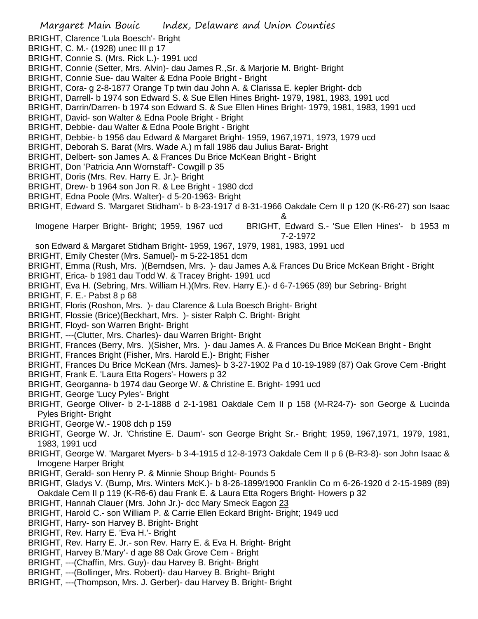- BRIGHT, Clarence 'Lula Boesch'- Bright
- BRIGHT, C. M.- (1928) unec III p 17
- BRIGHT, Connie S. (Mrs. Rick L.)- 1991 ucd
- BRIGHT, Connie (Setter, Mrs. Alvin)- dau James R.,Sr. & Marjorie M. Bright- Bright
- BRIGHT, Connie Sue- dau Walter & Edna Poole Bright Bright
- BRIGHT, Cora- g 2-8-1877 Orange Tp twin dau John A. & Clarissa E. kepler Bright- dcb
- BRIGHT, Darrell- b 1974 son Edward S. & Sue Ellen Hines Bright- 1979, 1981, 1983, 1991 ucd
- BRIGHT, Darrin/Darren- b 1974 son Edward S. & Sue Ellen Hines Bright- 1979, 1981, 1983, 1991 ucd
- BRIGHT, David- son Walter & Edna Poole Bright Bright
- BRIGHT, Debbie- dau Walter & Edna Poole Bright Bright
- BRIGHT, Debbie- b 1956 dau Edward & Margaret Bright- 1959, 1967,1971, 1973, 1979 ucd
- BRIGHT, Deborah S. Barat (Mrs. Wade A.) m fall 1986 dau Julius Barat- Bright
- BRIGHT, Delbert- son James A. & Frances Du Brice McKean Bright Bright
- BRIGHT, Don 'Patricia Ann Wornstaff'- Cowgill p 35
- BRIGHT, Doris (Mrs. Rev. Harry E. Jr.)- Bright
- BRIGHT, Drew- b 1964 son Jon R. & Lee Bright 1980 dcd
- BRIGHT, Edna Poole (Mrs. Walter)- d 5-20-1963- Bright
- BRIGHT, Edward S. 'Margaret Stidham'- b 8-23-1917 d 8-31-1966 Oakdale Cem II p 120 (K-R6-27) son Isaac

## Imogene Harper Bright- Bright; 1959, 1967 ucd BRIGHT, Edward S.- 'Sue Ellen Hines'- b 1953 m 7-2-1972

&

- son Edward & Margaret Stidham Bright- 1959, 1967, 1979, 1981, 1983, 1991 ucd
- BRIGHT, Emily Chester (Mrs. Samuel)- m 5-22-1851 dcm
- BRIGHT, Emma (Rush, Mrs. )(Berndsen, Mrs. )- dau James A.& Frances Du Brice McKean Bright Bright
- BRIGHT, Erica- b 1981 dau Todd W. & Tracey Bright- 1991 ucd
- BRIGHT, Eva H. (Sebring, Mrs. William H.)(Mrs. Rev. Harry E.)- d 6-7-1965 (89) bur Sebring- Bright
- BRIGHT, F. E.- Pabst 8 p 68
- BRIGHT, Floris (Roshon, Mrs. )- dau Clarence & Lula Boesch Bright- Bright
- BRIGHT, Flossie (Brice)(Beckhart, Mrs. )- sister Ralph C. Bright- Bright
- BRIGHT, Floyd- son Warren Bright- Bright
- BRIGHT, ---(Clutter, Mrs. Charles)- dau Warren Bright- Bright
- BRIGHT, Frances (Berry, Mrs. )(Sisher, Mrs. )- dau James A. & Frances Du Brice McKean Bright Bright
- BRIGHT, Frances Bright (Fisher, Mrs. Harold E.)- Bright; Fisher
- BRIGHT, Frances Du Brice McKean (Mrs. James)- b 3-27-1902 Pa d 10-19-1989 (87) Oak Grove Cem -Bright
- BRIGHT, Frank E. 'Laura Etta Rogers'- Howers p 32
- BRIGHT, Georganna- b 1974 dau George W. & Christine E. Bright- 1991 ucd
- BRIGHT, George 'Lucy Pyles'- Bright
- BRIGHT, George Oliver- b 2-1-1888 d 2-1-1981 Oakdale Cem II p 158 (M-R24-7)- son George & Lucinda Pyles Bright- Bright
- BRIGHT, George W.- 1908 dch p 159
- BRIGHT, George W. Jr. 'Christine E. Daum'- son George Bright Sr.- Bright; 1959, 1967,1971, 1979, 1981, 1983, 1991 ucd
- BRIGHT, George W. 'Margaret Myers- b 3-4-1915 d 12-8-1973 Oakdale Cem II p 6 (B-R3-8)- son John Isaac & Imogene Harper Bright
- BRIGHT, Gerald- son Henry P. & Minnie Shoup Bright- Pounds 5
- BRIGHT, Gladys V. (Bump, Mrs. Winters McK.)- b 8-26-1899/1900 Franklin Co m 6-26-1920 d 2-15-1989 (89) Oakdale Cem II p 119 (K-R6-6) dau Frank E. & Laura Etta Rogers Bright- Howers p 32
- BRIGHT, Hannah Clauer (Mrs. John Jr.)- dcc Mary Smeck Eagon 23
- BRIGHT, Harold C.- son William P. & Carrie Ellen Eckard Bright- Bright; 1949 ucd
- BRIGHT, Harry- son Harvey B. Bright- Bright
- BRIGHT, Rev. Harry E. 'Eva H.'- Bright
- BRIGHT, Rev. Harry E. Jr.- son Rev. Harry E. & Eva H. Bright- Bright
- BRIGHT, Harvey B.'Mary'- d age 88 Oak Grove Cem Bright
- BRIGHT, ---(Chaffin, Mrs. Guy)- dau Harvey B. Bright- Bright
- BRIGHT, ---(Bollinger, Mrs. Robert)- dau Harvey B. Bright- Bright
- BRIGHT, ---(Thompson, Mrs. J. Gerber)- dau Harvey B. Bright- Bright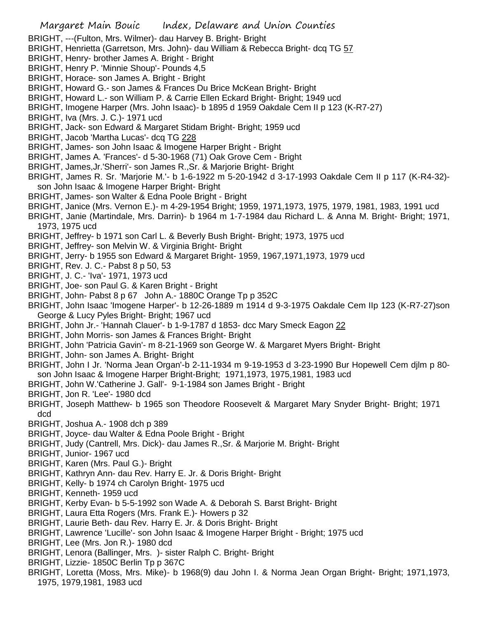- BRIGHT, ---(Fulton, Mrs. Wilmer)- dau Harvey B. Bright- Bright
- BRIGHT, Henrietta (Garretson, Mrs. John)- dau William & Rebecca Bright- dcq TG 57
- BRIGHT, Henry- brother James A. Bright Bright
- BRIGHT, Henry P. 'Minnie Shoup'- Pounds 4,5
- BRIGHT, Horace- son James A. Bright Bright
- BRIGHT, Howard G.- son James & Frances Du Brice McKean Bright- Bright
- BRIGHT, Howard L.- son William P. & Carrie Ellen Eckard Bright- Bright; 1949 ucd
- BRIGHT, Imogene Harper (Mrs. John Isaac)- b 1895 d 1959 Oakdale Cem II p 123 (K-R7-27)
- BRIGHT, Iva (Mrs. J. C.)- 1971 ucd
- BRIGHT, Jack- son Edward & Margaret Stidam Bright- Bright; 1959 ucd
- BRIGHT, Jacob 'Martha Lucas'- dcq TG 228
- BRIGHT, James- son John Isaac & Imogene Harper Bright Bright
- BRIGHT, James A. 'Frances'- d 5-30-1968 (71) Oak Grove Cem Bright
- BRIGHT, James,Jr.'Sherri'- son James R.,Sr. & Marjorie Bright- Bright
- BRIGHT, James R. Sr. 'Marjorie M.'- b 1-6-1922 m 5-20-1942 d 3-17-1993 Oakdale Cem II p 117 (K-R4-32) son John Isaac & Imogene Harper Bright- Bright
- BRIGHT, James- son Walter & Edna Poole Bright Bright
- BRIGHT, Janice (Mrs. Vernon E.)- m 4-29-1954 Bright; 1959, 1971,1973, 1975, 1979, 1981, 1983, 1991 ucd
- BRIGHT, Janie (Martindale, Mrs. Darrin)- b 1964 m 1-7-1984 dau Richard L. & Anna M. Bright- Bright; 1971, 1973, 1975 ucd
- BRIGHT, Jeffrey- b 1971 son Carl L. & Beverly Bush Bright- Bright; 1973, 1975 ucd
- BRIGHT, Jeffrey- son Melvin W. & Virginia Bright- Bright
- BRIGHT, Jerry- b 1955 son Edward & Margaret Bright- 1959, 1967,1971,1973, 1979 ucd
- BRIGHT, Rev. J. C.- Pabst 8 p 50, 53
- BRIGHT, J. C.- 'Iva'- 1971, 1973 ucd
- BRIGHT, Joe- son Paul G. & Karen Bright Bright
- BRIGHT, John- Pabst 8 p 67 John A.- 1880C Orange Tp p 352C
- BRIGHT, John Isaac 'Imogene Harper'- b 12-26-1889 m 1914 d 9-3-1975 Oakdale Cem IIp 123 (K-R7-27)son George & Lucy Pyles Bright- Bright; 1967 ucd
- BRIGHT, John Jr.- 'Hannah Clauer'- b 1-9-1787 d 1853- dcc Mary Smeck Eagon 22
- BRIGHT, John Morris- son James & Frances Bright- Bright
- BRIGHT, John 'Patricia Gavin'- m 8-21-1969 son George W. & Margaret Myers Bright- Bright
- BRIGHT, John- son James A. Bright- Bright
- BRIGHT, John I Jr. 'Norma Jean Organ'-b 2-11-1934 m 9-19-1953 d 3-23-1990 Bur Hopewell Cem djlm p 80 son John Isaac & Imogene Harper Bright-Bright; 1971,1973, 1975,1981, 1983 ucd
- BRIGHT, John W.'Catherine J. Gall'- 9-1-1984 son James Bright Bright
- BRIGHT, Jon R. 'Lee'- 1980 dcd
- BRIGHT, Joseph Matthew- b 1965 son Theodore Roosevelt & Margaret Mary Snyder Bright- Bright; 1971 dcd
- BRIGHT, Joshua A.- 1908 dch p 389
- BRIGHT, Joyce- dau Walter & Edna Poole Bright Bright
- BRIGHT, Judy (Cantrell, Mrs. Dick)- dau James R.,Sr. & Marjorie M. Bright- Bright
- BRIGHT, Junior- 1967 ucd
- BRIGHT, Karen (Mrs. Paul G.)- Bright
- BRIGHT, Kathryn Ann- dau Rev. Harry E. Jr. & Doris Bright- Bright
- BRIGHT, Kelly- b 1974 ch Carolyn Bright- 1975 ucd
- BRIGHT, Kenneth- 1959 ucd
- BRIGHT, Kerby Evan- b 5-5-1992 son Wade A. & Deborah S. Barst Bright- Bright
- BRIGHT, Laura Etta Rogers (Mrs. Frank E.)- Howers p 32
- BRIGHT, Laurie Beth- dau Rev. Harry E. Jr. & Doris Bright- Bright
- BRIGHT, Lawrence 'Lucille'- son John Isaac & Imogene Harper Bright Bright; 1975 ucd
- BRIGHT, Lee (Mrs. Jon R.)- 1980 dcd
- BRIGHT, Lenora (Ballinger, Mrs. )- sister Ralph C. Bright- Bright
- BRIGHT, Lizzie- 1850C Berlin Tp p 367C
- BRIGHT, Loretta (Moss, Mrs. Mike)- b 1968(9) dau John I. & Norma Jean Organ Bright- Bright; 1971,1973, 1975, 1979,1981, 1983 ucd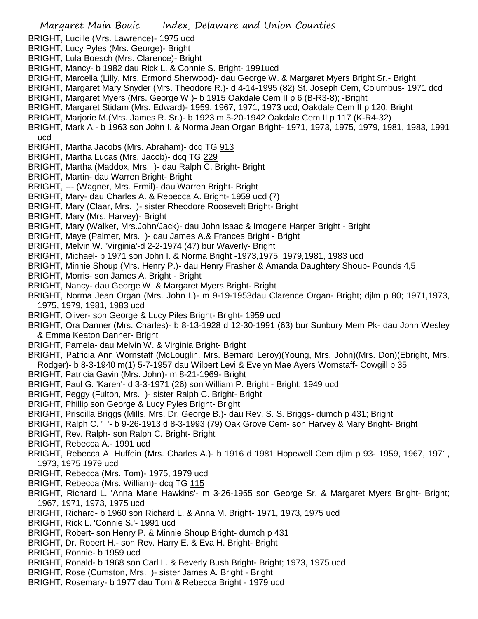- BRIGHT, Lucille (Mrs. Lawrence)- 1975 ucd
- BRIGHT, Lucy Pyles (Mrs. George)- Bright
- BRIGHT, Lula Boesch (Mrs. Clarence)- Bright
- BRIGHT, Mancy- b 1982 dau Rick L. & Connie S. Bright- 1991ucd
- BRIGHT, Marcella (Lilly, Mrs. Ermond Sherwood)- dau George W. & Margaret Myers Bright Sr.- Bright
- BRIGHT, Margaret Mary Snyder (Mrs. Theodore R.)- d 4-14-1995 (82) St. Joseph Cem, Columbus- 1971 dcd
- BRIGHT, Margaret Myers (Mrs. George W.)- b 1915 Oakdale Cem II p 6 (B-R3-8); -Bright
- BRIGHT, Margaret Stidam (Mrs. Edward)- 1959, 1967, 1971, 1973 ucd; Oakdale Cem II p 120; Bright
- BRIGHT, Marjorie M.(Mrs. James R. Sr.)- b 1923 m 5-20-1942 Oakdale Cem II p 117 (K-R4-32)
- BRIGHT, Mark A.- b 1963 son John I. & Norma Jean Organ Bright- 1971, 1973, 1975, 1979, 1981, 1983, 1991 ucd
- BRIGHT, Martha Jacobs (Mrs. Abraham)- dcq TG 913
- BRIGHT, Martha Lucas (Mrs. Jacob)- dcq TG 229
- BRIGHT, Martha (Maddox, Mrs. )- dau Ralph C. Bright- Bright
- BRIGHT, Martin- dau Warren Bright- Bright
- BRIGHT, --- (Wagner, Mrs. Ermil)- dau Warren Bright- Bright
- BRIGHT, Mary- dau Charles A. & Rebecca A. Bright- 1959 ucd (7)
- BRIGHT, Mary (Claar, Mrs. )- sister Rheodore Roosevelt Bright- Bright
- BRIGHT, Mary (Mrs. Harvey)- Bright
- BRIGHT, Mary (Walker, Mrs.John/Jack)- dau John Isaac & Imogene Harper Bright Bright
- BRIGHT, Maye (Palmer, Mrs. )- dau James A.& Frances Bright Bright
- BRIGHT, Melvin W. 'Virginia'-d 2-2-1974 (47) bur Waverly- Bright
- BRIGHT, Michael- b 1971 son John I. & Norma Bright -1973,1975, 1979,1981, 1983 ucd
- BRIGHT, Minnie Shoup (Mrs. Henry P.)- dau Henry Frasher & Amanda Daughtery Shoup- Pounds 4,5
- BRIGHT, Morris- son James A. Bright Bright
- BRIGHT, Nancy- dau George W. & Margaret Myers Bright- Bright
- BRIGHT, Norma Jean Organ (Mrs. John I.)- m 9-19-1953dau Clarence Organ- Bright; djlm p 80; 1971,1973, 1975, 1979, 1981, 1983 ucd
- BRIGHT, Oliver- son George & Lucy Piles Bright- Bright- 1959 ucd
- BRIGHT, Ora Danner (Mrs. Charles)- b 8-13-1928 d 12-30-1991 (63) bur Sunbury Mem Pk- dau John Wesley & Emma Keaton Danner- Bright
- BRIGHT, Pamela- dau Melvin W. & Virginia Bright- Bright
- BRIGHT, Patricia Ann Wornstaff (McLouglin, Mrs. Bernard Leroy)(Young, Mrs. John)(Mrs. Don)(Ebright, Mrs. Rodger)- b 8-3-1940 m(1) 5-7-1957 dau Wilbert Levi & Evelyn Mae Ayers Wornstaff- Cowgill p 35
- BRIGHT, Patricia Gavin (Mrs. John)- m 8-21-1969- Bright
- BRIGHT, Paul G. 'Karen'- d 3-3-1971 (26) son William P. Bright Bright; 1949 ucd
- BRIGHT, Peggy (Fulton, Mrs. )- sister Ralph C. Bright- Bright
- BRIGHT, Phillip son George & Lucy Pyles Bright- Bright
- BRIGHT, Priscilla Briggs (Mills, Mrs. Dr. George B.)- dau Rev. S. S. Briggs- dumch p 431; Bright
- BRIGHT, Ralph C. ' '- b 9-26-1913 d 8-3-1993 (79) Oak Grove Cem- son Harvey & Mary Bright- Bright
- BRIGHT, Rev. Ralph- son Ralph C. Bright- Bright
- BRIGHT, Rebecca A.- 1991 ucd
- BRIGHT, Rebecca A. Huffein (Mrs. Charles A.)- b 1916 d 1981 Hopewell Cem djlm p 93- 1959, 1967, 1971, 1973, 1975 1979 ucd
- BRIGHT, Rebecca (Mrs. Tom)- 1975, 1979 ucd
- BRIGHT, Rebecca (Mrs. William)- dcq TG 115
- BRIGHT, Richard L. 'Anna Marie Hawkins'- m 3-26-1955 son George Sr. & Margaret Myers Bright- Bright; 1967, 1971, 1973, 1975 ucd
- BRIGHT, Richard- b 1960 son Richard L. & Anna M. Bright- 1971, 1973, 1975 ucd
- BRIGHT, Rick L. 'Connie S.'- 1991 ucd
- BRIGHT, Robert- son Henry P. & Minnie Shoup Bright- dumch p 431
- BRIGHT, Dr. Robert H.- son Rev. Harry E. & Eva H. Bright- Bright
- BRIGHT, Ronnie- b 1959 ucd
- BRIGHT, Ronald- b 1968 son Carl L. & Beverly Bush Bright- Bright; 1973, 1975 ucd
- BRIGHT, Rose (Cumston, Mrs. )- sister James A. Bright Bright
- BRIGHT, Rosemary- b 1977 dau Tom & Rebecca Bright 1979 ucd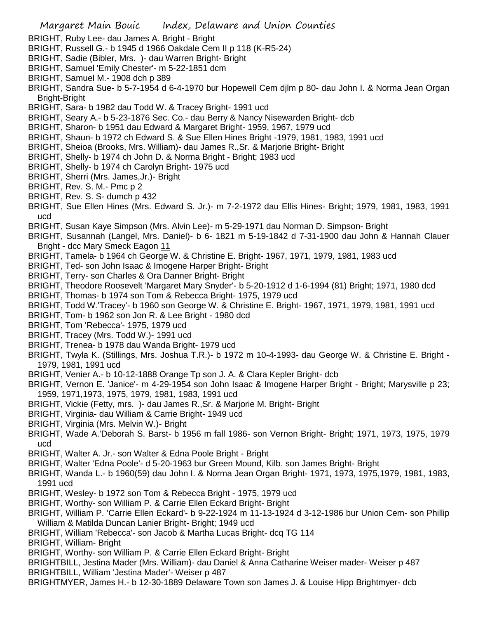- BRIGHT, Ruby Lee- dau James A. Bright Bright
- BRIGHT, Russell G.- b 1945 d 1966 Oakdale Cem II p 118 (K-R5-24)
- BRIGHT, Sadie (Bibler, Mrs. )- dau Warren Bright- Bright
- BRIGHT, Samuel 'Emily Chester'- m 5-22-1851 dcm
- BRIGHT, Samuel M.- 1908 dch p 389
- BRIGHT, Sandra Sue- b 5-7-1954 d 6-4-1970 bur Hopewell Cem djlm p 80- dau John I. & Norma Jean Organ Bright-Bright
- BRIGHT, Sara- b 1982 dau Todd W. & Tracey Bright- 1991 ucd
- BRIGHT, Seary A.- b 5-23-1876 Sec. Co.- dau Berry & Nancy Nisewarden Bright- dcb
- BRIGHT, Sharon- b 1951 dau Edward & Margaret Bright- 1959, 1967, 1979 ucd
- BRIGHT, Shaun- b 1972 ch Edward S. & Sue Ellen Hines Bright -1979, 1981, 1983, 1991 ucd
- BRIGHT, Sheioa (Brooks, Mrs. William)- dau James R.,Sr. & Marjorie Bright- Bright
- BRIGHT, Shelly- b 1974 ch John D. & Norma Bright Bright; 1983 ucd
- BRIGHT, Shelly- b 1974 ch Carolyn Bright- 1975 ucd
- BRIGHT, Sherri (Mrs. James,Jr.)- Bright
- BRIGHT, Rev. S. M.- Pmc p 2
- BRIGHT, Rev. S. S- dumch p 432
- BRIGHT, Sue Ellen Hines (Mrs. Edward S. Jr.)- m 7-2-1972 dau Ellis Hines- Bright; 1979, 1981, 1983, 1991 ucd
- BRIGHT, Susan Kaye Simpson (Mrs. Alvin Lee)- m 5-29-1971 dau Norman D. Simpson- Bright
- BRIGHT, Susannah (Langel, Mrs. Daniel)- b 6- 1821 m 5-19-1842 d 7-31-1900 dau John & Hannah Clauer Bright - dcc Mary Smeck Eagon 11
- BRIGHT, Tamela- b 1964 ch George W. & Christine E. Bright- 1967, 1971, 1979, 1981, 1983 ucd
- BRIGHT, Ted- son John Isaac & Imogene Harper Bright- Bright
- BRIGHT, Terry- son Charles & Ora Danner Bright- Bright
- BRIGHT, Theodore Roosevelt 'Margaret Mary Snyder'- b 5-20-1912 d 1-6-1994 (81) Bright; 1971, 1980 dcd
- BRIGHT, Thomas- b 1974 son Tom & Rebecca Bright- 1975, 1979 ucd
- BRIGHT, Todd W.'Tracey'- b 1960 son George W. & Christine E. Bright- 1967, 1971, 1979, 1981, 1991 ucd
- BRIGHT, Tom- b 1962 son Jon R. & Lee Bright 1980 dcd
- BRIGHT, Tom 'Rebecca'- 1975, 1979 ucd
- BRIGHT, Tracey (Mrs. Todd W.)- 1991 ucd
- BRIGHT, Trenea- b 1978 dau Wanda Bright- 1979 ucd
- BRIGHT, Twyla K. (Stillings, Mrs. Joshua T.R.)- b 1972 m 10-4-1993- dau George W. & Christine E. Bright 1979, 1981, 1991 ucd
- BRIGHT, Venier A.- b 10-12-1888 Orange Tp son J. A. & Clara Kepler Bright- dcb
- BRIGHT, Vernon E. 'Janice'- m 4-29-1954 son John Isaac & Imogene Harper Bright Bright; Marysville p 23; 1959, 1971,1973, 1975, 1979, 1981, 1983, 1991 ucd
- BRIGHT, Vickie (Fetty, mrs. )- dau James R.,Sr. & Marjorie M. Bright- Bright
- BRIGHT, Virginia- dau William & Carrie Bright- 1949 ucd
- BRIGHT, Virginia (Mrs. Melvin W.)- Bright
- BRIGHT, Wade A.'Deborah S. Barst- b 1956 m fall 1986- son Vernon Bright- Bright; 1971, 1973, 1975, 1979 ucd
- BRIGHT, Walter A. Jr.- son Walter & Edna Poole Bright Bright
- BRIGHT, Walter 'Edna Poole'- d 5-20-1963 bur Green Mound, Kilb. son James Bright- Bright
- BRIGHT, Wanda L.- b 1960(59) dau John I. & Norma Jean Organ Bright- 1971, 1973, 1975,1979, 1981, 1983, 1991 ucd
- BRIGHT, Wesley- b 1972 son Tom & Rebecca Bright 1975, 1979 ucd
- BRIGHT, Worthy- son William P. & Carrie Ellen Eckard Bright- Bright
- BRIGHT, William P. 'Carrie Ellen Eckard'- b 9-22-1924 m 11-13-1924 d 3-12-1986 bur Union Cem- son Phillip William & Matilda Duncan Lanier Bright- Bright; 1949 ucd

BRIGHT, William 'Rebecca'- son Jacob & Martha Lucas Bright- dcq TG 114

- BRIGHT, William- Bright
- BRIGHT, Worthy- son William P. & Carrie Ellen Eckard Bright- Bright
- BRIGHTBILL, Jestina Mader (Mrs. William)- dau Daniel & Anna Catharine Weiser mader- Weiser p 487 BRIGHTBILL, William 'Jestina Mader'- Weiser p 487
- BRIGHTMYER, James H.- b 12-30-1889 Delaware Town son James J. & Louise Hipp Brightmyer- dcb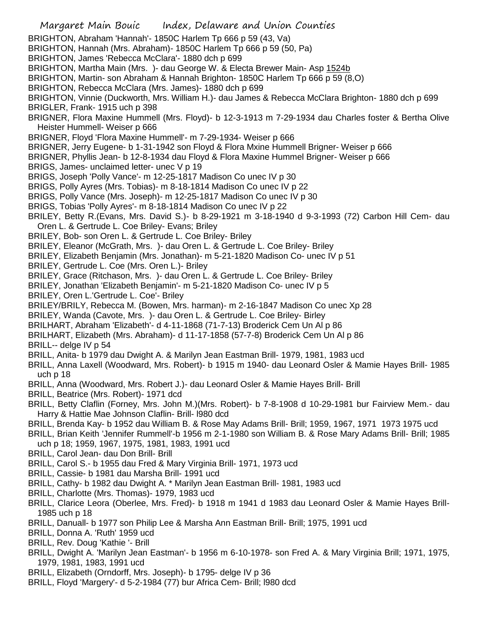Margaret Main Bouic Index, Delaware and Union Counties BRIGHTON, Abraham 'Hannah'- 1850C Harlem Tp 666 p 59 (43, Va) BRIGHTON, Hannah (Mrs. Abraham)- 1850C Harlem Tp 666 p 59 (50, Pa) BRIGHTON, James 'Rebecca McClara'- 1880 dch p 699 BRIGHTON, Martha Main (Mrs.)- dau George W. & Electa Brewer Main- Asp 1524b BRIGHTON, Martin- son Abraham & Hannah Brighton- 1850C Harlem Tp 666 p 59 (8,O) BRIGHTON, Rebecca McClara (Mrs. James)- 1880 dch p 699 BRIGHTON, Vinnie (Duckworth, Mrs. William H.)- dau James & Rebecca McClara Brighton- 1880 dch p 699 BRIGLER, Frank- 1915 uch p 398 BRIGNER, Flora Maxine Hummell (Mrs. Floyd)- b 12-3-1913 m 7-29-1934 dau Charles foster & Bertha Olive Heister Hummell- Weiser p 666 BRIGNER, Floyd 'Flora Maxine Hummell'- m 7-29-1934- Weiser p 666 BRIGNER, Jerry Eugene- b 1-31-1942 son Floyd & Flora Mxine Hummell Brigner- Weiser p 666 BRIGNER, Phyllis Jean- b 12-8-1934 dau Floyd & Flora Maxine Hummel Brigner- Weiser p 666 BRIGS, James- unclaimed letter- unec V p 19 BRIGS, Joseph 'Polly Vance'- m 12-25-1817 Madison Co unec IV p 30 BRIGS, Polly Ayres (Mrs. Tobias)- m 8-18-1814 Madison Co unec IV p 22 BRIGS, Polly Vance (Mrs. Joseph)- m 12-25-1817 Madison Co unec IV p 30 BRIGS, Tobias 'Polly Ayres'- m 8-18-1814 Madison Co unec IV p 22 BRILEY, Betty R.(Evans, Mrs. David S.)- b 8-29-1921 m 3-18-1940 d 9-3-1993 (72) Carbon Hill Cem- dau Oren L. & Gertrude L. Coe Briley- Evans; Briley BRILEY, Bob- son Oren L. & Gertrude L. Coe Briley- Briley BRILEY, Eleanor (McGrath, Mrs. )- dau Oren L. & Gertrude L. Coe Briley- Briley BRILEY, Elizabeth Benjamin (Mrs. Jonathan)- m 5-21-1820 Madison Co- unec IV p 51 BRILEY, Gertrude L. Coe (Mrs. Oren L.)- Briley BRILEY, Grace (Ritchason, Mrs. )- dau Oren L. & Gertrude L. Coe Briley- Briley BRILEY, Jonathan 'Elizabeth Benjamin'- m 5-21-1820 Madison Co- unec IV p 5 BRILEY, Oren L.'Gertrude L. Coe'- Briley BRILEY/BRILY, Rebecca M. (Bowen, Mrs. harman)- m 2-16-1847 Madison Co unec Xp 28 BRILEY, Wanda (Cavote, Mrs. )- dau Oren L. & Gertrude L. Coe Briley- Birley BRILHART, Abraham 'Elizabeth'- d 4-11-1868 (71-7-13) Broderick Cem Un Al p 86 BRILHART, Elizabeth (Mrs. Abraham)- d 11-17-1858 (57-7-8) Broderick Cem Un Al p 86 BRILL-- delge IV p 54 BRILL, Anita- b 1979 dau Dwight A. & Marilyn Jean Eastman Brill- 1979, 1981, 1983 ucd BRILL, Anna Laxell (Woodward, Mrs. Robert)- b 1915 m 1940- dau Leonard Osler & Mamie Hayes Brill- 1985 uch p 18 BRILL, Anna (Woodward, Mrs. Robert J.)- dau Leonard Osler & Mamie Hayes Brill- Brill BRILL, Beatrice (Mrs. Robert)- 1971 dcd BRILL, Betty Claflin (Forney, Mrs. John M.)(Mrs. Robert)- b 7-8-1908 d 10-29-1981 bur Fairview Mem.- dau Harry & Hattie Mae Johnson Claflin- Brill- l980 dcd BRILL, Brenda Kay- b 1952 dau William B. & Rose May Adams Brill- Brill; 1959, 1967, 1971 1973 1975 ucd BRILL, Brian Keith 'Jennifer Rummell'-b 1956 m 2-1-1980 son William B. & Rose Mary Adams Brill- Brill; 1985 uch p 18; 1959, 1967, 1975, 1981, 1983, 1991 ucd BRILL, Carol Jean- dau Don Brill- Brill BRILL, Carol S.- b 1955 dau Fred & Mary Virginia Brill- 1971, 1973 ucd BRILL, Cassie- b 1981 dau Marsha Brill- 1991 ucd BRILL, Cathy- b 1982 dau Dwight A. \* Marilyn Jean Eastman Brill- 1981, 1983 ucd BRILL, Charlotte (Mrs. Thomas)- 1979, 1983 ucd BRILL, Clarice Leora (Oberlee, Mrs. Fred)- b 1918 m 1941 d 1983 dau Leonard Osler & Mamie Hayes Brill-1985 uch p 18 BRILL, Danuall- b 1977 son Philip Lee & Marsha Ann Eastman Brill- Brill; 1975, 1991 ucd BRILL, Donna A. 'Ruth' 1959 ucd BRILL, Rev. Doug 'Kathie '- Brill BRILL, Dwight A. 'Marilyn Jean Eastman'- b 1956 m 6-10-1978- son Fred A. & Mary Virginia Brill; 1971, 1975, 1979, 1981, 1983, 1991 ucd

- BRILL, Elizabeth (Orndorff, Mrs. Joseph)- b 1795- delge IV p 36
- BRILL, Floyd 'Margery'- d 5-2-1984 (77) bur Africa Cem- Brill; l980 dcd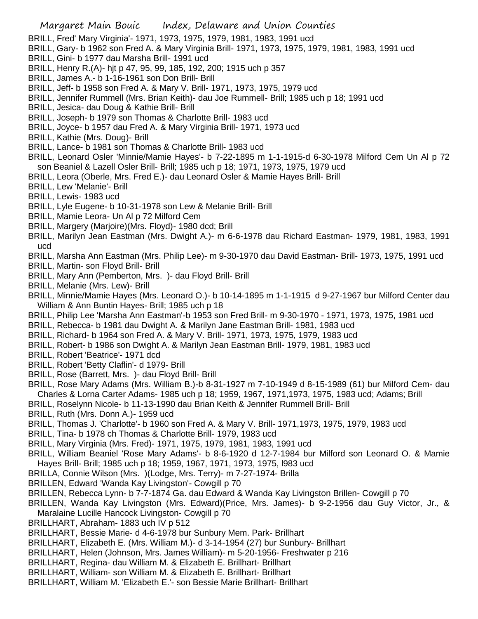- BRILL, Fred' Mary Virginia'- 1971, 1973, 1975, 1979, 1981, 1983, 1991 ucd
- BRILL, Gary- b 1962 son Fred A. & Mary Virginia Brill- 1971, 1973, 1975, 1979, 1981, 1983, 1991 ucd
- BRILL, Gini- b 1977 dau Marsha Brill- 1991 ucd
- BRILL, Henry R.(A)- hjt p 47, 95, 99, 185, 192, 200; 1915 uch p 357
- BRILL, James A.- b 1-16-1961 son Don Brill- Brill
- BRILL, Jeff- b 1958 son Fred A. & Mary V. Brill- 1971, 1973, 1975, 1979 ucd
- BRILL, Jennifer Rummell (Mrs. Brian Keith)- dau Joe Rummell- Brill; 1985 uch p 18; 1991 ucd
- BRILL, Jesica- dau Doug & Kathie Brill- Brill
- BRILL, Joseph- b 1979 son Thomas & Charlotte Brill- 1983 ucd
- BRILL, Joyce- b 1957 dau Fred A. & Mary Virginia Brill- 1971, 1973 ucd
- BRILL, Kathie (Mrs. Doug)- Brill
- BRILL, Lance- b 1981 son Thomas & Charlotte Brill- 1983 ucd
- BRILL, Leonard Osler 'Minnie/Mamie Hayes'- b 7-22-1895 m 1-1-1915-d 6-30-1978 Milford Cem Un Al p 72 son Beaniel & Lazell Osler Brill- Brill; 1985 uch p 18; 1971, 1973, 1975, 1979 ucd
- BRILL, Leora (Oberle, Mrs. Fred E.)- dau Leonard Osler & Mamie Hayes Brill- Brill
- BRILL, Lew 'Melanie'- Brill
- BRILL, Lewis- 1983 ucd
- BRILL, Lyle Eugene- b 10-31-1978 son Lew & Melanie Brill- Brill
- BRILL, Mamie Leora- Un Al p 72 Milford Cem
- BRILL, Margery (Marjoire)(Mrs. Floyd)- 1980 dcd; Brill
- BRILL, Marilyn Jean Eastman (Mrs. Dwight A.)- m 6-6-1978 dau Richard Eastman- 1979, 1981, 1983, 1991 ucd
- BRILL, Marsha Ann Eastman (Mrs. Philip Lee)- m 9-30-1970 dau David Eastman- Brill- 1973, 1975, 1991 ucd
- BRILL, Martin- son Floyd Brill- Brill
- BRILL, Mary Ann (Pemberton, Mrs. )- dau Floyd Brill- Brill
- BRILL, Melanie (Mrs. Lew)- Brill
- BRILL, Minnie/Mamie Hayes (Mrs. Leonard O.)- b 10-14-1895 m 1-1-1915 d 9-27-1967 bur Milford Center dau William & Ann Buntin Hayes- Brill; 1985 uch p 18
- BRILL, Philip Lee 'Marsha Ann Eastman'-b 1953 son Fred Brill- m 9-30-1970 1971, 1973, 1975, 1981 ucd
- BRILL, Rebecca- b 1981 dau Dwight A. & Marilyn Jane Eastman Brill- 1981, 1983 ucd
- BRILL, Richard- b 1964 son Fred A. & Mary V. Brill- 1971, 1973, 1975, 1979, 1983 ucd
- BRILL, Robert- b 1986 son Dwight A. & Marilyn Jean Eastman Brill- 1979, 1981, 1983 ucd
- BRILL, Robert 'Beatrice'- 1971 dcd
- BRILL, Robert 'Betty Claflin'- d 1979- Brill
- BRILL, Rose (Barrett, Mrs. )- dau Floyd Brill- Brill
- BRILL, Rose Mary Adams (Mrs. William B.)-b 8-31-1927 m 7-10-1949 d 8-15-1989 (61) bur Milford Cem- dau Charles & Lorna Carter Adams- 1985 uch p 18; 1959, 1967, 1971,1973, 1975, 1983 ucd; Adams; Brill
- BRILL, Roselynn Nicole- b 11-13-1990 dau Brian Keith & Jennifer Rummell Brill- Brill
- BRILL, Ruth (Mrs. Donn A.)- 1959 ucd
- BRILL, Thomas J. 'Charlotte'- b 1960 son Fred A. & Mary V. Brill- 1971,1973, 1975, 1979, 1983 ucd
- BRILL, Tina- b 1978 ch Thomas & Charlotte Brill- 1979, 1983 ucd
- BRILL, Mary Virginia (Mrs. Fred)- 1971, 1975, 1979, 1981, 1983, 1991 ucd
- BRILL, William Beaniel 'Rose Mary Adams'- b 8-6-1920 d 12-7-1984 bur Milford son Leonard O. & Mamie Hayes Brill- Brill; 1985 uch p 18; 1959, 1967, 1971, 1973, 1975, l983 ucd
- BRILLA, Connie Wilson (Mrs. )(Lodge, Mrs. Terry)- m 7-27-1974- Brilla
- BRILLEN, Edward 'Wanda Kay Livingston'- Cowgill p 70
- BRILLEN, Rebecca Lynn- b 7-7-1874 Ga. dau Edward & Wanda Kay Livingston Brillen- Cowgill p 70
- BRILLEN, Wanda Kay Livingston (Mrs. Edward)(Price, Mrs. James)- b 9-2-1956 dau Guy Victor, Jr., & Maralaine Lucille Hancock Livingston- Cowgill p 70
- BRILLHART, Abraham- 1883 uch IV p 512
- BRILLHART, Bessie Marie- d 4-6-1978 bur Sunbury Mem. Park- Brillhart
- BRILLHART, Elizabeth E. (Mrs. William M.)- d 3-14-1954 (27) bur Sunbury- Brillhart
- BRILLHART, Helen (Johnson, Mrs. James William)- m 5-20-1956- Freshwater p 216
- BRILLHART, Regina- dau William M. & Elizabeth E. Brillhart- Brillhart
- BRILLHART, William- son William M. & Elizabeth E. Brillhart- Brillhart
- BRILLHART, William M. 'Elizabeth E.'- son Bessie Marie Brillhart- Brillhart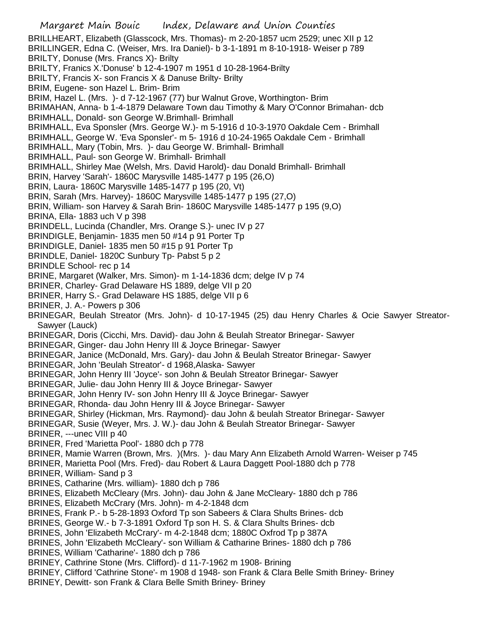Margaret Main Bouic Index, Delaware and Union Counties BRILLHEART, Elizabeth (Glasscock, Mrs. Thomas)- m 2-20-1857 ucm 2529; unec XII p 12 BRILLINGER, Edna C. (Weiser, Mrs. Ira Daniel)- b 3-1-1891 m 8-10-1918- Weiser p 789 BRILTY, Donuse (Mrs. Francs X)- Brilty BRILTY, Franics X.'Donuse' b 12-4-1907 m 1951 d 10-28-1964-Brilty BRILTY, Francis X- son Francis X & Danuse Brilty- Brilty BRIM, Eugene- son Hazel L. Brim- Brim BRIM, Hazel L. (Mrs. )- d 7-12-1967 (77) bur Walnut Grove, Worthington- Brim BRIMAHAN, Anna- b 1-4-1879 Delaware Town dau Timothy & Mary O'Connor Brimahan- dcb BRIMHALL, Donald- son George W.Brimhall- Brimhall BRIMHALL, Eva Sponsler (Mrs. George W.)- m 5-1916 d 10-3-1970 Oakdale Cem - Brimhall BRIMHALL, George W. 'Eva Sponsler'- m 5- 1916 d 10-24-1965 Oakdale Cem - Brimhall BRIMHALL, Mary (Tobin, Mrs. )- dau George W. Brimhall- Brimhall BRIMHALL, Paul- son George W. Brimhall- Brimhall BRIMHALL, Shirley Mae (Welsh, Mrs. David Harold)- dau Donald Brimhall- Brimhall BRIN, Harvey 'Sarah'- 1860C Marysville 1485-1477 p 195 (26,O) BRIN, Laura- 1860C Marysville 1485-1477 p 195 (20, Vt) BRIN, Sarah (Mrs. Harvey)- 1860C Marysville 1485-1477 p 195 (27,O) BRIN, William- son Harvey & Sarah Brin- 1860C Marysville 1485-1477 p 195 (9,O) BRINA, Ella- 1883 uch V p 398 BRINDELL, Lucinda (Chandler, Mrs. Orange S.)- unec IV p 27 BRINDIGLE, Benjamin- 1835 men 50 #14 p 91 Porter Tp BRINDIGLE, Daniel- 1835 men 50 #15 p 91 Porter Tp BRINDLE, Daniel- 1820C Sunbury Tp- Pabst 5 p 2 BRINDLE School- rec p 14 BRINE, Margaret (Walker, Mrs. Simon)- m 1-14-1836 dcm; delge IV p 74 BRINER, Charley- Grad Delaware HS 1889, delge VII p 20 BRINER, Harry S.- Grad Delaware HS 1885, delge VII p 6 BRINER, J. A.- Powers p 306 BRINEGAR, Beulah Streator (Mrs. John)- d 10-17-1945 (25) dau Henry Charles & Ocie Sawyer Streator-Sawyer (Lauck) BRINEGAR, Doris (Cicchi, Mrs. David)- dau John & Beulah Streator Brinegar- Sawyer BRINEGAR, Ginger- dau John Henry III & Joyce Brinegar- Sawyer BRINEGAR, Janice (McDonald, Mrs. Gary)- dau John & Beulah Streator Brinegar- Sawyer BRINEGAR, John 'Beulah Streator'- d 1968,Alaska- Sawyer BRINEGAR, John Henry III 'Joyce'- son John & Beulah Streator Brinegar- Sawyer BRINEGAR, Julie- dau John Henry III & Joyce Brinegar- Sawyer BRINEGAR, John Henry IV- son John Henry III & Joyce Brinegar- Sawyer BRINEGAR, Rhonda- dau John Henry III & Joyce Brinegar- Sawyer BRINEGAR, Shirley (Hickman, Mrs. Raymond)- dau John & beulah Streator Brinegar- Sawyer BRINEGAR, Susie (Weyer, Mrs. J. W.)- dau John & Beulah Streator Brinegar- Sawyer BRINER, ---unec VIII p 40 BRINER, Fred 'Marietta Pool'- 1880 dch p 778 BRINER, Mamie Warren (Brown, Mrs. )(Mrs. )- dau Mary Ann Elizabeth Arnold Warren- Weiser p 745 BRINER, Marietta Pool (Mrs. Fred)- dau Robert & Laura Daggett Pool-1880 dch p 778 BRINER, William- Sand p 3 BRINES, Catharine (Mrs. william)- 1880 dch p 786 BRINES, Elizabeth McCleary (Mrs. John)- dau John & Jane McCleary- 1880 dch p 786 BRINES, Elizabeth McCrary (Mrs. John)- m 4-2-1848 dcm BRINES, Frank P.- b 5-28-1893 Oxford Tp son Sabeers & Clara Shults Brines- dcb BRINES, George W.- b 7-3-1891 Oxford Tp son H. S. & Clara Shults Brines- dcb BRINES, John 'Elizabeth McCrary'- m 4-2-1848 dcm; 1880C Oxfrod Tp p 387A BRINES, John 'Elizabeth McCleary'- son William & Catharine Brines- 1880 dch p 786 BRINES, William 'Catharine'- 1880 dch p 786 BRINEY, Cathrine Stone (Mrs. Clifford)- d 11-7-1962 m 1908- Brining BRINEY, Clifford 'Cathrine Stone'- m 1908 d 1948- son Frank & Clara Belle Smith Briney- Briney BRINEY, Dewitt- son Frank & Clara Belle Smith Briney- Briney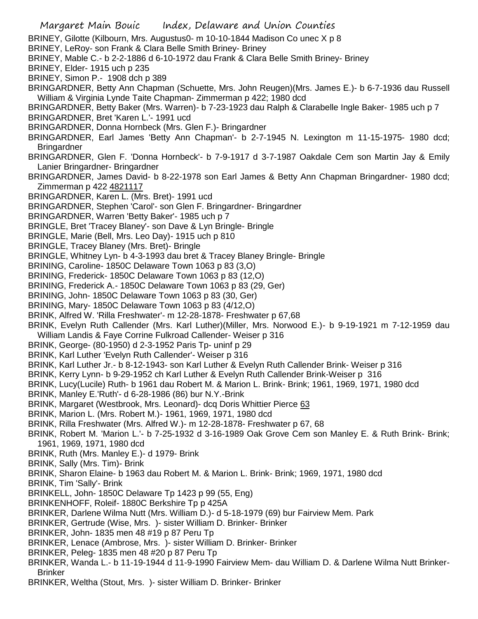BRINEY, Gilotte (Kilbourn, Mrs. Augustus0- m 10-10-1844 Madison Co unec X p 8

- BRINEY, LeRoy- son Frank & Clara Belle Smith Briney- Briney
- BRINEY, Mable C.- b 2-2-1886 d 6-10-1972 dau Frank & Clara Belle Smith Briney- Briney
- BRINEY, Elder- 1915 uch p 235
- BRINEY, Simon P.- 1908 dch p 389
- BRINGARDNER, Betty Ann Chapman (Schuette, Mrs. John Reugen)(Mrs. James E.)- b 6-7-1936 dau Russell William & Virginia Lynde Taite Chapman- Zimmerman p 422; 1980 dcd
- BRINGARDNER, Betty Baker (Mrs. Warren)- b 7-23-1923 dau Ralph & Clarabelle Ingle Baker- 1985 uch p 7
- BRINGARDNER, Bret 'Karen L.'- 1991 ucd
- BRINGARDNER, Donna Hornbeck (Mrs. Glen F.)- Bringardner
- BRINGARDNER, Earl James 'Betty Ann Chapman'- b 2-7-1945 N. Lexington m 11-15-1975- 1980 dcd; Bringardner
- BRINGARDNER, Glen F. 'Donna Hornbeck'- b 7-9-1917 d 3-7-1987 Oakdale Cem son Martin Jay & Emily Lanier Bringardner- Bringardner
- BRINGARDNER, James David- b 8-22-1978 son Earl James & Betty Ann Chapman Bringardner- 1980 dcd; Zimmerman p 422 4821117
- BRINGARDNER, Karen L. (Mrs. Bret)- 1991 ucd
- BRINGARDNER, Stephen 'Carol'- son Glen F. Bringardner- Bringardner
- BRINGARDNER, Warren 'Betty Baker'- 1985 uch p 7
- BRINGLE, Bret 'Tracey Blaney'- son Dave & Lyn Bringle- Bringle
- BRINGLE, Marie (Bell, Mrs. Leo Day)- 1915 uch p 810
- BRINGLE, Tracey Blaney (Mrs. Bret)- Bringle
- BRINGLE, Whitney Lyn- b 4-3-1993 dau bret & Tracey Blaney Bringle- Bringle
- BRINING, Caroline- 1850C Delaware Town 1063 p 83 (3,O)
- BRINING, Frederick- 1850C Delaware Town 1063 p 83 (12,O)
- BRINING, Frederick A.- 1850C Delaware Town 1063 p 83 (29, Ger)
- BRINING, John- 1850C Delaware Town 1063 p 83 (30, Ger)
- BRINING, Mary- 1850C Delaware Town 1063 p 83 (4/12,O)
- BRINK, Alfred W. 'Rilla Freshwater'- m 12-28-1878- Freshwater p 67,68
- BRINK, Evelyn Ruth Callender (Mrs. Karl Luther)(Miller, Mrs. Norwood E.)- b 9-19-1921 m 7-12-1959 dau William Landis & Faye Corrine Fulkroad Callender- Weiser p 316
- BRINK, George- (80-1950) d 2-3-1952 Paris Tp- uninf p 29
- BRINK, Karl Luther 'Evelyn Ruth Callender'- Weiser p 316
- BRINK, Karl Luther Jr.- b 8-12-1943- son Karl Luther & Evelyn Ruth Callender Brink- Weiser p 316
- BRINK, Kerry Lynn- b 9-29-1952 ch Karl Luther & Evelyn Ruth Callender Brink-Weiser p 316
- BRINK, Lucy(Lucile) Ruth- b 1961 dau Robert M. & Marion L. Brink- Brink; 1961, 1969, 1971, 1980 dcd
- BRINK, Manley E.'Ruth'- d 6-28-1986 (86) bur N.Y.-Brink
- BRINK, Margaret (Westbrook, Mrs. Leonard)- dcq Doris Whittier Pierce 63
- BRINK, Marion L. (Mrs. Robert M.)- 1961, 1969, 1971, 1980 dcd
- BRINK, Rilla Freshwater (Mrs. Alfred W.)- m 12-28-1878- Freshwater p 67, 68
- BRINK, Robert M. 'Marion L.'- b 7-25-1932 d 3-16-1989 Oak Grove Cem son Manley E. & Ruth Brink- Brink; 1961, 1969, 1971, 1980 dcd
- BRINK, Ruth (Mrs. Manley E.)- d 1979- Brink
- BRINK, Sally (Mrs. Tim)- Brink
- BRINK, Sharon Elaine- b 1963 dau Robert M. & Marion L. Brink- Brink; 1969, 1971, 1980 dcd
- BRINK, Tim 'Sally'- Brink
- BRINKELL, John- 1850C Delaware Tp 1423 p 99 (55, Eng)
- BRINKENHOFF, Roleif- 1880C Berkshire Tp p 425A
- BRINKER, Darlene Wilma Nutt (Mrs. William D.)- d 5-18-1979 (69) bur Fairview Mem. Park
- BRINKER, Gertrude (Wise, Mrs. )- sister William D. Brinker- Brinker
- BRINKER, John- 1835 men 48 #19 p 87 Peru Tp
- BRINKER, Lenace (Ambrose, Mrs. )- sister William D. Brinker- Brinker
- BRINKER, Peleg- 1835 men 48 #20 p 87 Peru Tp
- BRINKER, Wanda L.- b 11-19-1944 d 11-9-1990 Fairview Mem- dau William D. & Darlene Wilma Nutt Brinker-Brinker
- BRINKER, Weltha (Stout, Mrs. )- sister William D. Brinker- Brinker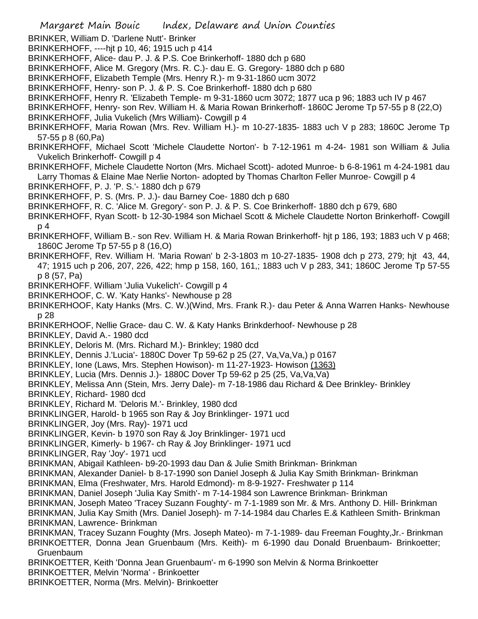Margaret Main Bouic Index, Delaware and Union Counties BRINKER, William D. 'Darlene Nutt'- Brinker BRINKERHOFF, ----hjt p 10, 46; 1915 uch p 414 BRINKERHOFF, Alice- dau P. J. & P.S. Coe Brinkerhoff- 1880 dch p 680 BRINKERHOFF, Alice M. Gregory (Mrs. R. C.)- dau E. G. Gregory- 1880 dch p 680 BRINKERHOFF, Elizabeth Temple (Mrs. Henry R.)- m 9-31-1860 ucm 3072 BRINKERHOFF, Henry- son P. J. & P. S. Coe Brinkerhoff- 1880 dch p 680 BRINKERHOFF, Henry R. 'Elizabeth Temple- m 9-31-1860 ucm 3072; 1877 uca p 96; 1883 uch IV p 467 BRINKERHOFF, Henry- son Rev. William H. & Maria Rowan Brinkerhoff- 1860C Jerome Tp 57-55 p 8 (22,O) BRINKERHOFF, Julia Vukelich (Mrs William)- Cowgill p 4 BRINKERHOFF, Maria Rowan (Mrs. Rev. William H.)- m 10-27-1835- 1883 uch V p 283; 1860C Jerome Tp 57-55 p 8 (60,Pa) BRINKERHOFF, Michael Scott 'Michele Claudette Norton'- b 7-12-1961 m 4-24- 1981 son William & Julia Vukelich Brinkerhoff- Cowgill p 4 BRINKERHOFF, Michele Claudette Norton (Mrs. Michael Scott)- adoted Munroe- b 6-8-1961 m 4-24-1981 dau Larry Thomas & Elaine Mae Nerlie Norton- adopted by Thomas Charlton Feller Munroe- Cowgill p 4 BRINKERHOFF, P. J. 'P. S.'- 1880 dch p 679 BRINKERHOFF, P. S. (Mrs. P. J.)- dau Barney Coe- 1880 dch p 680 BRINKERHOFF, R. C. 'Alice M. Gregory'- son P. J. & P. S. Coe Brinkerhoff- 1880 dch p 679, 680 BRINKERHOFF, Ryan Scott- b 12-30-1984 son Michael Scott & Michele Claudette Norton Brinkerhoff- Cowgill p 4 BRINKERHOFF, William B.- son Rev. William H. & Maria Rowan Brinkerhoff- hjt p 186, 193; 1883 uch V p 468; 1860C Jerome Tp 57-55 p 8 (16,O) BRINKERHOFF, Rev. William H. 'Maria Rowan' b 2-3-1803 m 10-27-1835- 1908 dch p 273, 279; hjt 43, 44, 47; 1915 uch p 206, 207, 226, 422; hmp p 158, 160, 161,; 1883 uch V p 283, 341; 1860C Jerome Tp 57-55 p 8 (57, Pa) BRINKERHOFF. William 'Julia Vukelich'- Cowgill p 4 BRINKERHOOF, C. W. 'Katy Hanks'- Newhouse p 28 BRINKERHOOF, Katy Hanks (Mrs. C. W.)(Wind, Mrs. Frank R.)- dau Peter & Anna Warren Hanks- Newhouse p 28 BRINKERHOOF, Nellie Grace- dau C. W. & Katy Hanks Brinkderhoof- Newhouse p 28 BRINKLEY, David A.- 1980 dcd BRINKLEY, Deloris M. (Mrs. Richard M.)- Brinkley; 1980 dcd BRINKLEY, Dennis J.'Lucia'- 1880C Dover Tp 59-62 p 25 (27, Va,Va,Va,) p 0167 BRINKLEY, Ione (Laws, Mrs. Stephen Howison)- m 11-27-1923- Howison (1363) BRINKLEY, Lucia (Mrs. Dennis J.)- 1880C Dover Tp 59-62 p 25 (25, Va,Va,Va) BRINKLEY, Melissa Ann (Stein, Mrs. Jerry Dale)- m 7-18-1986 dau Richard & Dee Brinkley- Brinkley BRINKLEY, Richard- 1980 dcd BRINKLEY, Richard M. 'Deloris M.'- Brinkley, 1980 dcd BRINKLINGER, Harold- b 1965 son Ray & Joy Brinklinger- 1971 ucd BRINKLINGER, Joy (Mrs. Ray)- 1971 ucd BRINKLINGER, Kevin- b 1970 son Ray & Joy Brinklinger- 1971 ucd BRINKLINGER, Kimerly- b 1967- ch Ray & Joy Brinklinger- 1971 ucd BRINKLINGER, Ray 'Joy'- 1971 ucd BRINKMAN, Abigail Kathleen- b9-20-1993 dau Dan & Julie Smith Brinkman- Brinkman BRINKMAN, Alexander Daniel- b 8-17-1990 son Daniel Joseph & Julia Kay Smith Brinkman- Brinkman BRINKMAN, Elma (Freshwater, Mrs. Harold Edmond)- m 8-9-1927- Freshwater p 114 BRINKMAN, Daniel Joseph 'Julia Kay Smith'- m 7-14-1984 son Lawrence Brinkman- Brinkman BRINKMAN, Joseph Mateo 'Tracey Suzann Foughty'- m 7-1-1989 son Mr. & Mrs. Anthony D. Hill- Brinkman BRINKMAN, Julia Kay Smith (Mrs. Daniel Joseph)- m 7-14-1984 dau Charles E.& Kathleen Smith- Brinkman BRINKMAN, Lawrence- Brinkman BRINKMAN, Tracey Suzann Foughty (Mrs. Joseph Mateo)- m 7-1-1989- dau Freeman Foughty,Jr.- Brinkman BRINKOETTER, Donna Jean Gruenbaum (Mrs. Keith)- m 6-1990 dau Donald Bruenbaum- Brinkoetter; Gruenbaum BRINKOETTER, Keith 'Donna Jean Gruenbaum'- m 6-1990 son Melvin & Norma Brinkoetter BRINKOETTER, Melvin 'Norma' - Brinkoetter BRINKOETTER, Norma (Mrs. Melvin)- Brinkoetter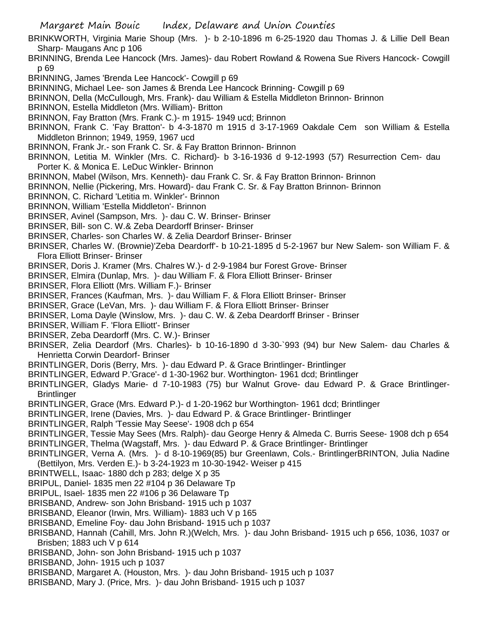BRINKWORTH, Virginia Marie Shoup (Mrs. )- b 2-10-1896 m 6-25-1920 dau Thomas J. & Lillie Dell Bean Sharp- Maugans Anc p 106

BRINNING, Brenda Lee Hancock (Mrs. James)- dau Robert Rowland & Rowena Sue Rivers Hancock- Cowgill p 69

BRINNING, James 'Brenda Lee Hancock'- Cowgill p 69

BRINNING, Michael Lee- son James & Brenda Lee Hancock Brinning- Cowgill p 69

BRINNON, Della (McCullough, Mrs. Frank)- dau William & Estella Middleton Brinnon- Brinnon

BRINNON, Estella Middleton (Mrs. William)- Britton

BRINNON, Fay Bratton (Mrs. Frank C.)- m 1915- 1949 ucd; Brinnon

- BRINNON, Frank C. 'Fay Bratton'- b 4-3-1870 m 1915 d 3-17-1969 Oakdale Cem son William & Estella Middleton Brinnon; 1949, 1959, 1967 ucd
- BRINNON, Frank Jr.- son Frank C. Sr. & Fay Bratton Brinnon- Brinnon
- BRINNON, Letitia M. Winkler (Mrs. C. Richard)- b 3-16-1936 d 9-12-1993 (57) Resurrection Cem- dau Porter K. & Monica E. LeDuc Winkler- Brinnon
- BRINNON, Mabel (Wilson, Mrs. Kenneth)- dau Frank C. Sr. & Fay Bratton Brinnon- Brinnon
- BRINNON, Nellie (Pickering, Mrs. Howard)- dau Frank C. Sr. & Fay Bratton Brinnon- Brinnon
- BRINNON, C. Richard 'Letitia m. Winkler'- Brinnon
- BRINNON, William 'Estella Middleton'- Brinnon
- BRINSER, Avinel (Sampson, Mrs. )- dau C. W. Brinser- Brinser
- BRINSER, Bill- son C. W.& Zeba Deardorff Brinser- Brinser
- BRINSER, Charles- son Charles W. & Zelia Deardorf Brinser- Brinser
- BRINSER, Charles W. (Brownie)'Zeba Deardorff'- b 10-21-1895 d 5-2-1967 bur New Salem- son William F. & Flora Elliott Brinser- Brinser
- BRINSER, Doris J. Kramer (Mrs. Chalres W.)- d 2-9-1984 bur Forest Grove- Brinser
- BRINSER, Elmira (Dunlap, Mrs. )- dau William F. & Flora Elliott Brinser- Brinser
- BRINSER, Flora Elliott (Mrs. William F.)- Brinser
- BRINSER, Frances (Kaufman, Mrs. )- dau William F. & Flora Elliott Brinser- Brinser
- BRINSER, Grace (LeVan, Mrs. )- dau William F. & Flora Elliott Brinser- Brinser
- BRINSER, Loma Dayle (Winslow, Mrs. )- dau C. W. & Zeba Deardorff Brinser Brinser
- BRINSER, William F. 'Flora Elliott'- Brinser
- BRINSER, Zeba Deardorff (Mrs. C. W.)- Brinser
- BRINSER, Zelia Deardorf (Mrs. Charles)- b 10-16-1890 d 3-30-`993 (94) bur New Salem- dau Charles & Henrietta Corwin Deardorf- Brinser
- BRINTLINGER, Doris (Berry, Mrs. )- dau Edward P. & Grace Brintlinger- Brintlinger
- BRINTLINGER, Edward P.'Grace'- d 1-30-1962 bur. Worthington- 1961 dcd; Brintlinger
- BRINTLINGER, Gladys Marie- d 7-10-1983 (75) bur Walnut Grove- dau Edward P. & Grace Brintlinger-**Brintlinger**
- BRINTLINGER, Grace (Mrs. Edward P.)- d 1-20-1962 bur Worthington- 1961 dcd; Brintlinger
- BRINTLINGER, Irene (Davies, Mrs. )- dau Edward P. & Grace Brintlinger- Brintlinger
- BRINTLINGER, Ralph 'Tessie May Seese'- 1908 dch p 654
- BRINTLINGER, Tessie May Sees (Mrs. Ralph)- dau George Henry & Almeda C. Burris Seese- 1908 dch p 654 BRINTLINGER, Thelma (Wagstaff, Mrs. )- dau Edward P. & Grace Brintlinger- Brintlinger
- BRINTLINGER, Verna A. (Mrs. )- d 8-10-1969(85) bur Greenlawn, Cols.- BrintlingerBRINTON, Julia Nadine (Bettilyon, Mrs. Verden E.)- b 3-24-1923 m 10-30-1942- Weiser p 415
- BRINTWELL, Isaac- 1880 dch p 283; delge X p 35
- BRIPUL, Daniel- 1835 men 22 #104 p 36 Delaware Tp
- BRIPUL, Isael- 1835 men 22 #106 p 36 Delaware Tp
- BRISBAND, Andrew- son John Brisband- 1915 uch p 1037
- BRISBAND, Eleanor (Irwin, Mrs. William)- 1883 uch V p 165
- BRISBAND, Emeline Foy- dau John Brisband- 1915 uch p 1037
- BRISBAND, Hannah (Cahill, Mrs. John R.)(Welch, Mrs. )- dau John Brisband- 1915 uch p 656, 1036, 1037 or Brisben; 1883 uch V p 614
- BRISBAND, John- son John Brisband- 1915 uch p 1037
- BRISBAND, John- 1915 uch p 1037
- BRISBAND, Margaret A. (Houston, Mrs. )- dau John Brisband- 1915 uch p 1037
- BRISBAND, Mary J. (Price, Mrs. )- dau John Brisband- 1915 uch p 1037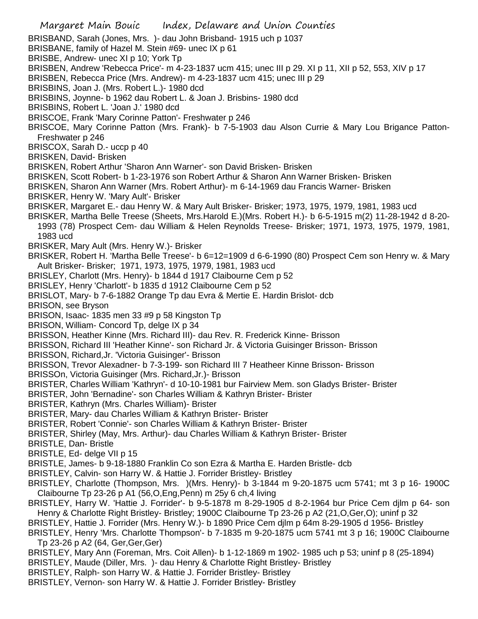BRISBAND, Sarah (Jones, Mrs. )- dau John Brisband- 1915 uch p 1037

BRISBANE, family of Hazel M. Stein #69- unec IX p 61

BRISBE, Andrew- unec XI p 10; York Tp

BRISBEN, Andrew 'Rebecca Price'- m 4-23-1837 ucm 415; unec III p 29. XI p 11, XII p 52, 553, XIV p 17

BRISBEN, Rebecca Price (Mrs. Andrew)- m 4-23-1837 ucm 415; unec III p 29

BRISBINS, Joan J. (Mrs. Robert L.)- 1980 dcd

BRISBINS, Joynne- b 1962 dau Robert L. & Joan J. Brisbins- 1980 dcd

BRISBINS, Robert L. 'Joan J.' 1980 dcd

BRISCOE, Frank 'Mary Corinne Patton'- Freshwater p 246

BRISCOE, Mary Corinne Patton (Mrs. Frank)- b 7-5-1903 dau Alson Currie & Mary Lou Brigance Patton-Freshwater p 246

BRISCOX, Sarah D.- uccp p 40

BRISKEN, David- Brisken

BRISKEN, Robert Arthur 'Sharon Ann Warner'- son David Brisken- Brisken

BRISKEN, Scott Robert- b 1-23-1976 son Robert Arthur & Sharon Ann Warner Brisken- Brisken

BRISKEN, Sharon Ann Warner (Mrs. Robert Arthur)- m 6-14-1969 dau Francis Warner- Brisken

BRISKER, Henry W. 'Mary Ault'- Brisker

BRISKER, Margaret E.- dau Henry W. & Mary Ault Brisker- Brisker; 1973, 1975, 1979, 1981, 1983 ucd

BRISKER, Martha Belle Treese (Sheets, Mrs.Harold E.)(Mrs. Robert H.)- b 6-5-1915 m(2) 11-28-1942 d 8-20-

1993 (78) Prospect Cem- dau William & Helen Reynolds Treese- Brisker; 1971, 1973, 1975, 1979, 1981, 1983 ucd

BRISKER, Mary Ault (Mrs. Henry W.)- Brisker

BRISKER, Robert H. 'Martha Belle Treese'- b 6=12=1909 d 6-6-1990 (80) Prospect Cem son Henry w. & Mary Ault Brisker- Brisker; 1971, 1973, 1975, 1979, 1981, 1983 ucd

BRISLEY, Charlott (Mrs. Henry)- b 1844 d 1917 Claibourne Cem p 52

BRISLEY, Henry 'Charlott'- b 1835 d 1912 Claibourne Cem p 52

BRISLOT, Mary- b 7-6-1882 Orange Tp dau Evra & Mertie E. Hardin Brislot- dcb

BRISON, see Bryson

BRISON, Isaac- 1835 men 33 #9 p 58 Kingston Tp

BRISON, William- Concord Tp, delge IX p 34

BRISSON, Heather Kinne (Mrs. Richard III)- dau Rev. R. Frederick Kinne- Brisson

BRISSON, Richard III 'Heather Kinne'- son Richard Jr. & Victoria Guisinger Brisson- Brisson

BRISSON, Richard,Jr. 'Victoria Guisinger'- Brisson

BRISSON, Trevor Alexadner- b 7-3-199- son Richard III 7 Heatheer Kinne Brisson- Brisson

BRISSOn, Victoria Guisinger (Mrs. Richard,Jr.)- Brisson

BRISTER, Charles William 'Kathryn'- d 10-10-1981 bur Fairview Mem. son Gladys Brister- Brister

BRISTER, John 'Bernadine'- son Charles William & Kathryn Brister- Brister

BRISTER, Kathryn (Mrs. Charles William)- Brister

BRISTER, Mary- dau Charles William & Kathryn Brister- Brister

BRISTER, Robert 'Connie'- son Charles William & Kathryn Brister- Brister

BRISTER, Shirley (May, Mrs. Arthur)- dau Charles William & Kathryn Brister- Brister

BRISTLE, Dan- Bristle

BRISTLE, Ed- delge VII p 15

BRISTLE, James- b 9-18-1880 Franklin Co son Ezra & Martha E. Harden Bristle- dcb

BRISTLEY, Calvin- son Harry W. & Hattie J. Forrider Bristley- Bristley

BRISTLEY, Charlotte (Thompson, Mrs. )(Mrs. Henry)- b 3-1844 m 9-20-1875 ucm 5741; mt 3 p 16- 1900C Claibourne Tp 23-26 p A1 (56,O,Eng,Penn) m 25y 6 ch,4 living

BRISTLEY, Harry W. 'Hattie J. Forrider'- b 9-5-1878 m 8-29-1905 d 8-2-1964 bur Price Cem djlm p 64- son Henry & Charlotte Right Bristley- Bristley; 1900C Claibourne Tp 23-26 p A2 (21,O,Ger,O); uninf p 32

BRISTLEY, Hattie J. Forrider (Mrs. Henry W.)- b 1890 Price Cem djlm p 64m 8-29-1905 d 1956- Bristley

BRISTLEY, Henry 'Mrs. Charlotte Thompson'- b 7-1835 m 9-20-1875 ucm 5741 mt 3 p 16; 1900C Claibourne Tp 23-26 p A2 (64, Ger,Ger,Ger)

BRISTLEY, Mary Ann (Foreman, Mrs. Coit Allen)- b 1-12-1869 m 1902- 1985 uch p 53; uninf p 8 (25-1894)

BRISTLEY, Maude (Diller, Mrs. )- dau Henry & Charlotte Right Bristley- Bristley

BRISTLEY, Ralph- son Harry W. & Hattie J. Forrider Bristley- Bristley

BRISTLEY, Vernon- son Harry W. & Hattie J. Forrider Bristley- Bristley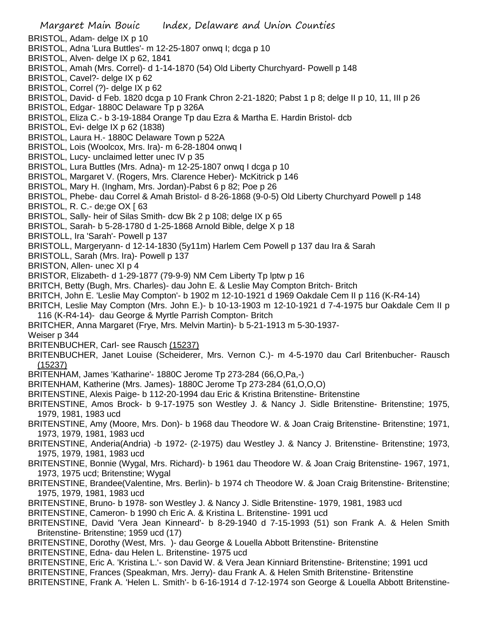- BRISTOL, Adam- delge IX p 10
- BRISTOL, Adna 'Lura Buttles'- m 12-25-1807 onwq I; dcga p 10
- BRISTOL, Alven- delge IX p 62, 1841
- BRISTOL, Amah (Mrs. Correl)- d 1-14-1870 (54) Old Liberty Churchyard- Powell p 148
- BRISTOL, Cavel?- delge IX p 62
- BRISTOL, Correl (?)- delge IX p 62
- BRISTOL, David- d Feb. 1820 dcga p 10 Frank Chron 2-21-1820; Pabst 1 p 8; delge II p 10, 11, III p 26
- BRISTOL, Edgar- 1880C Delaware Tp p 326A
- BRISTOL, Eliza C.- b 3-19-1884 Orange Tp dau Ezra & Martha E. Hardin Bristol- dcb
- BRISTOL, Evi- delge IX p 62 (1838)
- BRISTOL, Laura H.- 1880C Delaware Town p 522A
- BRISTOL, Lois (Woolcox, Mrs. Ira)- m 6-28-1804 onwq I
- BRISTOL, Lucy- unclaimed letter unec IV p 35
- BRISTOL, Lura Buttles (Mrs. Adna)- m 12-25-1807 onwq I dcga p 10
- BRISTOL, Margaret V. (Rogers, Mrs. Clarence Heber)- McKitrick p 146
- BRISTOL, Mary H. (Ingham, Mrs. Jordan)-Pabst 6 p 82; Poe p 26
- BRISTOL, Phebe- dau Correl & Amah Bristol- d 8-26-1868 (9-0-5) Old Liberty Churchyard Powell p 148
- BRISTOL, R. C.- de;ge OX [ 63
- BRISTOL, Sally- heir of Silas Smith- dcw Bk 2 p 108; delge IX p 65
- BRISTOL, Sarah- b 5-28-1780 d 1-25-1868 Arnold Bible, delge X p 18
- BRISTOLL, Ira 'Sarah'- Powell p 137
- BRISTOLL, Margeryann- d 12-14-1830 (5y11m) Harlem Cem Powell p 137 dau Ira & Sarah
- BRISTOLL, Sarah (Mrs. Ira)- Powell p 137
- BRISTON, Allen- unec XI p 4
- BRISTOR, Elizabeth- d 1-29-1877 (79-9-9) NM Cem Liberty Tp lptw p 16
- BRITCH, Betty (Bugh, Mrs. Charles)- dau John E. & Leslie May Compton Britch- Britch
- BRITCH, John E. 'Leslie May Compton'- b 1902 m 12-10-1921 d 1969 Oakdale Cem II p 116 (K-R4-14)
- BRITCH, Leslie May Compton (Mrs. John E.)- b 10-13-1903 m 12-10-1921 d 7-4-1975 bur Oakdale Cem II p 116 (K-R4-14)- dau George & Myrtle Parrish Compton- Britch
- BRITCHER, Anna Margaret (Frye, Mrs. Melvin Martin)- b 5-21-1913 m 5-30-1937-
- Weiser p 344
- BRITENBUCHER, Carl- see Rausch (15237)
- BRITENBUCHER, Janet Louise (Scheiderer, Mrs. Vernon C.)- m 4-5-1970 dau Carl Britenbucher- Rausch (15237)
- BRITENHAM, James 'Katharine'- 1880C Jerome Tp 273-284 (66,O,Pa,-)
- BRITENHAM, Katherine (Mrs. James)- 1880C Jerome Tp 273-284 (61,O,O,O)
- BRITENSTINE, Alexis Paige- b 112-20-1994 dau Eric & Kristina Britenstine- Britenstine
- BRITENSTINE, Amos Brock- b 9-17-1975 son Westley J. & Nancy J. Sidle Britenstine- Britenstine; 1975, 1979, 1981, 1983 ucd
- BRITENSTINE, Amy (Moore, Mrs. Don)- b 1968 dau Theodore W. & Joan Craig Britenstine- Britenstine; 1971, 1973, 1979, 1981, 1983 ucd
- BRITENSTINE, Anderia(Andria) -b 1972- (2-1975) dau Westley J. & Nancy J. Britenstine- Britenstine; 1973, 1975, 1979, 1981, 1983 ucd
- BRITENSTINE, Bonnie (Wygal, Mrs. Richard)- b 1961 dau Theodore W. & Joan Craig Britenstine- 1967, 1971, 1973, 1975 ucd; Britenstine; Wygal
- BRITENSTINE, Brandee(Valentine, Mrs. Berlin)- b 1974 ch Theodore W. & Joan Craig Britenstine- Britenstine; 1975, 1979, 1981, 1983 ucd
- BRITENSTINE, Bruno- b 1978- son Westley J. & Nancy J. Sidle Britenstine- 1979, 1981, 1983 ucd
- BRITENSTINE, Cameron- b 1990 ch Eric A. & Kristina L. Britenstine- 1991 ucd
- BRITENSTINE, David 'Vera Jean Kinneard'- b 8-29-1940 d 7-15-1993 (51) son Frank A. & Helen Smith Britenstine- Britenstine; 1959 ucd (17)
- BRITENSTINE, Dorothy (West, Mrs. )- dau George & Louella Abbott Britenstine- Britenstine
- BRITENSTINE, Edna- dau Helen L. Britenstine- 1975 ucd
- BRITENSTINE, Eric A. 'Kristina L.'- son David W. & Vera Jean Kinniard Britenstine- Britenstine; 1991 ucd
- BRITENSTINE, Frances (Speakman, Mrs. Jerry)- dau Frank A. & Helen Smith Britenstine- Britenstine
- BRITENSTINE, Frank A. 'Helen L. Smith'- b 6-16-1914 d 7-12-1974 son George & Louella Abbott Britenstine-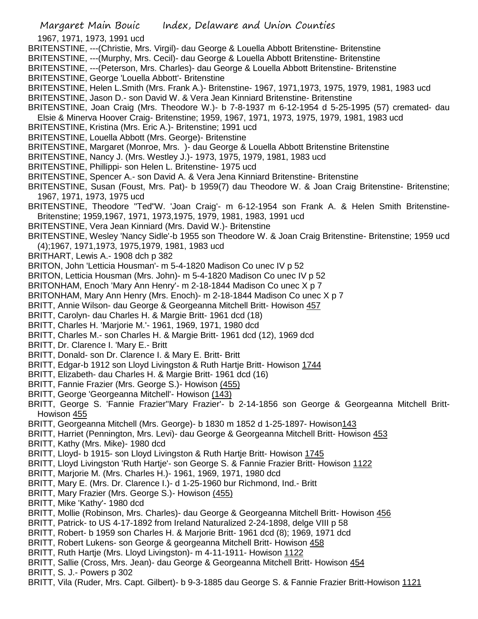1967, 1971, 1973, 1991 ucd

- BRITENSTINE, ---(Christie, Mrs. Virgil)- dau George & Louella Abbott Britenstine- Britenstine
- BRITENSTINE, ---(Murphy, Mrs. Cecil)- dau George & Louella Abbott Britenstine- Britenstine

BRITENSTINE, ---(Peterson, Mrs. Charles)- dau George & Louella Abbott Britenstine- Britenstine

- BRITENSTINE, George 'Louella Abbott'- Britenstine
- BRITENSTINE, Helen L.Smith (Mrs. Frank A.)- Britenstine- 1967, 1971,1973, 1975, 1979, 1981, 1983 ucd
- BRITENSTINE, Jason D.- son David W. & Vera Jean Kinniard Britenstine- Britenstine
- BRITENSTINE, Joan Craig (Mrs. Theodore W.)- b 7-8-1937 m 6-12-1954 d 5-25-1995 (57) cremated- dau Elsie & Minerva Hoover Craig- Britenstine; 1959, 1967, 1971, 1973, 1975, 1979, 1981, 1983 ucd
- BRITENSTINE, Kristina (Mrs. Eric A.)- Britenstine; 1991 ucd
- BRITENSTINE, Louella Abbott (Mrs. George)- Britenstine
- BRITENSTINE, Margaret (Monroe, Mrs. )- dau George & Louella Abbott Britenstine Britenstine
- BRITENSTINE, Nancy J. (Mrs. Westley J.)- 1973, 1975, 1979, 1981, 1983 ucd
- BRITENSTINE, Phillippi- son Helen L. Britenstine- 1975 ucd
- BRITENSTINE, Spencer A.- son David A. & Vera Jena Kinniard Britenstine- Britenstine
- BRITENSTINE, Susan (Foust, Mrs. Pat)- b 1959(7) dau Theodore W. & Joan Craig Britenstine- Britenstine; 1967, 1971, 1973, 1975 ucd
- BRITENSTINE, Theodore "Ted"W. 'Joan Craig'- m 6-12-1954 son Frank A. & Helen Smith Britenstine-Britenstine; 1959,1967, 1971, 1973,1975, 1979, 1981, 1983, 1991 ucd
- BRITENSTINE, Vera Jean Kinniard (Mrs. David W.)- Britenstine
- BRITENSTINE, Wesley 'Nancy Sidle'-b 1955 son Theodore W. & Joan Craig Britenstine- Britenstine; 1959 ucd (4);1967, 1971,1973, 1975,1979, 1981, 1983 ucd
- BRITHART, Lewis A.- 1908 dch p 382
- BRITON, John 'Letticia Housman'- m 5-4-1820 Madison Co unec IV p 52
- BRITON, Letticia Housman (Mrs. John)- m 5-4-1820 Madison Co unec IV p 52
- BRITONHAM, Enoch 'Mary Ann Henry'- m 2-18-1844 Madison Co unec X p 7
- BRITONHAM, Mary Ann Henry (Mrs. Enoch)- m 2-18-1844 Madison Co unec X p 7
- BRITT, Annie Wilson- dau George & Georgeanna Mitchell Britt- Howison 457
- BRITT, Carolyn- dau Charles H. & Margie Britt- 1961 dcd (18)
- BRITT, Charles H. 'Marjorie M.'- 1961, 1969, 1971, 1980 dcd
- BRITT, Charles M.- son Charles H. & Margie Britt- 1961 dcd (12), 1969 dcd
- BRITT, Dr. Clarence I. 'Mary E.- Britt
- BRITT, Donald- son Dr. Clarence I. & Mary E. Britt- Britt
- BRITT, Edgar-b 1912 son Lloyd Livingston & Ruth Hartje Britt- Howison 1744
- BRITT, Elizabeth- dau Charles H. & Margie Britt- 1961 dcd (16)
- BRITT, Fannie Frazier (Mrs. George S.)- Howison (455)
- BRITT, George 'Georgeanna Mitchell'- Howison (143)
- BRITT, George S. 'Fannie Frazier''Mary Frazier'- b 2-14-1856 son George & Georgeanna Mitchell Britt-Howison 455
- BRITT, Georgeanna Mitchell (Mrs. George)- b 1830 m 1852 d 1-25-1897- Howison143
- BRITT, Harriet (Pennington, Mrs. Levi)- dau George & Georgeanna Mitchell Britt- Howison 453
- BRITT, Kathy (Mrs. Mike)- 1980 dcd
- BRITT, Lloyd- b 1915- son Lloyd Livingston & Ruth Hartje Britt- Howison 1745
- BRITT, Lloyd Livingston 'Ruth Hartje'- son George S. & Fannie Frazier Britt- Howison 1122
- BRITT, Marjorie M. (Mrs. Charles H.)- 1961, 1969, 1971, 1980 dcd
- BRITT, Mary E. (Mrs. Dr. Clarence I.)- d 1-25-1960 bur Richmond, Ind.- Britt
- BRITT, Mary Frazier (Mrs. George S.) Howison (455)
- BRITT, Mike 'Kathy'- 1980 dcd
- BRITT, Mollie (Robinson, Mrs. Charles)- dau George & Georgeanna Mitchell Britt- Howison 456
- BRITT, Patrick- to US 4-17-1892 from Ireland Naturalized 2-24-1898, delge VIII p 58
- BRITT, Robert- b 1959 son Charles H. & Marjorie Britt- 1961 dcd (8); 1969, 1971 dcd
- BRITT, Robert Lukens- son George & georgeanna Mitchell Britt- Howison 458
- BRITT, Ruth Hartje (Mrs. Lloyd Livingston)- m 4-11-1911- Howison 1122
- BRITT, Sallie (Cross, Mrs. Jean)- dau George & Georgeanna Mitchell Britt- Howison 454
- BRITT, S. J.- Powers p 302
- BRITT, Vila (Ruder, Mrs. Capt. Gilbert)- b 9-3-1885 dau George S. & Fannie Frazier Britt-Howison 1121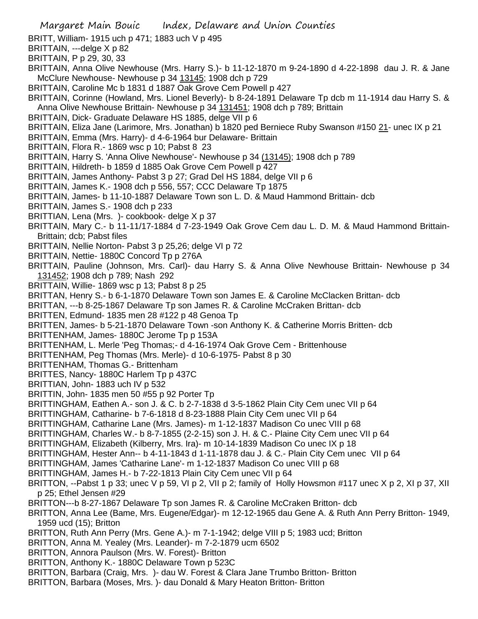- BRITT, William- 1915 uch p 471; 1883 uch V p 495
- BRITTAIN, ---delge X p 82
- BRITTAIN, P p 29, 30, 33
- BRITTAIN, Anna Olive Newhouse (Mrs. Harry S.)- b 11-12-1870 m 9-24-1890 d 4-22-1898 dau J. R. & Jane McClure Newhouse- Newhouse p 34 13145; 1908 dch p 729
- BRITTAIN, Caroline Mc b 1831 d 1887 Oak Grove Cem Powell p 427
- BRITTAIN, Corinne (Howland, Mrs. Lionel Beverly)- b 8-24-1891 Delaware Tp dcb m 11-1914 dau Harry S. & Anna Olive Newhouse Brittain- Newhouse p 34 131451; 1908 dch p 789; Brittain
- BRITTAIN, Dick- Graduate Delaware HS 1885, delge VII p 6
- BRITTAIN, Eliza Jane (Larimore, Mrs. Jonathan) b 1820 ped Berniece Ruby Swanson #150 21- unec IX p 21
- BRITTAIN, Emma (Mrs. Harry)- d 4-6-1964 bur Delaware- Brittain
- BRITTAIN, Flora R.- 1869 wsc p 10; Pabst 8 23
- BRITTAIN, Harry S. 'Anna Olive Newhouse'- Newhouse p 34 (13145); 1908 dch p 789
- BRITTAIN, Hildreth- b 1859 d 1885 Oak Grove Cem Powell p 427
- BRITTAIN, James Anthony- Pabst 3 p 27; Grad Del HS 1884, delge VII p 6
- BRITTAIN, James K.- 1908 dch p 556, 557; CCC Delaware Tp 1875
- BRITTAIN, James- b 11-10-1887 Delaware Town son L. D. & Maud Hammond Brittain- dcb
- BRITTAIN, James S.- 1908 dch p 233
- BRITTIAN, Lena (Mrs. )- cookbook- delge X p 37
- BRITTAIN, Mary C.- b 11-11/17-1884 d 7-23-1949 Oak Grove Cem dau L. D. M. & Maud Hammond Brittain-Brittain; dcb; Pabst files
- BRITTAIN, Nellie Norton- Pabst 3 p 25,26; delge VI p 72
- BRITTAIN, Nettie- 1880C Concord Tp p 276A
- BRITTAIN, Pauline (Johnson, Mrs. Carl)- dau Harry S. & Anna Olive Newhouse Brittain- Newhouse p 34 131452; 1908 dch p 789; Nash 292
- BRITTAIN, Willie- 1869 wsc p 13; Pabst 8 p 25
- BRITTAN, Henry S.- b 6-1-1870 Delaware Town son James E. & Caroline McClacken Brittan- dcb
- BRITTAN, ---b 8-25-1867 Delaware Tp son James R. & Caroline McCraken Brittan- dcb
- BRITTEN, Edmund- 1835 men 28 #122 p 48 Genoa Tp
- BRITTEN, James- b 5-21-1870 Delaware Town -son Anthony K. & Catherine Morris Britten- dcb
- BRITTENHAM, James- 1880C Jerome Tp p 153A
- BRITTENHAM, L. Merle 'Peg Thomas;- d 4-16-1974 Oak Grove Cem Brittenhouse
- BRITTENHAM, Peg Thomas (Mrs. Merle)- d 10-6-1975- Pabst 8 p 30
- BRITTENHAM, Thomas G.- Brittenham
- BRITTES, Nancy- 1880C Harlem Tp p 437C
- BRITTIAN, John- 1883 uch IV p 532
- BRITTIN, John- 1835 men 50 #55 p 92 Porter Tp
- BRITTINGHAM, Eathen A.- son J. & C. b 2-7-1838 d 3-5-1862 Plain City Cem unec VII p 64
- BRITTINGHAM, Catharine- b 7-6-1818 d 8-23-1888 Plain City Cem unec VII p 64
- BRITTINGHAM, Catharine Lane (Mrs. James)- m 1-12-1837 Madison Co unec VIII p 68
- BRITTINGHAM, Charles W.- b 8-7-1855 (2-2-15) son J. H. & C.- Plaine City Cem unec VII p 64
- BRITTINGHAM, Elizabeth (Kilberry, Mrs. Ira)- m 10-14-1839 Madison Co unec IX p 18
- BRITTINGHAM, Hester Ann-- b 4-11-1843 d 1-11-1878 dau J. & C.- Plain City Cem unec VII p 64
- BRITTINGHAM, James 'Catharine Lane'- m 1-12-1837 Madison Co unec VIII p 68
- BRITTINGHAM, James H.- b 7-22-1813 Plain City Cem unec VII p 64
- BRITTON, --Pabst 1 p 33; unec V p 59, VI p 2, VII p 2; family of Holly Howsmon #117 unec X p 2, XI p 37, XII p 25; Ethel Jensen #29
- BRITTON---b 8-27-1867 Delaware Tp son James R. & Caroline McCraken Britton- dcb
- BRITTON, Anna Lee (Bame, Mrs. Eugene/Edgar)- m 12-12-1965 dau Gene A. & Ruth Ann Perry Britton- 1949, 1959 ucd (15); Britton
- BRITTON, Ruth Ann Perry (Mrs. Gene A.)- m 7-1-1942; delge VIII p 5; 1983 ucd; Britton
- BRITTON, Anna M. Yealey (Mrs. Leander)- m 7-2-1879 ucm 6502
- BRITTON, Annora Paulson (Mrs. W. Forest)- Britton
- BRITTON, Anthony K.- 1880C Delaware Town p 523C
- BRITTON, Barbara (Craig, Mrs. )- dau W. Forest & Clara Jane Trumbo Britton- Britton
- BRITTON, Barbara (Moses, Mrs. )- dau Donald & Mary Heaton Britton- Britton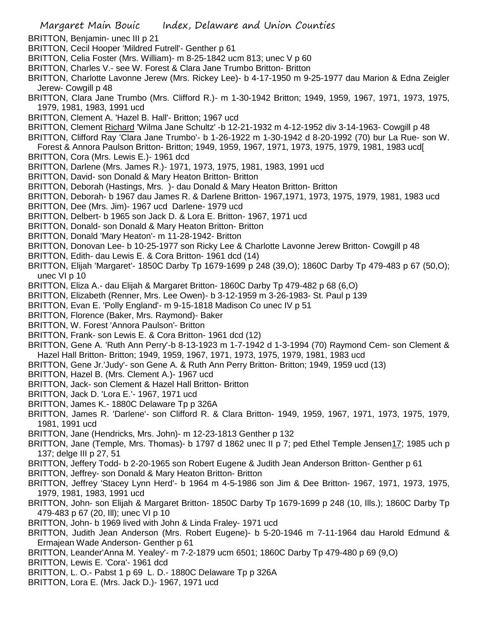- BRITTON, Benjamin- unec III p 21
- BRITTON, Cecil Hooper 'Mildred Futrell'- Genther p 61
- BRITTON, Celia Foster (Mrs. William)- m 8-25-1842 ucm 813; unec V p 60
- BRITTON, Charles V.- see W. Forest & Clara Jane Trumbo Britton- Britton
- BRITTON, Charlotte Lavonne Jerew (Mrs. Rickey Lee)- b 4-17-1950 m 9-25-1977 dau Marion & Edna Zeigler Jerew- Cowgill p 48
- BRITTON, Clara Jane Trumbo (Mrs. Clifford R.)- m 1-30-1942 Britton; 1949, 1959, 1967, 1971, 1973, 1975, 1979, 1981, 1983, 1991 ucd
- BRITTON, Clement A. 'Hazel B. Hall'- Britton; 1967 ucd
- BRITTON, Clement Richard 'Wilma Jane Schultz' -b 12-21-1932 m 4-12-1952 div 3-14-1963- Cowgill p 48
- BRITTON, Clifford Ray 'Clara Jane Trumbo'- b 1-26-1922 m 1-30-1942 d 8-20-1992 (70) bur La Rue- son W.
- Forest & Annora Paulson Britton- Britton; 1949, 1959, 1967, 1971, 1973, 1975, 1979, 1981, 1983 ucd[
- BRITTON, Cora (Mrs. Lewis E.)- 1961 dcd
- BRITTON, Darlene (Mrs. James R.)- 1971, 1973, 1975, 1981, 1983, 1991 ucd
- BRITTON, David- son Donald & Mary Heaton Britton- Britton
- BRITTON, Deborah (Hastings, Mrs. )- dau Donald & Mary Heaton Britton- Britton
- BRITTON, Deborah- b 1967 dau James R. & Darlene Britton- 1967,1971, 1973, 1975, 1979, 1981, 1983 ucd
- BRITTON, Dee (Mrs. Jim)- 1967 ucd Darlene- 1979 ucd
- BRITTON, Delbert- b 1965 son Jack D. & Lora E. Britton- 1967, 1971 ucd
- BRITTON, Donald- son Donald & Mary Heaton Britton- Britton
- BRITTON, Donald 'Mary Heaton'- m 11-28-1942- Britton
- BRITTON, Donovan Lee- b 10-25-1977 son Ricky Lee & Charlotte Lavonne Jerew Britton- Cowgill p 48
- BRITTON, Edith- dau Lewis E. & Cora Britton- 1961 dcd (14)
- BRITTON, Elijah 'Margaret'- 1850C Darby Tp 1679-1699 p 248 (39,O); 1860C Darby Tp 479-483 p 67 (50,O); unec VI p 10
- BRITTON, Eliza A.- dau Elijah & Margaret Britton- 1860C Darby Tp 479-482 p 68 (6,O)
- BRITTON, Elizabeth (Renner, Mrs. Lee Owen)- b 3-12-1959 m 3-26-1983- St. Paul p 139
- BRITTON, Evan E. 'Polly England'- m 9-15-1818 Madison Co unec IV p 51
- BRITTON, Florence (Baker, Mrs. Raymond)- Baker
- BRITTON, W. Forest 'Annora Paulson'- Britton
- BRITTON, Frank- son Lewis E. & Cora Britton- 1961 dcd (12)
- BRITTON, Gene A. 'Ruth Ann Perry'-b 8-13-1923 m 1-7-1942 d 1-3-1994 (70) Raymond Cem- son Clement & Hazel Hall Britton- Britton; 1949, 1959, 1967, 1971, 1973, 1975, 1979, 1981, 1983 ucd
- BRITTON, Gene Jr.'Judy'- son Gene A. & Ruth Ann Perry Britton- Britton; 1949, 1959 ucd (13)
- BRITTON, Hazel B. (Mrs. Clement A.)- 1967 ucd
- BRITTON, Jack- son Clement & Hazel Hall Britton- Britton
- BRITTON, Jack D. 'Lora E.'- 1967, 1971 ucd
- BRITTON, James K.- 1880C Delaware Tp p 326A
- BRITTON, James R. 'Darlene'- son Clifford R. & Clara Britton- 1949, 1959, 1967, 1971, 1973, 1975, 1979, 1981, 1991 ucd
- BRITTON, Jane (Hendricks, Mrs. John)- m 12-23-1813 Genther p 132
- BRITTON, Jane (Temple, Mrs. Thomas)- b 1797 d 1862 unec II p 7; ped Ethel Temple Jensen17; 1985 uch p 137; delge III p 27, 51
- BRITTON, Jeffery Todd- b 2-20-1965 son Robert Eugene & Judith Jean Anderson Britton- Genther p 61
- BRITTON, Jeffrey- son Donald & Mary Heaton Britton- Britton
- BRITTON, Jeffrey 'Stacey Lynn Herd'- b 1964 m 4-5-1986 son Jim & Dee Britton- 1967, 1971, 1973, 1975, 1979, 1981, 1983, 1991 ucd
- BRITTON, John- son Elijah & Margaret Britton- 1850C Darby Tp 1679-1699 p 248 (10, Ills.); 1860C Darby Tp 479-483 p 67 (20, Ill); unec VI p 10
- BRITTON, John- b 1969 lived with John & Linda Fraley- 1971 ucd
- BRITTON, Judith Jean Anderson (Mrs. Robert Eugene)- b 5-20-1946 m 7-11-1964 dau Harold Edmund & Ermajean Wade Anderson- Genther p 61
- BRITTON, Leander'Anna M. Yealey'- m 7-2-1879 ucm 6501; 1860C Darby Tp 479-480 p 69 (9,O)
- BRITTON, Lewis E. 'Cora'- 1961 dcd
- BRITTON, L. O.- Pabst 1 p 69 L. D.- 1880C Delaware Tp p 326A
- BRITTON, Lora E. (Mrs. Jack D.)- 1967, 1971 ucd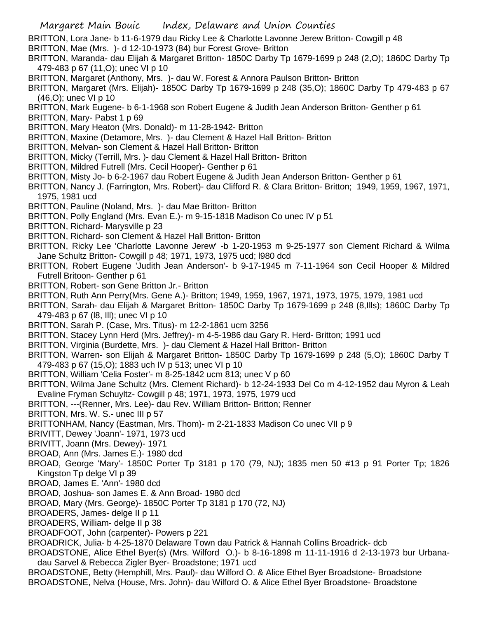- BRITTON, Lora Jane- b 11-6-1979 dau Ricky Lee & Charlotte Lavonne Jerew Britton- Cowgill p 48
- BRITTON, Mae (Mrs. )- d 12-10-1973 (84) bur Forest Grove- Britton
- BRITTON, Maranda- dau Elijah & Margaret Britton- 1850C Darby Tp 1679-1699 p 248 (2,O); 1860C Darby Tp 479-483 p 67 (11,O); unec VI p 10
- BRITTON, Margaret (Anthony, Mrs. )- dau W. Forest & Annora Paulson Britton- Britton
- BRITTON, Margaret (Mrs. Elijah)- 1850C Darby Tp 1679-1699 p 248 (35,O); 1860C Darby Tp 479-483 p 67 (46,O); unec VI p 10
- BRITTON, Mark Eugene- b 6-1-1968 son Robert Eugene & Judith Jean Anderson Britton- Genther p 61
- BRITTON, Mary- Pabst 1 p 69
- BRITTON, Mary Heaton (Mrs. Donald)- m 11-28-1942- Britton
- BRITTON, Maxine (Detamore, Mrs. )- dau Clement & Hazel Hall Britton- Britton
- BRITTON, Melvan- son Clement & Hazel Hall Britton- Britton
- BRITTON, Micky (Terrill, Mrs. )- dau Clement & Hazel Hall Britton- Britton
- BRITTON, Mildred Futrell (Mrs. Cecil Hooper)- Genther p 61
- BRITTON, Misty Jo- b 6-2-1967 dau Robert Eugene & Judith Jean Anderson Britton- Genther p 61
- BRITTON, Nancy J. (Farrington, Mrs. Robert)- dau Clifford R. & Clara Britton- Britton; 1949, 1959, 1967, 1971, 1975, 1981 ucd
- BRITTON, Pauline (Noland, Mrs. )- dau Mae Britton- Britton
- BRITTON, Polly England (Mrs. Evan E.)- m 9-15-1818 Madison Co unec IV p 51
- BRITTON, Richard- Marysville p 23
- BRITTON, Richard- son Clement & Hazel Hall Britton- Britton
- BRITTON, Ricky Lee 'Charlotte Lavonne Jerew' -b 1-20-1953 m 9-25-1977 son Clement Richard & Wilma Jane Schultz Britton- Cowgill p 48; 1971, 1973, 1975 ucd; l980 dcd
- BRITTON, Robert Eugene 'Judith Jean Anderson'- b 9-17-1945 m 7-11-1964 son Cecil Hooper & Mildred Futrell Britoon- Genther p 61
- BRITTON, Robert- son Gene Britton Jr.- Britton
- BRITTON, Ruth Ann Perry(Mrs. Gene A.)- Britton; 1949, 1959, 1967, 1971, 1973, 1975, 1979, 1981 ucd
- BRITTON, Sarah- dau Elijah & Margaret Britton- 1850C Darby Tp 1679-1699 p 248 (8,Ills); 1860C Darby Tp 479-483 p 67 (l8, Ill); unec VI p 10
- BRITTON, Sarah P. (Case, Mrs. Titus)- m 12-2-1861 ucm 3256
- BRITTON, Stacey Lynn Herd (Mrs. Jeffrey)- m 4-5-1986 dau Gary R. Herd- Britton; 1991 ucd
- BRITTON, Virginia (Burdette, Mrs. )- dau Clement & Hazel Hall Britton- Britton
- BRITTON, Warren- son Elijah & Margaret Britton- 1850C Darby Tp 1679-1699 p 248 (5,O); 1860C Darby T 479-483 p 67 (15,O); 1883 uch IV p 513; unec VI p 10
- BRITTON, William 'Celia Foster'- m 8-25-1842 ucm 813; unec V p 60
- BRITTON, Wilma Jane Schultz (Mrs. Clement Richard)- b 12-24-1933 Del Co m 4-12-1952 dau Myron & Leah Evaline Fryman Schuyltz- Cowgill p 48; 1971, 1973, 1975, 1979 ucd
- BRITTON, ---(Renner, Mrs. Lee)- dau Rev. William Britton- Britton; Renner
- BRITTON, Mrs. W. S.- unec III p 57
- BRITTONHAM, Nancy (Eastman, Mrs. Thom)- m 2-21-1833 Madison Co unec VII p 9
- BRIVITT, Dewey 'Joann'- 1971, 1973 ucd
- BRIVITT, Joann (Mrs. Dewey)- 1971
- BROAD, Ann (Mrs. James E.)- 1980 dcd
- BROAD, George 'Mary'- 1850C Porter Tp 3181 p 170 (79, NJ); 1835 men 50 #13 p 91 Porter Tp; 1826 Kingston Tp delge VI p 39
- BROAD, James E. 'Ann'- 1980 dcd
- BROAD, Joshua- son James E. & Ann Broad- 1980 dcd
- BROAD, Mary (Mrs. George)- 1850C Porter Tp 3181 p 170 (72, NJ)
- BROADERS, James- delge II p 11
- BROADERS, William- delge II p 38
- BROADFOOT, John (carpenter)- Powers p 221
- BROADRICK, Julia- b 4-25-1870 Delaware Town dau Patrick & Hannah Collins Broadrick- dcb
- BROADSTONE, Alice Ethel Byer(s) (Mrs. Wilford O.)- b 8-16-1898 m 11-11-1916 d 2-13-1973 bur Urbanadau Sarvel & Rebecca Zigler Byer- Broadstone; 1971 ucd
- BROADSTONE, Betty (Hemphill, Mrs. Paul)- dau Wilford O. & Alice Ethel Byer Broadstone- Broadstone BROADSTONE, Nelva (House, Mrs. John)- dau Wilford O. & Alice Ethel Byer Broadstone- Broadstone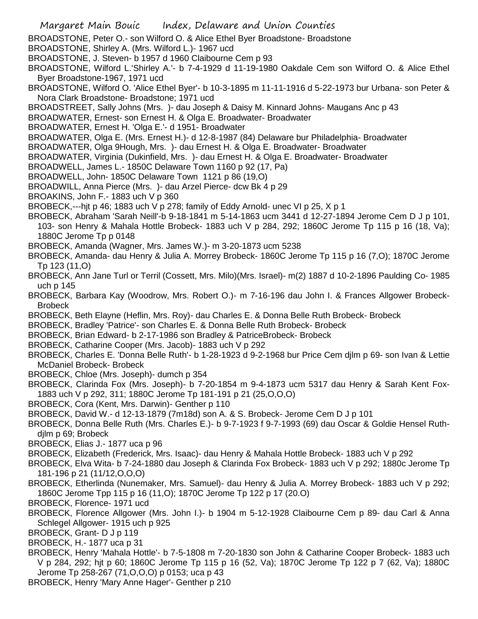- Margaret Main Bouic Index, Delaware and Union Counties BROADSTONE, Peter O.- son Wilford O. & Alice Ethel Byer Broadstone- Broadstone BROADSTONE, Shirley A. (Mrs. Wilford L.)- 1967 ucd BROADSTONE, J. Steven- b 1957 d 1960 Claibourne Cem p 93 BROADSTONE, Wilford L.'Shirley A.'- b 7-4-1929 d 11-19-1980 Oakdale Cem son Wilford O. & Alice Ethel Byer Broadstone-1967, 1971 ucd BROADSTONE, Wilford O. 'Alice Ethel Byer'- b 10-3-1895 m 11-11-1916 d 5-22-1973 bur Urbana- son Peter & Nora Clark Broadstone- Broadstone; 1971 ucd BROADSTREET, Sally Johns (Mrs. )- dau Joseph & Daisy M. Kinnard Johns- Maugans Anc p 43 BROADWATER, Ernest- son Ernest H. & Olga E. Broadwater- Broadwater BROADWATER, Ernest H. 'Olga E.'- d 1951- Broadwater BROADWATER, Olga E. (Mrs. Ernest H.)- d 12-8-1987 (84) Delaware bur Philadelphia- Broadwater BROADWATER, Olga 9Hough, Mrs. )- dau Ernest H. & Olga E. Broadwater- Broadwater BROADWATER, Virginia (Dukinfield, Mrs. )- dau Ernest H. & Olga E. Broadwater- Broadwater BROADWELL, James L.- 1850C Delaware Town 1160 p 92 (17, Pa) BROADWELL, John- 1850C Delaware Town 1121 p 86 (19,O) BROADWILL, Anna Pierce (Mrs. )- dau Arzel Pierce- dcw Bk 4 p 29 BROAKINS, John F.- 1883 uch V p 360 BROBECK,---hjt p 46; 1883 uch V p 278; family of Eddy Arnold- unec VI p 25, X p 1 BROBECK, Abraham 'Sarah Neill'-b 9-18-1841 m 5-14-1863 ucm 3441 d 12-27-1894 Jerome Cem D J p 101, 103- son Henry & Mahala Hottle Brobeck- 1883 uch V p 284, 292; 1860C Jerome Tp 115 p 16 (18, Va); 1880C Jerome Tp p 0148 BROBECK, Amanda (Wagner, Mrs. James W.)- m 3-20-1873 ucm 5238 BROBECK, Amanda- dau Henry & Julia A. Morrey Brobeck- 1860C Jerome Tp 115 p 16 (7,O); 1870C Jerome Tp 123 (11,O) BROBECK, Ann Jane Turl or Terril (Cossett, Mrs. Milo)(Mrs. Israel)- m(2) 1887 d 10-2-1896 Paulding Co- 1985 uch p 145 BROBECK, Barbara Kay (Woodrow, Mrs. Robert O.)- m 7-16-196 dau John I. & Frances Allgower Brobeck-**Brobeck** BROBECK, Beth Elayne (Heflin, Mrs. Roy)- dau Charles E. & Donna Belle Ruth Brobeck- Brobeck BROBECK, Bradley 'Patrice'- son Charles E. & Donna Belle Ruth Brobeck- Brobeck BROBECK, Brian Edward- b 2-17-1986 son Bradley & PatriceBrobeck- Brobeck BROBECK, Catharine Cooper (Mrs. Jacob)- 1883 uch V p 292 BROBECK, Charles E. 'Donna Belle Ruth'- b 1-28-1923 d 9-2-1968 bur Price Cem djlm p 69- son Ivan & Lettie McDaniel Brobeck- Brobeck BROBECK, Chloe (Mrs. Joseph)- dumch p 354 BROBECK, Clarinda Fox (Mrs. Joseph)- b 7-20-1854 m 9-4-1873 ucm 5317 dau Henry & Sarah Kent Fox-1883 uch V p 292, 311; 1880C Jerome Tp 181-191 p 21 (25,O,O,O) BROBECK, Cora (Kent, Mrs. Darwin)- Genther p 110 BROBECK, David W.- d 12-13-1879 (7m18d) son A. & S. Brobeck- Jerome Cem D J p 101 BROBECK, Donna Belle Ruth (Mrs. Charles E.)- b 9-7-1923 f 9-7-1993 (69) dau Oscar & Goldie Hensel Ruthdjlm p 69; Brobeck BROBECK, Elias J.- 1877 uca p 96 BROBECK, Elizabeth (Frederick, Mrs. Isaac)- dau Henry & Mahala Hottle Brobeck- 1883 uch V p 292 BROBECK, Elva Wita- b 7-24-1880 dau Joseph & Clarinda Fox Brobeck- 1883 uch V p 292; 1880c Jerome Tp 181-196 p 21 (11/12,O,O,O) BROBECK, Etherlinda (Nunemaker, Mrs. Samuel)- dau Henry & Julia A. Morrey Brobeck- 1883 uch V p 292; 1860C Jerome Tpp 115 p 16 (11,O); 1870C Jerome Tp 122 p 17 (20.O) BROBECK, Florence- 1971 ucd BROBECK, Florence Allgower (Mrs. John I.)- b 1904 m 5-12-1928 Claibourne Cem p 89- dau Carl & Anna Schlegel Allgower- 1915 uch p 925 BROBECK, Grant- D J p 119 BROBECK, H.- 1877 uca p 31 BROBECK, Henry 'Mahala Hottle'- b 7-5-1808 m 7-20-1830 son John & Catharine Cooper Brobeck- 1883 uch V p 284, 292; hjt p 60; 1860C Jerome Tp 115 p 16 (52, Va); 1870C Jerome Tp 122 p 7 (62, Va); 1880C Jerome Tp 258-267 (71,O,O,O) p 0153; uca p 43
	- BROBECK, Henry 'Mary Anne Hager'- Genther p 210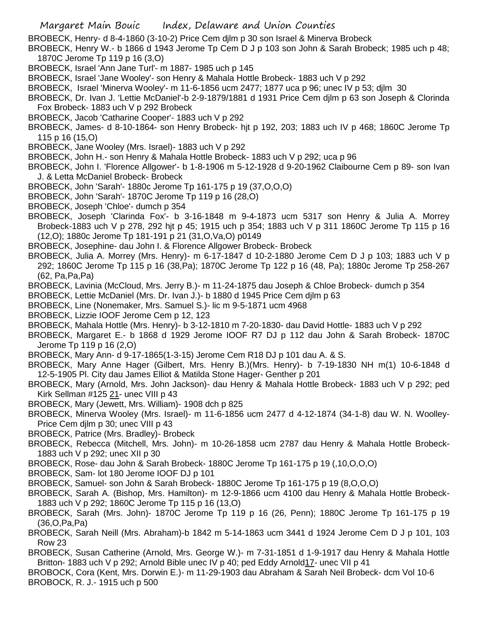BROBECK, Henry- d 8-4-1860 (3-10-2) Price Cem djlm p 30 son Israel & Minerva Brobeck

BROBECK, Henry W.- b 1866 d 1943 Jerome Tp Cem D J p 103 son John & Sarah Brobeck; 1985 uch p 48; 1870C Jerome Tp 119 p 16 (3,O)

- BROBECK, Israel 'Ann Jane Turl'- m 1887- 1985 uch p 145
- BROBECK, Israel 'Jane Wooley'- son Henry & Mahala Hottle Brobeck- 1883 uch V p 292

BROBECK, Israel 'Minerva Wooley'- m 11-6-1856 ucm 2477; 1877 uca p 96; unec IV p 53; djlm 30

BROBECK, Dr. Ivan J. 'Lettie McDaniel'-b 2-9-1879/1881 d 1931 Price Cem djlm p 63 son Joseph & Clorinda Fox Brobeck- 1883 uch V p 292 Brobeck

BROBECK, Jacob 'Catharine Cooper'- 1883 uch V p 292

BROBECK, James- d 8-10-1864- son Henry Brobeck- hjt p 192, 203; 1883 uch IV p 468; 1860C Jerome Tp 115 p 16 (15,O)

- BROBECK, Jane Wooley (Mrs. Israel)- 1883 uch V p 292
- BROBECK, John H.- son Henry & Mahala Hottle Brobeck- 1883 uch V p 292; uca p 96

BROBECK, John I. 'Florence Allgower'- b 1-8-1906 m 5-12-1928 d 9-20-1962 Claibourne Cem p 89- son Ivan J. & Letta McDaniel Brobeck- Brobeck

- BROBECK, John 'Sarah'- 1880c Jerome Tp 161-175 p 19 (37,O,O,O)
- BROBECK, John 'Sarah'- 1870C Jerome Tp 119 p 16 (28,O)
- BROBECK, Joseph 'Chloe'- dumch p 354

BROBECK, Joseph 'Clarinda Fox'- b 3-16-1848 m 9-4-1873 ucm 5317 son Henry & Julia A. Morrey Brobeck-1883 uch V p 278, 292 hjt p 45; 1915 uch p 354; 1883 uch V p 311 1860C Jerome Tp 115 p 16 (12,O); 1880c Jerome Tp 181-191 p 21 (31,O,Va,O) p0149

- BROBECK, Josephine- dau John I. & Florence Allgower Brobeck- Brobeck
- BROBECK, Julia A. Morrey (Mrs. Henry)- m 6-17-1847 d 10-2-1880 Jerome Cem D J p 103; 1883 uch V p 292; 1860C Jerome Tp 115 p 16 (38,Pa); 1870C Jerome Tp 122 p 16 (48, Pa); 1880c Jerome Tp 258-267 (62, Pa,Pa,Pa)
- BROBECK, Lavinia (McCloud, Mrs. Jerry B.)- m 11-24-1875 dau Joseph & Chloe Brobeck- dumch p 354
- BROBECK, Lettie McDaniel (Mrs. Dr. Ivan J.)- b 1880 d 1945 Price Cem djlm p 63
- BROBECK, Line (Nonemaker, Mrs. Samuel S.)- lic m 9-5-1871 ucm 4968
- BROBECK, Lizzie IOOF Jerome Cem p 12, 123
- BROBECK, Mahala Hottle (Mrs. Henry)- b 3-12-1810 m 7-20-1830- dau David Hottle- 1883 uch V p 292
- BROBECK, Margaret E.- b 1868 d 1929 Jerome IOOF R7 DJ p 112 dau John & Sarah Brobeck- 1870C Jerome Tp 119 p 16 (2,O)
- BROBECK, Mary Ann- d 9-17-1865(1-3-15) Jerome Cem R18 DJ p 101 dau A. & S.
- BROBECK, Mary Anne Hager (Gilbert, Mrs. Henry B.)(Mrs. Henry)- b 7-19-1830 NH m(1) 10-6-1848 d 12-5-1905 Pl. City dau James Elliot & Matilda Stone Hager- Genther p 201
- BROBECK, Mary (Arnold, Mrs. John Jackson)- dau Henry & Mahala Hottle Brobeck- 1883 uch V p 292; ped Kirk Sellman #125 21- unec VIII p 43
- BROBECK, Mary (Jewett, Mrs. William)- 1908 dch p 825
- BROBECK, Minerva Wooley (Mrs. Israel)- m 11-6-1856 ucm 2477 d 4-12-1874 (34-1-8) dau W. N. Woolley-Price Cem djlm p 30; unec VIII p 43
- BROBECK, Patrice (Mrs. Bradley)- Brobeck
- BROBECK, Rebecca (Mitchell, Mrs. John)- m 10-26-1858 ucm 2787 dau Henry & Mahala Hottle Brobeck-1883 uch V p 292; unec XII p 30
- BROBECK, Rose- dau John & Sarah Brobeck- 1880C Jerome Tp 161-175 p 19 (,10,O,O,O)
- BROBECK, Sam- lot 180 Jerome IOOF DJ p 101
- BROBECK, Samuel- son John & Sarah Brobeck- 1880C Jerome Tp 161-175 p 19 (8,O,O,O)
- BROBECK, Sarah A. (Bishop, Mrs. Hamilton)- m 12-9-1866 ucm 4100 dau Henry & Mahala Hottle Brobeck-1883 uch V p 292; 1860C Jerome Tp 115 p 16 (13,O)
- BROBECK, Sarah (Mrs. John)- 1870C Jerome Tp 119 p 16 (26, Penn); 1880C Jerome Tp 161-175 p 19 (36,O,Pa,Pa)
- BROBECK, Sarah Neill (Mrs. Abraham)-b 1842 m 5-14-1863 ucm 3441 d 1924 Jerome Cem D J p 101, 103 Row 23
- BROBECK, Susan Catherine (Arnold, Mrs. George W.)- m 7-31-1851 d 1-9-1917 dau Henry & Mahala Hottle Britton- 1883 uch V p 292; Arnold Bible unec IV p 40; ped Eddy Arnold17- unec VII p 41
- BROBOCK, Cora (Kent, Mrs. Dorwin E.)- m 11-29-1903 dau Abraham & Sarah Neil Brobeck- dcm Vol 10-6 BROBOCK, R. J.- 1915 uch p 500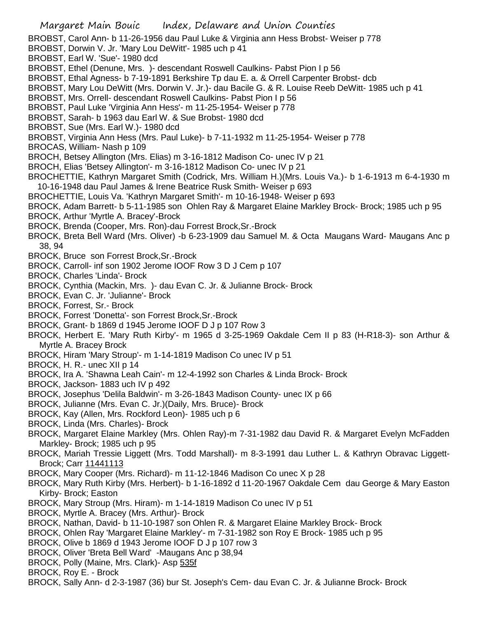BROBST, Carol Ann- b 11-26-1956 dau Paul Luke & Virginia ann Hess Brobst- Weiser p 778

BROBST, Dorwin V. Jr. 'Mary Lou DeWitt'- 1985 uch p 41

BROBST, Earl W. 'Sue'- 1980 dcd

BROBST, Ethel (Denune, Mrs. )- descendant Roswell Caulkins- Pabst Pion I p 56

BROBST, Ethal Agness- b 7-19-1891 Berkshire Tp dau E. a. & Orrell Carpenter Brobst- dcb

BROBST, Mary Lou DeWitt (Mrs. Dorwin V. Jr.)- dau Bacile G. & R. Louise Reeb DeWitt- 1985 uch p 41

BROBST, Mrs. Orrell- descendant Roswell Caulkins- Pabst Pion I p 56

BROBST, Paul Luke 'Virginia Ann Hess'- m 11-25-1954- Weiser p 778

BROBST, Sarah- b 1963 dau Earl W. & Sue Brobst- 1980 dcd

BROBST, Sue (Mrs. Earl W.)- 1980 dcd

BROBST, Virginia Ann Hess (Mrs. Paul Luke)- b 7-11-1932 m 11-25-1954- Weiser p 778

BROCAS, William- Nash p 109

BROCH, Betsey Allington (Mrs. Elias) m 3-16-1812 Madison Co- unec IV p 21

BROCH, Elias 'Betsey Allington'- m 3-16-1812 Madison Co- unec IV p 21

BROCHETTIE, Kathryn Margaret Smith (Codrick, Mrs. William H.)(Mrs. Louis Va.)- b 1-6-1913 m 6-4-1930 m 10-16-1948 dau Paul James & Irene Beatrice Rusk Smith- Weiser p 693

BROCHETTIE, Louis Va. 'Kathryn Margaret Smith'- m 10-16-1948- Weiser p 693

BROCK, Adam Barrett- b 5-11-1985 son Ohlen Ray & Margaret Elaine Markley Brock- Brock; 1985 uch p 95

BROCK, Arthur 'Myrtle A. Bracey'-Brock

BROCK, Brenda (Cooper, Mrs. Ron)-dau Forrest Brock,Sr.-Brock

- BROCK, Breta Bell Ward (Mrs. Oliver) -b 6-23-1909 dau Samuel M. & Octa Maugans Ward- Maugans Anc p 38, 94
- BROCK, Bruce son Forrest Brock,Sr.-Brock
- BROCK, Carroll- inf son 1902 Jerome IOOF Row 3 D J Cem p 107
- BROCK, Charles 'Linda'- Brock

BROCK, Cynthia (Mackin, Mrs. )- dau Evan C. Jr. & Julianne Brock- Brock

BROCK, Evan C. Jr. 'Julianne'- Brock

BROCK, Forrest, Sr.- Brock

- BROCK, Forrest 'Donetta'- son Forrest Brock,Sr.-Brock
- BROCK, Grant- b 1869 d 1945 Jerome IOOF D J p 107 Row 3
- BROCK, Herbert E. 'Mary Ruth Kirby'- m 1965 d 3-25-1969 Oakdale Cem II p 83 (H-R18-3)- son Arthur & Myrtle A. Bracey Brock
- BROCK, Hiram 'Mary Stroup'- m 1-14-1819 Madison Co unec IV p 51
- BROCK, H. R.- unec XII p 14

BROCK, Ira A. 'Shawna Leah Cain'- m 12-4-1992 son Charles & Linda Brock- Brock

- BROCK, Jackson- 1883 uch IV p 492
- BROCK, Josephus 'Delila Baldwin'- m 3-26-1843 Madison County- unec IX p 66

BROCK, Julianne (Mrs. Evan C. Jr.)(Daily, Mrs. Bruce)- Brock

BROCK, Kay (Allen, Mrs. Rockford Leon)- 1985 uch p 6

BROCK, Linda (Mrs. Charles)- Brock

BROCK, Margaret Elaine Markley (Mrs. Ohlen Ray)-m 7-31-1982 dau David R. & Margaret Evelyn McFadden Markley- Brock; 1985 uch p 95

BROCK, Mariah Tressie Liggett (Mrs. Todd Marshall)- m 8-3-1991 dau Luther L. & Kathryn Obravac Liggett-Brock; Carr 11441113

BROCK, Mary Cooper (Mrs. Richard)- m 11-12-1846 Madison Co unec X p 28

BROCK, Mary Ruth Kirby (Mrs. Herbert)- b 1-16-1892 d 11-20-1967 Oakdale Cem dau George & Mary Easton Kirby- Brock; Easton

BROCK, Mary Stroup (Mrs. Hiram)- m 1-14-1819 Madison Co unec IV p 51

BROCK, Myrtle A. Bracey (Mrs. Arthur)- Brock

BROCK, Nathan, David- b 11-10-1987 son Ohlen R. & Margaret Elaine Markley Brock- Brock

BROCK, Ohlen Ray 'Margaret Elaine Markley'- m 7-31-1982 son Roy E Brock- 1985 uch p 95

- BROCK, Olive b 1869 d 1943 Jerome IOOF D J p 107 row 3
- BROCK, Oliver 'Breta Bell Ward' -Maugans Anc p 38,94
- BROCK, Polly (Maine, Mrs. Clark)- Asp 535f

BROCK, Roy E. - Brock

BROCK, Sally Ann- d 2-3-1987 (36) bur St. Joseph's Cem- dau Evan C. Jr. & Julianne Brock- Brock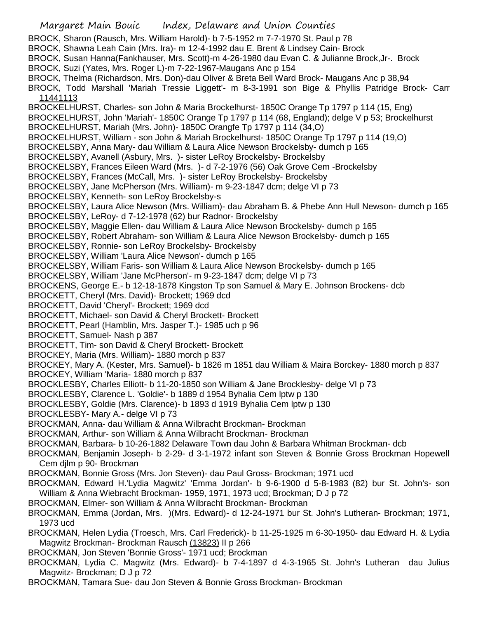Margaret Main Bouic Index, Delaware and Union Counties BROCK, Sharon (Rausch, Mrs. William Harold)- b 7-5-1952 m 7-7-1970 St. Paul p 78 BROCK, Shawna Leah Cain (Mrs. Ira)- m 12-4-1992 dau E. Brent & Lindsey Cain- Brock BROCK, Susan Hanna(Fankhauser, Mrs. Scott)-m 4-26-1980 dau Evan C. & Julianne Brock,Jr-. Brock BROCK, Suzi (Yates, Mrs. Roger L)-m 7-22-1967-Maugans Anc p 154 BROCK, Thelma (Richardson, Mrs. Don)-dau Oliver & Breta Bell Ward Brock- Maugans Anc p 38,94 BROCK, Todd Marshall 'Mariah Tressie Liggett'- m 8-3-1991 son Bige & Phyllis Patridge Brock- Carr 11441113 BROCKELHURST, Charles- son John & Maria Brockelhurst- 1850C Orange Tp 1797 p 114 (15, Eng) BROCKELHURST, John 'Mariah'- 1850C Orange Tp 1797 p 114 (68, England); delge V p 53; Brockelhurst BROCKELHURST, Mariah (Mrs. John)- 1850C Orangfe Tp 1797 p 114 (34,O) BROCKELHURST, William - son John & Mariah Brockelhurst- 1850C Orange Tp 1797 p 114 (19,O) BROCKELSBY, Anna Mary- dau William & Laura Alice Newson Brockelsby- dumch p 165 BROCKELSBY, Avanell (Asbury, Mrs. )- sister LeRoy Brockelsby- Brockelsby BROCKELSBY, Frances Eileen Ward (Mrs. )- d 7-2-1976 (56) Oak Grove Cem -Brockelsby BROCKELSBY, Frances (McCall, Mrs. )- sister LeRoy Brockelsby- Brockelsby BROCKELSBY, Jane McPherson (Mrs. William)- m 9-23-1847 dcm; delge VI p 73 BROCKELSBY, Kenneth- son LeRoy Brockelsby-s BROCKELSBY, Laura Alice Newson (Mrs. William)- dau Abraham B. & Phebe Ann Hull Newson- dumch p 165 BROCKELSBY, LeRoy- d 7-12-1978 (62) bur Radnor- Brockelsby BROCKELSBY, Maggie Ellen- dau William & Laura Alice Newson Brockelsby- dumch p 165 BROCKELSBY, Robert Abraham- son William & Laura Alice Newson Brockelsby- dumch p 165 BROCKELSBY, Ronnie- son LeRoy Brockelsby- Brockelsby BROCKELSBY, William 'Laura Alice Newson'- dumch p 165 BROCKELSBY, William Faris- son William & Laura Alice Newson Brockelsby- dumch p 165 BROCKELSBY, William 'Jane McPherson'- m 9-23-1847 dcm; delge VI p 73 BROCKENS, George E.- b 12-18-1878 Kingston Tp son Samuel & Mary E. Johnson Brockens- dcb BROCKETT, Cheryl (Mrs. David)- Brockett; 1969 dcd BROCKETT, David 'Cheryl'- Brockett; 1969 dcd BROCKETT, Michael- son David & Cheryl Brockett- Brockett BROCKETT, Pearl (Hamblin, Mrs. Jasper T.)- 1985 uch p 96 BROCKETT, Samuel- Nash p 387 BROCKETT, Tim- son David & Cheryl Brockett- Brockett BROCKEY, Maria (Mrs. William)- 1880 morch p 837 BROCKEY, Mary A. (Kester, Mrs. Samuel)- b 1826 m 1851 dau William & Maira Borckey- 1880 morch p 837 BROCKEY, William 'Maria- 1880 morch p 837 BROCKLESBY, Charles Elliott- b 11-20-1850 son William & Jane Brocklesby- delge VI p 73 BROCKLESBY, Clarence L. 'Goldie'- b 1889 d 1954 Byhalia Cem lptw p 130 BROCKLESBY, Goldie (Mrs. Clarence)- b 1893 d 1919 Byhalia Cem lptw p 130 BROCKLESBY- Mary A.- delge VI p 73 BROCKMAN, Anna- dau William & Anna Wilbracht Brockman- Brockman BROCKMAN, Arthur- son William & Anna Wilbracht Brockman- Brockman BROCKMAN, Barbara- b 10-26-1882 Delaware Town dau John & Barbara Whitman Brockman- dcb BROCKMAN, Benjamin Joseph- b 2-29- d 3-1-1972 infant son Steven & Bonnie Gross Brockman Hopewell Cem djlm p 90- Brockman BROCKMAN, Bonnie Gross (Mrs. Jon Steven)- dau Paul Gross- Brockman; 1971 ucd BROCKMAN, Edward H.'Lydia Magwitz' 'Emma Jordan'- b 9-6-1900 d 5-8-1983 (82) bur St. John's- son William & Anna Wiebracht Brockman- 1959, 1971, 1973 ucd; Brockman; D J p 72 BROCKMAN, Elmer- son William & Anna Wilbracht Brockman- Brockman BROCKMAN, Emma (Jordan, Mrs. )(Mrs. Edward)- d 12-24-1971 bur St. John's Lutheran- Brockman; 1971, 1973 ucd BROCKMAN, Helen Lydia (Troesch, Mrs. Carl Frederick)- b 11-25-1925 m 6-30-1950- dau Edward H. & Lydia Magwitz Brockman- Brockman Rausch (13823) II p 266 BROCKMAN, Jon Steven 'Bonnie Gross'- 1971 ucd; Brockman BROCKMAN, Lydia C. Magwitz (Mrs. Edward)- b 7-4-1897 d 4-3-1965 St. John's Lutheran dau Julius Magwitz- Brockman; D J p 72 BROCKMAN, Tamara Sue- dau Jon Steven & Bonnie Gross Brockman- Brockman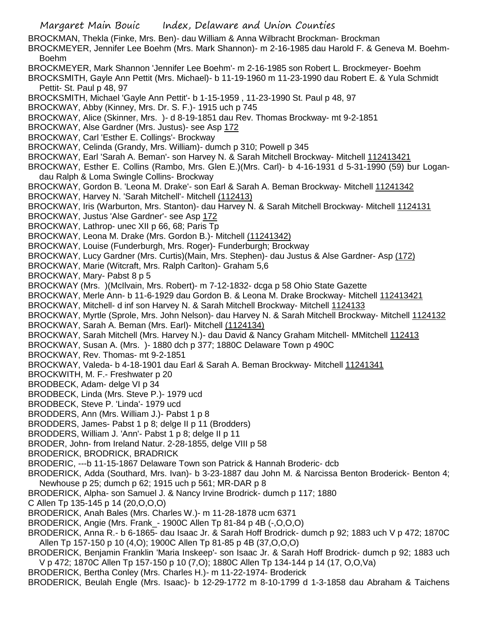Margaret Main Bouic Index, Delaware and Union Counties BROCKMAN, Thekla (Finke, Mrs. Ben)- dau William & Anna Wilbracht Brockman- Brockman BROCKMEYER, Jennifer Lee Boehm (Mrs. Mark Shannon)- m 2-16-1985 dau Harold F. & Geneva M. Boehm-Boehm BROCKMEYER, Mark Shannon 'Jennifer Lee Boehm'- m 2-16-1985 son Robert L. Brockmeyer- Boehm BROCKSMITH, Gayle Ann Pettit (Mrs. Michael)- b 11-19-1960 m 11-23-1990 dau Robert E. & Yula Schmidt Pettit- St. Paul p 48, 97 BROCKSMITH, Michael 'Gayle Ann Pettit'- b 1-15-1959 , 11-23-1990 St. Paul p 48, 97 BROCKWAY, Abby (Kinney, Mrs. Dr. S. F.)- 1915 uch p 745 BROCKWAY, Alice (Skinner, Mrs. )- d 8-19-1851 dau Rev. Thomas Brockway- mt 9-2-1851 BROCKWAY, Alse Gardner (Mrs. Justus)- see Asp 172 BROCKWAY, Carl 'Esther E. Collings'- Brockway BROCKWAY, Celinda (Grandy, Mrs. William)- dumch p 310; Powell p 345 BROCKWAY, Earl 'Sarah A. Beman'- son Harvey N. & Sarah Mitchell Brockway- Mitchell 112413421 BROCKWAY, Esther E. Collins (Rambo, Mrs. Glen E.)(Mrs. Carl)- b 4-16-1931 d 5-31-1990 (59) bur Logandau Ralph & Loma Swingle Collins- Brockway BROCKWAY, Gordon B. 'Leona M. Drake'- son Earl & Sarah A. Beman Brockway- Mitchell 11241342 BROCKWAY, Harvey N. 'Sarah Mitchell'- Mitchell (112413) BROCKWAY, Iris (Warburton, Mrs. Stanton)- dau Harvey N. & Sarah Mitchell Brockway- Mitchell 1124131 BROCKWAY, Justus 'Alse Gardner'- see Asp 172 BROCKWAY, Lathrop- unec XII p 66, 68; Paris Tp BROCKWAY, Leona M. Drake (Mrs. Gordon B.)- Mitchell (11241342) BROCKWAY, Louise (Funderburgh, Mrs. Roger)- Funderburgh; Brockway BROCKWAY, Lucy Gardner (Mrs. Curtis)(Main, Mrs. Stephen)- dau Justus & Alse Gardner- Asp (172) BROCKWAY, Marie (Witcraft, Mrs. Ralph Carlton)- Graham 5,6 BROCKWAY, Mary- Pabst 8 p 5 BROCKWAY (Mrs. )(McIlvain, Mrs. Robert)- m 7-12-1832- dcga p 58 Ohio State Gazette BROCKWAY, Merle Ann- b 11-6-1929 dau Gordon B. & Leona M. Drake Brockway- Mitchell 112413421 BROCKWAY, Mitchell- d inf son Harvey N. & Sarah Mitchell Brockway- Mitchell 1124133 BROCKWAY, Myrtle (Sprole, Mrs. John Nelson)- dau Harvey N. & Sarah Mitchell Brockway- Mitchell 1124132 BROCKWAY, Sarah A. Beman (Mrs. Earl)- Mitchell (1124134) BROCKWAY, Sarah Mitchell (Mrs. Harvey N.)- dau David & Nancy Graham Mitchell- MMitchell 112413 BROCKWAY, Susan A. (Mrs. )- 1880 dch p 377; 1880C Delaware Town p 490C BROCKWAY, Rev. Thomas- mt 9-2-1851 BROCKWAY, Valeda- b 4-18-1901 dau Earl & Sarah A. Beman Brockway- Mitchell 11241341 BROCKWITH, M. F.- Freshwater p 20 BRODBECK, Adam- delge VI p 34 BRODBECK, Linda (Mrs. Steve P.)- 1979 ucd BRODBECK, Steve P. 'Linda'- 1979 ucd BRODDERS, Ann (Mrs. William J.)- Pabst 1 p 8 BRODDERS, James- Pabst 1 p 8; delge II p 11 (Brodders) BRODDERS, William J. 'Ann'- Pabst 1 p 8; delge II p 11 BRODER, John- from Ireland Natur. 2-28-1855, delge VIII p 58 BRODERICK, BRODRICK, BRADRICK BRODERIC, ---b 11-15-1867 Delaware Town son Patrick & Hannah Broderic- dcb BRODERICK, Adda (Southard, Mrs. Ivan)- b 3-23-1887 dau John M. & Narcissa Benton Broderick- Benton 4; Newhouse p 25; dumch p 62; 1915 uch p 561; MR-DAR p 8 BRODERICK, Alpha- son Samuel J. & Nancy Irvine Brodrick- dumch p 117; 1880 C Allen Tp 135-145 p 14 (20,O,O,O) BRODERICK, Anah Bales (Mrs. Charles W.)- m 11-28-1878 ucm 6371 BRODERICK, Angie (Mrs. Frank\_- 1900C Allen Tp 81-84 p 4B (-,O,O,O) BRODERICK, Anna R.- b 6-1865- dau Isaac Jr. & Sarah Hoff Brodrick- dumch p 92; 1883 uch V p 472; 1870C Allen Tp 157-150 p 10 (4,O); 1900C Allen Tp 81-85 p 4B (37,O,O,O) BRODERICK, Benjamin Franklin 'Maria Inskeep'- son Isaac Jr. & Sarah Hoff Brodrick- dumch p 92; 1883 uch V p 472; 1870C Allen Tp 157-150 p 10 (7,O); 1880C Allen Tp 134-144 p 14 (17, O,O,Va) BRODERICK, Bertha Conley (Mrs. Charles H.)- m 11-22-1974- Broderick

BRODERICK, Beulah Engle (Mrs. Isaac)- b 12-29-1772 m 8-10-1799 d 1-3-1858 dau Abraham & Taichens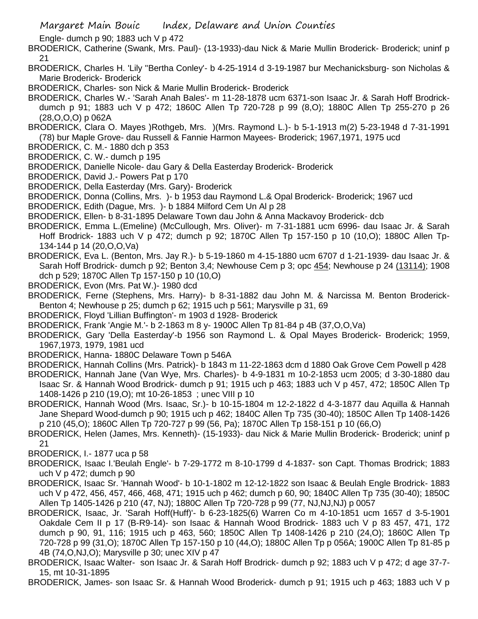Engle- dumch p 90; 1883 uch V p 472

BRODERICK, Catherine (Swank, Mrs. Paul)- (13-1933)-dau Nick & Marie Mullin Broderick- Broderick; uninf p 21

BRODERICK, Charles H. 'Lily ''Bertha Conley'- b 4-25-1914 d 3-19-1987 bur Mechanicksburg- son Nicholas & Marie Broderick- Broderick

BRODERICK, Charles- son Nick & Marie Mullin Broderick- Broderick

BRODERICK, Charles W.- 'Sarah Anah Bales'- m 11-28-1878 ucm 6371-son Isaac Jr. & Sarah Hoff Brodrickdumch p 91; 1883 uch V p 472; 1860C Allen Tp 720-728 p 99 (8,O); 1880C Allen Tp 255-270 p 26 (28,O,O,O) p 062A

BRODERICK, Clara O. Mayes )Rothgeb, Mrs. )(Mrs. Raymond L.)- b 5-1-1913 m(2) 5-23-1948 d 7-31-1991 (78) bur Maple Grove- dau Russell & Fannie Harmon Mayees- Broderick; 1967,1971, 1975 ucd

BRODERICK, C. M.- 1880 dch p 353

BRODERICK, C. W.- dumch p 195

BRODERICK, Danielle Nicole- dau Gary & Della Easterday Broderick- Broderick

BRODERICK, David J.- Powers Pat p 170

BRODERICK, Della Easterday (Mrs. Gary)- Broderick

BRODERICK, Donna (Collins, Mrs. )- b 1953 dau Raymond L.& Opal Broderick- Broderick; 1967 ucd

BRODERICK, Edith (Dague, Mrs. )- b 1884 Milford Cem Un Al p 28

BRODERICK, Ellen- b 8-31-1895 Delaware Town dau John & Anna Mackavoy Broderick- dcb

BRODERICK, Emma L.(Emeline) (McCullough, Mrs. Oliver)- m 7-31-1881 ucm 6996- dau Isaac Jr. & Sarah Hoff Brodrick- 1883 uch V p 472; dumch p 92; 1870C Allen Tp 157-150 p 10 (10,O); 1880C Allen Tp-134-144 p 14 (20,O,O,Va)

BRODERICK, Eva L. (Benton, Mrs. Jay R.)- b 5-19-1860 m 4-15-1880 ucm 6707 d 1-21-1939- dau Isaac Jr. & Sarah Hoff Brodrick- dumch p 92; Benton 3,4; Newhouse Cem p 3; opc 454; Newhouse p 24 (13114); 1908 dch p 529; 1870C Allen Tp 157-150 p 10 (10,O)

BRODERICK, Evon (Mrs. Pat W.)- 1980 dcd

BRODERICK, Ferne (Stephens, Mrs. Harry)- b 8-31-1882 dau John M. & Narcissa M. Benton Broderick-Benton 4; Newhouse p 25; dumch p 62; 1915 uch p 561; Marysville p 31, 69

BRODERICK, Floyd 'Lillian Buffington'- m 1903 d 1928- Broderick

BRODERICK, Frank 'Angie M.'- b 2-1863 m 8 y- 1900C Allen Tp 81-84 p 4B (37,O,O,Va)

BRODERICK, Gary 'Della Easterday'-b 1956 son Raymond L. & Opal Mayes Broderick- Broderick; 1959, 1967,1973, 1979, 1981 ucd

BRODERICK, Hanna- 1880C Delaware Town p 546A

BRODERICK, Hannah Collins (Mrs. Patrick)- b 1843 m 11-22-1863 dcm d 1880 Oak Grove Cem Powell p 428

BRODERICK, Hannah Jane (Van Wye, Mrs. Charles)- b 4-9-1831 m 10-2-1853 ucm 2005; d 3-30-1880 dau Isaac Sr. & Hannah Wood Brodrick- dumch p 91; 1915 uch p 463; 1883 uch V p 457, 472; 1850C Allen Tp 1408-1426 p 210 (19,O); mt 10-26-1853 ; unec VIII p 10

BRODERICK, Hannah Wood (Mrs. Isaac, Sr.)- b 10-15-1804 m 12-2-1822 d 4-3-1877 dau Aquilla & Hannah Jane Shepard Wood-dumch p 90; 1915 uch p 462; 1840C Allen Tp 735 (30-40); 1850C Allen Tp 1408-1426 p 210 (45,O); 1860C Allen Tp 720-727 p 99 (56, Pa); 1870C Allen Tp 158-151 p 10 (66,O)

BRODERICK, Helen (James, Mrs. Kenneth)- (15-1933)- dau Nick & Marie Mullin Broderick- Broderick; uninf p 21

BRODERICK, I.- 1877 uca p 58

BRODERICK, Isaac I.'Beulah Engle'- b 7-29-1772 m 8-10-1799 d 4-1837- son Capt. Thomas Brodrick; 1883 uch V p 472; dumch p 90

BRODERICK, Isaac Sr. 'Hannah Wood'- b 10-1-1802 m 12-12-1822 son Isaac & Beulah Engle Brodrick- 1883 uch V p 472, 456, 457, 466, 468, 471; 1915 uch p 462; dumch p 60, 90; 1840C Allen Tp 735 (30-40); 1850C Allen Tp 1405-1426 p 210 (47, NJ); 1880C Allen Tp 720-728 p 99 (77, NJ,NJ,NJ) p 0057

BRODERICK, Isaac, Jr. 'Sarah Hoff(Huff)'- b 6-23-1825(6) Warren Co m 4-10-1851 ucm 1657 d 3-5-1901 Oakdale Cem II p 17 (B-R9-14)- son Isaac & Hannah Wood Brodrick- 1883 uch V p 83 457, 471, 172 dumch p 90, 91, 116; 1915 uch p 463, 560; 1850C Allen Tp 1408-1426 p 210 (24,O); 1860C Allen Tp 720-728 p 99 (31,O); 1870C Allen Tp 157-150 p 10 (44,O); 1880C Allen Tp p 056A; 1900C Allen Tp 81-85 p 4B (74,O,NJ,O); Marysville p 30; unec XIV p 47

BRODERICK, Isaac Walter- son Isaac Jr. & Sarah Hoff Brodrick- dumch p 92; 1883 uch V p 472; d age 37-7- 15, mt 10-31-1895

BRODERICK, James- son Isaac Sr. & Hannah Wood Broderick- dumch p 91; 1915 uch p 463; 1883 uch V p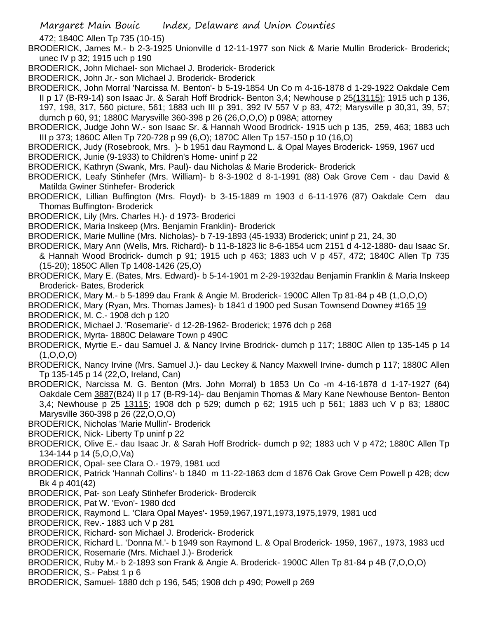472; 1840C Allen Tp 735 (10-15)

BRODERICK, James M.- b 2-3-1925 Unionville d 12-11-1977 son Nick & Marie Mullin Broderick- Broderick; unec IV p 32; 1915 uch p 190

BRODERICK, John Michael- son Michael J. Broderick- Broderick

BRODERICK, John Jr.- son Michael J. Broderick- Broderick

BRODERICK, John Morral 'Narcissa M. Benton'- b 5-19-1854 Un Co m 4-16-1878 d 1-29-1922 Oakdale Cem II p 17 (B-R9-14) son Isaac Jr. & Sarah Hoff Brodrick- Benton 3,4; Newhouse p 25(13115); 1915 uch p 136, 197, 198, 317, 560 picture, 561; 1883 uch III p 391, 392 IV 557 V p 83, 472; Marysville p 30,31, 39, 57; dumch p 60, 91; 1880C Marysville 360-398 p 26 (26,O,O,O) p 098A; attorney

BRODERICK, Judge John W.- son Isaac Sr. & Hannah Wood Brodrick- 1915 uch p 135, 259, 463; 1883 uch III p 373; 1860C Allen Tp 720-728 p 99 (6,O); 1870C Allen Tp 157-150 p 10 (16,O)

BRODERICK, Judy (Rosebrook, Mrs. )- b 1951 dau Raymond L. & Opal Mayes Broderick- 1959, 1967 ucd BRODERICK, Junie (9-1933) to Children's Home- uninf p 22

- BRODERICK, Kathryn (Swank, Mrs. Paul)- dau Nicholas & Marie Broderick- Broderick
- BRODERICK, Leafy Stinhefer (Mrs. William)- b 8-3-1902 d 8-1-1991 (88) Oak Grove Cem dau David & Matilda Gwiner Stinhefer- Broderick
- BRODERICK, Lillian Buffington (Mrs. Floyd)- b 3-15-1889 m 1903 d 6-11-1976 (87) Oakdale Cem dau Thomas Buffington- Broderick
- BRODERICK, Lily (Mrs. Charles H.)- d 1973- Broderici

BRODERICK, Maria Inskeep (Mrs. Benjamin Franklin)- Broderick

BRODERICK, Marie Mulline (Mrs. Nicholas)- b 7-19-1893 (45-1933) Broderick; uninf p 21, 24, 30

- BRODERICK, Mary Ann (Wells, Mrs. Richard)- b 11-8-1823 lic 8-6-1854 ucm 2151 d 4-12-1880- dau Isaac Sr. & Hannah Wood Brodrick- dumch p 91; 1915 uch p 463; 1883 uch V p 457, 472; 1840C Allen Tp 735 (15-20); 1850C Allen Tp 1408-1426 (25,O)
- BRODERICK, Mary E. (Bates, Mrs. Edward)- b 5-14-1901 m 2-29-1932dau Benjamin Franklin & Maria Inskeep Broderick- Bates, Broderick
- BRODERICK, Mary M.- b 5-1899 dau Frank & Angie M. Broderick- 1900C Allen Tp 81-84 p 4B (1,O,O,O)

BRODERICK, Mary (Ryan, Mrs. Thomas James)- b 1841 d 1900 ped Susan Townsend Downey #165 19

BRODERICK, M. C.- 1908 dch p 120

BRODERICK, Michael J. 'Rosemarie'- d 12-28-1962- Broderick; 1976 dch p 268

- BRODERICK, Myrta- 1880C Delaware Town p 490C
- BRODERICK, Myrtie E.- dau Samuel J. & Nancy Irvine Brodrick- dumch p 117; 1880C Allen tp 135-145 p 14 (1,O,O,O)
- BRODERICK, Nancy Irvine (Mrs. Samuel J.)- dau Leckey & Nancy Maxwell Irvine- dumch p 117; 1880C Allen Tp 135-145 p 14 (22,O, Ireland, Can)
- BRODERICK, Narcissa M. G. Benton (Mrs. John Morral) b 1853 Un Co -m 4-16-1878 d 1-17-1927 (64) Oakdale Cem 3887(B24) II p 17 (B-R9-14)- dau Benjamin Thomas & Mary Kane Newhouse Benton- Benton 3,4; Newhouse p 25 13115; 1908 dch p 529; dumch p 62; 1915 uch p 561; 1883 uch V p 83; 1880C Marysville 360-398 p 26 (22,O,O,O)

BRODERICK, Nicholas 'Marie Mullin'- Broderick

- BRODERICK, Nick- Liberty Tp uninf p 22
- BRODERICK, Olive E.- dau Isaac Jr. & Sarah Hoff Brodrick- dumch p 92; 1883 uch V p 472; 1880C Allen Tp 134-144 p 14 (5,O,O,Va)
- BRODERICK, Opal- see Clara O.- 1979, 1981 ucd
- BRODERICK, Patrick 'Hannah Collins'- b 1840 m 11-22-1863 dcm d 1876 Oak Grove Cem Powell p 428; dcw Bk 4 p 401(42)
- BRODERICK, Pat- son Leafy Stinhefer Broderick- Brodercik
- BRODERICK, Pat W. 'Evon'- 1980 dcd
- BRODERICK, Raymond L. 'Clara Opal Mayes'- 1959,1967,1971,1973,1975,1979, 1981 ucd
- BRODERICK, Rev.- 1883 uch V p 281

BRODERICK, Richard- son Michael J. Broderick- Broderick

BRODERICK, Richard L. 'Donna M.'- b 1949 son Raymond L. & Opal Broderick- 1959, 1967,, 1973, 1983 ucd BRODERICK, Rosemarie (Mrs. Michael J.)- Broderick

BRODERICK, Ruby M.- b 2-1893 son Frank & Angie A. Broderick- 1900C Allen Tp 81-84 p 4B (7,O,O,O)

BRODERICK, S.- Pabst 1 p 6

BRODERICK, Samuel- 1880 dch p 196, 545; 1908 dch p 490; Powell p 269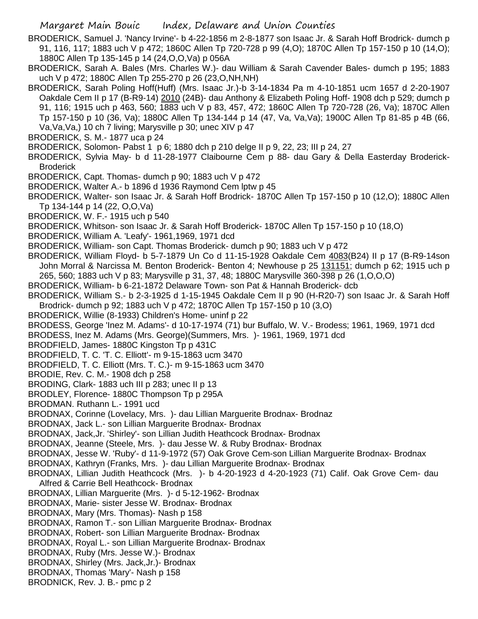BRODERICK, Samuel J. 'Nancy Irvine'- b 4-22-1856 m 2-8-1877 son Isaac Jr. & Sarah Hoff Brodrick- dumch p 91, 116, 117; 1883 uch V p 472; 1860C Allen Tp 720-728 p 99 (4,O); 1870C Allen Tp 157-150 p 10 (14,O); 1880C Allen Tp 135-145 p 14 (24,O,O,Va) p 056A

- BRODERICK, Sarah A. Bales (Mrs. Charles W.)- dau William & Sarah Cavender Bales- dumch p 195; 1883 uch V p 472; 1880C Allen Tp 255-270 p 26 (23,O,NH,NH)
- BRODERICK, Sarah Poling Hoff(Huff) (Mrs. Isaac Jr.)-b 3-14-1834 Pa m 4-10-1851 ucm 1657 d 2-20-1907 Oakdale Cem II p 17 (B-R9-14) 2010 (24B)- dau Anthony & Elizabeth Poling Hoff- 1908 dch p 529; dumch p 91, 116; 1915 uch p 463, 560; 1883 uch V p 83, 457, 472; 1860C Allen Tp 720-728 (26, Va); 1870C Allen Tp 157-150 p 10 (36, Va); 1880C Allen Tp 134-144 p 14 (47, Va, Va,Va); 1900C Allen Tp 81-85 p 4B (66, Va,Va,Va,) 10 ch 7 living; Marysville p 30; unec XIV p 47
- BRODERICK, S. M.- 1877 uca p 24

BRODERICK, Solomon- Pabst 1 p 6; 1880 dch p 210 delge II p 9, 22, 23; III p 24, 27

- BRODERICK, Sylvia May- b d 11-28-1977 Claibourne Cem p 88- dau Gary & Della Easterday Broderick-**Broderick**
- BRODERICK, Capt. Thomas- dumch p 90; 1883 uch V p 472
- BRODERICK, Walter A.- b 1896 d 1936 Raymond Cem lptw p 45
- BRODERICK, Walter- son Isaac Jr. & Sarah Hoff Brodrick- 1870C Allen Tp 157-150 p 10 (12,O); 1880C Allen Tp 134-144 p 14 (22, O,O,Va)
- BRODERICK, W. F.- 1915 uch p 540
- BRODERICK, Whitson- son Isaac Jr. & Sarah Hoff Broderick- 1870C Allen Tp 157-150 p 10 (18,O)
- BRODERICK, William A. 'Leafy'- 1961,1969, 1971 dcd
- BRODERICK, William- son Capt. Thomas Broderick- dumch p 90; 1883 uch V p 472
- BRODERICK, William Floyd- b 5-7-1879 Un Co d 11-15-1928 Oakdale Cem 4083(B24) II p 17 (B-R9-14son John Morral & Narcissa M. Benton Broderick- Benton 4; Newhouse p 25 131151; dumch p 62; 1915 uch p 265, 560; 1883 uch V p 83; Marysville p 31, 37, 48; 1880C Marysville 360-398 p 26 (1,O,O,O)
- BRODERICK, William- b 6-21-1872 Delaware Town- son Pat & Hannah Broderick- dcb
- BRODERICK, William S.- b 2-3-1925 d 1-15-1945 Oakdale Cem II p 90 (H-R20-7) son Isaac Jr. & Sarah Hoff Brodrick- dumch p 92; 1883 uch V p 472; 1870C Allen Tp 157-150 p 10 (3,O)
- BRODERICK, Willie (8-1933) Children's Home- uninf p 22
- BRODESS, George 'Inez M. Adams'- d 10-17-1974 (71) bur Buffalo, W. V.- Brodess; 1961, 1969, 1971 dcd
- BRODESS, Inez M. Adams (Mrs. George)(Summers, Mrs. )- 1961, 1969, 1971 dcd
- BRODFIELD, James- 1880C Kingston Tp p 431C
- BRODFIELD, T. C. 'T. C. Elliott'- m 9-15-1863 ucm 3470
- BRODFIELD, T. C. Elliott (Mrs. T. C.)- m 9-15-1863 ucm 3470
- BRODIE, Rev. C. M.- 1908 dch p 258
- BRODING, Clark- 1883 uch III p 283; unec II p 13
- BRODLEY, Florence- 1880C Thompson Tp p 295A
- BRODMAN. Ruthann L.- 1991 ucd
- BRODNAX, Corinne (Lovelacy, Mrs. )- dau Lillian Marguerite Brodnax- Brodnaz
- BRODNAX, Jack L.- son Lillian Marguerite Brodnax- Brodnax
- BRODNAX, Jack,Jr. 'Shirley'- son Lillian Judith Heathcock Brodnax- Brodnax
- BRODNAX, Jeanne (Steele, Mrs. )- dau Jesse W. & Ruby Brodnax- Brodnax
- BRODNAX, Jesse W. 'Ruby'- d 11-9-1972 (57) Oak Grove Cem-son Lillian Marguerite Brodnax- Brodnax
- BRODNAX, Kathryn (Franks, Mrs. )- dau Lillian Marguerite Brodnax- Brodnax
- BRODNAX, Lillian Judith Heathcock (Mrs. )- b 4-20-1923 d 4-20-1923 (71) Calif. Oak Grove Cem- dau Alfred & Carrie Bell Heathcock- Brodnax
- BRODNAX, Lillian Marguerite (Mrs. )- d 5-12-1962- Brodnax
- BRODNAX, Marie- sister Jesse W. Brodnax- Brodnax
- BRODNAX, Mary (Mrs. Thomas)- Nash p 158
- BRODNAX, Ramon T.- son Lillian Marguerite Brodnax- Brodnax
- BRODNAX, Robert- son Lillian Marguerite Brodnax- Brodnax
- BRODNAX, Royal L.- son Lillian Marguerite Brodnax- Brodnax
- BRODNAX, Ruby (Mrs. Jesse W.)- Brodnax
- BRODNAX, Shirley (Mrs. Jack,Jr.)- Brodnax
- BRODNAX, Thomas 'Mary'- Nash p 158
- BRODNICK, Rev. J. B.- pmc p 2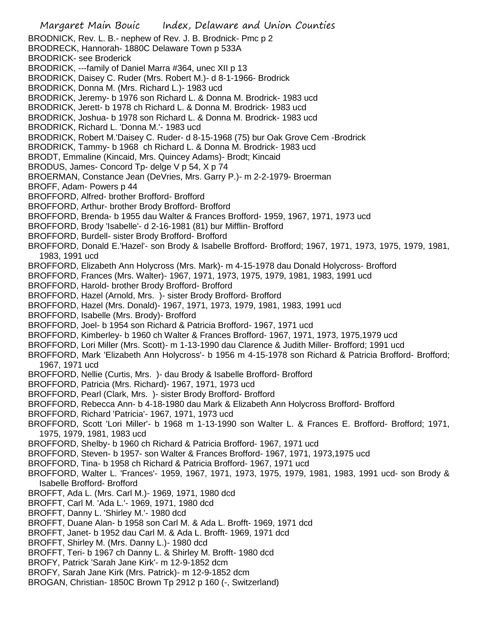Margaret Main Bouic Index, Delaware and Union Counties BRODNICK, Rev. L. B.- nephew of Rev. J. B. Brodnick- Pmc p 2 BRODRECK, Hannorah- 1880C Delaware Town p 533A BRODRICK- see Broderick BRODRICK, ---family of Daniel Marra #364, unec XII p 13 BRODRICK, Daisey C. Ruder (Mrs. Robert M.)- d 8-1-1966- Brodrick BRODRICK, Donna M. (Mrs. Richard L.)- 1983 ucd BRODRICK, Jeremy- b 1976 son Richard L. & Donna M. Brodrick- 1983 ucd BRODRICK, Jerett- b 1978 ch Richard L. & Donna M. Brodrick- 1983 ucd BRODRICK, Joshua- b 1978 son Richard L. & Donna M. Brodrick- 1983 ucd BRODRICK, Richard L. 'Donna M.'- 1983 ucd BRODRICK, Robert M.'Daisey C. Ruder- d 8-15-1968 (75) bur Oak Grove Cem -Brodrick BRODRICK, Tammy- b 1968 ch Richard L. & Donna M. Brodrick- 1983 ucd BRODT, Emmaline (Kincaid, Mrs. Quincey Adams)- Brodt; Kincaid BRODUS, James- Concord Tp- delge V p 54, X p 74 BROERMAN, Constance Jean (DeVries, Mrs. Garry P.)- m 2-2-1979- Broerman BROFF, Adam- Powers p 44 BROFFORD, Alfred- brother Brofford- Brofford BROFFORD, Arthur- brother Brody Brofford- Brofford BROFFORD, Brenda- b 1955 dau Walter & Frances Brofford- 1959, 1967, 1971, 1973 ucd BROFFORD, Brody 'Isabelle'- d 2-16-1981 (81) bur Mifflin- Brofford BROFFORD, Burdell- sister Brody Brofford- Brofford BROFFORD, Donald E.'Hazel'- son Brody & Isabelle Brofford- Brofford; 1967, 1971, 1973, 1975, 1979, 1981, 1983, 1991 ucd BROFFORD, Elizabeth Ann Holycross (Mrs. Mark)- m 4-15-1978 dau Donald Holycross- Brofford BROFFORD, Frances (Mrs. Walter)- 1967, 1971, 1973, 1975, 1979, 1981, 1983, 1991 ucd BROFFORD, Harold- brother Brody Brofford- Brofford BROFFORD, Hazel (Arnold, Mrs. )- sister Brody Brofford- Brofford BROFFORD, Hazel (Mrs. Donald)- 1967, 1971, 1973, 1979, 1981, 1983, 1991 ucd BROFFORD, Isabelle (Mrs. Brody)- Brofford BROFFORD, Joel- b 1954 son Richard & Patricia Brofford- 1967, 1971 ucd BROFFORD, Kimberley- b 1960 ch Walter & Frances Brofford- 1967, 1971, 1973, 1975,1979 ucd BROFFORD, Lori Miller (Mrs. Scott)- m 1-13-1990 dau Clarence & Judith Miller- Brofford; 1991 ucd BROFFORD, Mark 'Elizabeth Ann Holycross'- b 1956 m 4-15-1978 son Richard & Patricia Brofford- Brofford; 1967, 1971 ucd BROFFORD, Nellie (Curtis, Mrs. )- dau Brody & Isabelle Brofford- Brofford BROFFORD, Patricia (Mrs. Richard)- 1967, 1971, 1973 ucd BROFFORD, Pearl (Clark, Mrs. )- sister Brody Brofford- Brofford BROFFORD, Rebecca Ann- b 4-18-1980 dau Mark & Elizabeth Ann Holycross Brofford- Brofford BROFFORD, Richard 'Patricia'- 1967, 1971, 1973 ucd BROFFORD, Scott 'Lori Miller'- b 1968 m 1-13-1990 son Walter L. & Frances E. Brofford- Brofford; 1971, 1975, 1979, 1981, 1983 ucd BROFFORD, Shelby- b 1960 ch Richard & Patricia Brofford- 1967, 1971 ucd BROFFORD, Steven- b 1957- son Walter & Frances Brofford- 1967, 1971, 1973,1975 ucd BROFFORD, Tina- b 1958 ch Richard & Patricia Brofford- 1967, 1971 ucd BROFFORD, Walter L. 'Frances'- 1959, 1967, 1971, 1973, 1975, 1979, 1981, 1983, 1991 ucd- son Brody & Isabelle Brofford- Brofford BROFFT, Ada L. (Mrs. Carl M.)- 1969, 1971, 1980 dcd BROFFT, Carl M. 'Ada L.'- 1969, 1971, 1980 dcd BROFFT, Danny L. 'Shirley M.'- 1980 dcd BROFFT, Duane Alan- b 1958 son Carl M. & Ada L. Brofft- 1969, 1971 dcd BROFFT, Janet- b 1952 dau Carl M. & Ada L. Brofft- 1969, 1971 dcd BROFFT, Shirley M. (Mrs. Danny L.)- 1980 dcd BROFFT, Teri- b 1967 ch Danny L. & Shirley M. Brofft- 1980 dcd BROFY, Patrick 'Sarah Jane Kirk'- m 12-9-1852 dcm BROFY, Sarah Jane Kirk (Mrs. Patrick)- m 12-9-1852 dcm BROGAN, Christian- 1850C Brown Tp 2912 p 160 (-, Switzerland)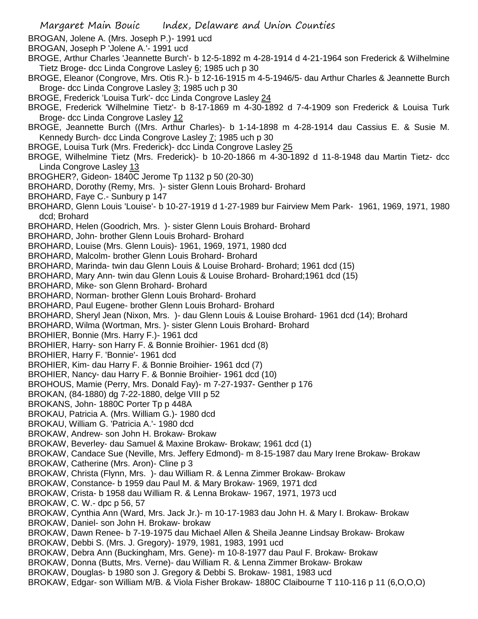- BROGAN, Jolene A. (Mrs. Joseph P.)- 1991 ucd
- BROGAN, Joseph P 'Jolene A.'- 1991 ucd
- BROGE, Arthur Charles 'Jeannette Burch'- b 12-5-1892 m 4-28-1914 d 4-21-1964 son Frederick & Wilhelmine Tietz Broge- dcc Linda Congrove Lasley 6; 1985 uch p 30
- BROGE, Eleanor (Congrove, Mrs. Otis R.)- b 12-16-1915 m 4-5-1946/5- dau Arthur Charles & Jeannette Burch Broge- dcc Linda Congrove Lasley 3; 1985 uch p 30
- BROGE, Frederick 'Louisa Turk'- dcc Linda Congrove Lasley 24
- BROGE, Frederick 'Wilhelmine Tietz'- b 8-17-1869 m 4-30-1892 d 7-4-1909 son Frederick & Louisa Turk Broge- dcc Linda Congrove Lasley 12
- BROGE, Jeannette Burch ((Mrs. Arthur Charles)- b 1-14-1898 m 4-28-1914 dau Cassius E. & Susie M. Kennedy Burch- dcc Linda Congrove Lasley 7; 1985 uch p 30
- BROGE, Louisa Turk (Mrs. Frederick)- dcc Linda Congrove Lasley 25
- BROGE, Wilhelmine Tietz (Mrs. Frederick)- b 10-20-1866 m 4-30-1892 d 11-8-1948 dau Martin Tietz- dcc Linda Congrove Lasley 13
- BROGHER?, Gideon- 1840C Jerome Tp 1132 p 50 (20-30)
- BROHARD, Dorothy (Remy, Mrs. )- sister Glenn Louis Brohard- Brohard
- BROHARD, Faye C.- Sunbury p 147
- BROHARD, Glenn Louis 'Louise'- b 10-27-1919 d 1-27-1989 bur Fairview Mem Park- 1961, 1969, 1971, 1980 dcd; Brohard
- BROHARD, Helen (Goodrich, Mrs. )- sister Glenn Louis Brohard- Brohard
- BROHARD, John- brother Glenn Louis Brohard- Brohard
- BROHARD, Louise (Mrs. Glenn Louis)- 1961, 1969, 1971, 1980 dcd
- BROHARD, Malcolm- brother Glenn Louis Brohard- Brohard
- BROHARD, Marinda- twin dau Glenn Louis & Louise Brohard- Brohard; 1961 dcd (15)
- BROHARD, Mary Ann- twin dau Glenn Louis & Louise Brohard- Brohard;1961 dcd (15)
- BROHARD, Mike- son Glenn Brohard- Brohard
- BROHARD, Norman- brother Glenn Louis Brohard- Brohard
- BROHARD, Paul Eugene- brother Glenn Louis Brohard- Brohard
- BROHARD, Sheryl Jean (Nixon, Mrs. )- dau Glenn Louis & Louise Brohard- 1961 dcd (14); Brohard
- BROHARD, Wilma (Wortman, Mrs. )- sister Glenn Louis Brohard- Brohard
- BROHIER, Bonnie (Mrs. Harry F.)- 1961 dcd
- BROHIER, Harry- son Harry F. & Bonnie Broihier- 1961 dcd (8)
- BROHIER, Harry F. 'Bonnie'- 1961 dcd
- BROHIER, Kim- dau Harry F. & Bonnie Broihier- 1961 dcd (7)
- BROHIER, Nancy- dau Harry F. & Bonnie Broihier- 1961 dcd (10)
- BROHOUS, Mamie (Perry, Mrs. Donald Fay)- m 7-27-1937- Genther p 176
- BROKAN, (84-1880) dg 7-22-1880, delge VIII p 52
- BROKANS, John- 1880C Porter Tp p 448A
- BROKAU, Patricia A. (Mrs. William G.)- 1980 dcd
- BROKAU, William G. 'Patricia A.'- 1980 dcd
- BROKAW, Andrew- son John H. Brokaw- Brokaw
- BROKAW, Beverley- dau Samuel & Maxine Brokaw- Brokaw; 1961 dcd (1)
- BROKAW, Candace Sue (Neville, Mrs. Jeffery Edmond)- m 8-15-1987 dau Mary Irene Brokaw- Brokaw
- BROKAW, Catherine (Mrs. Aron)- Cline p 3
- BROKAW, Christa (Flynn, Mrs. )- dau William R. & Lenna Zimmer Brokaw- Brokaw
- BROKAW, Constance- b 1959 dau Paul M. & Mary Brokaw- 1969, 1971 dcd
- BROKAW, Crista- b 1958 dau William R. & Lenna Brokaw- 1967, 1971, 1973 ucd
- BROKAW, C. W.- dpc p 56, 57
- BROKAW, Cynthia Ann (Ward, Mrs. Jack Jr.)- m 10-17-1983 dau John H. & Mary I. Brokaw- Brokaw
- BROKAW, Daniel- son John H. Brokaw- brokaw
- BROKAW, Dawn Renee- b 7-19-1975 dau Michael Allen & Sheila Jeanne Lindsay Brokaw- Brokaw BROKAW, Debbi S. (Mrs. J. Gregory)- 1979, 1981, 1983, 1991 ucd
- BROKAW, Debra Ann (Buckingham, Mrs. Gene)- m 10-8-1977 dau Paul F. Brokaw- Brokaw
- BROKAW, Donna (Butts, Mrs. Verne)- dau William R. & Lenna Zimmer Brokaw- Brokaw
- BROKAW, Douglas- b 1980 son J. Gregory & Debbi S. Brokaw- 1981, 1983 ucd
- BROKAW, Edgar- son William M/B. & Viola Fisher Brokaw- 1880C Claibourne T 110-116 p 11 (6,O,O,O)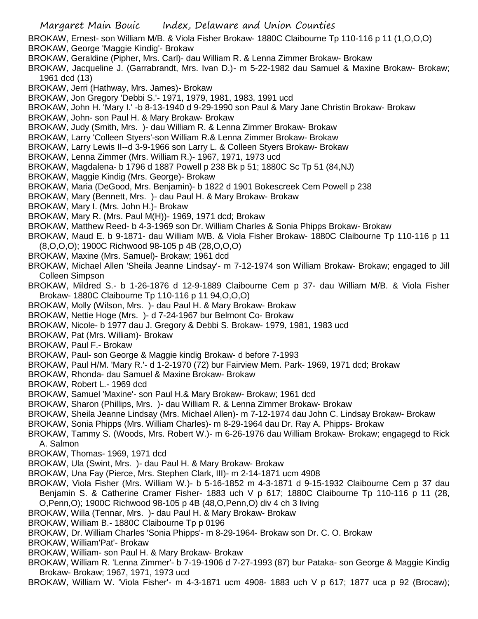- BROKAW, Ernest- son William M/B. & Viola Fisher Brokaw- 1880C Claibourne Tp 110-116 p 11 (1,O,O,O)
- BROKAW, George 'Maggie Kindig'- Brokaw
- BROKAW, Geraldine (Pipher, Mrs. Carl)- dau William R. & Lenna Zimmer Brokaw- Brokaw
- BROKAW, Jacqueline J. (Garrabrandt, Mrs. Ivan D.)- m 5-22-1982 dau Samuel & Maxine Brokaw- Brokaw; 1961 dcd (13)
- BROKAW, Jerri (Hathway, Mrs. James)- Brokaw
- BROKAW, Jon Gregory 'Debbi S.'- 1971, 1979, 1981, 1983, 1991 ucd
- BROKAW, John H. 'Mary I.' -b 8-13-1940 d 9-29-1990 son Paul & Mary Jane Christin Brokaw- Brokaw
- BROKAW, John- son Paul H. & Mary Brokaw- Brokaw
- BROKAW, Judy (Smith, Mrs. )- dau William R. & Lenna Zimmer Brokaw- Brokaw
- BROKAW, Larry 'Colleen Styers'-son William R.& Lenna Zimmer Brokaw- Brokaw
- BROKAW, Larry Lewis II--d 3-9-1966 son Larry L. & Colleen Styers Brokaw- Brokaw
- BROKAW, Lenna Zimmer (Mrs. William R.)- 1967, 1971, 1973 ucd
- BROKAW, Magdalena- b 1796 d 1887 Powell p 238 Bk p 51; 1880C Sc Tp 51 (84,NJ)
- BROKAW, Maggie Kindig (Mrs. George)- Brokaw
- BROKAW, Maria (DeGood, Mrs. Benjamin)- b 1822 d 1901 Bokescreek Cem Powell p 238
- BROKAW, Mary (Bennett, Mrs. )- dau Paul H. & Mary Brokaw- Brokaw
- BROKAW, Mary I. (Mrs. John H.)- Brokaw
- BROKAW, Mary R. (Mrs. Paul M(H))- 1969, 1971 dcd; Brokaw
- BROKAW, Matthew Reed- b 4-3-1969 son Dr. William Charles & Sonia Phipps Brokaw- Brokaw
- BROKAW, Maud E. b 9-1871- dau William M/B. & Viola Fisher Brokaw- 1880C Claibourne Tp 110-116 p 11 (8,O,O,O); 1900C Richwood 98-105 p 4B (28,O,O,O)
- BROKAW, Maxine (Mrs. Samuel)- Brokaw; 1961 dcd
- BROKAW, Michael Allen 'Sheila Jeanne Lindsay'- m 7-12-1974 son William Brokaw- Brokaw; engaged to Jill Colleen Simpson
- BROKAW, Mildred S.- b 1-26-1876 d 12-9-1889 Claibourne Cem p 37- dau William M/B. & Viola Fisher Brokaw- 1880C Claibourne Tp 110-116 p 11 94,O,O,O)
- BROKAW, Molly (Wilson, Mrs. )- dau Paul H. & Mary Brokaw- Brokaw
- BROKAW, Nettie Hoge (Mrs. )- d 7-24-1967 bur Belmont Co- Brokaw
- BROKAW, Nicole- b 1977 dau J. Gregory & Debbi S. Brokaw- 1979, 1981, 1983 ucd
- BROKAW, Pat (Mrs. William)- Brokaw
- BROKAW, Paul F.- Brokaw
- BROKAW, Paul- son George & Maggie kindig Brokaw- d before 7-1993
- BROKAW, Paul H/M. 'Mary R.'- d 1-2-1970 (72) bur Fairview Mem. Park- 1969, 1971 dcd; Brokaw
- BROKAW, Rhonda- dau Samuel & Maxine Brokaw- Brokaw
- BROKAW, Robert L.- 1969 dcd
- BROKAW, Samuel 'Maxine'- son Paul H.& Mary Brokaw- Brokaw; 1961 dcd
- BROKAW, Sharon (Phillips, Mrs. )- dau William R. & Lenna Zimmer Brokaw- Brokaw
- BROKAW, Sheila Jeanne Lindsay (Mrs. Michael Allen)- m 7-12-1974 dau John C. Lindsay Brokaw- Brokaw
- BROKAW, Sonia Phipps (Mrs. William Charles)- m 8-29-1964 dau Dr. Ray A. Phipps- Brokaw
- BROKAW, Tammy S. (Woods, Mrs. Robert W.)- m 6-26-1976 dau William Brokaw- Brokaw; engagegd to Rick A. Salmon
- BROKAW, Thomas- 1969, 1971 dcd
- BROKAW, Ula (Swint, Mrs. )- dau Paul H. & Mary Brokaw- Brokaw
- BROKAW, Una Fay (Pierce, Mrs. Stephen Clark, III)- m 2-14-1871 ucm 4908
- BROKAW, Viola Fisher (Mrs. William W.)- b 5-16-1852 m 4-3-1871 d 9-15-1932 Claibourne Cem p 37 dau Benjamin S. & Catherine Cramer Fisher- 1883 uch V p 617; 1880C Claibourne Tp 110-116 p 11 (28, O,Penn,O); 1900C Richwood 98-105 p 4B (48,O,Penn,O) div 4 ch 3 living
- BROKAW, Willa (Tennar, Mrs. )- dau Paul H. & Mary Brokaw- Brokaw
- BROKAW, William B.- 1880C Claibourne Tp p 0196
- BROKAW, Dr. William Charles 'Sonia Phipps'- m 8-29-1964- Brokaw son Dr. C. O. Brokaw
- BROKAW, William'Pat'- Brokaw
- BROKAW, William- son Paul H. & Mary Brokaw- Brokaw
- BROKAW, William R. 'Lenna Zimmer'- b 7-19-1906 d 7-27-1993 (87) bur Pataka- son George & Maggie Kindig Brokaw- Brokaw; 1967, 1971, 1973 ucd
- BROKAW, William W. 'Viola Fisher'- m 4-3-1871 ucm 4908- 1883 uch V p 617; 1877 uca p 92 (Brocaw);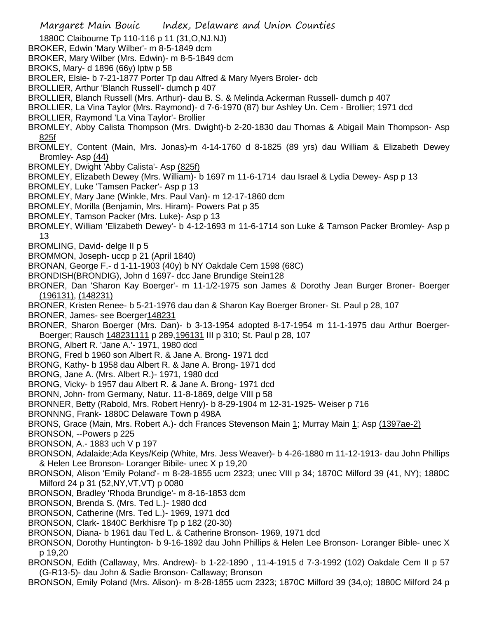- 1880C Claibourne Tp 110-116 p 11 (31,O,NJ.NJ)
- BROKER, Edwin 'Mary Wilber'- m 8-5-1849 dcm
- BROKER, Mary Wilber (Mrs. Edwin)- m 8-5-1849 dcm
- BROKS, Mary- d 1896 (66y) lptw p 58
- BROLER, Elsie- b 7-21-1877 Porter Tp dau Alfred & Mary Myers Broler- dcb
- BROLLIER, Arthur 'Blanch Russell'- dumch p 407
- BROLLIER, Blanch Russell (Mrs. Arthur)- dau B. S. & Melinda Ackerman Russell- dumch p 407
- BROLLIER, La Vina Taylor (Mrs. Raymond)- d 7-6-1970 (87) bur Ashley Un. Cem Brollier; 1971 dcd
- BROLLIER, Raymond 'La Vina Taylor'- Brollier
- BROMLEY, Abby Calista Thompson (Mrs. Dwight)-b 2-20-1830 dau Thomas & Abigail Main Thompson- Asp 825f
- BROMLEY, Content (Main, Mrs. Jonas)-m 4-14-1760 d 8-1825 (89 yrs) dau William & Elizabeth Dewey Bromley- Asp (44)
- BROMLEY, Dwight 'Abby Calista'- Asp (825f)
- BROMLEY, Elizabeth Dewey (Mrs. William)- b 1697 m 11-6-1714 dau Israel & Lydia Dewey- Asp p 13
- BROMLEY, Luke 'Tamsen Packer'- Asp p 13
- BROMLEY, Mary Jane (Winkle, Mrs. Paul Van)- m 12-17-1860 dcm
- BROMLEY, Morilla (Benjamin, Mrs. Hiram)- Powers Pat p 35
- BROMLEY, Tamson Packer (Mrs. Luke)- Asp p 13
- BROMLEY, William 'Elizabeth Dewey'- b 4-12-1693 m 11-6-1714 son Luke & Tamson Packer Bromley- Asp p 13
- BROMLING, David- delge II p 5
- BROMMON, Joseph- uccp p 21 (April 1840)
- BRONAN, George F.- d 1-11-1903 (40y) b NY Oakdale Cem 1598 (68C)
- BRONDISH(BRONDIG), John d 1697- dcc Jane Brundige Stein128
- BRONER, Dan 'Sharon Kay Boerger'- m 11-1/2-1975 son James & Dorothy Jean Burger Broner- Boerger (196131), (148231)
- BRONER, Kristen Renee- b 5-21-1976 dau dan & Sharon Kay Boerger Broner- St. Paul p 28, 107
- BRONER, James- see Boerger148231
- BRONER, Sharon Boerger (Mrs. Dan)- b 3-13-1954 adopted 8-17-1954 m 11-1-1975 dau Arthur Boerger-Boerger; Rausch 148231111 p 289,196131 III p 310; St. Paul p 28, 107
- BRONG, Albert R. 'Jane A.'- 1971, 1980 dcd
- BRONG, Fred b 1960 son Albert R. & Jane A. Brong- 1971 dcd
- BRONG, Kathy- b 1958 dau Albert R. & Jane A. Brong- 1971 dcd
- BRONG, Jane A. (Mrs. Albert R.)- 1971, 1980 dcd
- BRONG, Vicky- b 1957 dau Albert R. & Jane A. Brong- 1971 dcd
- BRONN, John- from Germany, Natur. 11-8-1869, delge VIII p 58
- BRONNER, Betty (Rabold, Mrs. Robert Henry)- b 8-29-1904 m 12-31-1925- Weiser p 716
- BRONNNG, Frank- 1880C Delaware Town p 498A
- BRONS, Grace (Main, Mrs. Robert A.)- dch Frances Stevenson Main 1; Murray Main 1; Asp (1397ae-2)
- BRONSON, --Powers p 225
- BRONSON, A.- 1883 uch V p 197
- BRONSON, Adalaide;Ada Keys/Keip (White, Mrs. Jess Weaver)- b 4-26-1880 m 11-12-1913- dau John Phillips & Helen Lee Bronson- Loranger Bibile- unec X p 19,20
- BRONSON, Alison 'Emily Poland'- m 8-28-1855 ucm 2323; unec VIII p 34; 1870C Milford 39 (41, NY); 1880C Milford 24 p 31 (52,NY,VT,VT) p 0080
- BRONSON, Bradley 'Rhoda Brundige'- m 8-16-1853 dcm
- BRONSON, Brenda S. (Mrs. Ted L.)- 1980 dcd
- BRONSON, Catherine (Mrs. Ted L.)- 1969, 1971 dcd
- BRONSON, Clark- 1840C Berkhisre Tp p 182 (20-30)
- BRONSON, Diana- b 1961 dau Ted L. & Catherine Bronson- 1969, 1971 dcd
- BRONSON, Dorothy Huntington- b 9-16-1892 dau John Phillips & Helen Lee Bronson- Loranger Bible- unec X p 19,20
- BRONSON, Edith (Callaway, Mrs. Andrew)- b 1-22-1890 , 11-4-1915 d 7-3-1992 (102) Oakdale Cem II p 57 (G-R13-5)- dau John & Sadie Bronson- Callaway; Bronson
- BRONSON, Emily Poland (Mrs. Alison)- m 8-28-1855 ucm 2323; 1870C Milford 39 (34,o); 1880C Milford 24 p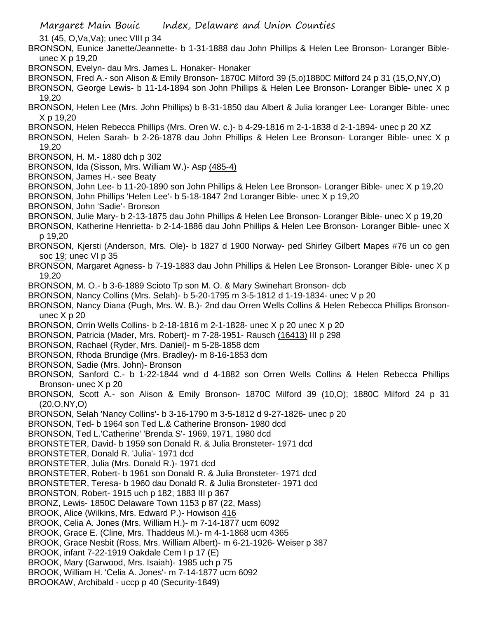31 (45, O,Va,Va); unec VIII p 34

- BRONSON, Eunice Janette/Jeannette- b 1-31-1888 dau John Phillips & Helen Lee Bronson- Loranger Bibleunec X p 19,20
- BRONSON, Evelyn- dau Mrs. James L. Honaker- Honaker
- BRONSON, Fred A.- son Alison & Emily Bronson- 1870C Milford 39 (5,o)1880C Milford 24 p 31 (15,O,NY,O)

BRONSON, George Lewis- b 11-14-1894 son John Phillips & Helen Lee Bronson- Loranger Bible- unec X p 19,20

- BRONSON, Helen Lee (Mrs. John Phillips) b 8-31-1850 dau Albert & Julia loranger Lee- Loranger Bible- unec X p 19,20
- BRONSON, Helen Rebecca Phillips (Mrs. Oren W. c.)- b 4-29-1816 m 2-1-1838 d 2-1-1894- unec p 20 XZ
- BRONSON, Helen Sarah- b 2-26-1878 dau John Phillips & Helen Lee Bronson- Loranger Bible- unec X p 19,20
- BRONSON, H. M.- 1880 dch p 302
- BRONSON, Ida (Sisson, Mrs. William W.)- Asp (485-4)
- BRONSON, James H.- see Beaty
- BRONSON, John Lee- b 11-20-1890 son John Phillips & Helen Lee Bronson- Loranger Bible- unec X p 19,20
- BRONSON, John Phillips 'Helen Lee'- b 5-18-1847 2nd Loranger Bible- unec X p 19,20
- BRONSON, John 'Sadie'- Bronson
- BRONSON, Julie Mary- b 2-13-1875 dau John Phillips & Helen Lee Bronson- Loranger Bible- unec X p 19,20
- BRONSON, Katherine Henrietta- b 2-14-1886 dau John Phillips & Helen Lee Bronson- Loranger Bible- unec X p 19,20
- BRONSON, Kjersti (Anderson, Mrs. Ole)- b 1827 d 1900 Norway- ped Shirley Gilbert Mapes #76 un co gen soc 19; unec VI p 35
- BRONSON, Margaret Agness- b 7-19-1883 dau John Phillips & Helen Lee Bronson- Loranger Bible- unec X p 19,20
- BRONSON, M. O.- b 3-6-1889 Scioto Tp son M. O. & Mary Swinehart Bronson- dcb
- BRONSON, Nancy Collins (Mrs. Selah)- b 5-20-1795 m 3-5-1812 d 1-19-1834- unec V p 20
- BRONSON, Nancy Diana (Pugh, Mrs. W. B.)- 2nd dau Orren Wells Collins & Helen Rebecca Phillips Bronsonunec X p 20
- BRONSON, Orrin Wells Collins- b 2-18-1816 m 2-1-1828- unec X p 20 unec X p 20
- BRONSON, Patricia (Mader, Mrs. Robert)- m 7-28-1951- Rausch (16413) III p 298
- BRONSON, Rachael (Ryder, Mrs. Daniel)- m 5-28-1858 dcm
- BRONSON, Rhoda Brundige (Mrs. Bradley)- m 8-16-1853 dcm
- BRONSON, Sadie (Mrs. John)- Bronson
- BRONSON, Sanford C.- b 1-22-1844 wnd d 4-1882 son Orren Wells Collins & Helen Rebecca Phillips Bronson- unec X p 20
- BRONSON, Scott A.- son Alison & Emily Bronson- 1870C Milford 39 (10,O); 1880C Milford 24 p 31 (20,O,NY,O)
- BRONSON, Selah 'Nancy Collins'- b 3-16-1790 m 3-5-1812 d 9-27-1826- unec p 20
- BRONSON, Ted- b 1964 son Ted L.& Catherine Bronson- 1980 dcd
- BRONSON, Ted L.'Catherine' 'Brenda S'- 1969, 1971, 1980 dcd
- BRONSTETER, David- b 1959 son Donald R. & Julia Bronsteter- 1971 dcd
- BRONSTETER, Donald R. 'Julia'- 1971 dcd
- BRONSTETER, Julia (Mrs. Donald R.)- 1971 dcd
- BRONSTETER, Robert- b 1961 son Donald R. & Julia Bronsteter- 1971 dcd
- BRONSTETER, Teresa- b 1960 dau Donald R. & Julia Bronsteter- 1971 dcd
- BRONSTON, Robert- 1915 uch p 182; 1883 III p 367
- BRONZ, Lewis- 1850C Delaware Town 1153 p 87 (22, Mass)
- BROOK, Alice (Wilkins, Mrs. Edward P.)- Howison 416
- BROOK, Celia A. Jones (Mrs. William H.)- m 7-14-1877 ucm 6092
- BROOK, Grace E. (Cline, Mrs. Thaddeus M.)- m 4-1-1868 ucm 4365
- BROOK, Grace Nesbit (Ross, Mrs. William Albert)- m 6-21-1926- Weiser p 387
- BROOK, infant 7-22-1919 Oakdale Cem I p 17 (E)
- BROOK, Mary (Garwood, Mrs. Isaiah)- 1985 uch p 75
- BROOK, William H. 'Celia A. Jones'- m 7-14-1877 ucm 6092
- BROOKAW, Archibald uccp p 40 (Security-1849)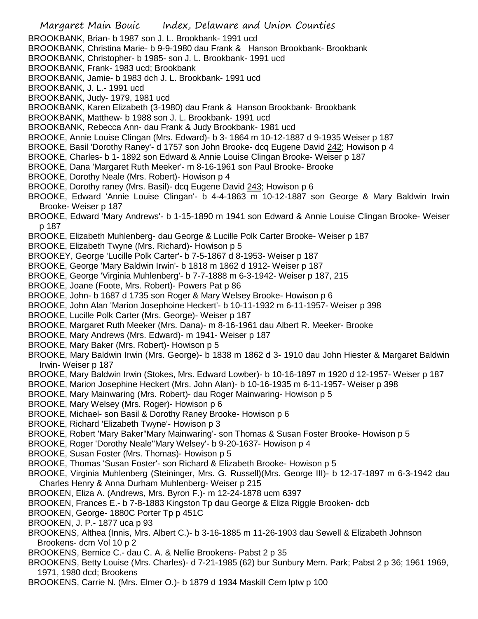- Margaret Main Bouic Index, Delaware and Union Counties BROOKBANK, Brian- b 1987 son J. L. Brookbank- 1991 ucd BROOKBANK, Christina Marie- b 9-9-1980 dau Frank & Hanson Brookbank- Brookbank BROOKBANK, Christopher- b 1985- son J. L. Brookbank- 1991 ucd BROOKBANK, Frank- 1983 ucd; Brookbank BROOKBANK, Jamie- b 1983 dch J. L. Brookbank- 1991 ucd BROOKBANK, J. L.- 1991 ucd BROOKBANK, Judy- 1979, 1981 ucd BROOKBANK, Karen Elizabeth (3-1980) dau Frank & Hanson Brookbank- Brookbank BROOKBANK, Matthew- b 1988 son J. L. Brookbank- 1991 ucd BROOKBANK, Rebecca Ann- dau Frank & Judy Brookbank- 1981 ucd BROOKE, Annie Louise Clingan (Mrs. Edward)- b 3- 1864 m 10-12-1887 d 9-1935 Weiser p 187 BROOKE, Basil 'Dorothy Raney'- d 1757 son John Brooke- dcq Eugene David 242; Howison p 4 BROOKE, Charles- b 1- 1892 son Edward & Annie Louise Clingan Brooke- Weiser p 187 BROOKE, Dana 'Margaret Ruth Meeker'- m 8-16-1961 son Paul Brooke- Brooke BROOKE, Dorothy Neale (Mrs. Robert)- Howison p 4 BROOKE, Dorothy raney (Mrs. Basil)- dcq Eugene David 243; Howison p 6 BROOKE, Edward 'Annie Louise Clingan'- b 4-4-1863 m 10-12-1887 son George & Mary Baldwin Irwin Brooke- Weiser p 187 BROOKE, Edward 'Mary Andrews'- b 1-15-1890 m 1941 son Edward & Annie Louise Clingan Brooke- Weiser p 187 BROOKE, Elizabeth Muhlenberg- dau George & Lucille Polk Carter Brooke- Weiser p 187 BROOKE, Elizabeth Twyne (Mrs. Richard)- Howison p 5 BROOKEY, George 'Lucille Polk Carter'- b 7-5-1867 d 8-1953- Weiser p 187 BROOKE, George 'Mary Baldwin Irwin'- b 1818 m 1862 d 1912- Weiser p 187 BROOKE, George 'Virginia Muhlenberg'- b 7-7-1888 m 6-3-1942- Weiser p 187, 215 BROOKE, Joane (Foote, Mrs. Robert)- Powers Pat p 86 BROOKE, John- b 1687 d 1735 son Roger & Mary Welsey Brooke- Howison p 6 BROOKE, John Alan 'Marion Josephoine Heckert'- b 10-11-1932 m 6-11-1957- Weiser p 398 BROOKE, Lucille Polk Carter (Mrs. George)- Weiser p 187 BROOKE, Margaret Ruth Meeker (Mrs. Dana)- m 8-16-1961 dau Albert R. Meeker- Brooke BROOKE, Mary Andrews (Mrs. Edward)- m 1941- Weiser p 187 BROOKE, Mary Baker (Mrs. Robert)- Howison p 5 BROOKE, Mary Baldwin Irwin (Mrs. George)- b 1838 m 1862 d 3- 1910 dau John Hiester & Margaret Baldwin Irwin- Weiser p 187 BROOKE, Mary Baldwin Irwin (Stokes, Mrs. Edward Lowber)- b 10-16-1897 m 1920 d 12-1957- Weiser p 187 BROOKE, Marion Josephine Heckert (Mrs. John Alan)- b 10-16-1935 m 6-11-1957- Weiser p 398 BROOKE, Mary Mainwaring (Mrs. Robert)- dau Roger Mainwaring- Howison p 5 BROOKE, Mary Welsey (Mrs. Roger)- Howison p 6 BROOKE, Michael- son Basil & Dorothy Raney Brooke- Howison p 6 BROOKE, Richard 'Elizabeth Twyne'- Howison p 3 BROOKE, Robert 'Mary Baker''Mary Mainwaring'- son Thomas & Susan Foster Brooke- Howison p 5 BROOKE, Roger 'Dorothy Neale''Mary Welsey'- b 9-20-1637- Howison p 4 BROOKE, Susan Foster (Mrs. Thomas)- Howison p 5 BROOKE, Thomas 'Susan Foster'- son Richard & Elizabeth Brooke- Howison p 5 BROOKE, Virginia Muhlenberg (Steininger, Mrs. G. Russell)(Mrs. George III)- b 12-17-1897 m 6-3-1942 dau Charles Henry & Anna Durham Muhlenberg- Weiser p 215 BROOKEN, Eliza A. (Andrews, Mrs. Byron F.)- m 12-24-1878 ucm 6397 BROOKEN, Frances E.- b 7-8-1883 Kingston Tp dau George & Eliza Riggle Brooken- dcb BROOKEN, George- 1880C Porter Tp p 451C BROOKEN, J. P.- 1877 uca p 93 BROOKENS, Althea (Innis, Mrs. Albert C.)- b 3-16-1885 m 11-26-1903 dau Sewell & Elizabeth Johnson Brookens- dcm Vol 10 p 2 BROOKENS, Bernice C.- dau C. A. & Nellie Brookens- Pabst 2 p 35 BROOKENS, Betty Louise (Mrs. Charles)- d 7-21-1985 (62) bur Sunbury Mem. Park; Pabst 2 p 36; 1961 1969, 1971, 1980 dcd; Brookens
- BROOKENS, Carrie N. (Mrs. Elmer O.)- b 1879 d 1934 Maskill Cem lptw p 100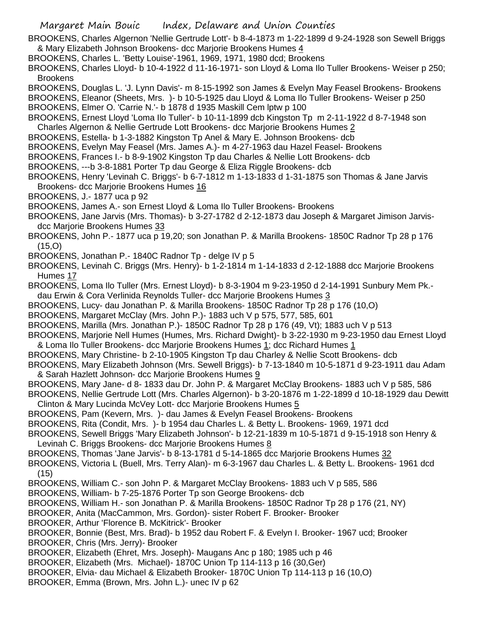BROOKENS, Charles Algernon 'Nellie Gertrude Lott'- b 8-4-1873 m 1-22-1899 d 9-24-1928 son Sewell Briggs & Mary Elizabeth Johnson Brookens- dcc Marjorie Brookens Humes 4

BROOKENS, Charles L. 'Betty Louise'-1961, 1969, 1971, 1980 dcd; Brookens

BROOKENS, Charles Lloyd- b 10-4-1922 d 11-16-1971- son Lloyd & Loma Ilo Tuller Brookens- Weiser p 250; Brookens

BROOKENS, Douglas L. 'J. Lynn Davis'- m 8-15-1992 son James & Evelyn May Feasel Brookens- Brookens BROOKENS, Eleanor (Sheets, Mrs. )- b 10-5-1925 dau Lloyd & Loma Ilo Tuller Brookens- Weiser p 250

BROOKENS, Elmer O. 'Carrie N.'- b 1878 d 1935 Maskill Cem lptw p 100

BROOKENS, Ernest Lloyd 'Loma Ilo Tuller'- b 10-11-1899 dcb Kingston Tp m 2-11-1922 d 8-7-1948 son Charles Algernon & Nellie Gertrude Lott Brookens- dcc Marjorie Brookens Humes 2

BROOKENS, Estella- b 1-3-1882 Kingston Tp Anel & Mary E. Johnson Brookens- dcb

BROOKENS, Evelyn May Feasel (Mrs. James A.)- m 4-27-1963 dau Hazel Feasel- Brookens

BROOKENS, Frances I.- b 8-9-1902 Kingston Tp dau Charles & Nellie Lott Brookens- dcb

BROOKENS, ---b 3-8-1881 Porter Tp dau George & Eliza Riggle Brookens- dcb

BROOKENS, Henry 'Levinah C. Briggs'- b 6-7-1812 m 1-13-1833 d 1-31-1875 son Thomas & Jane Jarvis Brookens- dcc Marjorie Brookens Humes 16

BROOKENS, J.- 1877 uca p 92

BROOKENS, James A.- son Ernest Lloyd & Loma Ilo Tuller Brookens- Brookens

BROOKENS, Jane Jarvis (Mrs. Thomas)- b 3-27-1782 d 2-12-1873 dau Joseph & Margaret Jimison Jarvisdcc Marjorie Brookens Humes 33

BROOKENS, John P.- 1877 uca p 19,20; son Jonathan P. & Marilla Brookens- 1850C Radnor Tp 28 p 176 (15,O)

BROOKENS, Jonathan P.- 1840C Radnor Tp - delge IV p 5

BROOKENS, Levinah C. Briggs (Mrs. Henry)- b 1-2-1814 m 1-14-1833 d 2-12-1888 dcc Marjorie Brookens Humes 17

BROOKENS, Loma Ilo Tuller (Mrs. Ernest Lloyd)- b 8-3-1904 m 9-23-1950 d 2-14-1991 Sunbury Mem Pk. dau Erwin & Cora Verlinida Reynolds Tuller- dcc Marjorie Brookens Humes 3

BROOKENS, Lucy- dau Jonathan P. & Marilla Brookens- 1850C Radnor Tp 28 p 176 (10,O)

BROOKENS, Margaret McClay (Mrs. John P.)- 1883 uch V p 575, 577, 585, 601

BROOKENS, Marilla (Mrs. Jonathan P.)- 1850C Radnor Tp 28 p 176 (49, Vt); 1883 uch V p 513

BROOKENS, Marjorie Nell Humes (Humes, Mrs. Richard Dwight)- b 3-22-1930 m 9-23-1950 dau Ernest Lloyd & Loma Ilo Tuller Brookens- dcc Marjorie Brookens Humes 1; dcc Richard Humes 1

BROOKENS, Mary Christine- b 2-10-1905 Kingston Tp dau Charley & Nellie Scott Brookens- dcb

BROOKENS, Mary Elizabeth Johnson (Mrs. Sewell Briggs)- b 7-13-1840 m 10-5-1871 d 9-23-1911 dau Adam & Sarah Hazlett Johnson- dcc Marjorie Brookens Humes 9

BROOKENS, Mary Jane- d 8- 1833 dau Dr. John P. & Margaret McClay Brookens- 1883 uch V p 585, 586

BROOKENS, Nellie Gertrude Lott (Mrs. Charles Algernon)- b 3-20-1876 m 1-22-1899 d 10-18-1929 dau Dewitt Clinton & Mary Lucinda McVey Lott- dcc Marjorie Brookens Humes 5

BROOKENS, Pam (Kevern, Mrs. )- dau James & Evelyn Feasel Brookens- Brookens

BROOKENS, Rita (Condit, Mrs. )- b 1954 dau Charles L. & Betty L. Brookens- 1969, 1971 dcd

BROOKENS, Sewell Briggs 'Mary Elizabeth Johnson'- b 12-21-1839 m 10-5-1871 d 9-15-1918 son Henry & Levinah C. Briggs Brookens- dcc Marjorie Brookens Humes 8

BROOKENS, Thomas 'Jane Jarvis'- b 8-13-1781 d 5-14-1865 dcc Marjorie Brookens Humes 32

BROOKENS, Victoria L (Buell, Mrs. Terry Alan)- m 6-3-1967 dau Charles L. & Betty L. Brookens- 1961 dcd (15)

BROOKENS, William C.- son John P. & Margaret McClay Brookens- 1883 uch V p 585, 586

BROOKENS, William- b 7-25-1876 Porter Tp son George Brookens- dcb

BROOKENS, William H.- son Jonathan P. & Marilla Brookens- 1850C Radnor Tp 28 p 176 (21, NY)

BROOKER, Anita (MacCammon, Mrs. Gordon)- sister Robert F. Brooker- Brooker

BROOKER, Arthur 'Florence B. McKitrick'- Brooker

BROOKER, Bonnie (Best, Mrs. Brad)- b 1952 dau Robert F. & Evelyn I. Brooker- 1967 ucd; Brooker BROOKER, Chris (Mrs. Jerry)- Brooker

BROOKER, Elizabeth (Ehret, Mrs. Joseph)- Maugans Anc p 180; 1985 uch p 46

BROOKER, Elizabeth (Mrs. Michael)- 1870C Union Tp 114-113 p 16 (30,Ger)

BROOKER, Elvia- dau Michael & Elizabeth Brooker- 1870C Union Tp 114-113 p 16 (10,O)

BROOKER, Emma (Brown, Mrs. John L.)- unec IV p 62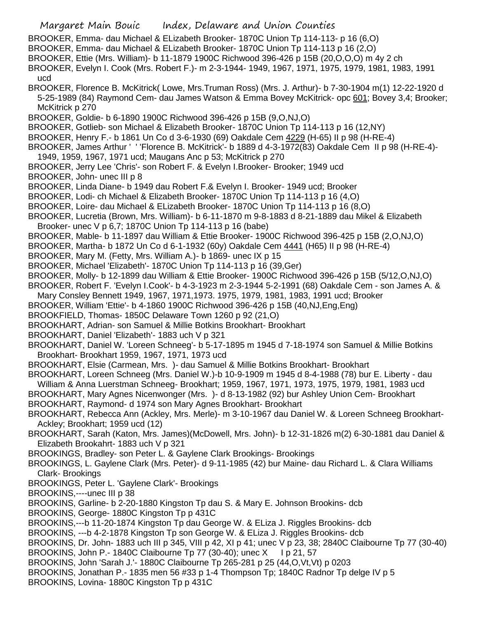Margaret Main Bouic Index, Delaware and Union Counties BROOKER, Emma- dau Michael & ELizabeth Brooker- 1870C Union Tp 114-113- p 16 (6,O) BROOKER, Emma- dau Michael & ELizabeth Brooker- 1870C Union Tp 114-113 p 16 (2,O) BROOKER, Ettie (Mrs. William)- b 11-1879 1900C Richwood 396-426 p 15B (20,O,O,O) m 4y 2 ch BROOKER, Evelyn I. Cook (Mrs. Robert F.)- m 2-3-1944- 1949, 1967, 1971, 1975, 1979, 1981, 1983, 1991 ucd BROOKER, Florence B. McKitrick( Lowe, Mrs.Truman Ross) (Mrs. J. Arthur)- b 7-30-1904 m(1) 12-22-1920 d 5-25-1989 (84) Raymond Cem- dau James Watson & Emma Bovey McKitrick- opc 601; Bovey 3,4; Brooker; McKitrick p 270 BROOKER, Goldie- b 6-1890 1900C Richwood 396-426 p 15B (9,O,NJ,O) BROOKER, Gotlieb- son Michael & Elizabeth Brooker- 1870C Union Tp 114-113 p 16 (12,NY) BROOKER, Henry F.- b 1861 Un Co d 3-6-1930 (69) Oakdale Cem 4229 (H-65) II p 98 (H-RE-4) BROOKER, James Arthur ' ' 'Florence B. McKitrick'- b 1889 d 4-3-1972(83) Oakdale Cem II p 98 (H-RE-4)- 1949, 1959, 1967, 1971 ucd; Maugans Anc p 53; McKitrick p 270 BROOKER, Jerry Lee 'Chris'- son Robert F. & Evelyn I.Brooker- Brooker; 1949 ucd BROOKER, John- unec III p 8 BROOKER, Linda Diane- b 1949 dau Robert F.& Evelyn I. Brooker- 1949 ucd; Brooker BROOKER, Lodi- ch Michael & Elizabeth Brooker- 1870C Union Tp 114-113 p 16 (4,O) BROOKER, Loire- dau Michael & ELizabeth Brooker- 1870C Union Tp 114-113 p 16 (8,O) BROOKER, Lucretia (Brown, Mrs. William)- b 6-11-1870 m 9-8-1883 d 8-21-1889 dau Mikel & Elizabeth Brooker- unec V p 6,7; 1870C Union Tp 114-113 p 16 (babe) BROOKER, Mable- b 11-1897 dau William & Ettie Brooker- 1900C Richwood 396-425 p 15B (2,O,NJ,O) BROOKER, Martha- b 1872 Un Co d 6-1-1932 (60y) Oakdale Cem 4441 (H65) II p 98 (H-RE-4) BROOKER, Mary M. (Fetty, Mrs. William A.)- b 1869- unec IX p 15 BROOKER, Michael 'Elizabeth'- 1870C Union Tp 114-113 p 16 (39,Ger) BROOKER, Molly- b 12-1899 dau William & Ettie Brooker- 1900C Richwood 396-426 p 15B (5/12,O,NJ,O) BROOKER, Robert F. 'Evelyn I.Cook'- b 4-3-1923 m 2-3-1944 5-2-1991 (68) Oakdale Cem - son James A. & Mary Consley Bennett 1949, 1967, 1971,1973. 1975, 1979, 1981, 1983, 1991 ucd; Brooker BROOKER, William 'Ettie'- b 4-1860 1900C Richwood 396-426 p 15B (40,NJ,Eng,Eng) BROOKFIELD, Thomas- 1850C Delaware Town 1260 p 92 (21,O) BROOKHART, Adrian- son Samuel & Millie Botkins Brookhart- Brookhart BROOKHART, Daniel 'Elizabeth'- 1883 uch V p 321 BROOKHART, Daniel W. 'Loreen Schneeg'- b 5-17-1895 m 1945 d 7-18-1974 son Samuel & Millie Botkins Brookhart- Brookhart 1959, 1967, 1971, 1973 ucd BROOKHART, Elsie (Carmean, Mrs. )- dau Samuel & Millie Botkins Brookhart- Brookhart BROOKHART, Loreen Schneeg (Mrs. Daniel W.)-b 10-9-1909 m 1945 d 8-4-1988 (78) bur E. Liberty - dau William & Anna Luerstman Schneeg- Brookhart; 1959, 1967, 1971, 1973, 1975, 1979, 1981, 1983 ucd BROOKHART, Mary Agnes Nicenwonger (Mrs. )- d 8-13-1982 (92) bur Ashley Union Cem- Brookhart BROOKHART, Raymond- d 1974 son Mary Agnes Brookhart- Brookhart BROOKHART, Rebecca Ann (Ackley, Mrs. Merle)- m 3-10-1967 dau Daniel W. & Loreen Schneeg Brookhart-Ackley; Brookhart; 1959 ucd (12) BROOKHART, Sarah (Katon, Mrs. James)(McDowell, Mrs. John)- b 12-31-1826 m(2) 6-30-1881 dau Daniel & Elizabeth Brookahrt- 1883 uch V p 321 BROOKINGS, Bradley- son Peter L. & Gaylene Clark Brookings- Brookings BROOKINGS, L. Gaylene Clark (Mrs. Peter)- d 9-11-1985 (42) bur Maine- dau Richard L. & Clara Williams Clark- Brookings BROOKINGS, Peter L. 'Gaylene Clark'- Brookings BROOKINS,----unec III p 38 BROOKINS, Garline- b 2-20-1880 Kingston Tp dau S. & Mary E. Johnson Brookins- dcb BROOKINS, George- 1880C Kingston Tp p 431C BROOKINS,---b 11-20-1874 Kingston Tp dau George W. & ELiza J. Riggles Brookins- dcb BROOKINS, ---b 4-2-1878 Kingston Tp son George W. & ELiza J. Riggles Brookins- dcb BROOKINS, Dr. John- 1883 uch III p 345, VIII p 42, XI p 41; unec V p 23, 38; 2840C Claibourne Tp 77 (30-40) BROOKINS, John P.- 1840C Claibourne Tp 77 (30-40); unec X I p 21, 57 BROOKINS, John 'Sarah J.'- 1880C Claibourne Tp 265-281 p 25 (44,O,Vt,Vt) p 0203 BROOKINS, Jonathan P.- 1835 men 56 #33 p 1-4 Thompson Tp; 1840C Radnor Tp delge IV p 5 BROOKINS, Lovina- 1880C Kingston Tp p 431C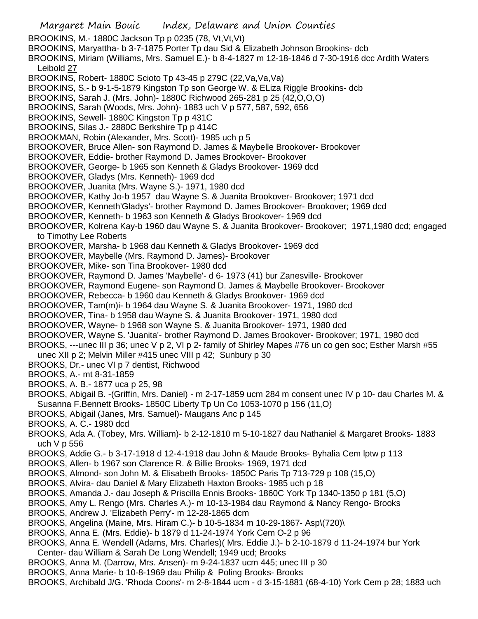Margaret Main Bouic Index, Delaware and Union Counties BROOKINS, M.- 1880C Jackson Tp p 0235 (78, Vt,Vt,Vt) BROOKINS, Maryattha- b 3-7-1875 Porter Tp dau Sid & Elizabeth Johnson Brookins- dcb BROOKINS, Miriam (Williams, Mrs. Samuel E.)- b 8-4-1827 m 12-18-1846 d 7-30-1916 dcc Ardith Waters Leibold 27 BROOKINS, Robert- 1880C Scioto Tp 43-45 p 279C (22,Va,Va,Va) BROOKINS, S.- b 9-1-5-1879 Kingston Tp son George W. & ELiza Riggle Brookins- dcb BROOKINS, Sarah J. (Mrs. John)- 1880C Richwood 265-281 p 25 (42,O,O,O) BROOKINS, Sarah (Woods, Mrs. John)- 1883 uch V p 577, 587, 592, 656 BROOKINS, Sewell- 1880C Kingston Tp p 431C BROOKINS, Silas J.- 2880C Berkshire Tp p 414C BROOKMAN, Robin (Alexander, Mrs. Scott)- 1985 uch p 5 BROOKOVER, Bruce Allen- son Raymond D. James & Maybelle Brookover- Brookover BROOKOVER, Eddie- brother Raymond D. James Brookover- Brookover BROOKOVER, George- b 1965 son Kenneth & Gladys Brookover- 1969 dcd BROOKOVER, Gladys (Mrs. Kenneth)- 1969 dcd BROOKOVER, Juanita (Mrs. Wayne S.)- 1971, 1980 dcd BROOKOVER, Kathy Jo-b 1957 dau Wayne S. & Juanita Brookover- Brookover; 1971 dcd BROOKOVER, Kenneth'Gladys'- brother Raymond D. James Brookover- Brookover; 1969 dcd BROOKOVER, Kenneth- b 1963 son Kenneth & Gladys Brookover- 1969 dcd BROOKOVER, Kolrena Kay-b 1960 dau Wayne S. & Juanita Brookover- Brookover; 1971,1980 dcd; engaged to Timothy Lee Roberts BROOKOVER, Marsha- b 1968 dau Kenneth & Gladys Brookover- 1969 dcd BROOKOVER, Maybelle (Mrs. Raymond D. James)- Brookover BROOKOVER, Mike- son Tina Brookover- 1980 dcd BROOKOVER, Raymond D. James 'Maybelle'- d 6- 1973 (41) bur Zanesville- Brookover BROOKOVER, Raymond Eugene- son Raymond D. James & Maybelle Brookover- Brookover BROOKOVER, Rebecca- b 1960 dau Kenneth & Gladys Brookover- 1969 dcd BROOKOVER, Tam(m)i- b 1964 dau Wayne S. & Juanita Brookover- 1971, 1980 dcd BROOKOVER, Tina- b 1958 dau Wayne S. & Juanita Brookover- 1971, 1980 dcd BROOKOVER, Wayne- b 1968 son Wayne S. & Juanita Brookover- 1971, 1980 dcd BROOKOVER, Wayne S. 'Juanita'- brother Raymond D. James Brookover- Brookover; 1971, 1980 dcd BROOKS, ---unec III p 36; unec V p 2, VI p 2- family of Shirley Mapes #76 un co gen soc; Esther Marsh #55 unec XII p 2; Melvin Miller #415 unec VIII p 42; Sunbury p 30 BROOKS, Dr.- unec VI p 7 dentist, Richwood BROOKS, A.- mt 8-31-1859 BROOKS, A. B.- 1877 uca p 25, 98 BROOKS, Abigail B. -(Griffin, Mrs. Daniel) - m 2-17-1859 ucm 284 m consent unec IV p 10- dau Charles M. & Susanna F.Bennett Brooks- 1850C Liberty Tp Un Co 1053-1070 p 156 (11,O) BROOKS, Abigail (Janes, Mrs. Samuel)- Maugans Anc p 145 BROOKS, A. C.- 1980 dcd BROOKS, Ada A. (Tobey, Mrs. William)- b 2-12-1810 m 5-10-1827 dau Nathaniel & Margaret Brooks- 1883 uch V p 556 BROOKS, Addie G.- b 3-17-1918 d 12-4-1918 dau John & Maude Brooks- Byhalia Cem lptw p 113 BROOKS, Allen- b 1967 son Clarence R. & Billie Brooks- 1969, 1971 dcd BROOKS, Almond- son John M. & Elisabeth Brooks- 1850C Paris Tp 713-729 p 108 (15,O) BROOKS, Alvira- dau Daniel & Mary Elizabeth Haxton Brooks- 1985 uch p 18 BROOKS, Amanda J.- dau Joseph & Priscilla Ennis Brooks- 1860C York Tp 1340-1350 p 181 (5,O) BROOKS, Amy L. Rengo (Mrs. Charles A.)- m 10-13-1984 dau Raymond & Nancy Rengo- Brooks BROOKS, Andrew J. 'Elizabeth Perry'- m 12-28-1865 dcm BROOKS, Angelina (Maine, Mrs. Hiram C.)- b 10-5-1834 m 10-29-1867- Asp\(720)\ BROOKS, Anna E. (Mrs. Eddie)- b 1879 d 11-24-1974 York Cem O-2 p 96 BROOKS, Anna E. Wendell (Adams, Mrs. Charles)( Mrs. Eddie J.)- b 2-10-1879 d 11-24-1974 bur York Center- dau William & Sarah De Long Wendell; 1949 ucd; Brooks BROOKS, Anna M. (Darrow, Mrs. Ansen)- m 9-24-1837 ucm 445; unec III p 30 BROOKS, Anna Marie- b 10-8-1969 dau Philip & Poling Brooks- Brooks BROOKS, Archibald J/G. 'Rhoda Coons'- m 2-8-1844 ucm - d 3-15-1881 (68-4-10) York Cem p 28; 1883 uch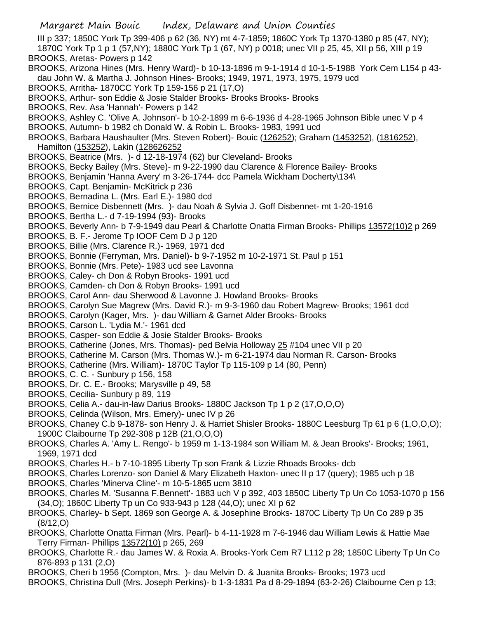- Margaret Main Bouic Index, Delaware and Union Counties III p 337; 1850C York Tp 399-406 p 62 (36, NY) mt 4-7-1859; 1860C York Tp 1370-1380 p 85 (47, NY); 1870C York Tp 1 p 1 (57,NY); 1880C York Tp 1 (67, NY) p 0018; unec VII p 25, 45, XII p 56, XIII p 19 BROOKS, Aretas- Powers p 142 BROOKS, Arizona Hines (Mrs. Henry Ward)- b 10-13-1896 m 9-1-1914 d 10-1-5-1988 York Cem L154 p 43 dau John W. & Martha J. Johnson Hines- Brooks; 1949, 1971, 1973, 1975, 1979 ucd BROOKS, Arritha- 1870CC York Tp 159-156 p 21 (17,O) BROOKS, Arthur- son Eddie & Josie Stalder Brooks- Brooks Brooks- Brooks BROOKS, Rev. Asa 'Hannah'- Powers p 142 BROOKS, Ashley C. 'Olive A. Johnson'- b 10-2-1899 m 6-6-1936 d 4-28-1965 Johnson Bible unec V p 4 BROOKS, Autumn- b 1982 ch Donald W. & Robin L. Brooks- 1983, 1991 ucd BROOKS, Barbara Haushaulter (Mrs. Steven Robert)- Bouic (126252); Graham (1453252), (1816252), Hamilton (153252), Lakin (128626252 BROOKS, Beatrice (Mrs. )- d 12-18-1974 (62) bur Cleveland- Brooks BROOKS, Becky Bailey (Mrs. Steve)- m 9-22-1990 dau Clarence & Florence Bailey- Brooks BROOKS, Benjamin 'Hanna Avery' m 3-26-1744- dcc Pamela Wickham Docherty\134\ BROOKS, Capt. Benjamin- McKitrick p 236 BROOKS, Bernadina L. (Mrs. Earl E.)- 1980 dcd BROOKS, Bernice Disbennett (Mrs. )- dau Noah & Sylvia J. Goff Disbennet- mt 1-20-1916 BROOKS, Bertha L.- d 7-19-1994 (93)- Brooks BROOKS, Beverly Ann- b 7-9-1949 dau Pearl & Charlotte Onatta Firman Brooks- Phillips 13572(10)2 p 269 BROOKS, B. F.- Jerome Tp IOOF Cem D J p 120 BROOKS, Billie (Mrs. Clarence R.)- 1969, 1971 dcd BROOKS, Bonnie (Ferryman, Mrs. Daniel)- b 9-7-1952 m 10-2-1971 St. Paul p 151 BROOKS, Bonnie (Mrs. Pete)- 1983 ucd see Lavonna BROOKS, Caley- ch Don & Robyn Brooks- 1991 ucd BROOKS, Camden- ch Don & Robyn Brooks- 1991 ucd BROOKS, Carol Ann- dau Sherwood & Lavonne J. Howland Brooks- Brooks BROOKS, Carolyn Sue Magrew (Mrs. David R.)- m 9-3-1960 dau Robert Magrew- Brooks; 1961 dcd BROOKS, Carolyn (Kager, Mrs. )- dau William & Garnet Alder Brooks- Brooks BROOKS, Carson L. 'Lydia M.'- 1961 dcd BROOKS, Casper- son Eddie & Josie Stalder Brooks- Brooks BROOKS, Catherine (Jones, Mrs. Thomas)- ped Belvia Holloway 25 #104 unec VII p 20 BROOKS, Catherine M. Carson (Mrs. Thomas W.)- m 6-21-1974 dau Norman R. Carson- Brooks BROOKS, Catherine (Mrs. William)- 1870C Taylor Tp 115-109 p 14 (80, Penn) BROOKS, C. C. - Sunbury p 156, 158 BROOKS, Dr. C. E.- Brooks; Marysville p 49, 58 BROOKS, Cecilia- Sunbury p 89, 119 BROOKS, Celia A.- dau-in-law Darius Brooks- 1880C Jackson Tp 1 p 2 (17,O,O,O) BROOKS, Celinda (Wilson, Mrs. Emery)- unec IV p 26 BROOKS, Chaney C.b 9-1878- son Henry J. & Harriet Shisler Brooks- 1880C Leesburg Tp 61 p 6 (1,O,O,O); 1900C Claibourne Tp 292-308 p 12B (21,O,O,O) BROOKS, Charles A. 'Amy L. Rengo'- b 1959 m 1-13-1984 son William M. & Jean Brooks'- Brooks; 1961, 1969, 1971 dcd BROOKS, Charles H.- b 7-10-1895 Liberty Tp son Frank & Lizzie Rhoads Brooks- dcb BROOKS, Charles Lorenzo- son Daniel & Mary Elizabeth Haxton- unec II p 17 (query); 1985 uch p 18 BROOKS, Charles 'Minerva Cline'- m 10-5-1865 ucm 3810 BROOKS, Charles M. 'Susanna F.Bennett'- 1883 uch V p 392, 403 1850C Liberty Tp Un Co 1053-1070 p 156 (34,O); 1860C Liberty Tp un Co 933-943 p 128 (44,O); unec XI p 62 BROOKS, Charley- b Sept. 1869 son George A. & Josephine Brooks- 1870C Liberty Tp Un Co 289 p 35 (8/12,O) BROOKS, Charlotte Onatta Firman (Mrs. Pearl)- b 4-11-1928 m 7-6-1946 dau William Lewis & Hattie Mae
- Terry Firman- Phillips 13572(10) p 265, 269 BROOKS, Charlotte R.- dau James W. & Roxia A. Brooks-York Cem R7 L112 p 28; 1850C Liberty Tp Un Co 876-893 p 131 (2,O)
- BROOKS, Cheri b 1956 (Compton, Mrs. )- dau Melvin D. & Juanita Brooks- Brooks; 1973 ucd
- BROOKS, Christina Dull (Mrs. Joseph Perkins)- b 1-3-1831 Pa d 8-29-1894 (63-2-26) Claibourne Cen p 13;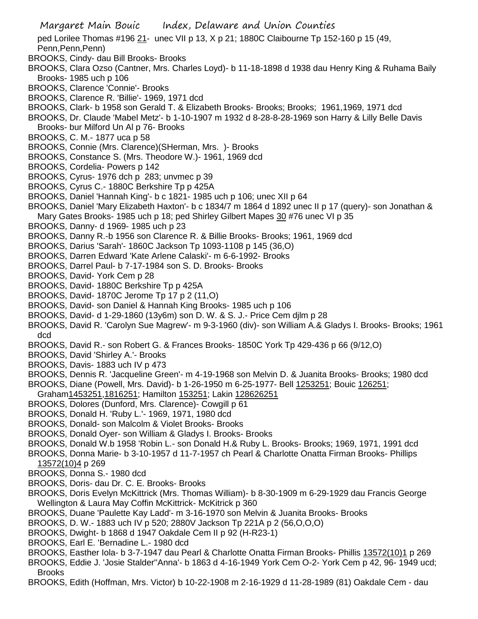- Margaret Main Bouic Index, Delaware and Union Counties ped Lorilee Thomas #196 21- unec VII p 13, X p 21; 1880C Claibourne Tp 152-160 p 15 (49, Penn,Penn,Penn) BROOKS, Cindy- dau Bill Brooks- Brooks BROOKS, Clara Ozso (Cantner, Mrs. Charles Loyd)- b 11-18-1898 d 1938 dau Henry King & Ruhama Baily Brooks- 1985 uch p 106 BROOKS, Clarence 'Connie'- Brooks BROOKS, Clarence R. 'Billie'- 1969, 1971 dcd BROOKS, Clark- b 1958 son Gerald T. & Elizabeth Brooks- Brooks; Brooks; 1961,1969, 1971 dcd BROOKS, Dr. Claude 'Mabel Metz'- b 1-10-1907 m 1932 d 8-28-8-28-1969 son Harry & Lilly Belle Davis Brooks- bur Milford Un Al p 76- Brooks BROOKS, C. M.- 1877 uca p 58 BROOKS, Connie (Mrs. Clarence)(SHerman, Mrs. )- Brooks BROOKS, Constance S. (Mrs. Theodore W.)- 1961, 1969 dcd BROOKS, Cordelia- Powers p 142 BROOKS, Cyrus- 1976 dch p 283; unvmec p 39 BROOKS, Cyrus C.- 1880C Berkshire Tp p 425A BROOKS, Daniel 'Hannah King'- b c 1821- 1985 uch p 106; unec XII p 64 BROOKS, Daniel 'Mary Elizabeth Haxton'- b c 1834/7 m 1864 d 1892 unec II p 17 (query)- son Jonathan & Mary Gates Brooks- 1985 uch p 18; ped Shirley Gilbert Mapes 30 #76 unec VI p 35 BROOKS, Danny- d 1969- 1985 uch p 23 BROOKS, Danny R.-b 1956 son Clarence R. & Billie Brooks- Brooks; 1961, 1969 dcd BROOKS, Darius 'Sarah'- 1860C Jackson Tp 1093-1108 p 145 (36,O) BROOKS, Darren Edward 'Kate Arlene Calaski'- m 6-6-1992- Brooks BROOKS, Darrel Paul- b 7-17-1984 son S. D. Brooks- Brooks BROOKS, David- York Cem p 28 BROOKS, David- 1880C Berkshire Tp p 425A BROOKS, David- 1870C Jerome Tp 17 p 2 (11,O) BROOKS, David- son Daniel & Hannah King Brooks- 1985 uch p 106 BROOKS, David- d 1-29-1860 (13y6m) son D. W. & S. J.- Price Cem djlm p 28 BROOKS, David R. 'Carolyn Sue Magrew'- m 9-3-1960 (div)- son William A.& Gladys I. Brooks- Brooks; 1961 dcd BROOKS, David R.- son Robert G. & Frances Brooks- 1850C York Tp 429-436 p 66 (9/12,O) BROOKS, David 'Shirley A.'- Brooks BROOKS, Davis- 1883 uch IV p 473 BROOKS, Dennis R. 'Jacqueline Green'- m 4-19-1968 son Melvin D. & Juanita Brooks- Brooks; 1980 dcd BROOKS, Diane (Powell, Mrs. David)- b 1-26-1950 m 6-25-1977- Bell 1253251; Bouic 126251; Graham1453251,1816251; Hamilton 153251; Lakin 128626251 BROOKS, Dolores (Dunford, Mrs. Clarence)- Cowgill p 61 BROOKS, Donald H. 'Ruby L.'- 1969, 1971, 1980 dcd BROOKS, Donald- son Malcolm & Violet Brooks- Brooks BROOKS, Donald Oyer- son William & Gladys I. Brooks- Brooks BROOKS, Donald W.b 1958 'Robin L.- son Donald H.& Ruby L. Brooks- Brooks; 1969, 1971, 1991 dcd BROOKS, Donna Marie- b 3-10-1957 d 11-7-1957 ch Pearl & Charlotte Onatta Firman Brooks- Phillips 13572(10)4 p 269 BROOKS, Donna S.- 1980 dcd BROOKS, Doris- dau Dr. C. E. Brooks- Brooks BROOKS, Doris Evelyn McKittrick (Mrs. Thomas William)- b 8-30-1909 m 6-29-1929 dau Francis George Wellington & Laura May Coffin McKittrick- McKitrick p 360 BROOKS, Duane 'Paulette Kay Ladd'- m 3-16-1970 son Melvin & Juanita Brooks- Brooks BROOKS, D. W.- 1883 uch IV p 520; 2880V Jackson Tp 221A p 2 (56,O,O,O) BROOKS, Dwight- b 1868 d 1947 Oakdale Cem II p 92 (H-R23-1) BROOKS, Earl E. 'Bernadine L.- 1980 dcd BROOKS, Easther Iola- b 3-7-1947 dau Pearl & Charlotte Onatta Firman Brooks- Phillis 13572(10)1 p 269
- BROOKS, Eddie J. 'Josie Stalder''Anna'- b 1863 d 4-16-1949 York Cem O-2- York Cem p 42, 96- 1949 ucd; Brooks
- BROOKS, Edith (Hoffman, Mrs. Victor) b 10-22-1908 m 2-16-1929 d 11-28-1989 (81) Oakdale Cem dau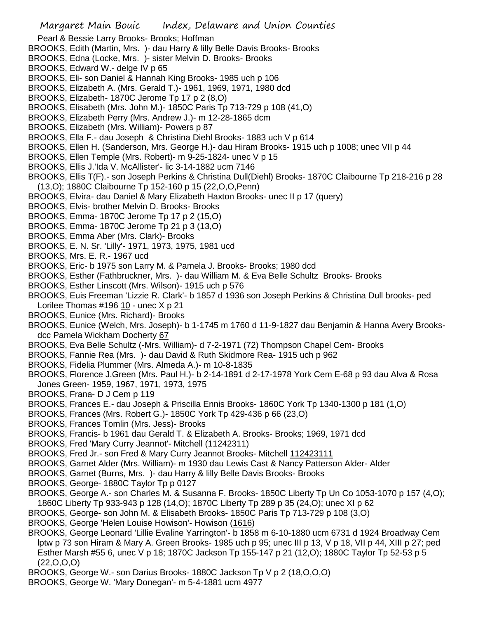Pearl & Bessie Larry Brooks- Brooks; Hoffman

- BROOKS, Edith (Martin, Mrs. )- dau Harry & lilly Belle Davis Brooks- Brooks
- BROOKS, Edna (Locke, Mrs. )- sister Melvin D. Brooks- Brooks
- BROOKS, Edward W.- delge IV p 65
- BROOKS, Eli- son Daniel & Hannah King Brooks- 1985 uch p 106
- BROOKS, Elizabeth A. (Mrs. Gerald T.)- 1961, 1969, 1971, 1980 dcd
- BROOKS, Elizabeth- 1870C Jerome Tp 17 p 2 (8,O)
- BROOKS, Elisabeth (Mrs. John M.)- 1850C Paris Tp 713-729 p 108 (41,O)
- BROOKS, Elizabeth Perry (Mrs. Andrew J.)- m 12-28-1865 dcm
- BROOKS, Elizabeth (Mrs. William)- Powers p 87
- BROOKS, Ella F.- dau Joseph & Christina Diehl Brooks- 1883 uch V p 614
- BROOKS, Ellen H. (Sanderson, Mrs. George H.)- dau Hiram Brooks- 1915 uch p 1008; unec VII p 44
- BROOKS, Ellen Temple (Mrs. Robert)- m 9-25-1824- unec V p 15
- BROOKS, Ellis J.'Ida V. McAllister'- lic 3-14-1882 ucm 7146
- BROOKS, Ellis T(F).- son Joseph Perkins & Christina Dull(Diehl) Brooks- 1870C Claibourne Tp 218-216 p 28 (13,O); 1880C Claibourne Tp 152-160 p 15 (22,O,O,Penn)
- BROOKS, Elvira- dau Daniel & Mary Elizabeth Haxton Brooks- unec II p 17 (query)
- BROOKS, Elvis- brother Melvin D. Brooks- Brooks
- BROOKS, Emma- 1870C Jerome Tp 17 p 2 (15,O)
- BROOKS, Emma- 1870C Jerome Tp 21 p 3 (13,O)
- BROOKS, Emma Aber (Mrs. Clark)- Brooks
- BROOKS, E. N. Sr. 'Lilly'- 1971, 1973, 1975, 1981 ucd
- BROOKS, Mrs. E. R.- 1967 ucd
- BROOKS, Eric- b 1975 son Larry M. & Pamela J. Brooks- Brooks; 1980 dcd
- BROOKS, Esther (Fathbruckner, Mrs. )- dau William M. & Eva Belle Schultz Brooks- Brooks
- BROOKS, Esther Linscott (Mrs. Wilson)- 1915 uch p 576
- BROOKS, Euis Freeman 'Lizzie R. Clark'- b 1857 d 1936 son Joseph Perkins & Christina Dull brooks- ped Lorilee Thomas  $\#196$   $10$  - unec X p 21
- BROOKS, Eunice (Mrs. Richard)- Brooks
- BROOKS, Eunice (Welch, Mrs. Joseph)- b 1-1745 m 1760 d 11-9-1827 dau Benjamin & Hanna Avery Brooksdcc Pamela Wickham Docherty 67
- BROOKS, Eva Belle Schultz (-Mrs. William)- d 7-2-1971 (72) Thompson Chapel Cem- Brooks
- BROOKS, Fannie Rea (Mrs. )- dau David & Ruth Skidmore Rea- 1915 uch p 962
- BROOKS, Fidelia Plummer (Mrs. Almeda A.)- m 10-8-1835
- BROOKS, Florence J.Green (Mrs. Paul H.)- b 2-14-1891 d 2-17-1978 York Cem E-68 p 93 dau Alva & Rosa Jones Green- 1959, 1967, 1971, 1973, 1975
- BROOKS, Frana- D J Cem p 119
- BROOKS, Frances E.- dau Joseph & Priscilla Ennis Brooks- 1860C York Tp 1340-1300 p 181 (1,O)
- BROOKS, Frances (Mrs. Robert G.)- 1850C York Tp 429-436 p 66 (23,O)
- BROOKS, Frances Tomlin (Mrs. Jess)- Brooks
- BROOKS, Francis- b 1961 dau Gerald T. & Elizabeth A. Brooks- Brooks; 1969, 1971 dcd
- BROOKS, Fred 'Mary Curry Jeannot'- Mitchell (11242311)
- BROOKS, Fred Jr.- son Fred & Mary Curry Jeannot Brooks- Mitchell 112423111
- BROOKS, Garnet Alder (Mrs. William)- m 1930 dau Lewis Cast & Nancy Patterson Alder- Alder
- BROOKS, Garnet (Burns, Mrs. )- dau Harry & lilly Belle Davis Brooks- Brooks
- BROOKS, George- 1880C Taylor Tp p 0127
- BROOKS, George A.- son Charles M. & Susanna F. Brooks- 1850C Liberty Tp Un Co 1053-1070 p 157 (4,O); 1860C Liberty Tp 933-943 p 128 (14,O); 1870C Liberty Tp 289 p 35 (24,O); unec XI p 62
- BROOKS, George- son John M. & Elisabeth Brooks- 1850C Paris Tp 713-729 p 108 (3,O)
- BROOKS, George 'Helen Louise Howison'- Howison (1616)
- BROOKS, George Leonard 'Lillie Evaline Yarrington'- b 1858 m 6-10-1880 ucm 6731 d 1924 Broadway Cem lptw p 73 son Hiram & Mary A. Green Brooks- 1985 uch p 95; unec III p 13, V p 18, VII p 44, XIII p 27; ped Esther Marsh #55 6, unec V p 18; 1870C Jackson Tp 155-147 p 21 (12,O); 1880C Taylor Tp 52-53 p 5  $(22, 0, 0, 0)$
- BROOKS, George W.- son Darius Brooks- 1880C Jackson Tp V p 2 (18,O,O,O)
- BROOKS, George W. 'Mary Donegan'- m 5-4-1881 ucm 4977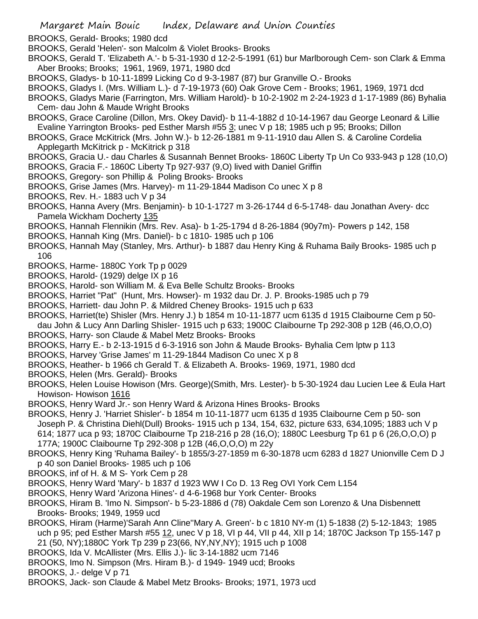- BROOKS, Gerald- Brooks; 1980 dcd
- BROOKS, Gerald 'Helen'- son Malcolm & Violet Brooks- Brooks
- BROOKS, Gerald T. 'Elizabeth A.'- b 5-31-1930 d 12-2-5-1991 (61) bur Marlborough Cem- son Clark & Emma Aber Brooks; Brooks; 1961, 1969, 1971, 1980 dcd
- BROOKS, Gladys- b 10-11-1899 Licking Co d 9-3-1987 (87) bur Granville O.- Brooks
- BROOKS, Gladys I. (Mrs. William L.)- d 7-19-1973 (60) Oak Grove Cem Brooks; 1961, 1969, 1971 dcd
- BROOKS, Gladys Marie (Farrington, Mrs. William Harold)- b 10-2-1902 m 2-24-1923 d 1-17-1989 (86) Byhalia Cem- dau John & Maude Wright Brooks
- BROOKS, Grace Caroline (Dillon, Mrs. Okey David)- b 11-4-1882 d 10-14-1967 dau George Leonard & Lillie Evaline Yarrington Brooks- ped Esther Marsh #55 3; unec V p 18; 1985 uch p 95; Brooks; Dillon
- BROOKS, Grace McKitrick (Mrs. John W.)- b 12-26-1881 m 9-11-1910 dau Allen S. & Caroline Cordelia Applegarth McKitrick p - McKitrick p 318
- BROOKS, Gracia U.- dau Charles & Susannah Bennet Brooks- 1860C Liberty Tp Un Co 933-943 p 128 (10,O)
- BROOKS, Gracia F.- 1860C Liberty Tp 927-937 (9,O) lived with Daniel Griffin
- BROOKS, Gregory- son Phillip & Poling Brooks- Brooks
- BROOKS, Grise James (Mrs. Harvey)- m 11-29-1844 Madison Co unec X p 8
- BROOKS, Rev. H.- 1883 uch V p 34
- BROOKS, Hanna Avery (Mrs. Benjamin)- b 10-1-1727 m 3-26-1744 d 6-5-1748- dau Jonathan Avery- dcc Pamela Wickham Docherty 135
- BROOKS, Hannah Flennikin (Mrs. Rev. Asa)- b 1-25-1794 d 8-26-1884 (90y7m)- Powers p 142, 158
- BROOKS, Hannah King (Mrs. Daniel)- b c 1810- 1985 uch p 106
- BROOKS, Hannah May (Stanley, Mrs. Arthur)- b 1887 dau Henry King & Ruhama Baily Brooks- 1985 uch p 106
- BROOKS, Harme- 1880C York Tp p 0029
- BROOKS, Harold- (1929) delge IX p 16
- BROOKS, Harold- son William M. & Eva Belle Schultz Brooks- Brooks
- BROOKS, Harriet "Pat" (Hunt, Mrs. Howser)- m 1932 dau Dr. J. P. Brooks-1985 uch p 79
- BROOKS, Harriett- dau John P. & Mildred Cheney Brooks- 1915 uch p 633
- BROOKS, Harriet(te) Shisler (Mrs. Henry J.) b 1854 m 10-11-1877 ucm 6135 d 1915 Claibourne Cem p 50-
- dau John & Lucy Ann Darling Shisler- 1915 uch p 633; 1900C Claibourne Tp 292-308 p 12B (46,O,O,O)
- BROOKS, Harry- son Claude & Mabel Metz Brooks- Brooks
- BROOKS, Harry E.- b 2-13-1915 d 6-3-1916 son John & Maude Brooks- Byhalia Cem lptw p 113
- BROOKS, Harvey 'Grise James' m 11-29-1844 Madison Co unec X p 8
- BROOKS, Heather- b 1966 ch Gerald T. & Elizabeth A. Brooks- 1969, 1971, 1980 dcd
- BROOKS, Helen (Mrs. Gerald)- Brooks
- BROOKS, Helen Louise Howison (Mrs. George)(Smith, Mrs. Lester)- b 5-30-1924 dau Lucien Lee & Eula Hart Howison- Howison 1616
- BROOKS, Henry Ward Jr.- son Henry Ward & Arizona Hines Brooks- Brooks
- BROOKS, Henry J. 'Harriet Shisler'- b 1854 m 10-11-1877 ucm 6135 d 1935 Claibourne Cem p 50- son Joseph P. & Christina Diehl(Dull) Brooks- 1915 uch p 134, 154, 632, picture 633, 634,1095; 1883 uch V p 614; 1877 uca p 93; 1870C Claibourne Tp 218-216 p 28 (16,O); 1880C Leesburg Tp 61 p 6 (26,O,O,O) p 177A; 1900C Claibourne Tp 292-308 p 12B (46,O,O,O) m 22y
- BROOKS, Henry King 'Ruhama Bailey'- b 1855/3-27-1859 m 6-30-1878 ucm 6283 d 1827 Unionville Cem D J p 40 son Daniel Brooks- 1985 uch p 106
- BROOKS, inf of H. & M S- York Cem p 28
- BROOKS, Henry Ward 'Mary'- b 1837 d 1923 WW I Co D. 13 Reg OVI York Cem L154
- BROOKS, Henry Ward 'Arizona Hines'- d 4-6-1968 bur York Center- Brooks
- BROOKS, Hiram B. 'Imo N. Simpson'- b 5-23-1886 d (78) Oakdale Cem son Lorenzo & Una Disbennett Brooks- Brooks; 1949, 1959 ucd
- BROOKS, Hiram (Harme)'Sarah Ann Cline''Mary A. Green'- b c 1810 NY-m (1) 5-1838 (2) 5-12-1843; 1985 uch p 95; ped Esther Marsh #55 12, unec V p 18, VI p 44, VII p 44, XII p 14; 1870C Jackson Tp 155-147 p 21 (50, NY);1880C York Tp 239 p 23(66, NY,NY,NY); 1915 uch p 1008
- BROOKS, Ida V. McAllister (Mrs. Ellis J.)- lic 3-14-1882 ucm 7146
- BROOKS, Imo N. Simpson (Mrs. Hiram B.)- d 1949- 1949 ucd; Brooks
- BROOKS, J.- delge V p 71
- BROOKS, Jack- son Claude & Mabel Metz Brooks- Brooks; 1971, 1973 ucd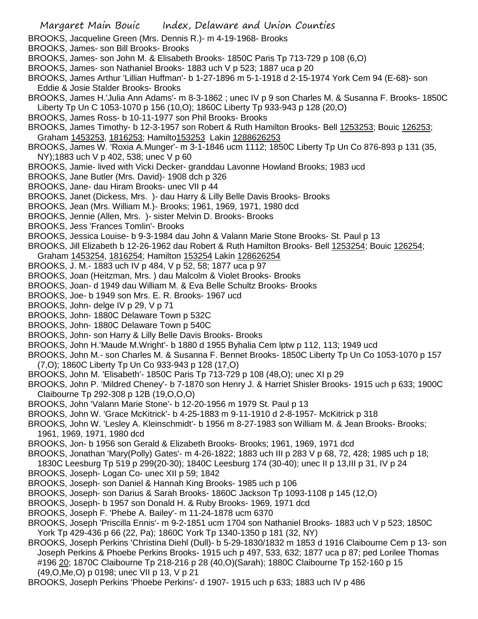- BROOKS, Jacqueline Green (Mrs. Dennis R.)- m 4-19-1968- Brooks
- BROOKS, James- son Bill Brooks- Brooks
- BROOKS, James- son John M. & Elisabeth Brooks- 1850C Paris Tp 713-729 p 108 (6,O)
- BROOKS, James- son Nathaniel Brooks- 1883 uch V p 523; 1887 uca p 20
- BROOKS, James Arthur 'Lillian Huffman'- b 1-27-1896 m 5-1-1918 d 2-15-1974 York Cem 94 (E-68)- son Eddie & Josie Stalder Brooks- Brooks
- BROOKS, James H.'Julia Ann Adams'- m 8-3-1862 ; unec IV p 9 son Charles M. & Susanna F. Brooks- 1850C Liberty Tp Un C 1053-1070 p 156 (10,O); 1860C Liberty Tp 933-943 p 128 (20,O)
- BROOKS, James Ross- b 10-11-1977 son Phil Brooks- Brooks
- BROOKS, James Timothy- b 12-3-1957 son Robert & Ruth Hamilton Brooks- Bell 1253253; Bouic 126253; Graham 1453253, 1816253; Hamilto153253 Lakin 1288626253
- BROOKS, James W. 'Roxia A.Munger'- m 3-1-1846 ucm 1112; 1850C Liberty Tp Un Co 876-893 p 131 (35, NY);1883 uch V p 402, 538; unec V p 60
- BROOKS, Jamie- lived with Vicki Decker- granddau Lavonne Howland Brooks; 1983 ucd
- BROOKS, Jane Butler (Mrs. David)- 1908 dch p 326
- BROOKS, Jane- dau Hiram Brooks- unec VII p 44
- BROOKS, Janet (Dickess, Mrs. )- dau Harry & Lilly Belle Davis Brooks- Brooks
- BROOKS, Jean (Mrs. William M.)- Brooks; 1961, 1969, 1971, 1980 dcd
- BROOKS, Jennie (Allen, Mrs. )- sister Melvin D. Brooks- Brooks
- BROOKS, Jess 'Frances Tomlin'- Brooks
- BROOKS, Jessica Louise- b 9-3-1984 dau John & Valann Marie Stone Brooks- St. Paul p 13
- BROOKS, Jill Elizabeth b 12-26-1962 dau Robert & Ruth Hamilton Brooks- Bell 1253254; Bouic 126254;
- Graham 1453254, 1816254; Hamilton 153254 Lakin 128626254
- BROOKS, J. M.- 1883 uch IV p 484, V p 52, 58; 1877 uca p 97
- BROOKS, Joan (Heitzman, Mrs. ) dau Malcolm & Violet Brooks- Brooks
- BROOKS, Joan- d 1949 dau William M. & Eva Belle Schultz Brooks- Brooks
- BROOKS, Joe- b 1949 son Mrs. E. R. Brooks- 1967 ucd
- BROOKS, John- delge IV p 29, V p 71
- BROOKS, John- 1880C Delaware Town p 532C
- BROOKS, John- 1880C Delaware Town p 540C
- BROOKS, John- son Harry & Lilly Belle Davis Brooks- Brooks
- BROOKS, John H.'Maude M.Wright'- b 1880 d 1955 Byhalia Cem lptw p 112, 113; 1949 ucd
- BROOKS, John M.- son Charles M. & Susanna F. Bennet Brooks- 1850C Liberty Tp Un Co 1053-1070 p 157 (7,O); 1860C Liberty Tp Un Co 933-943 p 128 (17,O)
- BROOKS, John M. 'Elisabeth'- 1850C Paris Tp 713-729 p 108 (48,O); unec XI p 29
- BROOKS, John P. 'Mildred Cheney'- b 7-1870 son Henry J. & Harriet Shisler Brooks- 1915 uch p 633; 1900C Claibourne Tp 292-308 p 12B (19,O,O,O)
- BROOKS, John 'Valann Marie Stone'- b 12-20-1956 m 1979 St. Paul p 13
- BROOKS, John W. 'Grace McKitrick'- b 4-25-1883 m 9-11-1910 d 2-8-1957- McKitrick p 318
- BROOKS, John W. 'Lesley A. Kleinschmidt'- b 1956 m 8-27-1983 son William M. & Jean Brooks- Brooks; 1961, 1969, 1971, 1980 dcd
- BROOKS, Jon- b 1956 son Gerald & Elizabeth Brooks- Brooks; 1961, 1969, 1971 dcd
- BROOKS, Jonathan 'Mary(Polly) Gates'- m 4-26-1822; 1883 uch III p 283 V p 68, 72, 428; 1985 uch p 18;
- 1830C Leesburg Tp 519 p 299(20-30); 1840C Leesburg 174 (30-40); unec II p 13,III p 31, IV p 24
- BROOKS, Joseph- Logan Co- unec XII p 59; 1842
- BROOKS, Joseph- son Daniel & Hannah King Brooks- 1985 uch p 106
- BROOKS, Joseph- son Darius & Sarah Brooks- 1860C Jackson Tp 1093-1108 p 145 (12,O)
- BROOKS, Joseph- b 1957 son Donald H. & Ruby Brooks- 1969, 1971 dcd
- BROOKS, Joseph F. 'Phebe A. Bailey'- m 11-24-1878 ucm 6370
- BROOKS, Joseph 'Priscilla Ennis'- m 9-2-1851 ucm 1704 son Nathaniel Brooks- 1883 uch V p 523; 1850C York Tp 429-436 p 66 (22, Pa); 1860C York Tp 1340-1350 p 181 (32, NY)
- BROOKS, Joseph Perkins 'Christina Diehl (Dull)- b 5-29-1830/1832 m 1853 d 1916 Claibourne Cem p 13- son Joseph Perkins & Phoebe Perkins Brooks- 1915 uch p 497, 533, 632; 1877 uca p 87; ped Lorilee Thomas #196 20; 1870C Claibourne Tp 218-216 p 28 (40,O)(Sarah); 1880C Claibourne Tp 152-160 p 15 (49,O,Me,O) p 0198; unec VII p 13, V p 21
- BROOKS, Joseph Perkins 'Phoebe Perkins'- d 1907- 1915 uch p 633; 1883 uch IV p 486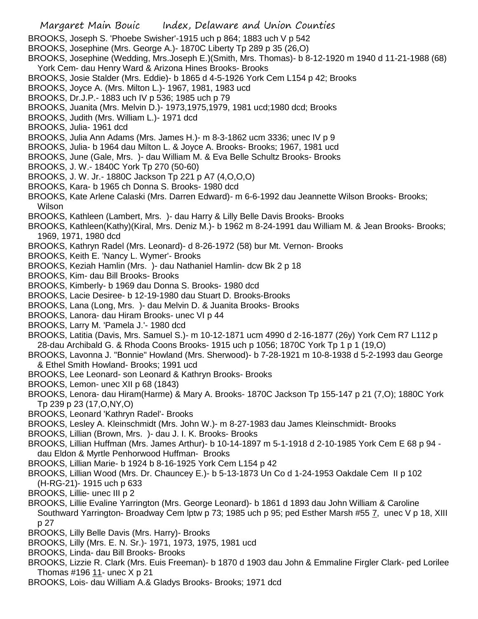- BROOKS, Joseph S. 'Phoebe Swisher'-1915 uch p 864; 1883 uch V p 542
- BROOKS, Josephine (Mrs. George A.)- 1870C Liberty Tp 289 p 35 (26,O)
- BROOKS, Josephine (Wedding, Mrs.Joseph E.)(Smith, Mrs. Thomas)- b 8-12-1920 m 1940 d 11-21-1988 (68) York Cem- dau Henry Ward & Arizona Hines Brooks- Brooks
- BROOKS, Josie Stalder (Mrs. Eddie)- b 1865 d 4-5-1926 York Cem L154 p 42; Brooks
- BROOKS, Joyce A. (Mrs. Milton L.)- 1967, 1981, 1983 ucd
- BROOKS, Dr.J.P.- 1883 uch IV p 536; 1985 uch p 79
- BROOKS, Juanita (Mrs. Melvin D.)- 1973,1975,1979, 1981 ucd;1980 dcd; Brooks
- BROOKS, Judith (Mrs. William L.)- 1971 dcd
- BROOKS, Julia- 1961 dcd
- BROOKS, Julia Ann Adams (Mrs. James H.)- m 8-3-1862 ucm 3336; unec IV p 9
- BROOKS, Julia- b 1964 dau Milton L. & Joyce A. Brooks- Brooks; 1967, 1981 ucd
- BROOKS, June (Gale, Mrs. )- dau William M. & Eva Belle Schultz Brooks- Brooks
- BROOKS, J. W.- 1840C York Tp 270 (50-60)
- BROOKS, J. W. Jr.- 1880C Jackson Tp 221 p A7 (4,O,O,O)
- BROOKS, Kara- b 1965 ch Donna S. Brooks- 1980 dcd
- BROOKS, Kate Arlene Calaski (Mrs. Darren Edward)- m 6-6-1992 dau Jeannette Wilson Brooks- Brooks; Wilson
- BROOKS, Kathleen (Lambert, Mrs. )- dau Harry & Lilly Belle Davis Brooks- Brooks
- BROOKS, Kathleen(Kathy)(Kiral, Mrs. Deniz M.)- b 1962 m 8-24-1991 dau William M. & Jean Brooks- Brooks; 1969, 1971, 1980 dcd
- BROOKS, Kathryn Radel (Mrs. Leonard)- d 8-26-1972 (58) bur Mt. Vernon- Brooks
- BROOKS, Keith E. 'Nancy L. Wymer'- Brooks
- BROOKS, Keziah Hamlin (Mrs. )- dau Nathaniel Hamlin- dcw Bk 2 p 18
- BROOKS, Kim- dau Bill Brooks- Brooks
- BROOKS, Kimberly- b 1969 dau Donna S. Brooks- 1980 dcd
- BROOKS, Lacie Desiree- b 12-19-1980 dau Stuart D. Brooks-Brooks
- BROOKS, Lana (Long, Mrs. )- dau Melvin D. & Juanita Brooks- Brooks
- BROOKS, Lanora- dau Hiram Brooks- unec VI p 44
- BROOKS, Larry M. 'Pamela J.'- 1980 dcd
- BROOKS, Latitia (Davis, Mrs. Samuel S.)- m 10-12-1871 ucm 4990 d 2-16-1877 (26y) York Cem R7 L112 p 28-dau Archibald G. & Rhoda Coons Brooks- 1915 uch p 1056; 1870C York Tp 1 p 1 (19,O)
- BROOKS, Lavonna J. "Bonnie" Howland (Mrs. Sherwood)- b 7-28-1921 m 10-8-1938 d 5-2-1993 dau George & Ethel Smith Howland- Brooks; 1991 ucd
- BROOKS, Lee Leonard- son Leonard & Kathryn Brooks- Brooks
- BROOKS, Lemon- unec XII p 68 (1843)
- BROOKS, Lenora- dau Hiram(Harme) & Mary A. Brooks- 1870C Jackson Tp 155-147 p 21 (7,O); 1880C York Tp 239 p 23 (17,O,NY,O)
- BROOKS, Leonard 'Kathryn Radel'- Brooks
- BROOKS, Lesley A. Kleinschmidt (Mrs. John W.)- m 8-27-1983 dau James Kleinschmidt- Brooks
- BROOKS, Lillian (Brown, Mrs. )- dau J. I. K. Brooks- Brooks
- BROOKS, Lillian Huffman (Mrs. James Arthur)- b 10-14-1897 m 5-1-1918 d 2-10-1985 York Cem E 68 p 94 dau Eldon & Myrtle Penhorwood Huffman- Brooks
- BROOKS, Lillian Marie- b 1924 b 8-16-1925 York Cem L154 p 42
- BROOKS, Lillian Wood (Mrs. Dr. Chauncey E.)- b 5-13-1873 Un Co d 1-24-1953 Oakdale Cem II p 102 (H-RG-21)- 1915 uch p 633
- BROOKS, Lillie- unec III p 2
- BROOKS, Lillie Evaline Yarrington (Mrs. George Leonard)- b 1861 d 1893 dau John William & Caroline Southward Yarrington- Broadway Cem lptw p 73; 1985 uch p 95; ped Esther Marsh #55 7, unec V p 18, XIII p 27
- BROOKS, Lilly Belle Davis (Mrs. Harry)- Brooks
- BROOKS, Lilly (Mrs. E. N. Sr.)- 1971, 1973, 1975, 1981 ucd
- BROOKS, Linda- dau Bill Brooks- Brooks
- BROOKS, Lizzie R. Clark (Mrs. Euis Freeman)- b 1870 d 1903 dau John & Emmaline Firgler Clark- ped Lorilee Thomas #196 11- unec X p 21
- BROOKS, Lois- dau William A.& Gladys Brooks- Brooks; 1971 dcd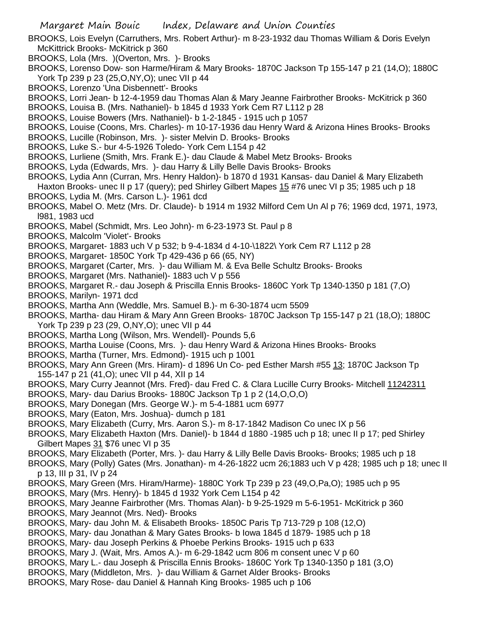BROOKS, Lois Evelyn (Carruthers, Mrs. Robert Arthur)- m 8-23-1932 dau Thomas William & Doris Evelyn McKittrick Brooks- McKitrick p 360

- BROOKS, Lola (Mrs. )(Overton, Mrs. )- Brooks
- BROOKS, Lorenso Dow- son Harme/Hiram & Mary Brooks- 1870C Jackson Tp 155-147 p 21 (14,O); 1880C York Tp 239 p 23 (25,O,NY,O); unec VII p 44
- BROOKS, Lorenzo 'Una Disbennett'- Brooks
- BROOKS, Lorri Jean- b 12-4-1959 dau Thomas Alan & Mary Jeanne Fairbrother Brooks- McKitrick p 360
- BROOKS, Louisa B. (Mrs. Nathaniel)- b 1845 d 1933 York Cem R7 L112 p 28
- BROOKS, Louise Bowers (Mrs. Nathaniel)- b 1-2-1845 1915 uch p 1057
- BROOKS, Louise (Coons, Mrs. Charles)- m 10-17-1936 dau Henry Ward & Arizona Hines Brooks- Brooks
- BROOKS, Lucille (Robinson, Mrs. )- sister Melvin D. Brooks- Brooks
- BROOKS, Luke S.- bur 4-5-1926 Toledo- York Cem L154 p 42
- BROOKS, Lurliene (Smith, Mrs. Frank E.)- dau Claude & Mabel Metz Brooks- Brooks
- BROOKS, Lyda (Edwards, Mrs. )- dau Harry & Lilly Belle Davis Brooks- Brooks
- BROOKS, Lydia Ann (Curran, Mrs. Henry Haldon)- b 1870 d 1931 Kansas- dau Daniel & Mary Elizabeth
- Haxton Brooks- unec II p 17 (query); ped Shirley Gilbert Mapes 15 #76 unec VI p 35; 1985 uch p 18 BROOKS, Lydia M. (Mrs. Carson L.)- 1961 dcd
- BROOKS, Mabel O. Metz (Mrs. Dr. Claude)- b 1914 m 1932 Milford Cem Un Al p 76; 1969 dcd, 1971, 1973, l981, 1983 ucd
- BROOKS, Mabel (Schmidt, Mrs. Leo John)- m 6-23-1973 St. Paul p 8
- BROOKS, Malcolm 'Violet'- Brooks
- BROOKS, Margaret- 1883 uch V p 532; b 9-4-1834 d 4-10-\1822\ York Cem R7 L112 p 28
- BROOKS, Margaret- 1850C York Tp 429-436 p 66 (65, NY)
- BROOKS, Margaret (Carter, Mrs. )- dau William M. & Eva Belle Schultz Brooks- Brooks
- BROOKS, Margaret (Mrs. Nathaniel)- 1883 uch V p 556
- BROOKS, Margaret R.- dau Joseph & Priscilla Ennis Brooks- 1860C York Tp 1340-1350 p 181 (7,O)
- BROOKS, Marilyn- 1971 dcd
- BROOKS, Martha Ann (Weddle, Mrs. Samuel B.)- m 6-30-1874 ucm 5509
- BROOKS, Martha- dau Hiram & Mary Ann Green Brooks- 1870C Jackson Tp 155-147 p 21 (18,O); 1880C York Tp 239 p 23 (29, O,NY,O); unec VII p 44
- BROOKS, Martha Long (Wilson, Mrs. Wendell)- Pounds 5,6
- BROOKS, Martha Louise (Coons, Mrs. )- dau Henry Ward & Arizona Hines Brooks- Brooks
- BROOKS, Martha (Turner, Mrs. Edmond)- 1915 uch p 1001
- BROOKS, Mary Ann Green (Mrs. Hiram)- d 1896 Un Co- ped Esther Marsh #55 13; 1870C Jackson Tp 155-147 p 21 (41,O); unec VII p 44, XII p 14
- BROOKS, Mary Curry Jeannot (Mrs. Fred)- dau Fred C. & Clara Lucille Curry Brooks- Mitchell 11242311
- BROOKS, Mary- dau Darius Brooks- 1880C Jackson Tp 1 p 2 (14,O,O,O)
- BROOKS, Mary Donegan (Mrs. George W.)- m 5-4-1881 ucm 6977
- BROOKS, Mary (Eaton, Mrs. Joshua)- dumch p 181
- BROOKS, Mary Elizabeth (Curry, Mrs. Aaron S.)- m 8-17-1842 Madison Co unec IX p 56
- BROOKS, Mary Elizabeth Haxton (Mrs. Daniel)- b 1844 d 1880 -1985 uch p 18; unec II p 17; ped Shirley Gilbert Mapes 31 \$76 unec VI p 35
- BROOKS, Mary Elizabeth (Porter, Mrs. )- dau Harry & Lilly Belle Davis Brooks- Brooks; 1985 uch p 18
- BROOKS, Mary (Polly) Gates (Mrs. Jonathan)- m 4-26-1822 ucm 26;1883 uch V p 428; 1985 uch p 18; unec II p 13, III p 31, IV p 24
- BROOKS, Mary Green (Mrs. Hiram/Harme)- 1880C York Tp 239 p 23 (49,O,Pa,O); 1985 uch p 95
- BROOKS, Mary (Mrs. Henry)- b 1845 d 1932 York Cem L154 p 42
- BROOKS, Mary Jeanne Fairbrother (Mrs. Thomas Alan)- b 9-25-1929 m 5-6-1951- McKitrick p 360
- BROOKS, Mary Jeannot (Mrs. Ned)- Brooks
- BROOKS, Mary- dau John M. & Elisabeth Brooks- 1850C Paris Tp 713-729 p 108 (12,O)
- BROOKS, Mary- dau Jonathan & Mary Gates Brooks- b Iowa 1845 d 1879- 1985 uch p 18
- BROOKS, Mary- dau Joseph Perkins & Phoebe Perkins Brooks- 1915 uch p 633
- BROOKS, Mary J. (Wait, Mrs. Amos A.)- m 6-29-1842 ucm 806 m consent unec V p 60
- BROOKS, Mary L.- dau Joseph & Priscilla Ennis Brooks- 1860C York Tp 1340-1350 p 181 (3,O)
- BROOKS, Mary (Middleton, Mrs. )- dau William & Garnet Alder Brooks- Brooks
- BROOKS, Mary Rose- dau Daniel & Hannah King Brooks- 1985 uch p 106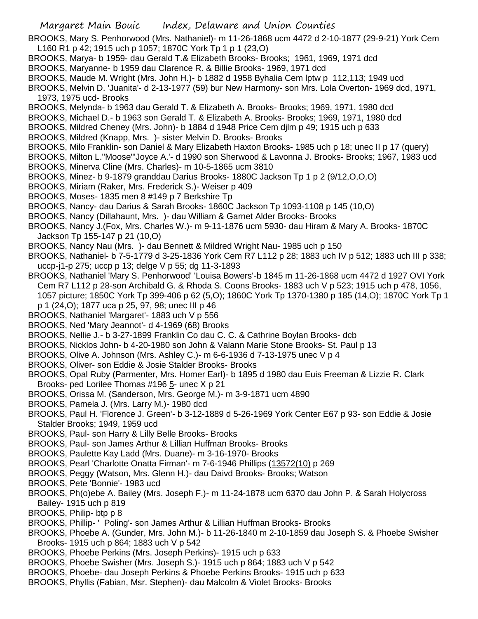BROOKS, Mary S. Penhorwood (Mrs. Nathaniel)- m 11-26-1868 ucm 4472 d 2-10-1877 (29-9-21) York Cem L160 R1 p 42; 1915 uch p 1057; 1870C York Tp 1 p 1 (23,O)

- BROOKS, Marya- b 1959- dau Gerald T.& Elizabeth Brooks- Brooks; 1961, 1969, 1971 dcd
- BROOKS, Maryanne- b 1959 dau Clarence R. & Billie Brooks- 1969, 1971 dcd
- BROOKS, Maude M. Wright (Mrs. John H.)- b 1882 d 1958 Byhalia Cem lptw p 112,113; 1949 ucd
- BROOKS, Melvin D. 'Juanita'- d 2-13-1977 (59) bur New Harmony- son Mrs. Lola Overton- 1969 dcd, 1971, 1973, 1975 ucd- Brooks
- BROOKS, Melynda- b 1963 dau Gerald T. & Elizabeth A. Brooks- Brooks; 1969, 1971, 1980 dcd
- BROOKS, Michael D.- b 1963 son Gerald T. & Elizabeth A. Brooks- Brooks; 1969, 1971, 1980 dcd
- BROOKS, Mildred Cheney (Mrs. John)- b 1884 d 1948 Price Cem djlm p 49; 1915 uch p 633
- BROOKS, Mildred (Knapp, Mrs. )- sister Melvin D. Brooks- Brooks
- BROOKS, Milo Franklin- son Daniel & Mary Elizabeth Haxton Brooks- 1985 uch p 18; unec II p 17 (query)
- BROOKS, Milton L."Moose"'Joyce A.'- d 1990 son Sherwood & Lavonna J. Brooks- Brooks; 1967, 1983 ucd BROOKS, Minerva Cline (Mrs. Charles)- m 10-5-1865 ucm 3810
- BROOKS, Minez- b 9-1879 granddau Darius Brooks- 1880C Jackson Tp 1 p 2 (9/12,O,O,O)
- BROOKS, Miriam (Raker, Mrs. Frederick S.)- Weiser p 409
- BROOKS, Moses- 1835 men 8 #149 p 7 Berkshire Tp
- BROOKS, Nancy- dau Darius & Sarah Brooks- 1860C Jackson Tp 1093-1108 p 145 (10,O)
- BROOKS, Nancy (Dillahaunt, Mrs. )- dau William & Garnet Alder Brooks- Brooks
- BROOKS, Nancy J.(Fox, Mrs. Charles W.)- m 9-11-1876 ucm 5930- dau Hiram & Mary A. Brooks- 1870C Jackson Tp 155-147 p 21 (10,O)
- BROOKS, Nancy Nau (Mrs. )- dau Bennett & Mildred Wright Nau- 1985 uch p 150
- BROOKS, Nathaniel- b 7-5-1779 d 3-25-1836 York Cem R7 L112 p 28; 1883 uch IV p 512; 1883 uch III p 338; uccp-j1-p 275; uccp p 13; delge V p 55; dg 11-3-1893
- BROOKS, Nathaniel 'Mary S. Penhorwood' 'Louisa Bowers'-b 1845 m 11-26-1868 ucm 4472 d 1927 OVI York Cem R7 L112 p 28-son Archibald G. & Rhoda S. Coons Brooks- 1883 uch V p 523; 1915 uch p 478, 1056, 1057 picture; 1850C York Tp 399-406 p 62 (5,O); 1860C York Tp 1370-1380 p 185 (14,O); 1870C York Tp 1 p 1 (24,O); 1877 uca p 25, 97, 98; unec III p 46
- BROOKS, Nathaniel 'Margaret'- 1883 uch V p 556
- BROOKS, Ned 'Mary Jeannot'- d 4-1969 (68) Brooks
- BROOKS, Nellie J.- b 3-27-1899 Franklin Co dau C. C. & Cathrine Boylan Brooks- dcb
- BROOKS, Nicklos John- b 4-20-1980 son John & Valann Marie Stone Brooks- St. Paul p 13
- BROOKS, Olive A. Johnson (Mrs. Ashley C.)- m 6-6-1936 d 7-13-1975 unec V p 4
- BROOKS, Oliver- son Eddie & Josie Stalder Brooks- Brooks
- BROOKS, Opal Ruby (Parmenter, Mrs. Homer Earl)- b 1895 d 1980 dau Euis Freeman & Lizzie R. Clark Brooks- ped Lorilee Thomas #196 5- unec X p 21
- BROOKS, Orissa M. (Sanderson, Mrs. George M.)- m 3-9-1871 ucm 4890
- BROOKS, Pamela J. (Mrs. Larry M.)- 1980 dcd
- BROOKS, Paul H. 'Florence J. Green'- b 3-12-1889 d 5-26-1969 York Center E67 p 93- son Eddie & Josie Stalder Brooks; 1949, 1959 ucd
- BROOKS, Paul- son Harry & Lilly Belle Brooks- Brooks
- BROOKS, Paul- son James Arthur & Lillian Huffman Brooks- Brooks
- BROOKS, Paulette Kay Ladd (Mrs. Duane)- m 3-16-1970- Brooks
- BROOKS, Pearl 'Charlotte Onatta Firman'- m 7-6-1946 Phillips (13572(10) p 269
- BROOKS, Peggy (Watson, Mrs. Glenn H.)- dau Daivd Brooks- Brooks; Watson
- BROOKS, Pete 'Bonnie'- 1983 ucd
- BROOKS, Ph(o)ebe A. Bailey (Mrs. Joseph F.)- m 11-24-1878 ucm 6370 dau John P. & Sarah Holycross Bailey- 1915 uch p 819
- BROOKS, Philip- btp p 8
- BROOKS, Phillip- ' Poling'- son James Arthur & Lillian Huffman Brooks- Brooks
- BROOKS, Phoebe A. (Gunder, Mrs. John M.)- b 11-26-1840 m 2-10-1859 dau Joseph S. & Phoebe Swisher Brooks- 1915 uch p 864; 1883 uch V p 542
- BROOKS, Phoebe Perkins (Mrs. Joseph Perkins)- 1915 uch p 633
- BROOKS, Phoebe Swisher (Mrs. Joseph S.)- 1915 uch p 864; 1883 uch V p 542
- BROOKS, Phoebe- dau Joseph Perkins & Phoebe Perkins Brooks- 1915 uch p 633
- BROOKS, Phyllis (Fabian, Msr. Stephen)- dau Malcolm & Violet Brooks- Brooks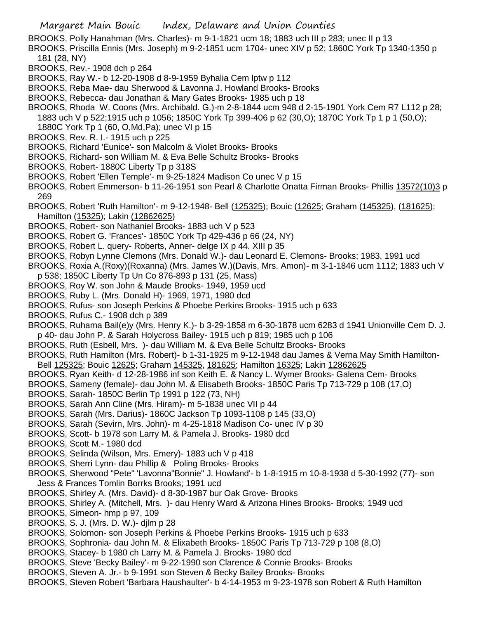- BROOKS, Polly Hanahman (Mrs. Charles)- m 9-1-1821 ucm 18; 1883 uch III p 283; unec II p 13
- BROOKS, Priscilla Ennis (Mrs. Joseph) m 9-2-1851 ucm 1704- unec XIV p 52; 1860C York Tp 1340-1350 p 181 (28, NY)
- BROOKS, Rev.- 1908 dch p 264
- BROOKS, Ray W.- b 12-20-1908 d 8-9-1959 Byhalia Cem lptw p 112
- BROOKS, Reba Mae- dau Sherwood & Lavonna J. Howland Brooks- Brooks
- BROOKS, Rebecca- dau Jonathan & Mary Gates Brooks- 1985 uch p 18
- BROOKS, Rhoda W. Coons (Mrs. Archibald. G.)-m 2-8-1844 ucm 948 d 2-15-1901 York Cem R7 L112 p 28; 1883 uch V p 522;1915 uch p 1056; 1850C York Tp 399-406 p 62 (30,O); 1870C York Tp 1 p 1 (50,O); 1880C York Tp 1 (60, O,Md,Pa); unec VI p 15
- BROOKS, Rev. R. I.- 1915 uch p 225
- BROOKS, Richard 'Eunice'- son Malcolm & Violet Brooks- Brooks
- BROOKS, Richard- son William M. & Eva Belle Schultz Brooks- Brooks
- BROOKS, Robert- 1880C Liberty Tp p 318S
- BROOKS, Robert 'Ellen Temple'- m 9-25-1824 Madison Co unec V p 15
- BROOKS, Robert Emmerson- b 11-26-1951 son Pearl & Charlotte Onatta Firman Brooks- Phillis 13572(10)3 p 269
- BROOKS, Robert 'Ruth Hamilton'- m 9-12-1948- Bell (125325); Bouic (12625; Graham (145325), (181625); Hamilton (15325); Lakin (12862625)
- BROOKS, Robert- son Nathaniel Brooks- 1883 uch V p 523
- BROOKS, Robert G. 'Frances'- 1850C York Tp 429-436 p 66 (24, NY)
- BROOKS, Robert L. query- Roberts, Anner- delge IX p 44. XIII p 35
- BROOKS, Robyn Lynne Clemons (Mrs. Donald W.)- dau Leonard E. Clemons- Brooks; 1983, 1991 ucd
- BROOKS, Roxia A.(Roxy)(Roxanna) (Mrs. James W.)(Davis, Mrs. Amon)- m 3-1-1846 ucm 1112; 1883 uch V p 538; 1850C Liberty Tp Un Co 876-893 p 131 (25, Mass)
- BROOKS, Roy W. son John & Maude Brooks- 1949, 1959 ucd
- BROOKS, Ruby L. (Mrs. Donald H)- 1969, 1971, 1980 dcd
- BROOKS, Rufus- son Joseph Perkins & Phoebe Perkins Brooks- 1915 uch p 633
- BROOKS, Rufus C.- 1908 dch p 389
- BROOKS, Ruhama Bail(e)y (Mrs. Henry K.)- b 3-29-1858 m 6-30-1878 ucm 6283 d 1941 Unionville Cem D. J. p 40- dau John P. & Sarah Holycross Bailey- 1915 uch p 819; 1985 uch p 106
- BROOKS, Ruth (Esbell, Mrs. )- dau William M. & Eva Belle Schultz Brooks- Brooks
- BROOKS, Ruth Hamilton (Mrs. Robert)- b 1-31-1925 m 9-12-1948 dau James & Verna May Smith Hamilton-Bell 125325; Bouic 12625; Graham 145325, 181625; Hamilton 16325; Lakin 12862625
- BROOKS, Ryan Keith- d 12-28-1986 inf son Keith E. & Nancy L. Wymer Brooks- Galena Cem- Brooks
- BROOKS, Sameny (female)- dau John M. & Elisabeth Brooks- 1850C Paris Tp 713-729 p 108 (17,O)
- BROOKS, Sarah- 1850C Berlin Tp 1991 p 122 (73, NH)
- BROOKS, Sarah Ann Cline (Mrs. Hiram)- m 5-1838 unec VII p 44
- BROOKS, Sarah (Mrs. Darius)- 1860C Jackson Tp 1093-1108 p 145 (33,O)
- BROOKS, Sarah (Sevirn, Mrs. John)- m 4-25-1818 Madison Co- unec IV p 30
- BROOKS, Scott- b 1978 son Larry M. & Pamela J. Brooks- 1980 dcd
- BROOKS, Scott M.- 1980 dcd
- BROOKS, Selinda (Wilson, Mrs. Emery)- 1883 uch V p 418
- BROOKS, Sherri Lynn- dau Phillip & Poling Brooks- Brooks
- BROOKS, Sherwood "Pete" 'Lavonna"Bonnie" J. Howland'- b 1-8-1915 m 10-8-1938 d 5-30-1992 (77)- son Jess & Frances Tomlin Borrks Brooks; 1991 ucd
- BROOKS, Shirley A. (Mrs. David)- d 8-30-1987 bur Oak Grove- Brooks
- BROOKS, Shirley A. (Mitchell, Mrs. )- dau Henry Ward & Arizona Hines Brooks- Brooks; 1949 ucd
- BROOKS, Simeon- hmp p 97, 109
- BROOKS, S. J. (Mrs. D. W.)- djlm p 28
- BROOKS, Solomon- son Joseph Perkins & Phoebe Perkins Brooks- 1915 uch p 633
- BROOKS, Sophronia- dau John M. & Elixabeth Brooks- 1850C Paris Tp 713-729 p 108 (8,O)
- BROOKS, Stacey- b 1980 ch Larry M. & Pamela J. Brooks- 1980 dcd
- BROOKS, Steve 'Becky Bailey'- m 9-22-1990 son Clarence & Connie Brooks- Brooks
- BROOKS, Steven A. Jr.- b 9-1991 son Steven & Becky Bailey Brooks- Brooks
- BROOKS, Steven Robert 'Barbara Haushaulter'- b 4-14-1953 m 9-23-1978 son Robert & Ruth Hamilton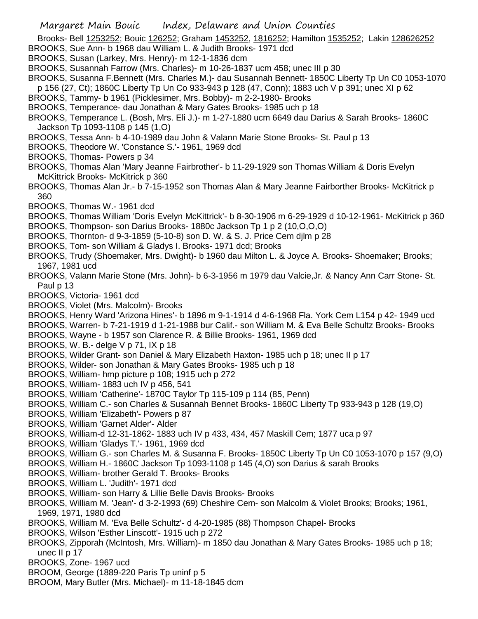- Brooks- Bell 1253252; Bouic 126252; Graham 1453252, 1816252; Hamilton 1535252; Lakin 128626252
- BROOKS, Sue Ann- b 1968 dau William L. & Judith Brooks- 1971 dcd
- BROOKS, Susan (Larkey, Mrs. Henry)- m 12-1-1836 dcm
- BROOKS, Susannah Farrow (Mrs. Charles)- m 10-26-1837 ucm 458; unec III p 30
- BROOKS, Susanna F.Bennett (Mrs. Charles M.)- dau Susannah Bennett- 1850C Liberty Tp Un C0 1053-1070
	- p 156 (27, Ct); 1860C Liberty Tp Un Co 933-943 p 128 (47, Conn); 1883 uch V p 391; unec XI p 62
- BROOKS, Tammy- b 1961 (Picklesimer, Mrs. Bobby)- m 2-2-1980- Brooks
- BROOKS, Temperance- dau Jonathan & Mary Gates Brooks- 1985 uch p 18
- BROOKS, Temperance L. (Bosh, Mrs. Eli J.)- m 1-27-1880 ucm 6649 dau Darius & Sarah Brooks- 1860C Jackson Tp 1093-1108 p 145 (1,O)
- BROOKS, Tessa Ann- b 4-10-1989 dau John & Valann Marie Stone Brooks- St. Paul p 13
- BROOKS, Theodore W. 'Constance S.'- 1961, 1969 dcd
- BROOKS, Thomas- Powers p 34
- BROOKS, Thomas Alan 'Mary Jeanne Fairbrother'- b 11-29-1929 son Thomas William & Doris Evelyn McKittrick Brooks- McKitrick p 360
- BROOKS, Thomas Alan Jr.- b 7-15-1952 son Thomas Alan & Mary Jeanne Fairborther Brooks- McKitrick p 360
- BROOKS, Thomas W.- 1961 dcd
- BROOKS, Thomas William 'Doris Evelyn McKittrick'- b 8-30-1906 m 6-29-1929 d 10-12-1961- McKitrick p 360
- BROOKS, Thompson- son Darius Brooks- 1880c Jackson Tp 1 p 2 (10,O,O,O)
- BROOKS, Thornton- d 9-3-1859 (5-10-8) son D. W. & S. J. Price Cem djlm p 28
- BROOKS, Tom- son William & Gladys I. Brooks- 1971 dcd; Brooks
- BROOKS, Trudy (Shoemaker, Mrs. Dwight)- b 1960 dau Milton L. & Joyce A. Brooks- Shoemaker; Brooks; 1967, 1981 ucd
- BROOKS, Valann Marie Stone (Mrs. John)- b 6-3-1956 m 1979 dau Valcie,Jr. & Nancy Ann Carr Stone- St. Paul p 13
- BROOKS, Victoria- 1961 dcd
- BROOKS, Violet (Mrs. Malcolm)- Brooks
- BROOKS, Henry Ward 'Arizona Hines'- b 1896 m 9-1-1914 d 4-6-1968 Fla. York Cem L154 p 42- 1949 ucd
- BROOKS, Warren- b 7-21-1919 d 1-21-1988 bur Calif.- son William M. & Eva Belle Schultz Brooks- Brooks
- BROOKS, Wayne b 1957 son Clarence R. & Billie Brooks- 1961, 1969 dcd
- BROOKS, W. B.- delge V p 71, IX p 18
- BROOKS, Wilder Grant- son Daniel & Mary Elizabeth Haxton- 1985 uch p 18; unec II p 17
- BROOKS, Wilder- son Jonathan & Mary Gates Brooks- 1985 uch p 18
- BROOKS, William- hmp picture p 108; 1915 uch p 272
- BROOKS, William- 1883 uch IV p 456, 541
- BROOKS, William 'Catherine'- 1870C Taylor Tp 115-109 p 114 (85, Penn)
- BROOKS, William C.- son Charles & Susannah Bennet Brooks- 1860C Liberty Tp 933-943 p 128 (19,O)
- BROOKS, William 'Elizabeth'- Powers p 87
- BROOKS, William 'Garnet Alder'- Alder
- BROOKS, William-d 12-31-1862- 1883 uch IV p 433, 434, 457 Maskill Cem; 1877 uca p 97
- BROOKS, William 'Gladys T.'- 1961, 1969 dcd
- BROOKS, William G.- son Charles M. & Susanna F. Brooks- 1850C Liberty Tp Un C0 1053-1070 p 157 (9,O)
- BROOKS, William H.- 1860C Jackson Tp 1093-1108 p 145 (4,O) son Darius & sarah Brooks
- BROOKS, William- brother Gerald T. Brooks- Brooks
- BROOKS, William L. 'Judith'- 1971 dcd
- BROOKS, William- son Harry & Lillie Belle Davis Brooks- Brooks
- BROOKS, William M. 'Jean'- d 3-2-1993 (69) Cheshire Cem- son Malcolm & Violet Brooks; Brooks; 1961, 1969, 1971, 1980 dcd
- BROOKS, William M. 'Eva Belle Schultz'- d 4-20-1985 (88) Thompson Chapel- Brooks
- BROOKS, Wilson 'Esther Linscott'- 1915 uch p 272
- BROOKS, Zipporah (McIntosh, Mrs. William)- m 1850 dau Jonathan & Mary Gates Brooks- 1985 uch p 18; unec II p 17
- BROOKS, Zone- 1967 ucd
- BROOM, George (1889-220 Paris Tp uninf p 5
- BROOM, Mary Butler (Mrs. Michael)- m 11-18-1845 dcm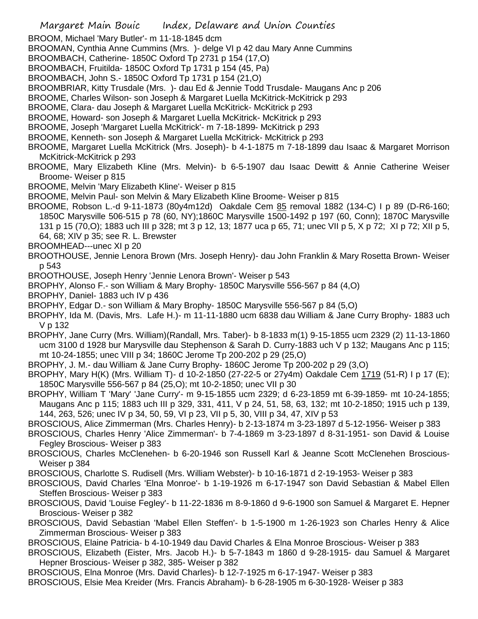BROOM, Michael 'Mary Butler'- m 11-18-1845 dcm

BROOMAN, Cynthia Anne Cummins (Mrs. )- delge VI p 42 dau Mary Anne Cummins

- BROOMBACH, Catherine- 1850C Oxford Tp 2731 p 154 (17,O)
- BROOMBACH, Fruitilda- 1850C Oxford Tp 1731 p 154 (45, Pa)
- BROOMBACH, John S.- 1850C Oxford Tp 1731 p 154 (21,O)
- BROOMBRIAR, Kitty Trusdale (Mrs. )- dau Ed & Jennie Todd Trusdale- Maugans Anc p 206
- BROOME, Charles Wilson- son Joseph & Margaret Luella McKitrick-McKitrick p 293
- BROOME, Clara- dau Joseph & Margaret Luella McKitrick- McKitrick p 293
- BROOME, Howard- son Joseph & Margaret Luella McKitrick- McKitrick p 293
- BROOME, Joseph 'Margaret Luella McKitrick'- m 7-18-1899- McKitrick p 293
- BROOME, Kenneth- son Joseph & Margaret Luella McKitrick- McKitrick p 293
- BROOME, Margaret Luella McKitrick (Mrs. Joseph)- b 4-1-1875 m 7-18-1899 dau Isaac & Margaret Morrison McKitrick-McKitrick p 293
- BROOME, Mary Elizabeth Kline (Mrs. Melvin)- b 6-5-1907 dau Isaac Dewitt & Annie Catherine Weiser Broome- Weiser p 815
- BROOME, Melvin 'Mary Elizabeth Kline'- Weiser p 815
- BROOME, Melvin Paul- son Melvin & Mary Elizabeth Kline Broome- Weiser p 815
- BROOME, Robson L.-d 9-11-1873 (80y4m12d) Oakdale Cem 85 removal 1882 (134-C) I p 89 (D-R6-160; 1850C Marysville 506-515 p 78 (60, NY);1860C Marysville 1500-1492 p 197 (60, Conn); 1870C Marysville 131 p 15 (70,O); 1883 uch III p 328; mt 3 p 12, 13; 1877 uca p 65, 71; unec VII p 5, X p 72; XI p 72; XII p 5, 64, 68; XIV p 35; see R. L. Brewster
- BROOMHEAD---unec XI p 20
- BROOTHOUSE, Jennie Lenora Brown (Mrs. Joseph Henry)- dau John Franklin & Mary Rosetta Brown- Weiser p 543
- BROOTHOUSE, Joseph Henry 'Jennie Lenora Brown'- Weiser p 543
- BROPHY, Alonso F.- son William & Mary Brophy- 1850C Marysville 556-567 p 84 (4,O)
- BROPHY, Daniel- 1883 uch IV p 436
- BROPHY, Edgar D.- son William & Mary Brophy- 1850C Marysville 556-567 p 84 (5,O)
- BROPHY, Ida M. (Davis, Mrs. Lafe H.)- m 11-11-1880 ucm 6838 dau William & Jane Curry Brophy- 1883 uch V p 132
- BROPHY, Jane Curry (Mrs. William)(Randall, Mrs. Taber)- b 8-1833 m(1) 9-15-1855 ucm 2329 (2) 11-13-1860 ucm 3100 d 1928 bur Marysville dau Stephenson & Sarah D. Curry-1883 uch V p 132; Maugans Anc p 115; mt 10-24-1855; unec VIII p 34; 1860C Jerome Tp 200-202 p 29 (25,O)
- BROPHY, J. M.- dau William & Jane Curry Brophy- 1860C Jerome Tp 200-202 p 29 (3,O)
- BROPHY, Mary H(K) (Mrs. William T)- d 10-2-1850 (27-22-5 or 27y4m) Oakdale Cem 1719 (51-R) I p 17 (E); 1850C Marysville 556-567 p 84 (25,O); mt 10-2-1850; unec VII p 30
- BROPHY, William T 'Mary' 'Jane Curry'- m 9-15-1855 ucm 2329; d 6-23-1859 mt 6-39-1859- mt 10-24-1855; Maugans Anc p 115; 1883 uch III p 329, 331, 411, V p 24, 51, 58, 63, 132; mt 10-2-1850; 1915 uch p 139, 144, 263, 526; unec IV p 34, 50, 59, VI p 23, VII p 5, 30, VIII p 34, 47, XIV p 53
- BROSCIOUS, Alice Zimmerman (Mrs. Charles Henry)- b 2-13-1874 m 3-23-1897 d 5-12-1956- Weiser p 383
- BROSCIOUS, Charles Henry 'Alice Zimmerman'- b 7-4-1869 m 3-23-1897 d 8-31-1951- son David & Louise Fegley Broscious- Weiser p 383
- BROSCIOUS, Charles McClenehen- b 6-20-1946 son Russell Karl & Jeanne Scott McClenehen Broscious-Weiser p 384
- BROSCIOUS, Charlotte S. Rudisell (Mrs. William Webster)- b 10-16-1871 d 2-19-1953- Weiser p 383
- BROSCIOUS, David Charles 'Elna Monroe'- b 1-19-1926 m 6-17-1947 son David Sebastian & Mabel Ellen Steffen Broscious- Weiser p 383
- BROSCIOUS, David 'Louise Fegley'- b 11-22-1836 m 8-9-1860 d 9-6-1900 son Samuel & Margaret E. Hepner Broscious- Weiser p 382
- BROSCIOUS, David Sebastian 'Mabel Ellen Steffen'- b 1-5-1900 m 1-26-1923 son Charles Henry & Alice Zimmerman Broscious- Weiser p 383
- BROSCIOUS, Elaine Patricia- b 4-10-1949 dau David Charles & Elna Monroe Broscious- Weiser p 383
- BROSCIOUS, Elizabeth (Eister, Mrs. Jacob H.)- b 5-7-1843 m 1860 d 9-28-1915- dau Samuel & Margaret Hepner Broscious- Weiser p 382, 385- Weiser p 382
- BROSCIOUS, Elna Monroe (Mrs. David Charles)- b 12-7-1925 m 6-17-1947- Weiser p 383
- BROSCIOUS, Elsie Mea Kreider (Mrs. Francis Abraham)- b 6-28-1905 m 6-30-1928- Weiser p 383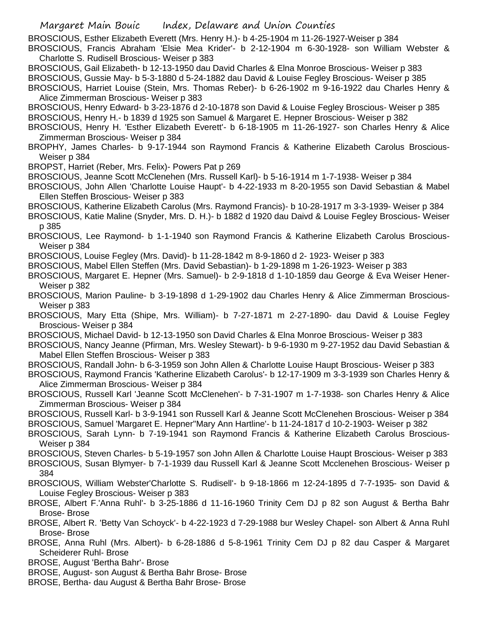BROSCIOUS, Esther Elizabeth Everett (Mrs. Henry H.)- b 4-25-1904 m 11-26-1927-Weiser p 384

BROSCIOUS, Francis Abraham 'Elsie Mea Krider'- b 2-12-1904 m 6-30-1928- son William Webster & Charlotte S. Rudisell Broscious- Weiser p 383

BROSCIOUS, Gail Elizabeth- b 12-13-1950 dau David Charles & Elna Monroe Broscious- Weiser p 383

BROSCIOUS, Gussie May- b 5-3-1880 d 5-24-1882 dau David & Louise Fegley Broscious- Weiser p 385

BROSCIOUS, Harriet Louise (Stein, Mrs. Thomas Reber)- b 6-26-1902 m 9-16-1922 dau Charles Henry & Alice Zimmerman Broscious- Weiser p 383

BROSCIOUS, Henry Edward- b 3-23-1876 d 2-10-1878 son David & Louise Fegley Broscious- Weiser p 385 BROSCIOUS, Henry H.- b 1839 d 1925 son Samuel & Margaret E. Hepner Broscious- Weiser p 382

BROSCIOUS, Henry H. 'Esther Elizabeth Everett'- b 6-18-1905 m 11-26-1927- son Charles Henry & Alice Zimmerman Broscious- Weiser p 384

BROPHY, James Charles- b 9-17-1944 son Raymond Francis & Katherine Elizabeth Carolus Broscious-Weiser p 384

BROPST, Harriet (Reber, Mrs. Felix)- Powers Pat p 269

BROSCIOUS, Jeanne Scott McClenehen (Mrs. Russell Karl)- b 5-16-1914 m 1-7-1938- Weiser p 384

BROSCIOUS, John Allen 'Charlotte Louise Haupt'- b 4-22-1933 m 8-20-1955 son David Sebastian & Mabel Ellen Steffen Broscious- Weiser p 383

BROSCIOUS, Katherine Elizabeth Carolus (Mrs. Raymond Francis)- b 10-28-1917 m 3-3-1939- Weiser p 384

BROSCIOUS, Katie Maline (Snyder, Mrs. D. H.)- b 1882 d 1920 dau Daivd & Louise Fegley Broscious- Weiser p 385

BROSCIOUS, Lee Raymond- b 1-1-1940 son Raymond Francis & Katherine Elizabeth Carolus Broscious-Weiser p 384

BROSCIOUS, Louise Fegley (Mrs. David)- b 11-28-1842 m 8-9-1860 d 2- 1923- Weiser p 383

BROSCIOUS, Mabel Ellen Steffen (Mrs. David Sebastian)- b 1-29-1898 m 1-26-1923- Weiser p 383

BROSCIOUS, Margaret E. Hepner (Mrs. Samuel)- b 2-9-1818 d 1-10-1859 dau George & Eva Weiser Hener-Weiser p 382

BROSCIOUS, Marion Pauline- b 3-19-1898 d 1-29-1902 dau Charles Henry & Alice Zimmerman Broscious-Weiser p 383

BROSCIOUS, Mary Etta (Shipe, Mrs. William)- b 7-27-1871 m 2-27-1890- dau David & Louise Fegley Broscious- Weiser p 384

BROSCIOUS, Michael David- b 12-13-1950 son David Charles & Elna Monroe Broscious- Weiser p 383

BROSCIOUS, Nancy Jeanne (Pfirman, Mrs. Wesley Stewart)- b 9-6-1930 m 9-27-1952 dau David Sebastian & Mabel Ellen Steffen Broscious- Weiser p 383

BROSCIOUS, Randall John- b 6-3-1959 son John Allen & Charlotte Louise Haupt Broscious- Weiser p 383

BROSCIOUS, Raymond Francis 'Katherine Elizabeth Carolus'- b 12-17-1909 m 3-3-1939 son Charles Henry & Alice Zimmerman Broscious- Weiser p 384

BROSCIOUS, Russell Karl 'Jeanne Scott McClenehen'- b 7-31-1907 m 1-7-1938- son Charles Henry & Alice Zimmerman Broscious- Weiser p 384

BROSCIOUS, Russell Karl- b 3-9-1941 son Russell Karl & Jeanne Scott McClenehen Broscious- Weiser p 384

BROSCIOUS, Samuel 'Margaret E. Hepner''Mary Ann Hartline'- b 11-24-1817 d 10-2-1903- Weiser p 382 BROSCIOUS, Sarah Lynn- b 7-19-1941 son Raymond Francis & Katherine Elizabeth Carolus Broscious-

Weiser p 384

BROSCIOUS, Steven Charles- b 5-19-1957 son John Allen & Charlotte Louise Haupt Broscious- Weiser p 383

BROSCIOUS, Susan Blymyer- b 7-1-1939 dau Russell Karl & Jeanne Scott Mcclenehen Broscious- Weiser p 384

BROSCIOUS, William Webster'Charlotte S. Rudisell'- b 9-18-1866 m 12-24-1895 d 7-7-1935- son David & Louise Fegley Broscious- Weiser p 383

BROSE, Albert F.'Anna Ruhl'- b 3-25-1886 d 11-16-1960 Trinity Cem DJ p 82 son August & Bertha Bahr Brose- Brose

BROSE, Albert R. 'Betty Van Schoyck'- b 4-22-1923 d 7-29-1988 bur Wesley Chapel- son Albert & Anna Ruhl Brose- Brose

BROSE, Anna Ruhl (Mrs. Albert)- b 6-28-1886 d 5-8-1961 Trinity Cem DJ p 82 dau Casper & Margaret Scheiderer Ruhl- Brose

BROSE, August 'Bertha Bahr'- Brose

BROSE, August- son August & Bertha Bahr Brose- Brose

BROSE, Bertha- dau August & Bertha Bahr Brose- Brose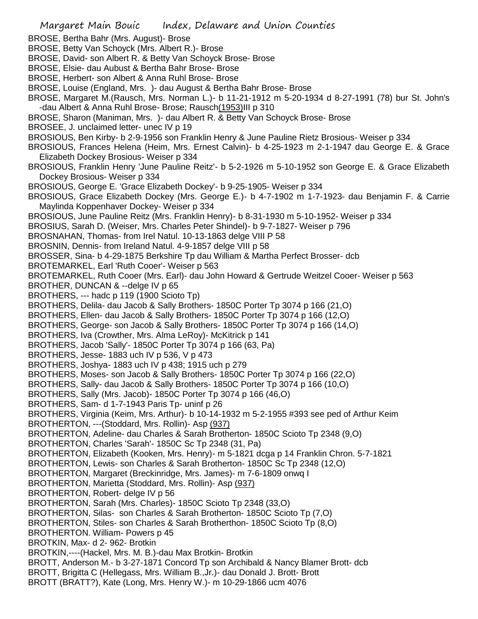Margaret Main Bouic Index, Delaware and Union Counties BROSE, Bertha Bahr (Mrs. August)- Brose BROSE, Betty Van Schoyck (Mrs. Albert R.)- Brose BROSE, David- son Albert R. & Betty Van Schoyck Brose- Brose BROSE, Elsie- dau Aubust & Bertha Bahr Brose- Brose BROSE, Herbert- son Albert & Anna Ruhl Brose- Brose BROSE, Louise (England, Mrs. )- dau August & Bertha Bahr Brose- Brose BROSE, Margaret M.(Rausch, Mrs. Norman L.)- b 11-21-1912 m 5-20-1934 d 8-27-1991 (78) bur St. John's -dau Albert & Anna Ruhl Brose- Brose; Rausch(1953)III p 310 BROSE, Sharon (Maniman, Mrs. )- dau Albert R. & Betty Van Schoyck Brose- Brose BROSEE, J. unclaimed letter- unec IV p 19 BROSIOUS, Ben Kirby- b 2-9-1956 son Franklin Henry & June Pauline Rietz Brosious- Weiser p 334 BROSIOUS, Frances Helena (Heim, Mrs. Ernest Calvin)- b 4-25-1923 m 2-1-1947 dau George E. & Grace Elizabeth Dockey Brosious- Weiser p 334 BROSIOUS, Franklin Henry 'June Pauline Reitz'- b 5-2-1926 m 5-10-1952 son George E. & Grace Elizabeth Dockey Brosious- Weiser p 334 BROSIOUS, George E. 'Grace Elizabeth Dockey'- b 9-25-1905- Weiser p 334 BROSIOUS, Grace Elizabeth Dockey (Mrs. George E.)- b 4-7-1902 m 1-7-1923- dau Benjamin F. & Carrie Maylinda Koppenhaver Dockey- Weiser p 334 BROSIOUS, June Pauline Reitz (Mrs. Franklin Henry)- b 8-31-1930 m 5-10-1952- Weiser p 334 BROSIUS, Sarah D. (Weiser, Mrs. Charles Peter Shindel)- b 9-7-1827- Weiser p 796 BROSNAHAN, Thomas- from Irel Natul. 10-13-1863 delge VIII P 58 BROSNIN, Dennis- from Ireland Natul. 4-9-1857 delge VIII p 58 BROSSER, Sina- b 4-29-1875 Berkshire Tp dau William & Martha Perfect Brosser- dcb BROTEMARKEL, Earl 'Ruth Cooer'- Weiser p 563 BROTEMARKEL, Ruth Cooer (Mrs. Earl)- dau John Howard & Gertrude Weitzel Cooer- Weiser p 563 BROTHER, DUNCAN & --delge IV p 65 BROTHERS, --- hadc p 119 (1900 Scioto Tp) BROTHERS, Delila- dau Jacob & Sally Brothers- 1850C Porter Tp 3074 p 166 (21,O) BROTHERS, Ellen- dau Jacob & Sally Brothers- 1850C Porter Tp 3074 p 166 (12,O) BROTHERS, George- son Jacob & Sally Brothers- 1850C Porter Tp 3074 p 166 (14,O) BROTHERS, Iva (Crowther, Mrs. Alma LeRoy)- McKitrick p 141 BROTHERS, Jacob 'Sally'- 1850C Porter Tp 3074 p 166 (63, Pa) BROTHERS, Jesse- 1883 uch IV p 536, V p 473 BROTHERS, Joshya- 1883 uch IV p 438; 1915 uch p 279 BROTHERS, Moses- son Jacob & Sally Brothers- 1850C Porter Tp 3074 p 166 (22,O) BROTHERS, Sally- dau Jacob & Sally Brothers- 1850C Porter Tp 3074 p 166 (10,O) BROTHERS, Sally (Mrs. Jacob)- 1850C Porter Tp 3074 p 166 (46,O) BROTHERS, Sam- d 1-7-1943 Paris Tp- uninf p 26 BROTHERS, Virginia (Keim, Mrs. Arthur)- b 10-14-1932 m 5-2-1955 #393 see ped of Arthur Keim BROTHERTON, ---(Stoddard, Mrs. Rollin)- Asp (937) BROTHERTON, Adeline- dau Charles & Sarah Brotherton- 1850C Scioto Tp 2348 (9,O) BROTHERTON, Charles 'Sarah'- 1850C Sc Tp 2348 (31, Pa) BROTHERTON, Elizabeth (Kooken, Mrs. Henry)- m 5-1821 dcga p 14 Franklin Chron. 5-7-1821 BROTHERTON, Lewis- son Charles & Sarah Brotherton- 1850C Sc Tp 2348 (12,O) BROTHERTON, Margaret (Breckinridge, Mrs. James)- m 7-6-1809 onwq I BROTHERTON, Marietta (Stoddard, Mrs. Rollin)- Asp (937) BROTHERTON, Robert- delge IV p 56 BROTHERTON, Sarah (Mrs. Charles)- 1850C Scioto Tp 2348 (33,O) BROTHERTON, Silas- son Charles & Sarah Brotherton- 1850C Scioto Tp (7,O) BROTHERTON, Stiles- son Charles & Sarah Brotherthon- 1850C Scioto Tp (8,O) BROTHERTON. William- Powers p 45 BROTKIN, Max- d 2- 962- Brotkin BROTKIN,----(Hackel, Mrs. M. B.)-dau Max Brotkin- Brotkin BROTT, Anderson M.- b 3-27-1871 Concord Tp son Archibald & Nancy Blamer Brott- dcb BROTT, Brigitta C (Hellegass, Mrs. William B.,Jr.)- dau Donald J. Brott- Brott BROTT (BRATT?), Kate (Long, Mrs. Henry W.)- m 10-29-1866 ucm 4076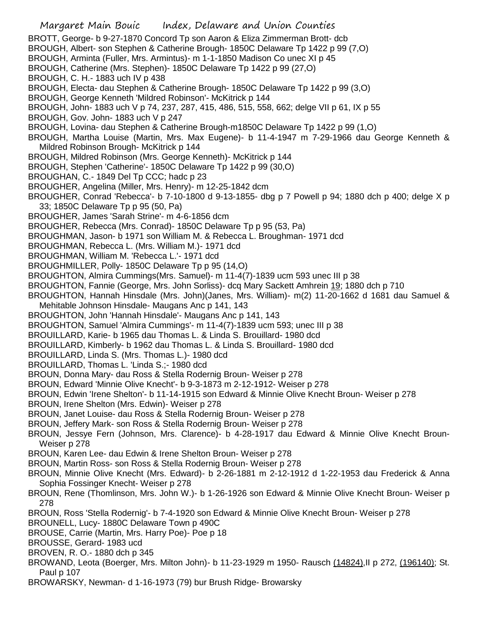- Margaret Main Bouic Index, Delaware and Union Counties BROTT, George- b 9-27-1870 Concord Tp son Aaron & Eliza Zimmerman Brott- dcb BROUGH, Albert- son Stephen & Catherine Brough- 1850C Delaware Tp 1422 p 99 (7,O) BROUGH, Arminta (Fuller, Mrs. Armintus)- m 1-1-1850 Madison Co unec XI p 45 BROUGH, Catherine (Mrs. Stephen)- 1850C Delaware Tp 1422 p 99 (27,O) BROUGH, C. H.- 1883 uch IV p 438 BROUGH, Electa- dau Stephen & Catherine Brough- 1850C Delaware Tp 1422 p 99 (3,O) BROUGH, George Kenneth 'Mildred Robinson'- McKitrick p 144 BROUGH, John- 1883 uch V p 74, 237, 287, 415, 486, 515, 558, 662; delge VII p 61, IX p 55 BROUGH, Gov. John- 1883 uch V p 247 BROUGH, Lovina- dau Stephen & Catherine Brough-m1850C Delaware Tp 1422 p 99 (1,O) BROUGH, Martha Louise (Martin, Mrs. Max Eugene)- b 11-4-1947 m 7-29-1966 dau George Kenneth & Mildred Robinson Brough- McKitrick p 144 BROUGH, Mildred Robinson (Mrs. George Kenneth)- McKitrick p 144 BROUGH, Stephen 'Catherine'- 1850C Delaware Tp 1422 p 99 (30,O) BROUGHAN, C.- 1849 Del Tp CCC; hadc p 23 BROUGHER, Angelina (Miller, Mrs. Henry)- m 12-25-1842 dcm BROUGHER, Conrad 'Rebecca'- b 7-10-1800 d 9-13-1855- dbg p 7 Powell p 94; 1880 dch p 400; delge X p 33; 1850C Delaware Tp p 95 (50, Pa) BROUGHER, James 'Sarah Strine'- m 4-6-1856 dcm BROUGHER, Rebecca (Mrs. Conrad)- 1850C Delaware Tp p 95 (53, Pa) BROUGHMAN, Jason- b 1971 son William M. & Rebecca L. Broughman- 1971 dcd BROUGHMAN, Rebecca L. (Mrs. William M.)- 1971 dcd BROUGHMAN, William M. 'Rebecca L.'- 1971 dcd BROUGHMILLER, Polly- 1850C Delaware Tp p 95 (14,O) BROUGHTON, Almira Cummings(Mrs. Samuel)- m 11-4(7)-1839 ucm 593 unec III p 38 BROUGHTON, Fannie (George, Mrs. John Sorliss)- dcq Mary Sackett Amhrein 19; 1880 dch p 710 BROUGHTON, Hannah Hinsdale (Mrs. John)(Janes, Mrs. William)- m(2) 11-20-1662 d 1681 dau Samuel & Mehitable Johnson Hinsdale- Maugans Anc p 141, 143 BROUGHTON, John 'Hannah Hinsdale'- Maugans Anc p 141, 143 BROUGHTON, Samuel 'Almira Cummings'- m 11-4(7)-1839 ucm 593; unec III p 38 BROUILLARD, Karie- b 1965 dau Thomas L. & Linda S. Brouillard- 1980 dcd BROUILLARD, Kimberly- b 1962 dau Thomas L. & Linda S. Brouillard- 1980 dcd BROUILLARD, Linda S. (Mrs. Thomas L.)- 1980 dcd BROUILLARD, Thomas L. 'Linda S.;- 1980 dcd BROUN, Donna Mary- dau Ross & Stella Rodernig Broun- Weiser p 278 BROUN, Edward 'Minnie Olive Knecht'- b 9-3-1873 m 2-12-1912- Weiser p 278 BROUN, Edwin 'Irene Shelton'- b 11-14-1915 son Edward & Minnie Olive Knecht Broun- Weiser p 278 BROUN, Irene Shelton (Mrs. Edwin)- Weiser p 278 BROUN, Janet Louise- dau Ross & Stella Rodernig Broun- Weiser p 278 BROUN, Jeffery Mark- son Ross & Stella Rodernig Broun- Weiser p 278 BROUN, Jessye Fern (Johnson, Mrs. Clarence)- b 4-28-1917 dau Edward & Minnie Olive Knecht Broun-Weiser p 278 BROUN, Karen Lee- dau Edwin & Irene Shelton Broun- Weiser p 278 BROUN, Martin Ross- son Ross & Stella Rodernig Broun- Weiser p 278 BROUN, Minnie Olive Knecht (Mrs. Edward)- b 2-26-1881 m 2-12-1912 d 1-22-1953 dau Frederick & Anna Sophia Fossinger Knecht- Weiser p 278 BROUN, Rene (Thomlinson, Mrs. John W.)- b 1-26-1926 son Edward & Minnie Olive Knecht Broun- Weiser p 278 BROUN, Ross 'Stella Rodernig'- b 7-4-1920 son Edward & Minnie Olive Knecht Broun- Weiser p 278 BROUNELL, Lucy- 1880C Delaware Town p 490C BROUSE, Carrie (Martin, Mrs. Harry Poe)- Poe p 18 BROUSSE, Gerard- 1983 ucd
- BROVEN, R. O.- 1880 dch p 345
- BROWAND, Leota (Boerger, Mrs. Milton John)- b 11-23-1929 m 1950- Rausch (14824),II p 272, (196140); St. Paul p 107
- BROWARSKY, Newman- d 1-16-1973 (79) bur Brush Ridge- Browarsky